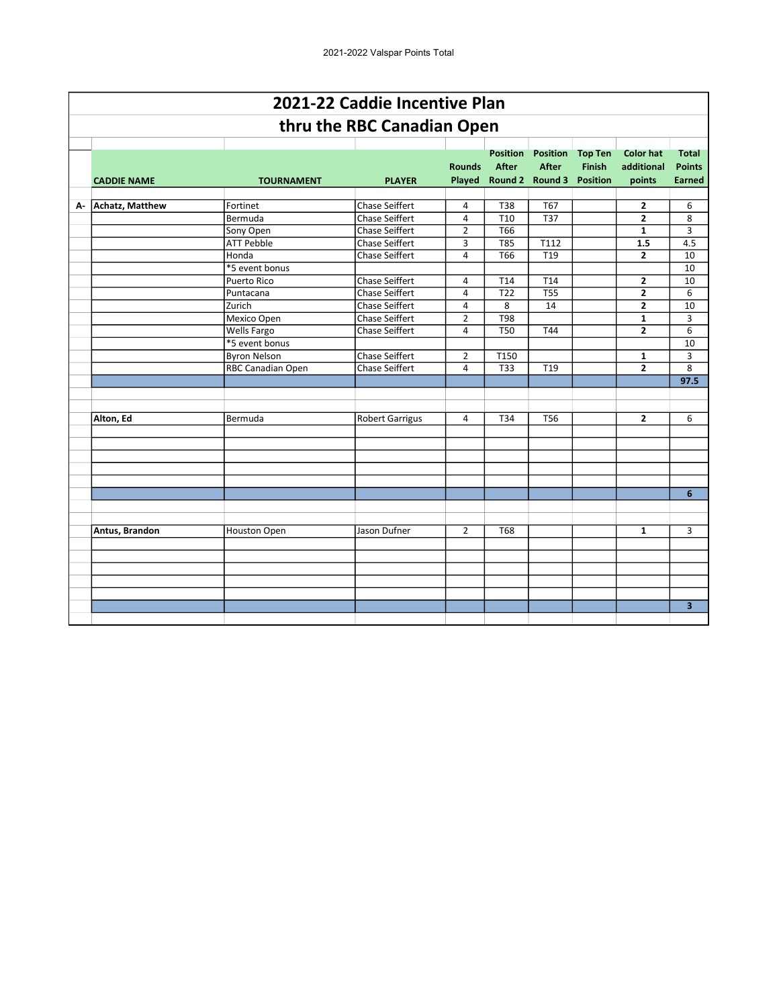|    |                        |                     | 2021-22 Caddie Incentive Plan |                |                                 |                                 |                                 |                                |                               |
|----|------------------------|---------------------|-------------------------------|----------------|---------------------------------|---------------------------------|---------------------------------|--------------------------------|-------------------------------|
|    |                        |                     | thru the RBC Canadian Open    |                |                                 |                                 |                                 |                                |                               |
|    |                        |                     |                               | <b>Rounds</b>  | <b>Position</b><br><b>After</b> | <b>Position</b><br><b>After</b> | <b>Top Ten</b><br><b>Finish</b> | <b>Color hat</b><br>additional | <b>Total</b><br><b>Points</b> |
|    | <b>CADDIE NAME</b>     | <b>TOURNAMENT</b>   | <b>PLAYER</b>                 |                |                                 | Played Round 2 Round 3          | <b>Position</b>                 | points                         | <b>Earned</b>                 |
|    |                        |                     |                               |                |                                 |                                 |                                 |                                |                               |
| А- | <b>Achatz, Matthew</b> | Fortinet            | <b>Chase Seiffert</b>         | 4              | T38                             | <b>T67</b>                      |                                 | $\mathbf{z}$                   | 6                             |
|    |                        | Bermuda             | <b>Chase Seiffert</b>         | 4              | T <sub>10</sub>                 | <b>T37</b>                      |                                 | $\overline{2}$                 | 8                             |
|    |                        | Sony Open           | Chase Seiffert                | $\overline{2}$ | T66                             |                                 |                                 | $\mathbf{1}$                   | 3                             |
|    |                        | <b>ATT Pebble</b>   | <b>Chase Seiffert</b>         | 3              | $\overline{785}$                | T112                            |                                 | 1.5                            | 4.5                           |
|    |                        | Honda               | <b>Chase Seiffert</b>         | 4              | T66                             | T19                             |                                 | $\mathbf{2}$                   | 10                            |
|    |                        | *5 event bonus      |                               |                |                                 |                                 |                                 |                                | 10                            |
|    |                        | Puerto Rico         | <b>Chase Seiffert</b>         | 4              | T14                             | T14                             |                                 | $\overline{\mathbf{c}}$        | 10                            |
|    |                        | Puntacana           | <b>Chase Seiffert</b>         | 4              | T <sub>22</sub>                 | <b>T55</b>                      |                                 | $\overline{2}$                 | 6                             |
|    |                        | Zurich              | Chase Seiffert                | $\overline{4}$ | 8                               | 14                              |                                 | $\overline{2}$                 | 10                            |
|    |                        | Mexico Open         | Chase Seiffert                | $\overline{2}$ | <b>T98</b>                      |                                 |                                 | 1                              | 3                             |
|    |                        | Wells Fargo         | <b>Chase Seiffert</b>         | 4              | <b>T50</b>                      | <b>T44</b>                      |                                 | $\overline{2}$                 | 6                             |
|    |                        | *5 event bonus      |                               |                |                                 |                                 |                                 |                                | 10                            |
|    |                        | <b>Byron Nelson</b> | <b>Chase Seiffert</b>         | $\overline{2}$ | T150                            |                                 |                                 | $\mathbf{1}$                   | 3                             |
|    |                        | RBC Canadian Open   | <b>Chase Seiffert</b>         | 4              | <b>T33</b>                      | T <sub>19</sub>                 |                                 | $\overline{2}$                 | 8                             |
|    |                        |                     |                               |                |                                 |                                 |                                 |                                | 97.5                          |
|    |                        |                     |                               |                |                                 |                                 |                                 |                                |                               |
|    |                        |                     |                               |                |                                 |                                 |                                 |                                |                               |
|    | Alton, Ed              | Bermuda             | <b>Robert Garrigus</b>        | 4              | T34                             | <b>T56</b>                      |                                 | $\mathbf{2}$                   | 6                             |
|    |                        |                     |                               |                |                                 |                                 |                                 |                                |                               |
|    |                        |                     |                               |                |                                 |                                 |                                 |                                |                               |
|    |                        |                     |                               |                |                                 |                                 |                                 |                                |                               |
|    |                        |                     |                               |                |                                 |                                 |                                 |                                |                               |
|    |                        |                     |                               |                |                                 |                                 |                                 |                                |                               |
|    |                        |                     |                               |                |                                 |                                 |                                 |                                | 6                             |
|    |                        |                     |                               |                |                                 |                                 |                                 |                                |                               |
|    |                        |                     |                               |                |                                 |                                 |                                 |                                |                               |
|    | Antus, Brandon         | Houston Open        | Jason Dufner                  | $\overline{2}$ | <b>T68</b>                      |                                 |                                 | $\mathbf{1}$                   | 3                             |
|    |                        |                     |                               |                |                                 |                                 |                                 |                                |                               |
|    |                        |                     |                               |                |                                 |                                 |                                 |                                |                               |
|    |                        |                     |                               |                |                                 |                                 |                                 |                                |                               |
|    |                        |                     |                               |                |                                 |                                 |                                 |                                |                               |
|    |                        |                     |                               |                |                                 |                                 |                                 |                                |                               |
|    |                        |                     |                               |                |                                 |                                 |                                 |                                | $\overline{\mathbf{3}}$       |
|    |                        |                     |                               |                |                                 |                                 |                                 |                                |                               |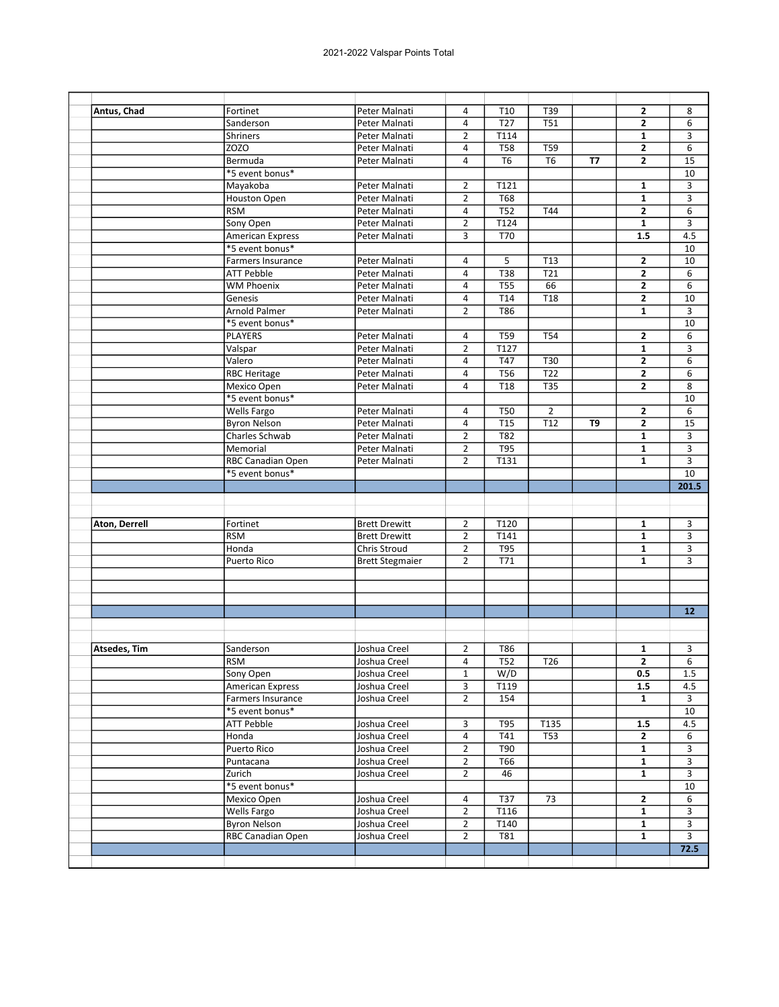| Antus, Chad         | Fortinet                 | Peter Malnati          | 4                       | T10              | T39              |                | 2              | 8              |
|---------------------|--------------------------|------------------------|-------------------------|------------------|------------------|----------------|----------------|----------------|
|                     | Sanderson                | Peter Malnati          | 4                       | T <sub>27</sub>  | <b>T51</b>       |                | 2              | 6              |
|                     | Shriners                 | Peter Malnati          | $\overline{2}$          | T114             |                  |                | $\mathbf{1}$   | 3              |
|                     | ZOZO                     | Peter Malnati          | 4                       | T58              | T59              |                | $\mathbf{2}$   | 6              |
|                     | Bermuda                  | Peter Malnati          | 4                       | T <sub>6</sub>   | T <sub>6</sub>   | <b>T7</b>      | 2              | 15             |
|                     | *5 event bonus*          |                        |                         |                  |                  |                |                | 10             |
|                     | Mayakoba                 | Peter Malnati          | $\overline{2}$          | T121             |                  |                | $\mathbf{1}$   | 3              |
|                     | Houston Open             | Peter Malnati          | $\overline{2}$          | <b>T68</b>       |                  |                | $\mathbf{1}$   | 3              |
|                     | <b>RSM</b>               | Peter Malnati          | $\overline{4}$          | T52              | T44              |                | $\overline{2}$ | 6              |
|                     | Sony Open                | Peter Malnati          | $\overline{2}$          | T124             |                  |                | $\mathbf{1}$   | 3              |
|                     | <b>American Express</b>  | Peter Malnati          | 3                       | T70              |                  |                | 1.5            | 4.5            |
|                     | *5 event bonus*          |                        |                         |                  |                  |                |                | 10             |
|                     | Farmers Insurance        | Peter Malnati          | 4                       |                  | T13              |                | $\mathbf{2}$   | 10             |
|                     |                          |                        |                         | 5                |                  |                |                |                |
|                     | <b>ATT Pebble</b>        | Peter Malnati          | $\overline{\mathbf{4}}$ | $\overline{138}$ | $\overline{721}$ |                | $\mathbf{2}$   | 6              |
|                     | <b>WM Phoenix</b>        | Peter Malnati          | 4                       | <b>T55</b>       | 66               |                | $\mathbf{2}$   | 6              |
|                     | Genesis                  | Peter Malnati          | $\overline{a}$          | T14              | T <sub>18</sub>  |                | $\mathbf{2}$   | 10             |
|                     | Arnold Palmer            | Peter Malnati          | $\overline{2}$          | T86              |                  |                | $\mathbf{1}$   | 3              |
|                     | *5 event bonus*          |                        |                         |                  |                  |                |                | 10             |
|                     | PLAYERS                  | Peter Malnati          | 4                       | T59              | <b>T54</b>       |                | 2              | 6              |
|                     | Valspar                  | Peter Malnati          | $\overline{2}$          | T127             |                  |                | $\mathbf{1}$   | 3              |
|                     | Valero                   | Peter Malnati          | $\overline{a}$          | T47              | <b>T30</b>       |                | $\mathbf{2}$   | 6              |
|                     | <b>RBC Heritage</b>      | Peter Malnati          | 4                       | <b>T56</b>       | T22              |                | $\mathbf{2}$   | 6              |
|                     | Mexico Open              | Peter Malnati          | $\overline{4}$          | T <sub>18</sub>  | <b>T35</b>       |                | $\mathbf{2}$   | 8              |
|                     | *5 event bonus*          |                        |                         |                  |                  |                |                | 10             |
|                     | Wells Fargo              | Peter Malnati          | 4                       | <b>T50</b>       | $\overline{2}$   |                | $\mathbf{2}$   | 6              |
|                     | <b>Byron Nelson</b>      | Peter Malnati          | $\overline{a}$          | T <sub>15</sub>  | T <sub>12</sub>  | T <sub>9</sub> | $\overline{2}$ | 15             |
|                     | Charles Schwab           | Peter Malnati          | $\overline{2}$          | T82              |                  |                | 1              | 3              |
|                     | Memorial                 | Peter Malnati          | $\overline{2}$          | <b>T95</b>       |                  |                | $\mathbf{1}$   | 3              |
|                     | RBC Canadian Open        | Peter Malnati          | $\overline{2}$          | T131             |                  |                | $\mathbf{1}$   | 3              |
|                     | *5 event bonus*          |                        |                         |                  |                  |                |                | 10             |
|                     |                          |                        |                         |                  |                  |                |                | 201.5          |
|                     |                          |                        |                         |                  |                  |                |                |                |
|                     |                          |                        |                         |                  |                  |                |                |                |
|                     |                          |                        |                         |                  |                  |                |                |                |
|                     |                          |                        |                         |                  |                  |                |                |                |
| Aton, Derrell       | Fortinet                 | <b>Brett Drewitt</b>   | $\overline{2}$          | T120             |                  |                | 1              | 3              |
|                     | <b>RSM</b>               | <b>Brett Drewitt</b>   | $\overline{2}$          | T141             |                  |                | 1              | 3              |
|                     | Honda                    | Chris Stroud           | $\overline{2}$          | <b>T95</b>       |                  |                | $\mathbf{1}$   | 3              |
|                     | Puerto Rico              | <b>Brett Stegmaier</b> | $\overline{2}$          | T71              |                  |                | 1              | 3              |
|                     |                          |                        |                         |                  |                  |                |                |                |
|                     |                          |                        |                         |                  |                  |                |                |                |
|                     |                          |                        |                         |                  |                  |                |                |                |
|                     |                          |                        |                         |                  |                  |                |                | 12             |
|                     |                          |                        |                         |                  |                  |                |                |                |
|                     |                          |                        |                         |                  |                  |                |                |                |
| <b>Atsedes, Tim</b> | Sanderson                | Joshua Creel           | 2                       | T86              |                  |                | 1              | 3              |
|                     | RSM                      | Joshua Creel           | $\pmb{4}$               | $\overline{T52}$ | T26              |                | $\overline{2}$ | $\overline{6}$ |
|                     |                          | Joshua Creel           | $\mathbf{1}$            | W/D              |                  |                | 0.5            | 1.5            |
|                     | Sony Open                |                        |                         | T119             |                  |                | 1.5            | 4.5            |
|                     | <b>American Express</b>  | Joshua Creel           | 3                       |                  |                  |                |                |                |
|                     | Farmers Insurance        | Joshua Creel           | $\overline{2}$          | 154              |                  |                | $\mathbf{1}$   | 3              |
|                     | *5 event bonus*          |                        |                         |                  |                  |                |                | 10             |
|                     | <b>ATT Pebble</b>        | Joshua Creel           | 3                       | T95              | T135             |                | 1.5            | 4.5            |
|                     | Honda                    | Joshua Creel           | 4                       | T41              | <b>T53</b>       |                | $\mathbf{2}$   | 6              |
|                     | Puerto Rico              | Joshua Creel           | $\overline{2}$          | T90              |                  |                | $\mathbf{1}$   | 3              |
|                     | Puntacana                | Joshua Creel           | $\overline{2}$          | T66              |                  |                | $\mathbf{1}$   | 3              |
|                     | Zurich                   | Joshua Creel           | $\overline{2}$          | 46               |                  |                | $\mathbf{1}$   | 3              |
|                     | *5 event bonus*          |                        |                         |                  |                  |                |                | 10             |
|                     | Mexico Open              | Joshua Creel           | 4                       | T37              | 73               |                | $\mathbf{2}$   | 6              |
|                     | Wells Fargo              | Joshua Creel           | $\overline{2}$          | T116             |                  |                | $\mathbf{1}$   | 3              |
|                     | <b>Byron Nelson</b>      | Joshua Creel           | $\overline{2}$          | T140             |                  |                | 1              | 3              |
|                     | <b>RBC Canadian Open</b> | Joshua Creel           | $\overline{2}$          | <b>T81</b>       |                  |                | $\mathbf{1}$   | 3              |
|                     |                          |                        |                         |                  |                  |                |                | 72.5           |
|                     |                          |                        |                         |                  |                  |                |                |                |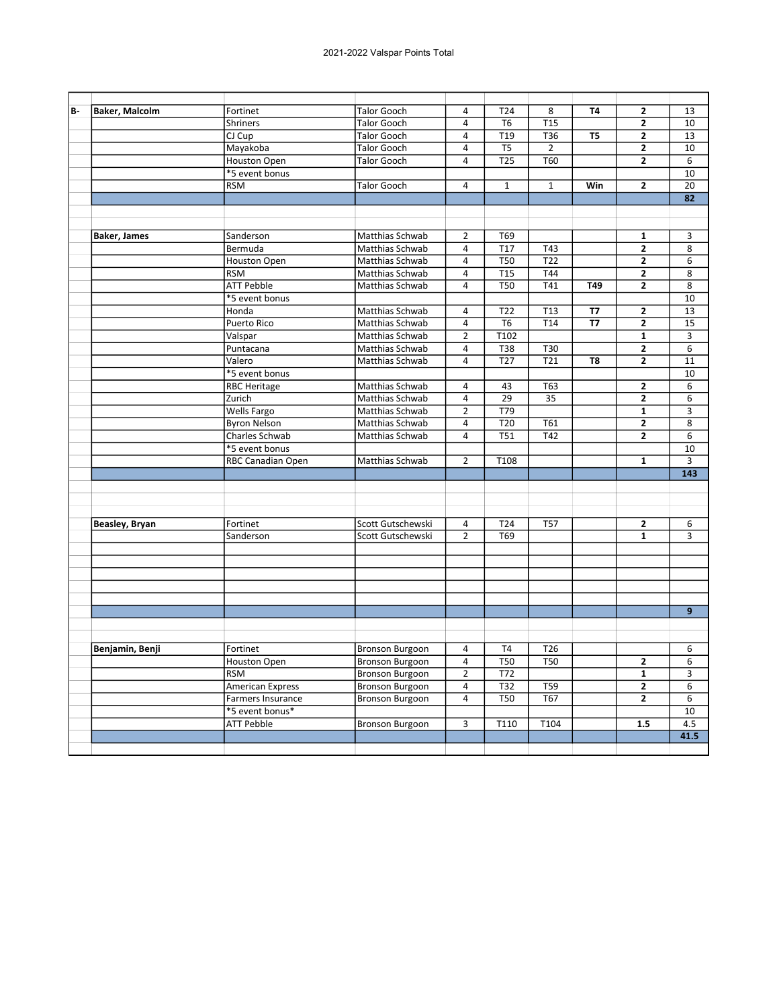| <b>B</b> | <b>Baker, Malcolm</b> | Fortinet                | <b>Talor Gooch</b>     | $\overline{4}$          | T24              | 8                | <b>T4</b>      | 2                       | 13             |
|----------|-----------------------|-------------------------|------------------------|-------------------------|------------------|------------------|----------------|-------------------------|----------------|
|          |                       | <b>Shriners</b>         | <b>Talor Gooch</b>     | $\overline{4}$          | T <sub>6</sub>   | T <sub>15</sub>  |                | $\overline{2}$          | 10             |
|          |                       | CJ Cup                  | <b>Talor Gooch</b>     | $\overline{4}$          | T19              | T36              | T <sub>5</sub> | $\overline{2}$          | 13             |
|          |                       | Mayakoba                | <b>Talor Gooch</b>     | $\overline{4}$          | $\overline{TS}$  | $\overline{2}$   |                | $\overline{2}$          | 10             |
|          |                       | Houston Open            | <b>Talor Gooch</b>     | $\overline{4}$          | <b>T25</b>       | T60              |                | $\overline{2}$          | 6              |
|          |                       | *5 event bonus          |                        |                         |                  |                  |                |                         | 10             |
|          |                       | <b>RSM</b>              | <b>Talor Gooch</b>     | $\overline{4}$          | $\mathbf{1}$     | $\mathbf{1}$     | Win            | $\overline{2}$          | 20             |
|          |                       |                         |                        |                         |                  |                  |                |                         | 82             |
|          |                       |                         |                        |                         |                  |                  |                |                         |                |
|          |                       |                         |                        |                         |                  |                  |                |                         |                |
|          | <b>Baker, James</b>   | Sanderson               | Matthias Schwab        | $\overline{2}$          | T69              |                  |                | $\mathbf{1}$            | 3              |
|          |                       | Bermuda                 | Matthias Schwab        | $\overline{4}$          | T <sub>17</sub>  | T43              |                | $\overline{2}$          | 8              |
|          |                       | <b>Houston Open</b>     | Matthias Schwab        | $\overline{4}$          | <b>T50</b>       | $\overline{122}$ |                | $\mathbf{2}$            | 6              |
|          |                       | <b>RSM</b>              | Matthias Schwab        | $\overline{4}$          | $\overline{115}$ | $\overline{144}$ |                | 2                       | 8              |
|          |                       | <b>ATT Pebble</b>       | Matthias Schwab        | $\overline{4}$          | <b>T50</b>       | T41              | T49            | $\overline{2}$          | 8              |
|          |                       | *5 event bonus          |                        |                         |                  |                  |                |                         | 10             |
|          |                       | Honda                   | Matthias Schwab        | $\overline{4}$          | T <sub>22</sub>  | T <sub>13</sub>  | <b>T7</b>      | $\overline{2}$          | 13             |
|          |                       | <b>Puerto Rico</b>      | Matthias Schwab        | $\overline{4}$          | T <sub>6</sub>   | T <sub>14</sub>  | T7             | $\overline{2}$          | 15             |
|          |                       | Valspar                 | Matthias Schwab        | $\overline{2}$          | T102             |                  |                | 1                       | 3              |
|          |                       | Puntacana               | Matthias Schwab        | $\overline{a}$          | <b>T38</b>       | T30              |                | 2                       | 6              |
|          |                       | Valero                  | Matthias Schwab        | $\overline{4}$          | T <sub>27</sub>  | T <sub>21</sub>  | T <sub>8</sub> | $\overline{2}$          | 11             |
|          |                       | *5 event bonus          |                        |                         |                  |                  |                |                         | 10             |
|          |                       | <b>RBC Heritage</b>     | Matthias Schwab        | $\overline{4}$          | 43               | T63              |                | 2                       | 6              |
|          |                       | Zurich                  | Matthias Schwab        | $\overline{4}$          | 29               | 35               |                | $\overline{2}$          | 6              |
|          |                       | <b>Wells Fargo</b>      | Matthias Schwab        | $\overline{2}$          | $\overline{779}$ |                  |                | $\mathbf{1}$            | 3              |
|          |                       | <b>Byron Nelson</b>     | Matthias Schwab        | $\overline{\mathbf{4}}$ | $\overline{120}$ | $\overline{161}$ |                | $\overline{2}$          | $\overline{8}$ |
|          |                       | Charles Schwab          | Matthias Schwab        | $\overline{4}$          | <b>T51</b>       | T42              |                | $\overline{2}$          | 6              |
|          |                       | *5 event bonus          |                        |                         |                  |                  |                |                         | 10             |
|          |                       | RBC Canadian Open       | Matthias Schwab        | $\overline{2}$          | T108             |                  |                | $\mathbf{1}$            | $\overline{3}$ |
|          |                       |                         |                        |                         |                  |                  |                |                         | 143            |
|          |                       |                         |                        |                         |                  |                  |                |                         |                |
|          |                       |                         |                        |                         |                  |                  |                |                         |                |
|          |                       |                         |                        |                         |                  |                  |                |                         |                |
|          | Beasley, Bryan        | Fortinet                | Scott Gutschewski      | $\overline{4}$          | T24              | <b>T57</b>       |                | $\mathbf{2}$            | 6              |
|          |                       | Sanderson               | Scott Gutschewski      | $\overline{2}$          | T69              |                  |                | $\mathbf{1}$            | 3              |
|          |                       |                         |                        |                         |                  |                  |                |                         |                |
|          |                       |                         |                        |                         |                  |                  |                |                         |                |
|          |                       |                         |                        |                         |                  |                  |                |                         |                |
|          |                       |                         |                        |                         |                  |                  |                |                         |                |
|          |                       |                         |                        |                         |                  |                  |                |                         |                |
|          |                       |                         |                        |                         |                  |                  |                |                         | $\overline{9}$ |
|          |                       |                         |                        |                         |                  |                  |                |                         |                |
|          |                       |                         |                        |                         |                  |                  |                |                         |                |
|          | Benjamin, Benji       | Fortinet                | <b>Bronson Burgoon</b> | $\overline{4}$          | T <sub>4</sub>   | T <sub>26</sub>  |                |                         | 6              |
|          |                       | Houston Open            | <b>Bronson Burgoon</b> | $\overline{4}$          | <b>T50</b>       | <b>T50</b>       |                | $\mathbf{2}$            | 6              |
|          |                       | <b>RSM</b>              | <b>Bronson Burgoon</b> | $\overline{2}$          | T72              |                  |                | $\mathbf{1}$            | 3              |
|          |                       | <b>American Express</b> | <b>Bronson Burgoon</b> | $\overline{a}$          | $\overline{132}$ | $\overline{T59}$ |                | $\overline{2}$          | 6              |
|          |                       | Farmers Insurance       | <b>Bronson Burgoon</b> | 4                       | <b>T50</b>       | T67              |                | $\overline{\mathbf{c}}$ | 6              |
|          |                       | *5 event bonus*         |                        |                         |                  |                  |                |                         | 10             |
|          |                       | <b>ATT Pebble</b>       | <b>Bronson Burgoon</b> | 3                       | T110             | T104             |                | 1.5                     | 4.5            |
|          |                       |                         |                        |                         |                  |                  |                |                         | 41.5           |
|          |                       |                         |                        |                         |                  |                  |                |                         |                |
|          |                       |                         |                        |                         |                  |                  |                |                         |                |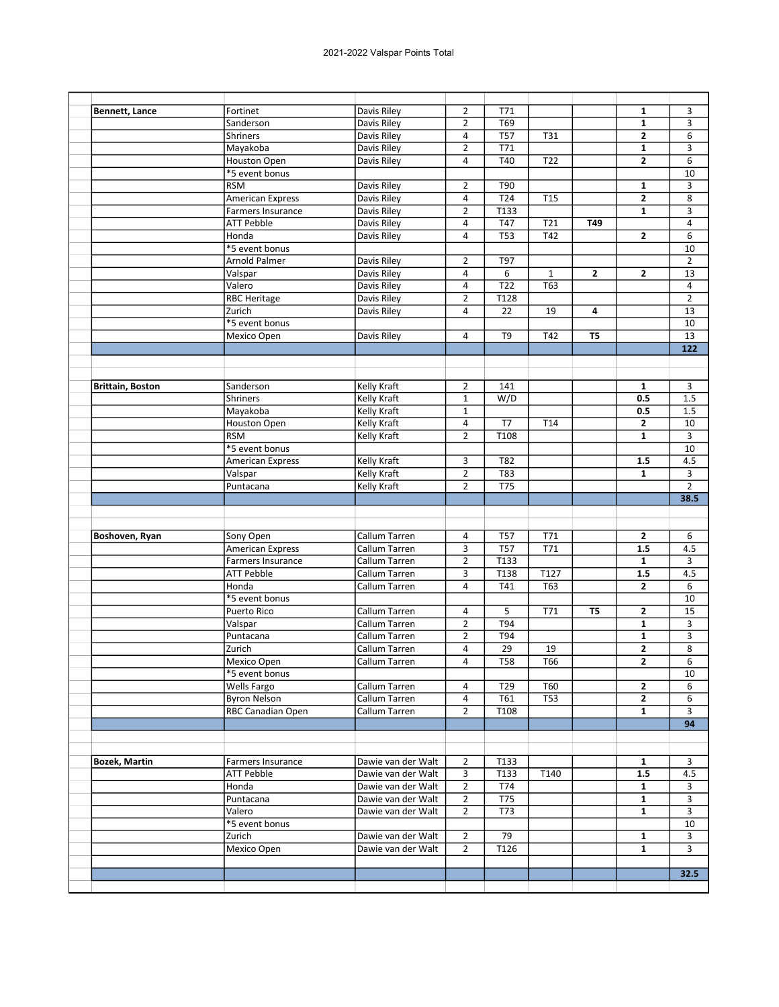| Bennett, Lance          | Fortinet                 | Davis Riley          | $\overline{2}$ | T71              |                   |                | 1                       | 3                |
|-------------------------|--------------------------|----------------------|----------------|------------------|-------------------|----------------|-------------------------|------------------|
|                         | Sanderson                | Davis Riley          | $\overline{2}$ | T69              |                   |                | 1                       | 3                |
|                         | Shriners                 | Davis Riley          | 4              | <b>T57</b>       | T31               |                | $\overline{2}$          | 6                |
|                         | Mayakoba                 | Davis Riley          | $\overline{2}$ | T71              |                   |                | 1                       | 3                |
|                         | Houston Open             | Davis Riley          | $\overline{4}$ | T40              | T <sub>22</sub>   |                | $\overline{2}$          | 6                |
|                         | *5 event bonus           |                      |                |                  |                   |                |                         | 10               |
|                         | <b>RSM</b>               | Davis Riley          | $\overline{2}$ | T90              |                   |                | 1                       | 3                |
|                         | <b>American Express</b>  | Davis Riley          | 4              | T24              | T <sub>15</sub>   |                | $\overline{2}$          | 8                |
|                         | Farmers Insurance        | Davis Riley          | $\overline{2}$ | T133             |                   |                | $\mathbf{1}$            | 3                |
|                         | <b>ATT Pebble</b>        | Davis Riley          | 4              | T47              | T21               | T49            |                         | 4                |
|                         | Honda                    | Davis Riley          | 4              | <b>T53</b>       | T42               |                | 2                       | 6                |
|                         | *5 event bonus           |                      |                |                  |                   |                |                         | 10               |
|                         | Arnold Palmer            | Davis Riley          | $\overline{2}$ | T97              |                   |                |                         | $\overline{2}$   |
|                         |                          | Davis Riley          | 4              | 6                | $\mathbf{1}$      | $\mathbf{2}$   | $\mathbf{2}$            | 13               |
|                         | Valspar                  |                      |                |                  |                   |                |                         |                  |
|                         | Valero                   | Davis Riley          | 4              | <b>T22</b>       | <b>T63</b>        |                |                         | $\overline{4}$   |
|                         | <b>RBC Heritage</b>      | Davis Riley          | $\overline{2}$ | T128             |                   |                |                         | $\overline{2}$   |
|                         | Zurich                   | Davis Riley          | 4              | 22               | 19                | 4              |                         | 13               |
|                         | *5 event bonus           |                      |                |                  |                   |                |                         | 10               |
|                         | Mexico Open              | Davis Riley          | 4              | T <sub>9</sub>   | T42               | T <sub>5</sub> |                         | 13               |
|                         |                          |                      |                |                  |                   |                |                         | $\overline{122}$ |
|                         |                          |                      |                |                  |                   |                |                         |                  |
|                         |                          |                      |                |                  |                   |                |                         |                  |
| <b>Brittain, Boston</b> | Sanderson                | <b>Kelly Kraft</b>   | $\overline{2}$ | 141              |                   |                | $\mathbf{1}$            | 3                |
|                         | Shriners                 | Kelly Kraft          | $\mathbf{1}$   | W/D              |                   |                | 0.5                     | 1.5              |
|                         | Mayakoba                 | Kelly Kraft          | $\mathbf{1}$   |                  |                   |                | 0.5                     | 1.5              |
|                         | Houston Open             | Kelly Kraft          | 4              | T7               | T14               |                | $\mathbf{2}$            | 10               |
|                         | <b>RSM</b>               | Kelly Kraft          | $\overline{2}$ | T108             |                   |                | 1                       | 3                |
|                         | *5 event bonus           |                      |                |                  |                   |                |                         | 10               |
|                         |                          | Kelly Kraft          | 3              | T82              |                   |                | 1.5                     | 4.5              |
|                         |                          |                      |                |                  |                   |                |                         |                  |
|                         | American Express         |                      |                |                  |                   |                |                         |                  |
|                         | Valspar                  | <b>Kelly Kraft</b>   | $\overline{2}$ | T83              |                   |                | $\mathbf{1}$            | 3                |
|                         | Puntacana                | Kelly Kraft          | $\overline{2}$ | T75              |                   |                |                         | $\overline{2}$   |
|                         |                          |                      |                |                  |                   |                |                         |                  |
|                         |                          |                      |                |                  |                   |                |                         |                  |
|                         |                          |                      |                |                  |                   |                |                         |                  |
| Boshoven, Ryan          | Sony Open                | Callum Tarren        | 4              | T <sub>57</sub>  | T71               |                | 2                       | 6                |
|                         | <b>American Express</b>  | Callum Tarren        | 3              | <b>T57</b>       | T71               |                | 1.5                     | 4.5              |
|                         | <b>Farmers Insurance</b> | Callum Tarren        | $\overline{2}$ | T133             |                   |                | $\mathbf{1}$            | 3                |
|                         | <b>ATT Pebble</b>        | Callum Tarren        | 3              | T138             | $\overline{T127}$ |                | 1.5                     | 4.5              |
|                         | Honda                    | Callum Tarren        | 4              | T41              | T63               |                | $\overline{2}$          | 6                |
|                         | *5 event bonus           |                      |                |                  |                   |                |                         | 10               |
|                         | <b>Puerto Rico</b>       | <b>Callum Tarren</b> | 4              | 5                | T71               | T <sub>5</sub> | $\mathbf{2}$            | 15               |
|                         | Valspar                  | Callum Tarren        | $\overline{2}$ | T94              |                   |                | $\mathbf{1}$            | 3                |
|                         |                          | Callum Tarren        | 2              | T94              |                   |                | 1                       | 3                |
|                         | Puntacana                |                      |                |                  |                   |                |                         |                  |
|                         | Zurich                   | Callum Tarren        | 4              | 29               | 19                |                | $\mathbf{2}$            | 8                |
|                         | Mexico Open              | Callum Tarren        | 4              | $\overline{T58}$ | T66               |                | $\overline{\mathbf{2}}$ | 6 <sup>2</sup>   |
|                         | *5 event bonus           |                      |                |                  |                   |                |                         | 10               |
|                         | Wells Fargo              | Callum Tarren        | 4              | T29              | T60               |                | $\mathbf{2}$            | 6                |
|                         | <b>Byron Nelson</b>      | Callum Tarren        | $\overline{a}$ | T61              | <b>T53</b>        |                | $\mathbf{2}$            | 6                |
|                         | RBC Canadian Open        | Callum Tarren        | $\overline{2}$ | T108             |                   |                | 1                       | 3                |
|                         |                          |                      |                |                  |                   |                |                         | 94               |
|                         |                          |                      |                |                  |                   |                |                         |                  |
|                         |                          |                      |                |                  |                   |                |                         |                  |
| <b>Bozek, Martin</b>    | Farmers Insurance        | Dawie van der Walt   | $\overline{2}$ | T133             |                   |                | 1                       | 3                |
|                         | ATT Pebble               | Dawie van der Walt   | 3              | T133             | T140              |                | 1.5                     | 4.5              |
|                         | Honda                    | Dawie van der Walt   | $\overline{2}$ | T74              |                   |                | $\mathbf{1}$            | 3                |
|                         | Puntacana                | Dawie van der Walt   | $\overline{2}$ | T75              |                   |                | $\mathbf{1}$            | 3                |
|                         | Valero                   |                      | $\overline{2}$ | T73              |                   |                | $\mathbf{1}$            | 3                |
|                         |                          | Dawie van der Walt   |                |                  |                   |                |                         |                  |
|                         | *5 event bonus           |                      |                |                  |                   |                |                         | 10               |
|                         | Zurich                   | Dawie van der Walt   | $\overline{2}$ | 79               |                   |                | $\mathbf{1}$            | 3                |
|                         | Mexico Open              | Dawie van der Walt   | $\overline{2}$ | T126             |                   |                | 1                       | 38.5<br>3        |
|                         |                          |                      |                |                  |                   |                |                         | $32.5$           |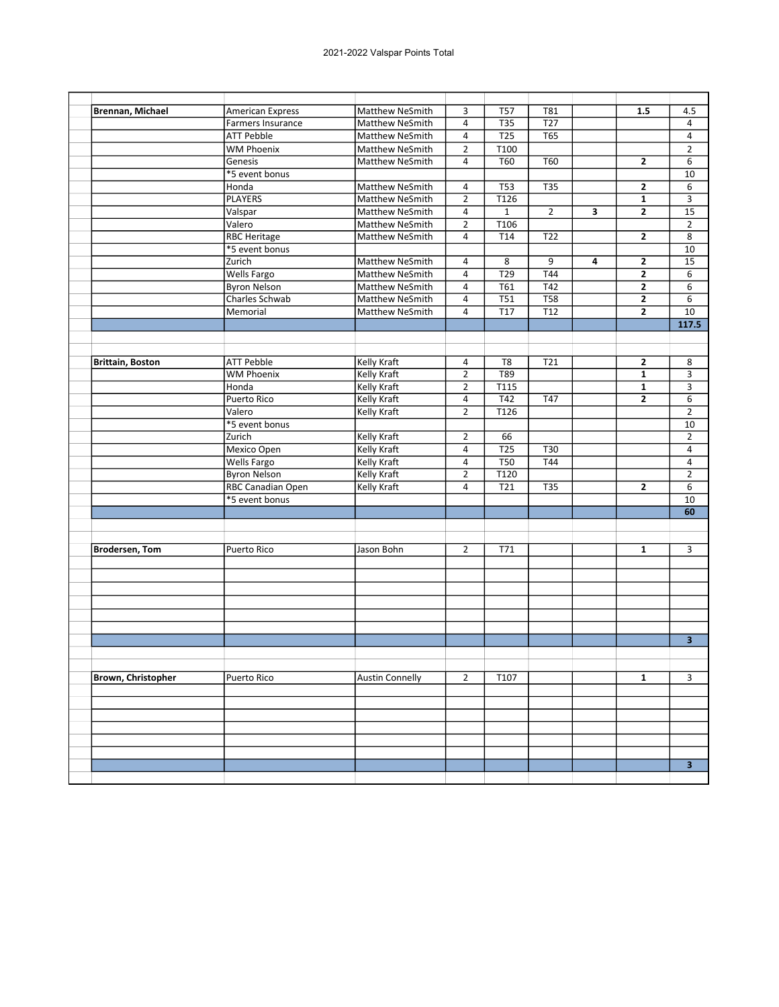| Brennan, Michael          | <b>American Express</b>  | <b>Matthew NeSmith</b> | 3              | <b>T57</b>       | T81             |   | 1.5                     | 4.5                     |
|---------------------------|--------------------------|------------------------|----------------|------------------|-----------------|---|-------------------------|-------------------------|
|                           | <b>Farmers Insurance</b> | <b>Matthew NeSmith</b> | 4              | <b>T35</b>       | T <sub>27</sub> |   |                         | $\overline{4}$          |
|                           | <b>ATT Pebble</b>        | <b>Matthew NeSmith</b> | 4              | T25              | <b>T65</b>      |   |                         | $\overline{4}$          |
|                           | <b>WM Phoenix</b>        | Matthew NeSmith        | $\overline{2}$ | T100             |                 |   |                         | $\overline{2}$          |
|                           | Genesis                  | <b>Matthew NeSmith</b> | 4              | T60              | T60             |   | $\mathbf{2}$            | 6                       |
|                           | *5 event bonus           |                        |                |                  |                 |   |                         | 10                      |
|                           | Honda                    | Matthew NeSmith        | 4              | <b>T53</b>       | <b>T35</b>      |   | $\mathbf{2}$            | 6                       |
|                           | <b>PLAYERS</b>           | <b>Matthew NeSmith</b> | $\overline{2}$ | T126             |                 |   | $\mathbf{1}$            | 3                       |
|                           | Valspar                  | <b>Matthew NeSmith</b> | $\overline{a}$ | $\mathbf{1}$     | $\overline{2}$  | 3 | $\overline{2}$          | $\overline{15}$         |
|                           | Valero                   | <b>Matthew NeSmith</b> | $\overline{2}$ | T106             |                 |   |                         | $\overline{2}$          |
|                           | <b>RBC Heritage</b>      | Matthew NeSmith        | 4              | T14              | T22             |   | $\overline{2}$          | 8                       |
|                           | *5 event bonus           |                        |                |                  |                 |   |                         | 10                      |
|                           | Zurich                   | <b>Matthew NeSmith</b> | 4              | 8                | 9               | 4 | 2                       | 15                      |
|                           | <b>Wells Fargo</b>       | Matthew NeSmith        | 4              | $\overline{729}$ | T44             |   | $\overline{\mathbf{c}}$ | 6                       |
|                           | <b>Byron Nelson</b>      | Matthew NeSmith        | 4              | T61              | T42             |   | $\mathbf{2}$            | 6                       |
|                           | Charles Schwab           | <b>Matthew NeSmith</b> | 4              | <b>T51</b>       | <b>T58</b>      |   | $\mathbf{2}$            | 6                       |
|                           | Memorial                 | <b>Matthew NeSmith</b> | 4              | T <sub>17</sub>  | T <sub>12</sub> |   | $\overline{2}$          | 10                      |
|                           |                          |                        |                |                  |                 |   |                         | 117.5                   |
|                           |                          |                        |                |                  |                 |   |                         |                         |
|                           |                          |                        |                |                  |                 |   |                         |                         |
| <b>Brittain, Boston</b>   | <b>ATT Pebble</b>        | <b>Kelly Kraft</b>     | 4              | T <sub>8</sub>   | T21             |   | 2                       | 8                       |
|                           | <b>WM Phoenix</b>        | <b>Kelly Kraft</b>     | $\overline{2}$ | T89              |                 |   | $\mathbf{1}$            | 3                       |
|                           | Honda                    | Kelly Kraft            | $\overline{2}$ | T115             |                 |   | $\mathbf{1}$            | 3                       |
|                           | Puerto Rico              | Kelly Kraft            | 4              | T42              | <b>T47</b>      |   | $\mathbf{2}$            | 6                       |
|                           | Valero                   | Kelly Kraft            | $\overline{2}$ | T126             |                 |   |                         | $\overline{2}$          |
|                           | *5 event bonus           |                        |                |                  |                 |   |                         | 10                      |
|                           | Zurich                   | <b>Kelly Kraft</b>     | $\overline{2}$ | 66               |                 |   |                         | $\overline{2}$          |
|                           | Mexico Open              | <b>Kelly Kraft</b>     | 4              | T25              | <b>T30</b>      |   |                         | 4                       |
|                           | <b>Wells Fargo</b>       | <b>Kelly Kraft</b>     | 4              | <b>T50</b>       | T44             |   |                         | $\overline{4}$          |
|                           | <b>Byron Nelson</b>      | <b>Kelly Kraft</b>     | $\overline{2}$ | T120             |                 |   |                         | $\overline{2}$          |
|                           | RBC Canadian Open        | Kelly Kraft            | 4              | T21              | <b>T35</b>      |   | $\mathbf{2}$            | 6                       |
|                           | *5 event bonus           |                        |                |                  |                 |   |                         | 10                      |
|                           |                          |                        |                |                  |                 |   |                         | 60                      |
|                           |                          |                        |                |                  |                 |   |                         |                         |
| <b>Brodersen, Tom</b>     | Puerto Rico              | Jason Bohn             | $\overline{2}$ | T71              |                 |   | $\mathbf{1}$            | 3                       |
|                           |                          |                        |                |                  |                 |   |                         |                         |
|                           |                          |                        |                |                  |                 |   |                         |                         |
|                           |                          |                        |                |                  |                 |   |                         |                         |
|                           |                          |                        |                |                  |                 |   |                         |                         |
|                           |                          |                        |                |                  |                 |   |                         |                         |
|                           |                          |                        |                |                  |                 |   |                         |                         |
|                           |                          |                        |                |                  |                 |   |                         | 3 <sup>2</sup>          |
|                           |                          |                        |                |                  |                 |   |                         |                         |
|                           |                          |                        |                |                  |                 |   |                         |                         |
| <b>Brown, Christopher</b> | Puerto Rico              | <b>Austin Connelly</b> | $\overline{2}$ | T107             |                 |   | $\overline{\mathbf{1}}$ | 3                       |
|                           |                          |                        |                |                  |                 |   |                         |                         |
|                           |                          |                        |                |                  |                 |   |                         |                         |
|                           |                          |                        |                |                  |                 |   |                         |                         |
|                           |                          |                        |                |                  |                 |   |                         |                         |
|                           |                          |                        |                |                  |                 |   |                         |                         |
|                           |                          |                        |                |                  |                 |   |                         |                         |
|                           |                          |                        |                |                  |                 |   |                         | $\overline{\mathbf{3}}$ |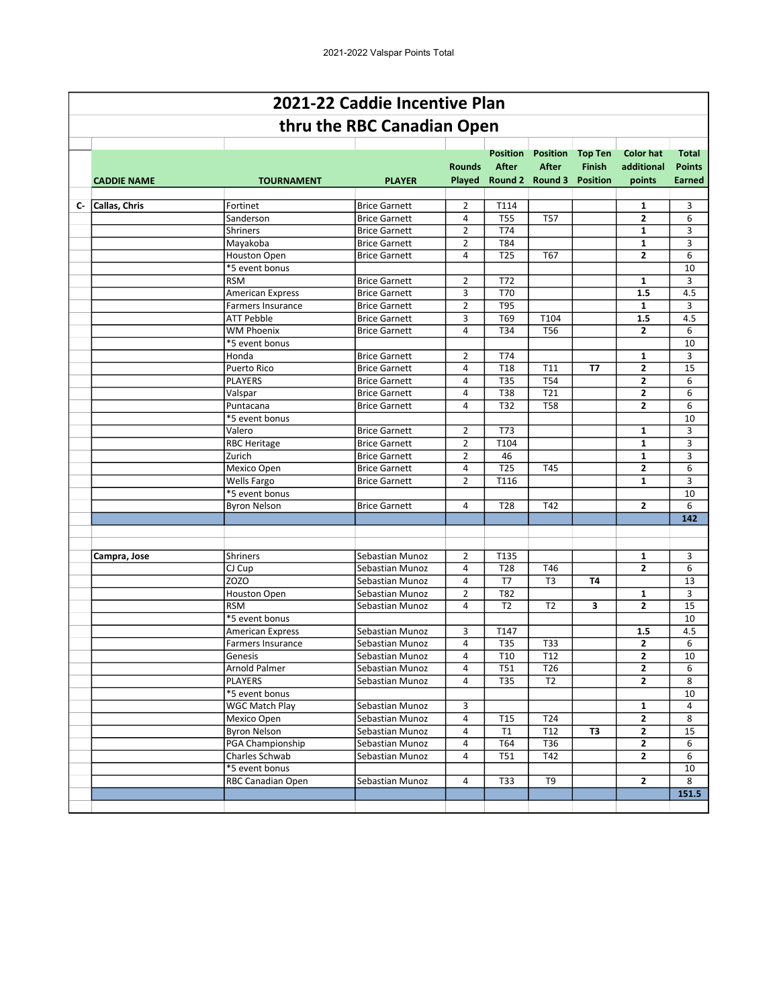|    |                    |                          | 2021-22 Caddie Incentive Plan |                |                                 |                                                                    |                                 |                                          |                                         |
|----|--------------------|--------------------------|-------------------------------|----------------|---------------------------------|--------------------------------------------------------------------|---------------------------------|------------------------------------------|-----------------------------------------|
|    |                    |                          | thru the RBC Canadian Open    |                |                                 |                                                                    |                                 |                                          |                                         |
|    | <b>CADDIE NAME</b> | <b>TOURNAMENT</b>        | <b>PLAYER</b>                 | <b>Rounds</b>  | <b>Position</b><br><b>After</b> | <b>Position</b><br><b>After</b><br>Played Round 2 Round 3 Position | <b>Top Ten</b><br><b>Finish</b> | <b>Color hat</b><br>additional<br>points | Total<br><b>Points</b><br><b>Earned</b> |
| c- | Callas, Chris      | Fortinet                 | <b>Brice Garnett</b>          | $\overline{2}$ | T114                            |                                                                    |                                 | 1                                        | 3                                       |
|    |                    | Sanderson                | <b>Brice Garnett</b>          | 4              | <b>T55</b>                      | <b>T57</b>                                                         |                                 | $\overline{2}$                           | 6                                       |
|    |                    | <b>Shriners</b>          | <b>Brice Garnett</b>          | $\overline{2}$ | T74                             |                                                                    |                                 | $\mathbf{1}$                             | 3                                       |
|    |                    | Mayakoba                 | <b>Brice Garnett</b>          | $\overline{2}$ | <b>T84</b>                      |                                                                    |                                 | $\mathbf{1}$                             | 3                                       |
|    |                    | <b>Houston Open</b>      | <b>Brice Garnett</b>          | 4              | <b>T25</b>                      | T67                                                                |                                 | $\overline{2}$                           | 6                                       |
|    |                    | *5 event bonus           |                               |                |                                 |                                                                    |                                 |                                          | 10                                      |
|    |                    | <b>RSM</b>               | <b>Brice Garnett</b>          | $\overline{2}$ | T72                             |                                                                    |                                 | 1                                        | 3                                       |
|    |                    | <b>American Express</b>  | <b>Brice Garnett</b>          | 3              | <b>T70</b>                      |                                                                    |                                 | 1.5                                      | 4.5                                     |
|    |                    | Farmers Insurance        | <b>Brice Garnett</b>          | 2              | <b>T95</b>                      |                                                                    |                                 | 1                                        | 3                                       |
|    |                    | <b>ATT Pebble</b>        | <b>Brice Garnett</b>          | 3              | T69                             | T104                                                               |                                 | 1.5                                      | 4.5                                     |
|    |                    | <b>WM Phoenix</b>        | <b>Brice Garnett</b>          | 4              | T34                             | T56                                                                |                                 | $\mathbf{2}$                             | 6                                       |
|    |                    | *5 event bonus           |                               |                |                                 |                                                                    |                                 |                                          | 10                                      |
|    |                    | Honda                    | <b>Brice Garnett</b>          | $\overline{2}$ | T74                             |                                                                    |                                 | $\mathbf{1}$                             | 3                                       |
|    |                    | Puerto Rico              | <b>Brice Garnett</b>          | 4              | T <sub>18</sub>                 | T11                                                                | <b>T7</b>                       | $\overline{2}$                           | 15                                      |
|    |                    | <b>PLAYERS</b>           | <b>Brice Garnett</b>          | 4              | <b>T35</b>                      | T54                                                                |                                 | $\mathbf{2}$                             | 6                                       |
|    |                    | Valspar                  | <b>Brice Garnett</b>          | 4              | <b>T38</b>                      | T21                                                                |                                 | $\overline{2}$                           | 6                                       |
|    |                    | Puntacana                | <b>Brice Garnett</b>          | 4              | <b>T32</b>                      | <b>T58</b>                                                         |                                 | $\overline{2}$                           | 6                                       |
|    |                    | *5 event bonus           |                               |                |                                 |                                                                    |                                 |                                          | 10                                      |
|    |                    | Valero                   | <b>Brice Garnett</b>          | $\overline{2}$ | T73                             |                                                                    |                                 | 1                                        | 3                                       |
|    |                    | <b>RBC Heritage</b>      | <b>Brice Garnett</b>          | $\overline{2}$ | T104                            |                                                                    |                                 | 1                                        | 3                                       |
|    |                    | Zurich                   | <b>Brice Garnett</b>          | $\overline{2}$ | 46                              |                                                                    |                                 | $\mathbf{1}$                             | 3                                       |
|    |                    | Mexico Open              | <b>Brice Garnett</b>          | 4              | <b>T25</b>                      | T45                                                                |                                 | $\overline{2}$                           | 6                                       |
|    |                    | Wells Fargo              | <b>Brice Garnett</b>          | $\overline{2}$ | T116                            |                                                                    |                                 | 1                                        | 3                                       |
|    |                    | *5 event bonus           |                               |                |                                 |                                                                    |                                 |                                          | 10                                      |
|    |                    | <b>Byron Nelson</b>      | <b>Brice Garnett</b>          | 4              | T <sub>28</sub>                 | T42                                                                |                                 | $\mathbf{2}$                             | 6                                       |
|    |                    |                          |                               |                |                                 |                                                                    |                                 |                                          | 142                                     |
|    |                    |                          |                               |                |                                 |                                                                    |                                 |                                          |                                         |
|    | Campra, Jose       | <b>Shriners</b>          | Sebastian Munoz               | $\overline{2}$ | T135                            |                                                                    |                                 | 1                                        | 3                                       |
|    |                    | CJ Cup                   | Sebastian Munoz               | 4              | T <sub>28</sub>                 | T46                                                                |                                 | $\overline{2}$                           | 6                                       |
|    |                    | <b>ZOZO</b>              | Sebastian Munoz               | $\overline{a}$ | T7                              | T <sub>3</sub>                                                     | <b>T4</b>                       |                                          | 13                                      |
|    |                    | Houston Open             | Sebastian Munoz               | $\overline{2}$ | T82                             |                                                                    |                                 | $\mathbf{1}$                             | 3                                       |
|    |                    | <b>RSM</b>               | Sebastian Munoz               | 4              | T <sub>2</sub>                  | T <sub>2</sub>                                                     | 3                               | $\overline{2}$                           | 15                                      |
|    |                    | *5 event bonus           |                               |                |                                 |                                                                    |                                 |                                          | 10                                      |
|    |                    | American Express         | Sebastian Munoz               | 3              | T147                            |                                                                    |                                 | 1.5                                      | 4.5                                     |
|    |                    | <b>Farmers Insurance</b> | Sebastian Munoz               | 4              | <b>T35</b>                      | T33                                                                |                                 | $\mathbf{2}$                             | 6                                       |
|    |                    | Genesis                  | Sebastian Munoz               | 4              | T <sub>10</sub>                 | T12                                                                |                                 | $\mathbf{z}$                             | 10                                      |
|    |                    | Arnold Palmer            | Sebastian Munoz               | 4              | <b>T51</b>                      | T26                                                                |                                 | $\mathbf{2}$                             | 6                                       |
|    |                    | <b>PLAYERS</b>           | Sebastian Munoz               | 4              | <b>T35</b>                      | T <sub>2</sub>                                                     |                                 | $\mathbf{2}$                             | 8                                       |
|    |                    | *5 event bonus           |                               |                |                                 |                                                                    |                                 |                                          | 10                                      |
|    |                    | <b>WGC Match Play</b>    | Sebastian Munoz               | 3              |                                 |                                                                    |                                 | 1                                        | 4                                       |
|    |                    | Mexico Open              | Sebastian Munoz               | 4              | T <sub>15</sub>                 | T24                                                                |                                 | 2                                        | 8                                       |
|    |                    | <b>Byron Nelson</b>      | Sebastian Munoz               | 4              | T1                              | T12                                                                | T3                              | $\mathbf{2}$                             | 15                                      |
|    |                    | PGA Championship         | Sebastian Munoz               | 4              | T64                             | T36                                                                |                                 | $\mathbf{z}$                             | 6                                       |
|    |                    | Charles Schwab           | Sebastian Munoz               | 4              | <b>T51</b>                      | T42                                                                |                                 | $\mathbf{z}$                             | 6                                       |
|    |                    | *5 event bonus           |                               |                |                                 |                                                                    |                                 |                                          | 10                                      |
|    |                    | RBC Canadian Open        | Sebastian Munoz               | 4              | <b>T33</b>                      | T9                                                                 |                                 | $\mathbf{2}$                             | 8                                       |
|    |                    |                          |                               |                |                                 |                                                                    |                                 |                                          | 151.5                                   |
|    |                    |                          |                               |                |                                 |                                                                    |                                 |                                          |                                         |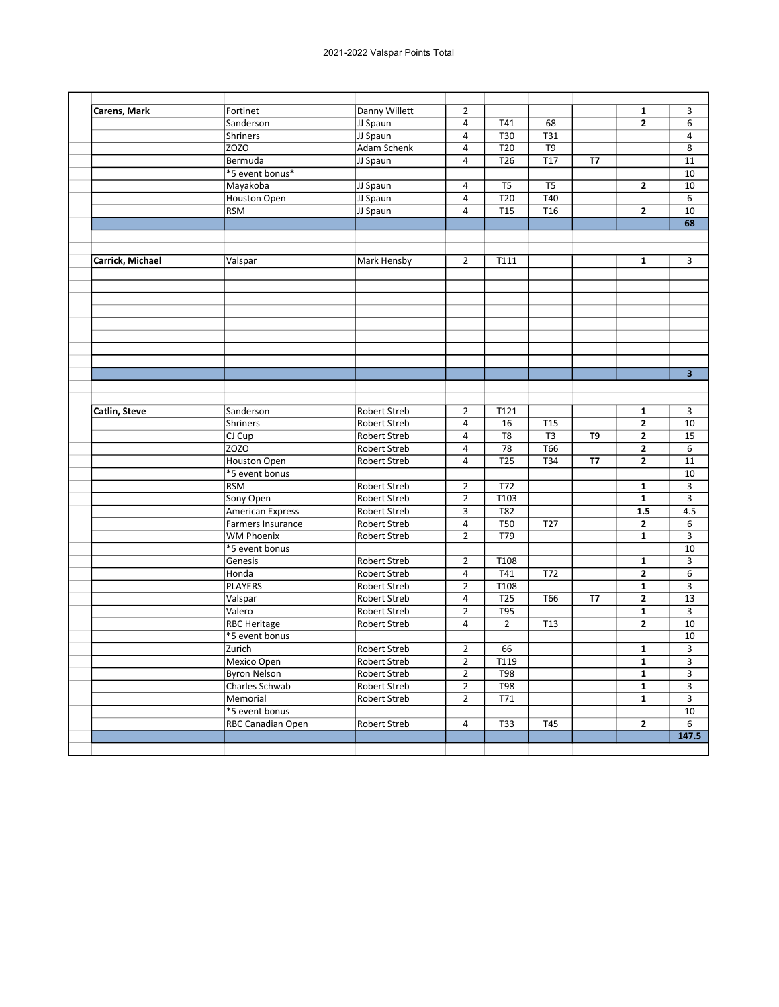| Carens, Mark     | Fortinet                | Danny Willett       | $\overline{2}$ |                  |                  |                | $\mathbf{1}$            | 3                       |
|------------------|-------------------------|---------------------|----------------|------------------|------------------|----------------|-------------------------|-------------------------|
|                  | Sanderson               | JJ Spaun            | $\overline{4}$ | T41              | 68               |                | $\overline{2}$          | 6                       |
|                  | <b>Shriners</b>         | JJ Spaun            | 4              | T30              | T31              |                |                         | 4                       |
|                  | <b>ZOZO</b>             | <b>Adam Schenk</b>  | $\overline{4}$ | T <sub>20</sub>  | T9               |                |                         | 8                       |
|                  | Bermuda                 | JJ Spaun            | $\overline{4}$ | T <sub>26</sub>  | T <sub>17</sub>  | <b>T7</b>      |                         | 11                      |
|                  | *5 event bonus*         |                     |                |                  |                  |                |                         | 10                      |
|                  | Mayakoba                | JJ Spaun            | 4              | T <sub>5</sub>   | T <sub>5</sub>   |                | $\overline{\mathbf{c}}$ | 10                      |
|                  | Houston Open            | JJ Spaun            | 4              | T20              | T40              |                |                         | 6                       |
|                  | <b>RSM</b>              | JJ Spaun            | $\overline{4}$ | $\overline{115}$ | $\overline{716}$ |                | $\overline{2}$          | $\overline{10}$         |
|                  |                         |                     |                |                  |                  |                |                         | 68                      |
|                  |                         |                     |                |                  |                  |                |                         |                         |
|                  |                         |                     |                |                  |                  |                |                         |                         |
| Carrick, Michael | Valspar                 | Mark Hensby         | $\overline{2}$ | T111             |                  |                | $\mathbf{1}$            | 3                       |
|                  |                         |                     |                |                  |                  |                |                         |                         |
|                  |                         |                     |                |                  |                  |                |                         |                         |
|                  |                         |                     |                |                  |                  |                |                         |                         |
|                  |                         |                     |                |                  |                  |                |                         |                         |
|                  |                         |                     |                |                  |                  |                |                         |                         |
|                  |                         |                     |                |                  |                  |                |                         |                         |
|                  |                         |                     |                |                  |                  |                |                         |                         |
|                  |                         |                     |                |                  |                  |                |                         |                         |
|                  |                         |                     |                |                  |                  |                |                         | $\overline{\mathbf{3}}$ |
|                  |                         |                     |                |                  |                  |                |                         |                         |
|                  |                         |                     |                |                  |                  |                |                         |                         |
| Catlin, Steve    | Sanderson               | Robert Streb        | 2              | T121             |                  |                | 1                       | 3                       |
|                  | Shriners                | Robert Streb        | $\overline{4}$ | 16               | <b>T15</b>       |                | $\overline{2}$          | 10                      |
|                  | CJ Cup                  | <b>Robert Streb</b> | $\overline{4}$ | T <sub>8</sub>   | T <sub>3</sub>   | T <sub>9</sub> | 2                       | 15                      |
|                  | <b>ZOZO</b>             | Robert Streb        | $\overline{a}$ | 78               | <b>T66</b>       |                | 2                       | $6\overline{6}$         |
|                  | <b>Houston Open</b>     | Robert Streb        | $\overline{4}$ | $\overline{725}$ | T34              | <b>T7</b>      | $\overline{2}$          | 11                      |
|                  | *5 event bonus          |                     |                |                  |                  |                |                         | 10                      |
|                  | <b>RSM</b>              | Robert Streb        | $\overline{2}$ | T72              |                  |                | $\mathbf 1$             | 3                       |
|                  | Sony Open               | Robert Streb        | $\overline{2}$ | T103             |                  |                | $\mathbf{1}$            | 3                       |
|                  | <b>American Express</b> | <b>Robert Streb</b> | 3              | T82              |                  |                | 1.5                     | 4.5                     |
|                  | Farmers Insurance       | Robert Streb        | $\overline{4}$ | $\overline{T50}$ | $\overline{727}$ |                | $\overline{2}$          | $\overline{6}$          |
|                  | <b>WM Phoenix</b>       | Robert Streb        | $\overline{2}$ | T79              |                  |                | $\mathbf{1}$            | 3                       |
|                  | *5 event bonus          |                     |                |                  |                  |                |                         | 10                      |
|                  | Genesis                 | <b>Robert Streb</b> | $\overline{2}$ | T108             |                  |                | $\mathbf{1}$            | 3                       |
|                  | Honda                   | Robert Streb        | $\overline{4}$ | T41              | T72              |                | 2                       | 6                       |
|                  | <b>PLAYERS</b>          | Robert Streb        | $\overline{2}$ | T108             |                  |                | $\mathbf{1}$            | 3                       |
|                  | Valspar                 | Robert Streb        | $\overline{4}$ | T25              | T66              | <b>T7</b>      | 2                       | 13                      |
|                  | Valero                  | Robert Streb        | $\overline{2}$ | <b>T95</b>       |                  |                | $\overline{\mathbf{1}}$ | 3                       |
|                  | <b>RBC Heritage</b>     | Robert Streb        | $\overline{4}$ | $\overline{2}$   | T <sub>13</sub>  |                | $\overline{2}$          | 10                      |
|                  | *5 event bonus          |                     |                |                  |                  |                |                         | 10                      |
|                  | Zurich                  | Robert Streb        | $\overline{2}$ | 66               |                  |                | $\mathbf{1}$            | 3                       |
|                  | Mexico Open             | Robert Streb        | $\overline{2}$ | T119             |                  |                | $\overline{\mathbf{1}}$ | $\overline{3}$          |
|                  | <b>Byron Nelson</b>     | Robert Streb        | $\overline{2}$ | <b>T98</b>       |                  |                | 1                       | 3                       |
|                  | Charles Schwab          | Robert Streb        | $\overline{2}$ | <b>T98</b>       |                  |                | $\mathbf{1}$            | 3                       |
|                  | Memorial                | Robert Streb        | $\overline{2}$ | T71              |                  |                | $\mathbf{1}$            | $\mathsf 3$             |
|                  | *5 event bonus          |                     |                |                  |                  |                |                         | 10                      |
|                  | RBC Canadian Open       | <b>Robert Streb</b> | 4              | <b>T33</b>       | <b>T45</b>       |                | $\overline{2}$          | $\overline{6}$          |
|                  |                         |                     |                |                  |                  |                |                         | 147.5                   |
|                  |                         |                     |                |                  |                  |                |                         |                         |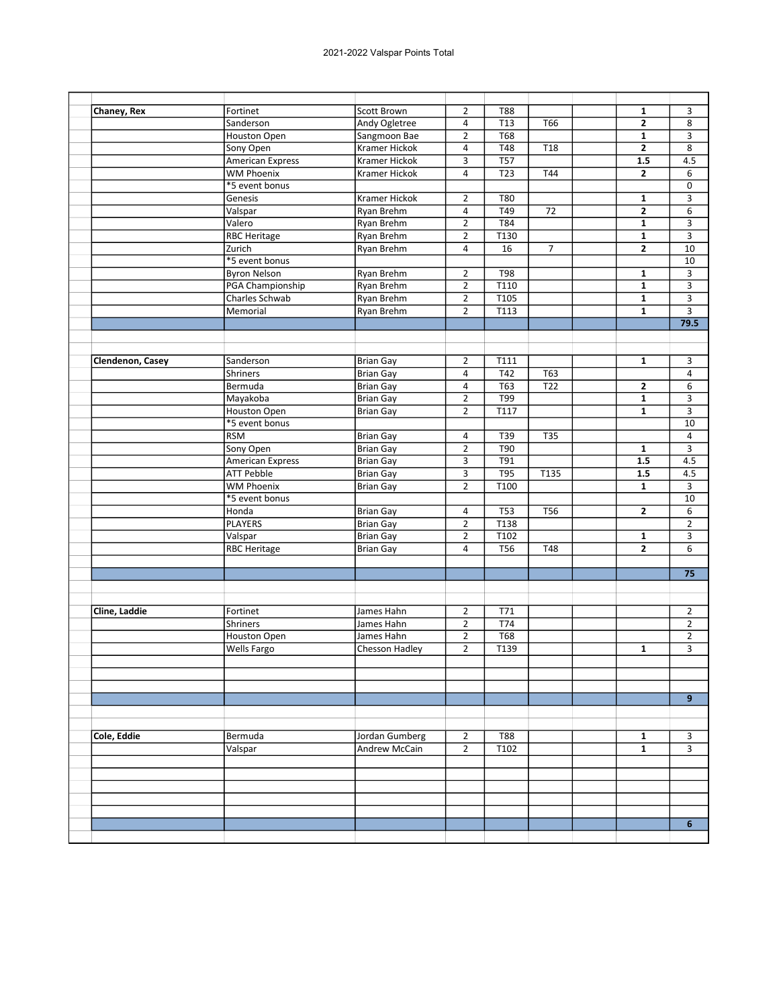| Chaney, Rex      | Fortinet                | Scott Brown          | $\overline{2}$ | <b>T88</b>        |                 | 1              | 3               |
|------------------|-------------------------|----------------------|----------------|-------------------|-----------------|----------------|-----------------|
|                  | Sanderson               | Andy Ogletree        | 4              | T <sub>13</sub>   | T66             | 2              | 8               |
|                  | <b>Houston Open</b>     | Sangmoon Bae         | $\overline{2}$ | <b>T68</b>        |                 | $\mathbf{1}$   | 3               |
|                  | Sony Open               | Kramer Hickok        | 4              | T48               | T <sub>18</sub> | $\mathbf{2}$   | 8               |
|                  | <b>American Express</b> | <b>Kramer Hickok</b> | 3              | $\overline{757}$  |                 | 1.5            | 4.5             |
|                  | <b>WM Phoenix</b>       | Kramer Hickok        | 4              | T <sub>23</sub>   | T44             | $\overline{2}$ |                 |
|                  | *5 event bonus          |                      |                |                   |                 |                |                 |
|                  | Genesis                 | Kramer Hickok        | $\overline{2}$ | T80               |                 | 1              |                 |
|                  | Valspar                 | Ryan Brehm           | 4              | T49               | $\overline{72}$ | $\overline{2}$ |                 |
|                  | Valero                  | Ryan Brehm           | $\overline{2}$ | T84               |                 | 1              |                 |
|                  | <b>RBC Heritage</b>     | Ryan Brehm           | $\overline{2}$ | T130              |                 | $\mathbf{1}$   |                 |
|                  | Zurich                  | Ryan Brehm           | 4              | 16                | $\overline{7}$  | $\overline{2}$ | 10              |
|                  | *5 event bonus          |                      |                |                   |                 |                | 10              |
|                  | <b>Byron Nelson</b>     | Ryan Brehm           | $\overline{2}$ | T98               |                 | $\mathbf{1}$   |                 |
|                  | PGA Championship        | Ryan Brehm           | $\overline{2}$ | T110              |                 | $\mathbf{1}$   |                 |
|                  | Charles Schwab          | Ryan Brehm           | $\overline{2}$ | T <sub>105</sub>  |                 | $\mathbf{1}$   |                 |
|                  | Memorial                | Ryan Brehm           | $\overline{2}$ | $\overline{T113}$ |                 | $\mathbf{1}$   |                 |
|                  |                         |                      |                |                   |                 |                | 79.5            |
|                  |                         |                      |                |                   |                 |                |                 |
|                  |                         |                      |                |                   |                 |                |                 |
| Clendenon, Casey | Sanderson               | <b>Brian Gay</b>     | $\overline{2}$ | T111              |                 | $\mathbf{1}$   |                 |
|                  | <b>Shriners</b>         | <b>Brian Gay</b>     | 4              | T42               | T63             |                |                 |
|                  | Bermuda                 | <b>Brian Gay</b>     | 4              | <b>T63</b>        | T <sub>22</sub> | $\mathbf{2}$   |                 |
|                  | Mayakoba                | <b>Brian Gay</b>     | $\overline{2}$ | T99               |                 | $\mathbf{1}$   |                 |
|                  | Houston Open            | <b>Brian Gay</b>     | $\overline{2}$ | T117              |                 | $\mathbf{1}$   |                 |
|                  | *5 event bonus          |                      |                |                   |                 |                |                 |
|                  | <b>RSM</b>              | <b>Brian Gay</b>     | 4              | T39               | <b>T35</b>      |                |                 |
|                  | Sony Open               | <b>Brian Gay</b>     | $\overline{2}$ | <b>T90</b>        |                 | $\mathbf{1}$   |                 |
|                  | <b>American Express</b> | <b>Brian Gay</b>     | 3              | <b>T91</b>        |                 | 1.5            | 4.5             |
|                  | <b>ATT Pebble</b>       | <b>Brian Gay</b>     | 3              | T95               | T135            | 1.5            | 4.5             |
|                  | <b>WM Phoenix</b>       | <b>Brian Gay</b>     | $\overline{2}$ | T100              |                 | $\mathbf{1}$   |                 |
|                  | *5 event bonus          |                      |                |                   |                 |                | 10              |
|                  | Honda                   | <b>Brian Gay</b>     | 4              | <b>T53</b>        | <b>T56</b>      | $\mathbf{2}$   |                 |
|                  | <b>PLAYERS</b>          | <b>Brian Gay</b>     | $\overline{2}$ | T138              |                 |                |                 |
|                  | Valspar                 | <b>Brian Gay</b>     | $\overline{2}$ | T102              |                 | $\mathbf{1}$   |                 |
|                  | <b>RBC Heritage</b>     | <b>Brian Gay</b>     | 4              | T <sub>56</sub>   | T48             | $\overline{2}$ |                 |
|                  |                         |                      |                |                   |                 |                |                 |
|                  |                         |                      |                |                   |                 |                | $\overline{75}$ |
|                  |                         |                      |                |                   |                 |                |                 |
| Cline, Laddie    | Fortinet                | James Hahn           | 2              | T71               |                 |                |                 |
|                  | <b>Shriners</b>         | James Hahn           | $\overline{2}$ | T74               |                 |                |                 |
|                  | Houston Open            | James Hahn           | $\overline{2}$ | <b>T68</b>        |                 |                |                 |
|                  | Wells Fargo             | Chesson Hadley       | $\overline{2}$ | T139              |                 | 1              |                 |
|                  |                         |                      |                |                   |                 |                |                 |
|                  |                         |                      |                |                   |                 |                |                 |
|                  |                         |                      |                |                   |                 |                |                 |
|                  |                         |                      |                |                   |                 |                |                 |
|                  |                         |                      |                |                   |                 |                |                 |
| Cole, Eddie      | Bermuda                 | Jordan Gumberg       | $\overline{2}$ | <b>T88</b>        |                 | 1              |                 |
|                  | Valspar                 | Andrew McCain        | $\overline{2}$ | T102              |                 | $\mathbf{1}$   |                 |
|                  |                         |                      |                |                   |                 |                |                 |
|                  |                         |                      |                |                   |                 |                |                 |
|                  |                         |                      |                |                   |                 |                |                 |
|                  |                         |                      |                |                   |                 |                |                 |
|                  |                         |                      |                |                   |                 |                |                 |
|                  |                         |                      |                |                   |                 |                |                 |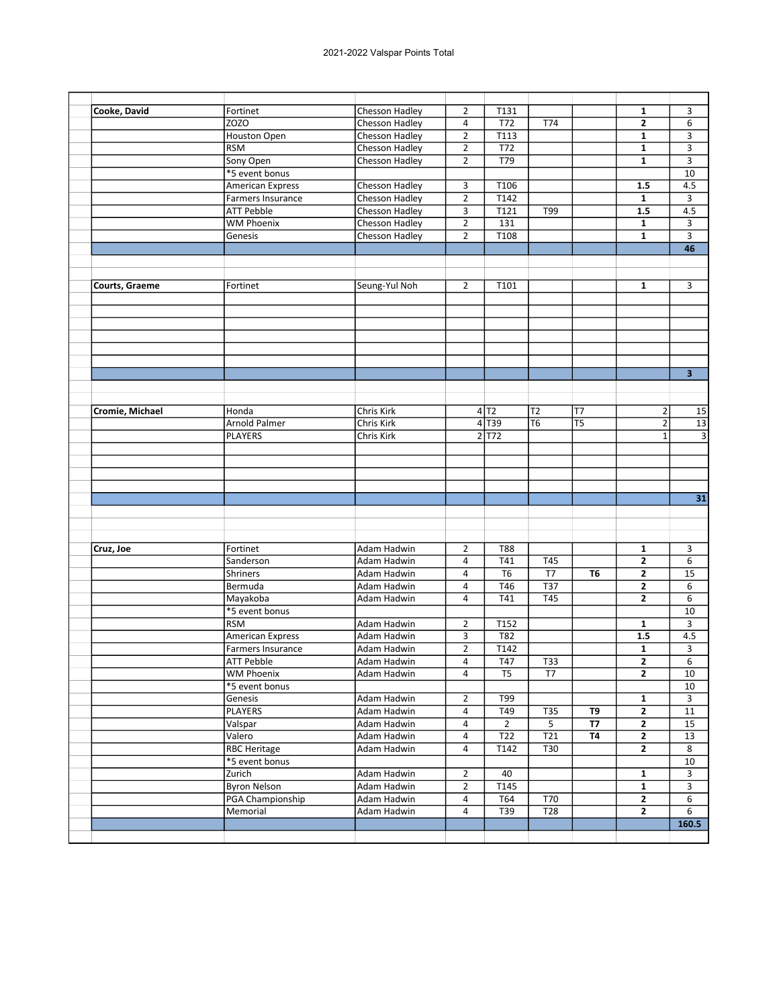| Cooke, David    | Fortinet                 | Chesson Hadley | $\overline{2}$          | T131                |                 |                 | 1              | 3                       |
|-----------------|--------------------------|----------------|-------------------------|---------------------|-----------------|-----------------|----------------|-------------------------|
|                 | <b>ZOZO</b>              | Chesson Hadley | 4                       | T72                 | <b>T74</b>      |                 | $\mathbf{2}$   | 6                       |
|                 | <b>Houston Open</b>      | Chesson Hadley | $\overline{2}$          | T113                |                 |                 | $\mathbf{1}$   | 3                       |
|                 | <b>RSM</b>               | Chesson Hadley | $\overline{2}$          | T72                 |                 |                 | 1              | 3                       |
|                 | Sony Open                | Chesson Hadley | $\overline{2}$          | T79                 |                 |                 | 1              | 3                       |
|                 | *5 event bonus           |                |                         |                     |                 |                 |                | 10                      |
|                 | <b>American Express</b>  | Chesson Hadley | 3                       | T106                |                 |                 | 1.5            | 4.5                     |
|                 | Farmers Insurance        |                |                         | T142                |                 |                 |                |                         |
|                 |                          | Chesson Hadley | $\overline{2}$          | T121                |                 |                 | 1<br>1.5       | 3                       |
|                 | <b>ATT Pebble</b>        | Chesson Hadley | $\overline{3}$          |                     | T99             |                 |                | 4.5                     |
|                 | <b>WM Phoenix</b>        | Chesson Hadley | $\overline{2}$          | 131                 |                 |                 | $\mathbf{1}$   | 3                       |
|                 | Genesis                  | Chesson Hadley | $\overline{2}$          | T108                |                 |                 | $\mathbf{1}$   | 3                       |
|                 |                          |                |                         |                     |                 |                 |                | 46                      |
|                 |                          |                |                         |                     |                 |                 |                |                         |
| Courts, Graeme  | Fortinet                 | Seung-Yul Noh  | $\overline{2}$          | T101                |                 |                 | 1              | 3                       |
|                 |                          |                |                         |                     |                 |                 |                |                         |
|                 |                          |                |                         |                     |                 |                 |                |                         |
|                 |                          |                |                         |                     |                 |                 |                |                         |
|                 |                          |                |                         |                     |                 |                 |                |                         |
|                 |                          |                |                         |                     |                 |                 |                | $\overline{\mathbf{3}}$ |
|                 |                          |                |                         |                     |                 |                 |                |                         |
| Cromie, Michael | Honda                    | Chris Kirk     |                         | 4 T2                | T <sub>2</sub>  | T7              | $\overline{2}$ | 15                      |
|                 | Arnold Palmer            | Chris Kirk     |                         | $4$ T <sub>39</sub> | T <sub>6</sub>  | $\overline{TS}$ | $\overline{2}$ | 13                      |
|                 | <b>PLAYERS</b>           | Chris Kirk     |                         | 2 T72               |                 |                 | $\mathbf{1}$   |                         |
|                 |                          |                |                         |                     |                 |                 |                |                         |
|                 |                          |                |                         |                     |                 |                 |                |                         |
|                 |                          |                |                         |                     |                 |                 |                |                         |
|                 |                          |                |                         |                     |                 |                 |                |                         |
|                 |                          |                |                         |                     |                 |                 |                | 31                      |
|                 |                          |                |                         |                     |                 |                 |                |                         |
|                 |                          |                |                         |                     |                 |                 |                |                         |
| Cruz, Joe       | Fortinet                 | Adam Hadwin    | $\overline{2}$          | <b>T88</b>          |                 |                 | 1              | 3                       |
|                 | Sanderson                | Adam Hadwin    | $\overline{4}$          | T41                 | T45             |                 | $\mathbf{2}$   | 6                       |
|                 |                          |                |                         |                     |                 |                 |                |                         |
|                 | Shriners                 | Adam Hadwin    | 4                       | T <sub>6</sub>      | T7              | <b>T6</b>       | 2              | 15                      |
|                 | Bermuda                  | Adam Hadwin    | $\overline{4}$          | T46                 | T37             |                 | $\mathbf{2}$   | 6                       |
|                 | Mayakoba                 | Adam Hadwin    | 4                       | T41                 | T45             |                 | 2              | 6                       |
|                 | *5 event bonus           |                |                         |                     |                 |                 |                | 10                      |
|                 | <b>RSM</b>               | Adam Hadwin    | $\overline{2}$          | T152                |                 |                 | $\mathbf{1}$   | 3                       |
|                 | <b>American Express</b>  | Adam Hadwin    | 3                       | T82                 |                 |                 | 1.5            | 4.5                     |
|                 | Farmers Insurance        | Adam Hadwin    | $\overline{2}$          | T142                |                 |                 | 1              | 3                       |
|                 | <b>ATT Pebble</b>        | Adam Hadwin    | $\overline{4}$          | T47                 | T33             |                 | $\overline{2}$ | $\overline{6}$          |
|                 | <b>WM Phoenix</b>        | Adam Hadwin    | $\overline{4}$          | T <sub>5</sub>      | T7              |                 | $\mathbf{2}$   | 10                      |
|                 | *5 event bonus           |                |                         |                     |                 |                 |                | 10                      |
|                 | Genesis                  | Adam Hadwin    | $\overline{2}$          | T99                 |                 |                 | $\mathbf{1}$   | 3                       |
|                 | <b>PLAYERS</b>           | Adam Hadwin    | $\overline{\mathbf{4}}$ | T49                 | <b>T35</b>      | T9              | $\mathbf{2}$   | $11\,$                  |
|                 |                          |                | $\overline{a}$          | $\overline{2}$      | 5               | <b>T7</b>       | $\mathbf{2}$   | 15                      |
|                 | Valspar                  | Adam Hadwin    |                         |                     |                 |                 |                |                         |
|                 | Valero                   | Adam Hadwin    | 4                       | T22                 | T21             | <b>T4</b>       | $\mathbf{2}$   | 13                      |
|                 | <b>RBC Heritage</b>      | Adam Hadwin    | 4                       | T142                | T30             |                 | $\mathbf{2}$   | 8                       |
|                 |                          |                |                         |                     |                 |                 |                | 10                      |
|                 | *5 event bonus<br>Zurich |                | $\overline{2}$          | 40                  |                 |                 | $\mathbf{1}$   | 3                       |
|                 |                          | Adam Hadwin    |                         |                     |                 |                 |                |                         |
|                 | <b>Byron Nelson</b>      | Adam Hadwin    | $\overline{2}$          | T145                |                 |                 | $\mathbf{1}$   | 3                       |
|                 | PGA Championship         | Adam Hadwin    | $\overline{a}$          | T64                 | T70             |                 | $\mathbf{2}$   | 6                       |
|                 | Memorial                 | Adam Hadwin    | 4                       | T39                 | T <sub>28</sub> |                 | $\mathbf{2}$   | 6<br>160.5              |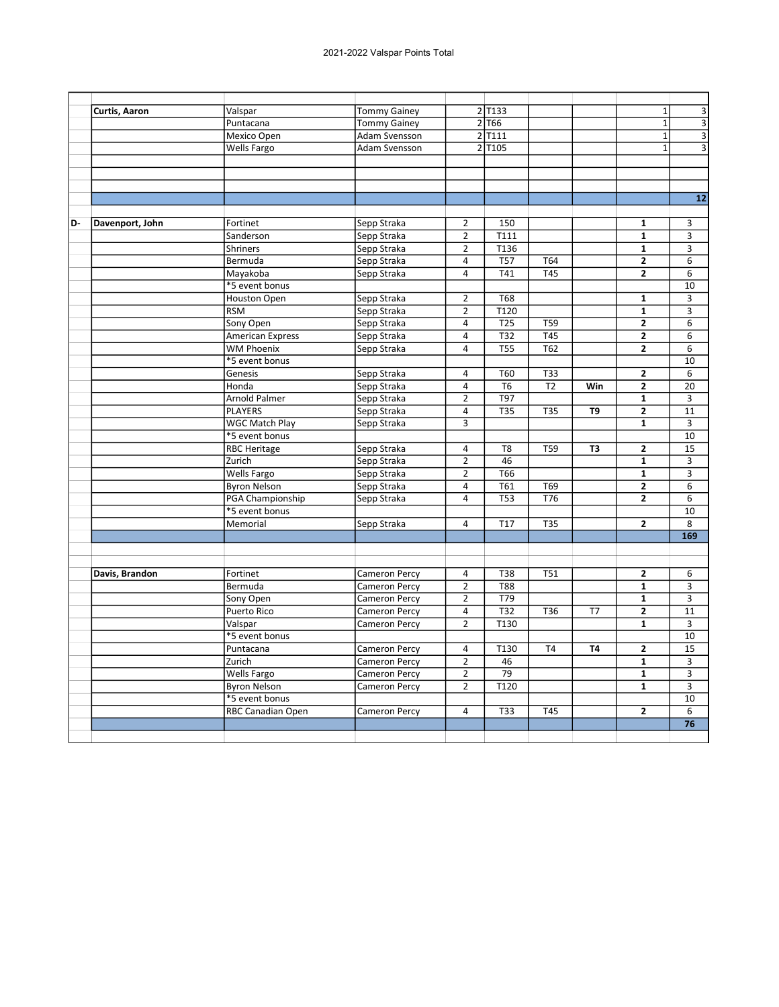| <b>Tommy Gainey</b><br>2 T133<br>Curtis, Aaron<br>Valspar<br>$2$ T <sub>66</sub><br>Puntacana<br><b>Tommy Gainey</b> |                                        |
|----------------------------------------------------------------------------------------------------------------------|----------------------------------------|
|                                                                                                                      | 3<br>$\mathbf{1}$                      |
|                                                                                                                      | $\overline{\mathbf{3}}$<br>$\mathbf 1$ |
| $2$ $\overline{1111}$<br>Mexico Open<br>Adam Svensson                                                                | $\overline{\mathbf{3}}$<br>$\mathbf 1$ |
| $2$ T <sub>105</sub><br>Wells Fargo<br>Adam Svensson                                                                 | $\overline{1}$<br>$\overline{3}$       |
|                                                                                                                      |                                        |
|                                                                                                                      |                                        |
|                                                                                                                      |                                        |
|                                                                                                                      | $\overline{12}$                        |
|                                                                                                                      |                                        |
| Fortinet<br>Sepp Straka<br>$\overline{2}$<br>150<br>$\mathbf{1}$<br>D-<br>Davenport, John                            | 3                                      |
| T111<br>$\mathbf{1}$<br>Sanderson<br>Sepp Straka<br>$\overline{2}$                                                   | 3                                      |
| T136<br>Sepp Straka<br>$\overline{2}$<br>$\mathbf{1}$<br><b>Shriners</b>                                             | 3                                      |
| Sepp Straka<br>4<br><b>T57</b><br>T64<br>$\mathbf{2}$<br>Bermuda                                                     | 6                                      |
| $\overline{745}$<br>Mayakoba<br>Sepp Straka<br>$\overline{4}$<br>T41<br>$\mathbf{2}$                                 | 6                                      |
| *5 event bonus                                                                                                       | 10                                     |
| Sepp Straka<br>$\overline{2}$<br><b>T68</b><br><b>Houston Open</b><br>$\mathbf{1}$                                   | $\overline{3}$                         |
| $\overline{2}$<br>T120<br>$\mathbf{1}$<br><b>RSM</b><br>Sepp Straka                                                  | 3                                      |
| $\overline{725}$<br>$\overline{\mathbf{2}}$<br>Sony Open<br>Sepp Straka<br>$\overline{4}$<br><b>T59</b>              | 6                                      |
| T32<br>T45<br>$\mathbf{2}$<br><b>American Express</b><br>Sepp Straka<br>$\overline{4}$                               | 6                                      |
| $\overline{TS5}$<br>T62<br>$\overline{2}$<br><b>WM Phoenix</b><br>4<br>Sepp Straka                                   | 6                                      |
| *5 event bonus                                                                                                       | 10                                     |
| Sepp Straka<br>$\overline{4}$<br>T60<br><b>T33</b><br>$\mathbf{2}$<br>Genesis                                        | 6                                      |
| $\overline{4}$<br>T <sub>6</sub><br>$\mathbf{2}$<br>Honda<br>Sepp Straka<br>T <sub>2</sub><br>Win                    | 20                                     |
| T97<br>Arnold Palmer<br>$\overline{2}$<br>$\mathbf{1}$<br>Sepp Straka                                                | 3                                      |
| <b>PLAYERS</b><br>$\overline{4}$<br><b>T35</b><br><b>T35</b><br>$\mathbf{2}$<br>Sepp Straka<br>T9                    | 11                                     |
| <b>WGC Match Play</b><br>Sepp Straka<br>3<br>$\mathbf{1}$                                                            | 3                                      |
| *5 event bonus<br>T <sub>8</sub><br><b>T59</b>                                                                       | 10                                     |
| <b>RBC Heritage</b><br>$\mathbf{2}$<br>Sepp Straka<br>4<br>T3<br>$\overline{2}$<br>46<br>$\mathbf{1}$                | 15                                     |
| Zurich<br>Sepp Straka<br><b>T66</b><br><b>Wells Fargo</b><br>$\overline{2}$<br>$\mathbf{1}$                          | 3<br>3                                 |
| Sepp Straka<br>T61<br>$\overline{\mathbf{2}}$                                                                        |                                        |
| <b>Byron Nelson</b><br>Sepp Straka<br>$\overline{a}$<br>T69<br>$\overline{4}$<br><b>T53</b><br>T76<br>$\overline{2}$ | 6<br>6                                 |
| PGA Championship<br>Sepp Straka<br>*5 event bonus                                                                    | 10                                     |
| Memorial<br>$\overline{4}$<br>T <sub>17</sub><br><b>T35</b><br>$\mathbf{2}$                                          | 8                                      |
| Sepp Straka                                                                                                          | 169                                    |
|                                                                                                                      |                                        |
|                                                                                                                      |                                        |
| Fortinet<br><b>Cameron Percy</b><br>$\overline{4}$<br><b>T38</b><br>T51<br>$\mathbf{2}$<br>Davis, Brandon            | 6                                      |
| $\overline{2}$<br>$\overline{\mathbf{1}}$<br>Bermuda<br><b>T88</b><br>Cameron Percy                                  | 3                                      |
| $\overline{2}$<br>T79<br>$\mathbf{1}$<br>Sony Open<br><b>Cameron Percy</b>                                           | 3                                      |
| $\overline{4}$<br>T32<br>$\mathbf{2}$<br>Puerto Rico<br><b>Cameron Percy</b><br>T36<br>T7                            | 11                                     |
| $\overline{2}$<br>T130<br>Valspar<br>Cameron Percy<br>$\mathbf{1}$                                                   | 3                                      |
| *5 event bonus                                                                                                       | 10                                     |
| T <sub>4</sub><br>$\mathbf{2}$<br>Puntacana<br><b>Cameron Percy</b><br>$\overline{a}$<br>T130<br><b>T4</b>           | 15                                     |
| Zurich<br>$\overline{2}$<br>46<br>$\mathbf{1}$<br>Cameron Percy                                                      | 3                                      |
| $\overline{79}$<br><b>Wells Fargo</b><br>$\overline{2}$<br>$\mathbf{1}$<br><b>Cameron Percy</b>                      | 3                                      |
| T <sub>120</sub><br><b>Byron Nelson</b><br>$\overline{2}$<br>$\mathbf{1}$<br><b>Cameron Percy</b>                    | 3                                      |
| *5 event bonus                                                                                                       | 10                                     |
| <b>T45</b><br>RBC Canadian Open<br><b>Cameron Percy</b><br>4<br><b>T33</b><br>$\mathbf{2}$                           | 6                                      |
|                                                                                                                      | 76                                     |
|                                                                                                                      |                                        |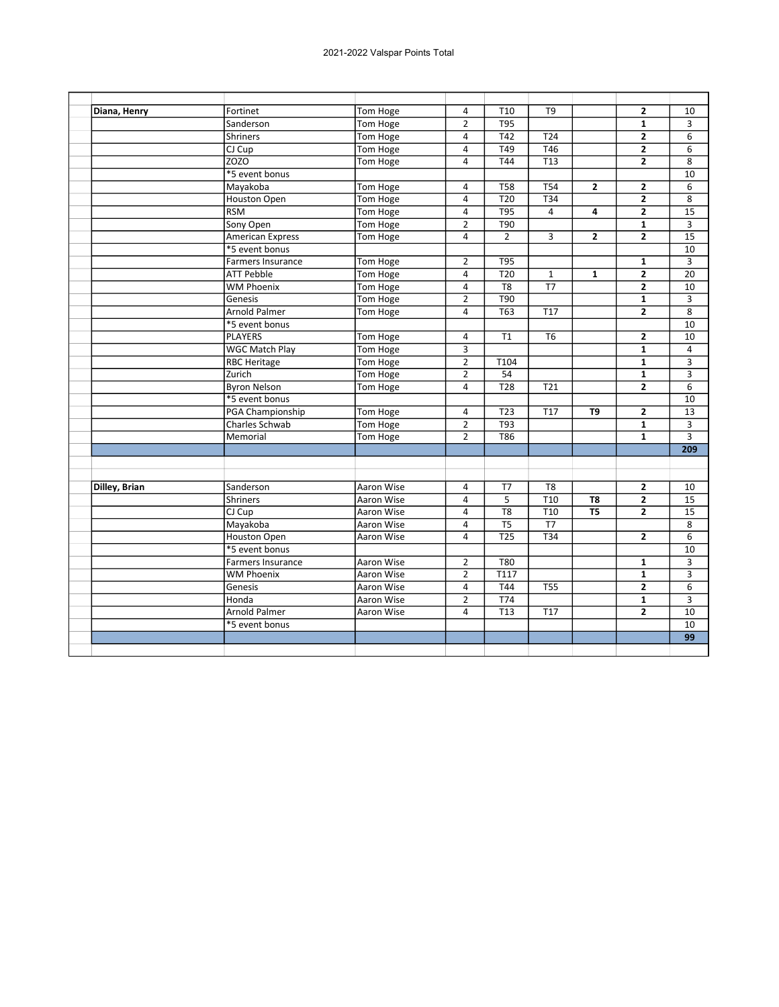| Diana, Henry  | Fortinet                 | Tom Hoge   | 4                       | T <sub>10</sub>  | T <sub>9</sub>  |                 | $\overline{2}$          | 10              |
|---------------|--------------------------|------------|-------------------------|------------------|-----------------|-----------------|-------------------------|-----------------|
|               | Sanderson                | Tom Hoge   | $\overline{2}$          | T95              |                 |                 | $\mathbf{1}$            | 3               |
|               | <b>Shriners</b>          | Tom Hoge   | $\overline{4}$          | T42              | T <sub>24</sub> |                 | $\overline{2}$          | 6               |
|               | $CI$ $Cup$               | Tom Hoge   | $\overline{4}$          | T49              | T46             |                 | $\overline{2}$          | 6               |
|               | <b>ZOZO</b>              | Tom Hoge   | $\overline{4}$          | T44              | T <sub>13</sub> |                 | $\mathbf{2}$            | 8               |
|               | *5 event bonus           |            |                         |                  |                 |                 |                         | 10              |
|               | Mayakoba                 | Tom Hoge   | $\overline{\mathbf{4}}$ | <b>T58</b>       | <b>T54</b>      | $\overline{2}$  | $\mathbf{z}$            | 6               |
|               | <b>Houston Open</b>      | Tom Hoge   | $\overline{4}$          | T20              | T34             |                 | $\overline{2}$          | 8               |
|               | <b>RSM</b>               | Tom Hoge   | $\overline{4}$          | T95              | $\overline{4}$  | 4               | $\overline{2}$          | $\overline{15}$ |
|               | Sony Open                | Tom Hoge   | $\overline{2}$          | T90              |                 |                 | $\mathbf{1}$            | 3               |
|               | <b>American Express</b>  | Tom Hoge   | $\overline{4}$          | $\overline{2}$   | 3               | $\overline{2}$  | $\overline{2}$          | 15              |
|               | *5 event bonus           |            |                         |                  |                 |                 |                         | 10              |
|               | <b>Farmers Insurance</b> | Tom Hoge   | $\overline{2}$          | T95              |                 |                 | $\mathbf{1}$            | 3               |
|               | <b>ATT Pebble</b>        | Tom Hoge   | $\overline{4}$          | $\overline{120}$ | $\mathbf{1}$    | $\mathbf{1}$    | $\overline{2}$          | 20              |
|               | <b>WM Phoenix</b>        | Tom Hoge   | $\overline{4}$          | T <sub>8</sub>   | $\overline{17}$ |                 | $\overline{2}$          | 10              |
|               | Genesis                  | Tom Hoge   | $\overline{2}$          | <b>T90</b>       |                 |                 | $\mathbf{1}$            | 3               |
|               | <b>Arnold Palmer</b>     | Tom Hoge   | 4                       | <b>T63</b>       | <b>T17</b>      |                 | $\mathbf{2}$            | 8               |
|               | *5 event bonus           |            |                         |                  |                 |                 |                         | 10              |
|               | <b>PLAYERS</b>           | Tom Hoge   | $\overline{\mathbf{4}}$ | T1               | T <sub>6</sub>  |                 | $\overline{\mathbf{c}}$ | 10              |
|               | <b>WGC Match Play</b>    | Tom Hoge   | 3                       |                  |                 |                 | $\mathbf{1}$            | 4               |
|               | <b>RBC Heritage</b>      | Tom Hoge   | $\overline{2}$          | T104             |                 |                 | $\mathbf{1}$            | 3               |
|               | Zurich                   | Tom Hoge   | $\overline{2}$          | 54               |                 |                 | $\mathbf{1}$            | 3               |
|               | <b>Byron Nelson</b>      | Tom Hoge   | $\overline{4}$          | <b>T28</b>       | T <sub>21</sub> |                 | $\mathbf{2}$            | 6               |
|               | *5 event bonus           |            |                         |                  |                 |                 |                         | 10              |
|               | PGA Championship         | Tom Hoge   | $\overline{\mathbf{4}}$ | T <sub>23</sub>  | T <sub>17</sub> | T <sub>9</sub>  | $\overline{2}$          | 13              |
|               | <b>Charles Schwab</b>    | Tom Hoge   | $\overline{2}$          | T93              |                 |                 | $\mathbf{1}$            | 3               |
|               | Memorial                 | Tom Hoge   | $\overline{2}$          | <b>T86</b>       |                 |                 | $\mathbf{1}$            | 3               |
|               |                          |            |                         |                  |                 |                 |                         | 209             |
|               |                          |            |                         |                  |                 |                 |                         |                 |
|               |                          |            |                         |                  |                 |                 |                         |                 |
| Dilley, Brian | Sanderson                | Aaron Wise | 4                       | T7               | T <sub>8</sub>  |                 | $\mathbf{2}$            | 10              |
|               | Shriners                 | Aaron Wise | $\overline{4}$          | 5                | T10             | T8              | $\overline{2}$          | 15              |
|               | CJ Cup                   | Aaron Wise | 4                       | $\overline{18}$  | T <sub>10</sub> | $\overline{15}$ | $\overline{2}$          | 15              |
|               | Mayakoba                 | Aaron Wise | $\overline{4}$          | T <sub>5</sub>   | T7              |                 |                         | 8               |
|               | Houston Open             | Aaron Wise | 4                       | <b>T25</b>       | T34             |                 | $\overline{2}$          | 6               |
|               | *5 event bonus           |            |                         |                  |                 |                 |                         | 10              |
|               | <b>Farmers Insurance</b> | Aaron Wise | $\overline{2}$          | <b>T80</b>       |                 |                 | $\mathbf{1}$            | 3               |
|               | <b>WM Phoenix</b>        | Aaron Wise | $\overline{2}$          | T117             |                 |                 | $\mathbf{1}$            | 3               |
|               | Genesis                  | Aaron Wise | $\overline{4}$          | T44              | <b>T55</b>      |                 | $\mathbf{z}$            | 6               |
|               | Honda                    | Aaron Wise | $\overline{2}$          | <b>T74</b>       |                 |                 | $\mathbf{1}$            | 3               |
|               | Arnold Palmer            | Aaron Wise | 4                       | T13              | T17             |                 | $\overline{2}$          | 10              |
|               | *5 event bonus           |            |                         |                  |                 |                 |                         | $\overline{10}$ |
|               |                          |            |                         |                  |                 |                 |                         | 99              |
|               |                          |            |                         |                  |                 |                 |                         |                 |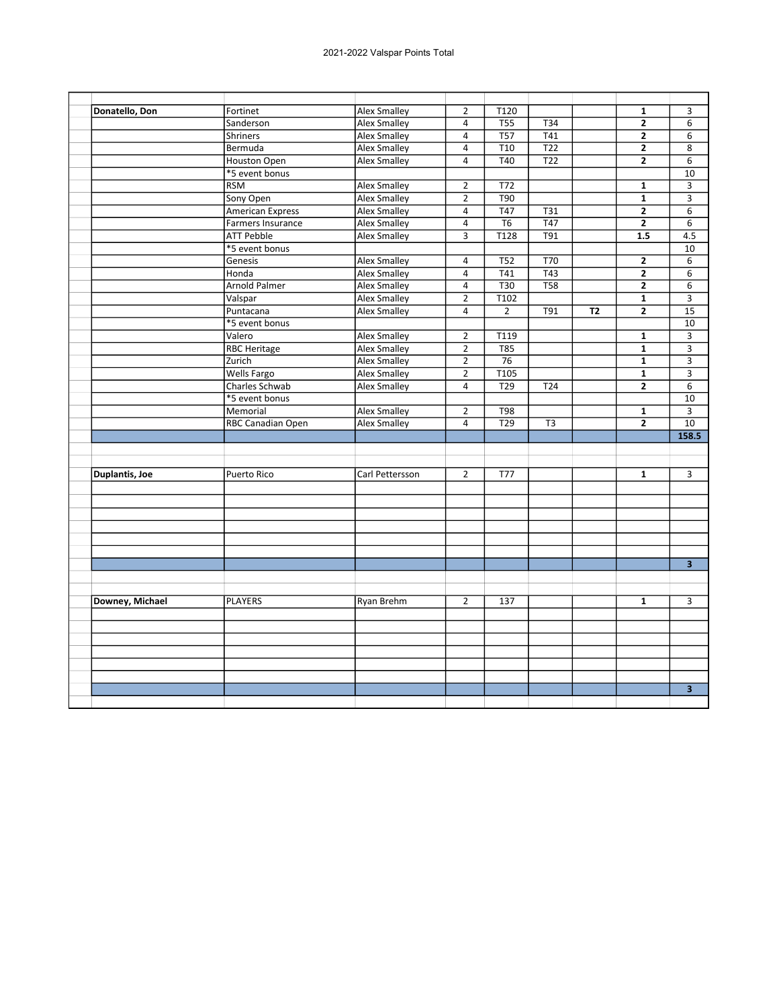| Donatello, Don  | Fortinet                 | Alex Smalley        | $\overline{2}$ | T120             |                  |           | $\mathbf{1}$            | 3                       |
|-----------------|--------------------------|---------------------|----------------|------------------|------------------|-----------|-------------------------|-------------------------|
|                 | Sanderson                | <b>Alex Smalley</b> | $\overline{4}$ | <b>T55</b>       | T34              |           | $\overline{2}$          | 6                       |
|                 | <b>Shriners</b>          | Alex Smalley        | $\overline{4}$ | T57              | T41              |           | $\mathbf{2}$            | 6                       |
|                 | Bermuda                  | <b>Alex Smalley</b> | $\overline{4}$ | T10              | $\overline{122}$ |           | $\overline{2}$          | 8                       |
|                 | Houston Open             | <b>Alex Smalley</b> | 4              | T40              | T <sub>22</sub>  |           | $\mathbf{2}$            | 6                       |
|                 | *5 event bonus           |                     |                |                  |                  |           |                         | 10                      |
|                 | <b>RSM</b>               | <b>Alex Smalley</b> | $\overline{2}$ | T72              |                  |           | 1                       | 3                       |
|                 | Sony Open                | <b>Alex Smalley</b> | $\overline{2}$ | T90              |                  |           | $\mathbf{1}$            | 3                       |
|                 | <b>American Express</b>  | <b>Alex Smalley</b> | 4              | T47              | T31              |           | $\mathbf{2}$            | 6                       |
|                 | Farmers Insurance        | <b>Alex Smalley</b> | 4              | T6               | T47              |           | $\overline{\mathbf{2}}$ | 6                       |
|                 | <b>ATT Pebble</b>        | <b>Alex Smalley</b> | $\overline{3}$ | T128             | T91              |           | 1.5                     | 4.5                     |
|                 | *5 event bonus           |                     |                |                  |                  |           |                         | 10                      |
|                 | Genesis                  | <b>Alex Smalley</b> | 4              | <b>T52</b>       | T70              |           | $\mathbf{2}$            | 6                       |
|                 | Honda                    | <b>Alex Smalley</b> | 4              | T41              | T43              |           | $\mathbf{2}$            | 6                       |
|                 | Arnold Palmer            | <b>Alex Smalley</b> | 4              | T30              | <b>T58</b>       |           | $\mathbf{2}$            | 6                       |
|                 | Valspar                  | Alex Smalley        | $\overline{2}$ | T102             |                  |           | $\mathbf{1}$            | 3                       |
|                 | Puntacana                | <b>Alex Smalley</b> | $\overline{4}$ | $\overline{2}$   | $\overline{T91}$ | <b>T2</b> | $\overline{2}$          | 15                      |
|                 | *5 event bonus           |                     |                |                  |                  |           |                         | 10                      |
|                 | Valero                   | <b>Alex Smalley</b> | $\overline{2}$ | T119             |                  |           | $\mathbf{1}$            | 3                       |
|                 | <b>RBC Heritage</b>      | Alex Smalley        | $\overline{2}$ | <b>T85</b>       |                  |           | $\mathbf{1}$            | 3                       |
|                 | Zurich                   | <b>Alex Smalley</b> | $\overline{2}$ | $\overline{76}$  |                  |           | $\mathbf{1}$            | $\overline{3}$          |
|                 | <b>Wells Fargo</b>       | <b>Alex Smalley</b> | $\overline{2}$ | T <sub>105</sub> |                  |           | $\mathbf{1}$            | 3                       |
|                 | Charles Schwab           | <b>Alex Smalley</b> | $\overline{4}$ | T <sub>29</sub>  | T24              |           | $\overline{2}$          | $6\overline{6}$         |
|                 | *5 event bonus           |                     |                |                  |                  |           |                         | 10                      |
|                 | Memorial                 | <b>Alex Smalley</b> | $\overline{2}$ | <b>T98</b>       |                  |           | $\mathbf{1}$            | $\overline{3}$          |
|                 | <b>RBC Canadian Open</b> | <b>Alex Smalley</b> | $\overline{4}$ | $\overline{729}$ | T <sub>3</sub>   |           | $\overline{2}$          | 10                      |
|                 |                          |                     |                |                  |                  |           |                         | 158.5                   |
|                 |                          |                     |                |                  |                  |           |                         |                         |
| Duplantis, Joe  | Puerto Rico              | Carl Pettersson     | $\overline{2}$ | <b>T77</b>       |                  |           | $\mathbf{1}$            | 3                       |
|                 |                          |                     |                |                  |                  |           |                         |                         |
|                 |                          |                     |                |                  |                  |           |                         |                         |
|                 |                          |                     |                |                  |                  |           |                         |                         |
|                 |                          |                     |                |                  |                  |           |                         |                         |
|                 |                          |                     |                |                  |                  |           |                         |                         |
|                 |                          |                     |                |                  |                  |           |                         | $\overline{\mathbf{3}}$ |
|                 |                          |                     |                |                  |                  |           |                         |                         |
| Downey, Michael | <b>PLAYERS</b>           | Ryan Brehm          | $\overline{2}$ | 137              |                  |           | $\mathbf{1}$            | 3                       |
|                 |                          |                     |                |                  |                  |           |                         |                         |
|                 |                          |                     |                |                  |                  |           |                         |                         |
|                 |                          |                     |                |                  |                  |           |                         |                         |
|                 |                          |                     |                |                  |                  |           |                         |                         |
|                 |                          |                     |                |                  |                  |           |                         |                         |
|                 |                          |                     |                |                  |                  |           |                         | 3 <sup>1</sup>          |
|                 |                          |                     |                |                  |                  |           |                         |                         |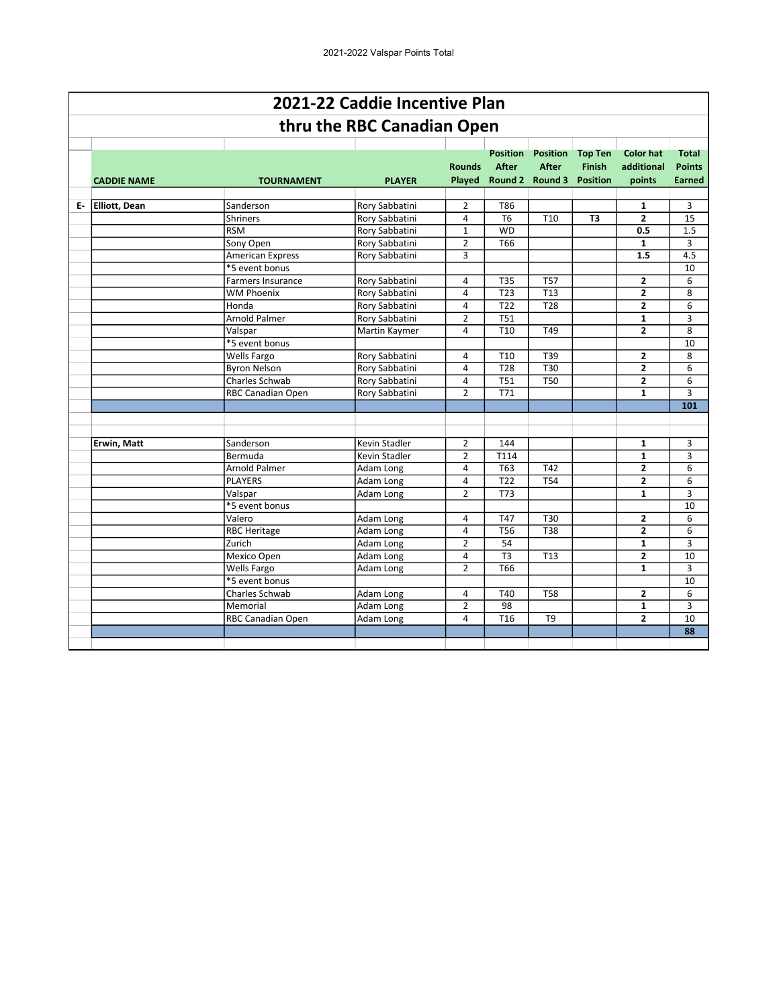|                    |                          | 2021-22 Caddie Incentive Plan |                |                                 |                                                                    |                                 |                                          |                                                |
|--------------------|--------------------------|-------------------------------|----------------|---------------------------------|--------------------------------------------------------------------|---------------------------------|------------------------------------------|------------------------------------------------|
|                    |                          | thru the RBC Canadian Open    |                |                                 |                                                                    |                                 |                                          |                                                |
| <b>CADDIE NAME</b> | <b>TOURNAMENT</b>        | <b>PLAYER</b>                 | <b>Rounds</b>  | <b>Position</b><br><b>After</b> | <b>Position</b><br><b>After</b><br>Played Round 2 Round 3 Position | <b>Top Ten</b><br><b>Finish</b> | <b>Color hat</b><br>additional<br>points | <b>Total</b><br><b>Points</b><br><b>Earned</b> |
| E- Elliott, Dean   | Sanderson                | Rory Sabbatini                | 2              | T86                             |                                                                    |                                 | 1                                        | 3                                              |
|                    | <b>Shriners</b>          | Rory Sabbatini                | $\overline{4}$ | T <sub>6</sub>                  | T <sub>10</sub>                                                    | T <sub>3</sub>                  | $\overline{2}$                           | 15                                             |
|                    | <b>RSM</b>               | Rory Sabbatini                | $\mathbf{1}$   | <b>WD</b>                       |                                                                    |                                 | 0.5                                      | 1.5                                            |
|                    | Sony Open                | Rory Sabbatini                | $\overline{2}$ | T66                             |                                                                    |                                 | 1                                        | 3                                              |
|                    | <b>American Express</b>  | Rory Sabbatini                | $\overline{3}$ |                                 |                                                                    |                                 | 1.5                                      | 4.5                                            |
|                    | *5 event bonus           |                               |                |                                 |                                                                    |                                 |                                          | 10                                             |
|                    | <b>Farmers Insurance</b> | Rory Sabbatini                | $\overline{a}$ | <b>T35</b>                      | <b>T57</b>                                                         |                                 | $\overline{2}$                           | 6                                              |
|                    | <b>WM Phoenix</b>        | Rory Sabbatini                | 4              | T <sub>23</sub>                 | T <sub>13</sub>                                                    |                                 | $\overline{2}$                           | 8                                              |
|                    | Honda                    | Rory Sabbatini                | 4              | T <sub>22</sub>                 | T <sub>28</sub>                                                    |                                 | $\overline{2}$                           | 6                                              |
|                    | Arnold Palmer            | Rory Sabbatini                | $\overline{2}$ | <b>T51</b>                      |                                                                    |                                 | $\mathbf{1}$                             | 3                                              |
|                    | Valspar                  | Martin Kaymer                 | 4              | T <sub>10</sub>                 | T49                                                                |                                 | $\overline{2}$                           | 8                                              |
|                    | *5 event bonus           |                               |                |                                 |                                                                    |                                 |                                          | 10                                             |
|                    | <b>Wells Fargo</b>       | Rory Sabbatini                | 4              | T <sub>10</sub>                 | T39                                                                |                                 | $\mathbf{z}$                             | 8                                              |
|                    | <b>Byron Nelson</b>      | Rory Sabbatini                | $\overline{4}$ | <b>T28</b>                      | T30                                                                |                                 | $\overline{2}$                           | 6                                              |
|                    | Charles Schwab           | Rory Sabbatini                | 4              | <b>T51</b>                      | <b>T50</b>                                                         |                                 | $\overline{2}$                           | 6                                              |
|                    | RBC Canadian Open        | Rory Sabbatini                | $\overline{2}$ | T71                             |                                                                    |                                 | 1                                        | 3                                              |
|                    |                          |                               |                |                                 |                                                                    |                                 |                                          | 101                                            |
|                    |                          |                               |                |                                 |                                                                    |                                 |                                          |                                                |
|                    |                          |                               |                |                                 |                                                                    |                                 |                                          |                                                |
| <b>Erwin, Matt</b> | Sanderson                | <b>Kevin Stadler</b>          | $\overline{2}$ | 144                             |                                                                    |                                 | $\mathbf{1}$                             | 3                                              |
|                    | Bermuda                  | Kevin Stadler                 | $\overline{2}$ | T114                            |                                                                    |                                 | $\mathbf{1}$                             | 3                                              |
|                    | <b>Arnold Palmer</b>     | Adam Long                     | 4              | T63                             | T42                                                                |                                 | $\overline{2}$                           | 6                                              |
|                    | <b>PLAYERS</b>           | Adam Long                     | $\overline{4}$ | T <sub>22</sub>                 | <b>T54</b>                                                         |                                 | $\overline{2}$                           | 6                                              |
|                    | Valspar                  | Adam Long                     | $\overline{2}$ | <b>T73</b>                      |                                                                    |                                 | $\mathbf{1}$                             | 3                                              |
|                    | *5 event bonus           |                               |                |                                 |                                                                    |                                 |                                          | 10                                             |
|                    | Valero                   | Adam Long                     | 4              | <b>T47</b>                      | T30                                                                |                                 | $\overline{2}$                           | 6                                              |
|                    | <b>RBC Heritage</b>      | Adam Long                     | 4              | <b>T56</b>                      | <b>T38</b>                                                         |                                 | $\overline{2}$                           | 6                                              |
|                    | Zurich                   | Adam Long                     | $\overline{2}$ | 54                              |                                                                    |                                 | 1                                        | 3                                              |
|                    | Mexico Open              | Adam Long                     | $\overline{4}$ | T <sub>3</sub>                  | T <sub>13</sub>                                                    |                                 | $\overline{2}$                           | 10                                             |
|                    | Wells Fargo              | Adam Long                     | $\overline{2}$ | T <sub>66</sub>                 |                                                                    |                                 | $\mathbf{1}$                             | 3                                              |
|                    | *5 event bonus           |                               |                |                                 |                                                                    |                                 |                                          | 10                                             |
|                    | Charles Schwab           | Adam Long                     | 4              | T40                             | <b>T58</b>                                                         |                                 | $\overline{2}$                           | 6                                              |
|                    | Memorial                 | Adam Long                     | $\overline{2}$ | 98                              |                                                                    |                                 | $\mathbf{1}$                             | 3                                              |
|                    | RBC Canadian Open        | Adam Long                     | 4              | T <sub>16</sub>                 | T9                                                                 |                                 | $\overline{2}$                           | 10                                             |
|                    |                          |                               |                |                                 |                                                                    |                                 |                                          | 88                                             |
|                    |                          |                               |                |                                 |                                                                    |                                 |                                          |                                                |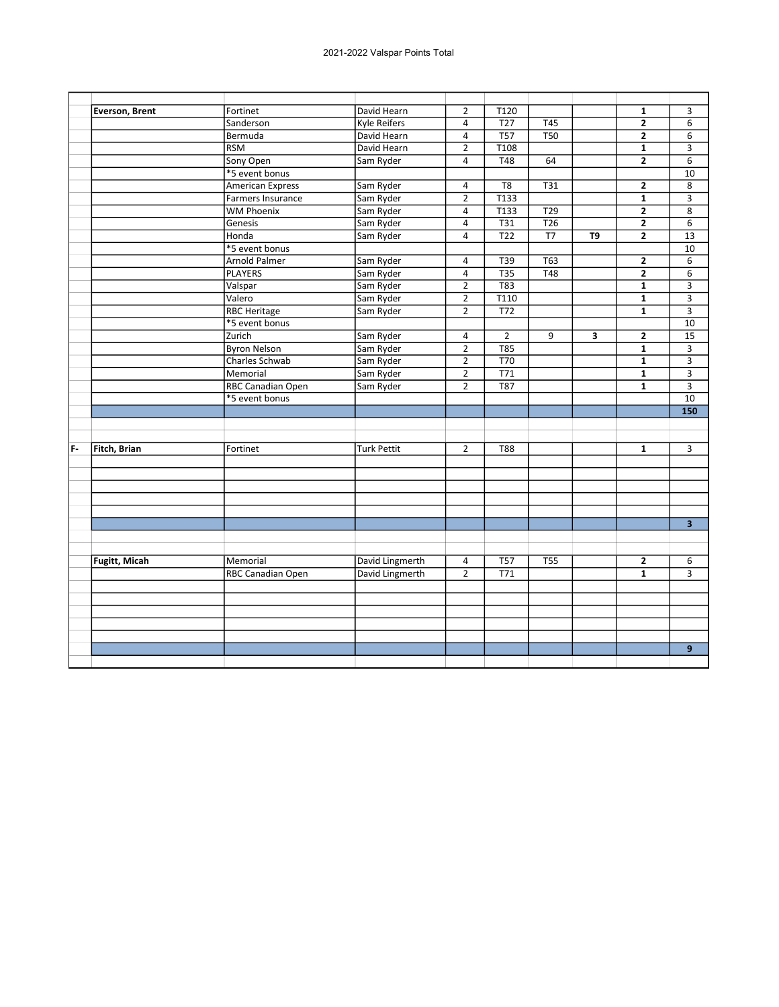|    | Everson, Brent       | Fortinet                | David Hearn         | $\overline{2}$          | T120              |                  |    | 1                       | 3                       |
|----|----------------------|-------------------------|---------------------|-------------------------|-------------------|------------------|----|-------------------------|-------------------------|
|    |                      | Sanderson               | <b>Kyle Reifers</b> | $\overline{4}$          | T <sub>27</sub>   | T45              |    | $\overline{2}$          | 6                       |
|    |                      | Bermuda                 | David Hearn         | $\overline{4}$          | T57               | <b>T50</b>       |    | $\overline{2}$          | 6                       |
|    |                      | <b>RSM</b>              | David Hearn         | $\overline{2}$          | $\overline{T108}$ |                  |    | $\mathbf{1}$            | 3                       |
|    |                      | Sony Open               | Sam Ryder           | $\overline{4}$          | <b>T48</b>        | 64               |    | $\overline{2}$          | 6                       |
|    |                      | *5 event bonus          |                     |                         |                   |                  |    |                         | 10                      |
|    |                      | <b>American Express</b> | Sam Ryder           | 4                       | T <sub>8</sub>    | T31              |    | $\mathbf{2}$            | 8                       |
|    |                      | Farmers Insurance       | Sam Ryder           | $\overline{2}$          | T133              |                  |    | $\overline{\mathbf{1}}$ | $\overline{3}$          |
|    |                      | <b>WM Phoenix</b>       | Sam Ryder           | $\overline{\mathbf{4}}$ | T133              | T29              |    | $\overline{2}$          | $\overline{8}$          |
|    |                      | Genesis                 | Sam Ryder           | 4                       | <b>T31</b>        | T <sub>26</sub>  |    | $\overline{2}$          | 6                       |
|    |                      | Honda                   | Sam Ryder           | $\overline{4}$          | T <sub>22</sub>   | T7               | T9 | $\overline{2}$          | 13                      |
|    |                      | *5 event bonus          |                     |                         |                   |                  |    |                         | 10                      |
|    |                      | <b>Arnold Palmer</b>    | Sam Ryder           | 4                       | T39               | T63              |    | $\mathbf{2}$            | 6                       |
|    |                      | <b>PLAYERS</b>          | Sam Ryder           | $\overline{4}$          | T35               | $\overline{148}$ |    | $\overline{2}$          | 6                       |
|    |                      | Valspar                 | Sam Ryder           | $\overline{2}$          | <b>T83</b>        |                  |    | 1                       | 3                       |
|    |                      | Valero                  | Sam Ryder           | $\overline{2}$          | T110              |                  |    | $\overline{1}$          | $\overline{3}$          |
|    |                      | <b>RBC Heritage</b>     | Sam Ryder           | $\overline{2}$          | T72               |                  |    | $\mathbf{1}$            | $\overline{3}$          |
|    |                      | *5 event bonus          |                     |                         |                   |                  |    |                         | 10                      |
|    |                      | Zurich                  | Sam Ryder           | 4                       | $\overline{2}$    | 9                | 3  | $\mathbf{2}$            | 15                      |
|    |                      | <b>Byron Nelson</b>     | Sam Ryder           | $\overline{2}$          | <b>T85</b>        |                  |    | $\mathbf{1}$            | 3                       |
|    |                      | Charles Schwab          | Sam Ryder           | $\overline{2}$          | <b>T70</b>        |                  |    | $\mathbf{1}$            | $\overline{3}$          |
|    |                      | Memorial                | Sam Ryder           | $\overline{2}$          | T71               |                  |    | $\overline{1}$          | $\overline{3}$          |
|    |                      | RBC Canadian Open       | Sam Ryder           | $\overline{2}$          | <b>T87</b>        |                  |    | 1                       | 3                       |
|    |                      | *5 event bonus          |                     |                         |                   |                  |    |                         | 10                      |
|    |                      |                         |                     |                         |                   |                  |    |                         | 150                     |
|    |                      |                         |                     |                         |                   |                  |    |                         |                         |
|    |                      |                         |                     |                         |                   |                  |    |                         |                         |
| F- | Fitch, Brian         | Fortinet                | <b>Turk Pettit</b>  | $\overline{2}$          | <b>T88</b>        |                  |    | $\mathbf{1}$            | 3                       |
|    |                      |                         |                     |                         |                   |                  |    |                         |                         |
|    |                      |                         |                     |                         |                   |                  |    |                         |                         |
|    |                      |                         |                     |                         |                   |                  |    |                         |                         |
|    |                      |                         |                     |                         |                   |                  |    |                         |                         |
|    |                      |                         |                     |                         |                   |                  |    |                         |                         |
|    |                      |                         |                     |                         |                   |                  |    |                         | $\overline{\mathbf{3}}$ |
|    |                      |                         |                     |                         |                   |                  |    |                         |                         |
|    |                      |                         |                     |                         |                   |                  |    |                         |                         |
|    | <b>Fugitt, Micah</b> | Memorial                | David Lingmerth     | $\overline{a}$          | <b>T57</b>        | <b>T55</b>       |    | $\mathbf{2}$            | 6                       |
|    |                      | RBC Canadian Open       | David Lingmerth     | $\overline{2}$          | T71               |                  |    | $\mathbf{1}$            | 3                       |
|    |                      |                         |                     |                         |                   |                  |    |                         |                         |
|    |                      |                         |                     |                         |                   |                  |    |                         |                         |
|    |                      |                         |                     |                         |                   |                  |    |                         |                         |
|    |                      |                         |                     |                         |                   |                  |    |                         |                         |
|    |                      |                         |                     |                         |                   |                  |    |                         |                         |
|    |                      |                         |                     |                         |                   |                  |    |                         | 9                       |
|    |                      |                         |                     |                         |                   |                  |    |                         |                         |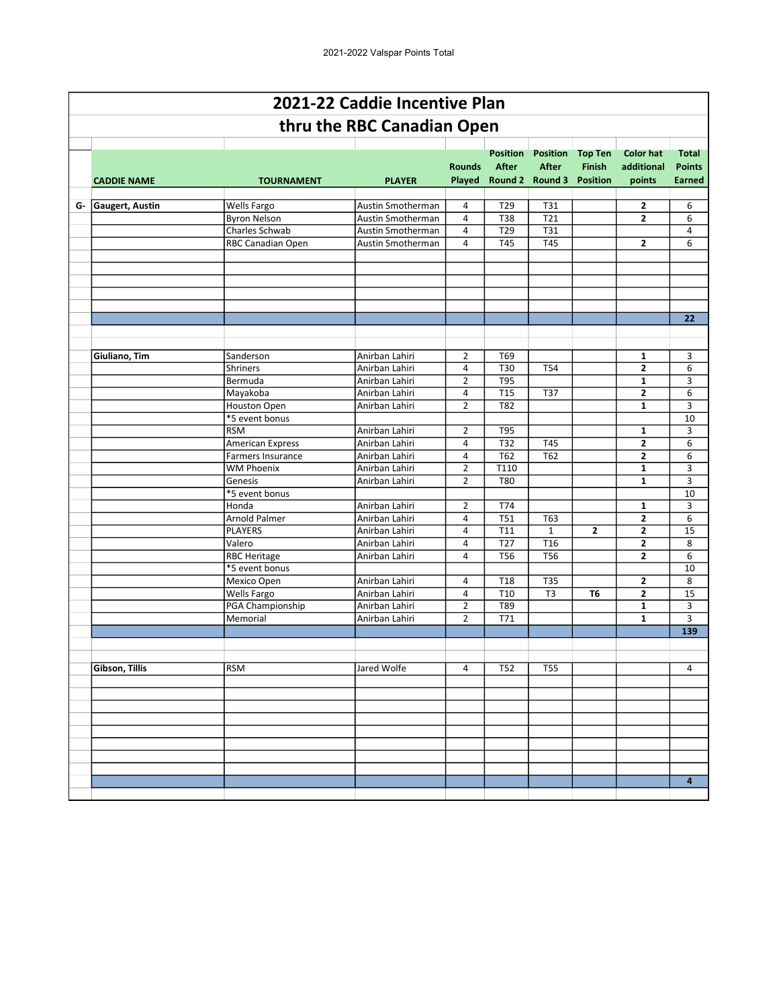|                    |                                        | 2021-22 Caddie Incentive Plan    |                     |                                 |                                                           |                                                    |                                          |                                                |
|--------------------|----------------------------------------|----------------------------------|---------------------|---------------------------------|-----------------------------------------------------------|----------------------------------------------------|------------------------------------------|------------------------------------------------|
|                    |                                        | thru the RBC Canadian Open       |                     |                                 |                                                           |                                                    |                                          |                                                |
| <b>CADDIE NAME</b> | <b>TOURNAMENT</b>                      | <b>PLAYER</b>                    | <b>Rounds</b>       | <b>Position</b><br><b>After</b> | <b>Position</b><br><b>After</b><br>Played Round 2 Round 3 | <b>Top Ten</b><br><b>Finish</b><br><b>Position</b> | <b>Color hat</b><br>additional<br>points | <b>Total</b><br><b>Points</b><br><b>Earned</b> |
| G- Gaugert, Austin | Wells Fargo                            | Austin Smotherman                | 4                   | T <sub>29</sub>                 | T31                                                       |                                                    | 2                                        | 6                                              |
|                    | <b>Byron Nelson</b>                    | Austin Smotherman                | 4                   | T38                             | T21                                                       |                                                    | $\mathbf{2}$                             | 6                                              |
|                    | Charles Schwab                         | Austin Smotherman                | 4                   | T29                             | T31                                                       |                                                    |                                          | 4                                              |
|                    | RBC Canadian Open                      | Austin Smotherman                | 4                   | <b>T45</b>                      | T45                                                       |                                                    | $\overline{2}$                           | 6                                              |
|                    |                                        |                                  |                     |                                 |                                                           |                                                    |                                          |                                                |
|                    |                                        |                                  |                     |                                 |                                                           |                                                    |                                          |                                                |
|                    |                                        |                                  |                     |                                 |                                                           |                                                    |                                          |                                                |
|                    |                                        |                                  |                     |                                 |                                                           |                                                    |                                          |                                                |
|                    |                                        |                                  |                     |                                 |                                                           |                                                    |                                          |                                                |
|                    |                                        |                                  |                     |                                 |                                                           |                                                    |                                          | 22                                             |
|                    |                                        |                                  |                     |                                 |                                                           |                                                    |                                          |                                                |
|                    |                                        |                                  |                     |                                 |                                                           |                                                    |                                          |                                                |
| Giuliano, Tim      | Sanderson                              | Anirban Lahiri                   | $\overline{2}$      | T69                             |                                                           |                                                    | 1                                        | 3                                              |
|                    | <b>Shriners</b>                        | Anirban Lahiri                   | 4                   | T30                             | <b>T54</b>                                                |                                                    | $\mathbf{2}$                             | 6                                              |
|                    | Bermuda                                | Anirban Lahiri                   | $\overline{2}$      | <b>T95</b>                      |                                                           |                                                    | $\mathbf{1}$                             | 3                                              |
|                    | Mayakoba                               | Anirban Lahiri                   | 4                   | <b>T15</b>                      | <b>T37</b>                                                |                                                    | $\overline{2}$                           | 6                                              |
|                    | <b>Houston Open</b>                    | Anirban Lahiri                   | 2                   | T82                             |                                                           |                                                    | $\mathbf{1}$                             | 3                                              |
|                    | *5 event bonus                         |                                  |                     |                                 |                                                           |                                                    |                                          | 10                                             |
|                    | <b>RSM</b>                             | Anirban Lahiri                   | $\overline{2}$      | T95                             |                                                           |                                                    | 1                                        | 3                                              |
|                    | <b>American Express</b>                | Anirban Lahiri                   | $\overline{a}$<br>4 | T32<br>T62                      | T45<br>T62                                                |                                                    | $\mathbf{2}$<br>$\overline{2}$           | 6<br>6                                         |
|                    | Farmers Insurance<br><b>WM Phoenix</b> | Anirban Lahiri<br>Anirban Lahiri | $\overline{2}$      | T110                            |                                                           |                                                    | $\mathbf{1}$                             | 3                                              |
|                    | Genesis                                | Anirban Lahiri                   | $\overline{2}$      | <b>T80</b>                      |                                                           |                                                    | $\mathbf{1}$                             | 3                                              |
|                    | *5 event bonus                         |                                  |                     |                                 |                                                           |                                                    |                                          | 10                                             |
|                    | Honda                                  | Anirban Lahiri                   | $\overline{2}$      | T74                             |                                                           |                                                    | $\mathbf{1}$                             | 3                                              |
|                    | Arnold Palmer                          | Anirban Lahiri                   | 4                   | T51                             | T63                                                       |                                                    | $\mathbf{2}$                             | 6                                              |
|                    | <b>PLAYERS</b>                         | Anirban Lahiri                   | $\overline{a}$      | T11                             | $\mathbf{1}$                                              | 2                                                  | $\mathbf{2}$                             | 15                                             |
|                    | Valero                                 | Anirban Lahiri                   | 4                   | T <sub>27</sub>                 | T <sub>16</sub>                                           |                                                    | 2                                        | 8                                              |
|                    | <b>RBC Heritage</b>                    | Anirban Lahiri                   | 4                   | T56                             | T56                                                       |                                                    | $\mathbf{2}$                             | 6                                              |
|                    | *5 event bonus                         |                                  |                     |                                 |                                                           |                                                    |                                          | 10                                             |
|                    | Mexico Open                            | Anirban Lahiri                   | 4                   | T <sub>18</sub>                 | <b>T35</b>                                                |                                                    | 2                                        | 8                                              |
|                    | Wells Fargo                            | Anirban Lahiri                   | 4                   | T <sub>10</sub>                 | T <sub>3</sub>                                            | T <sub>6</sub>                                     | $\overline{2}$                           | 15                                             |
|                    | PGA Championship                       | Anirban Lahiri                   | $\overline{2}$      | T89                             |                                                           |                                                    | $\mathbf{1}$                             | 3                                              |
|                    | Memorial                               | Anirban Lahiri                   | $\overline{2}$      | T71                             |                                                           |                                                    | $\mathbf{1}$                             | 3                                              |
|                    |                                        |                                  |                     |                                 |                                                           |                                                    |                                          | 139                                            |
|                    |                                        |                                  |                     |                                 |                                                           |                                                    |                                          |                                                |
|                    |                                        |                                  |                     |                                 |                                                           |                                                    |                                          |                                                |
| Gibson, Tillis     | <b>RSM</b>                             | Jared Wolfe                      | 4                   | T52                             | T55                                                       |                                                    |                                          | 4                                              |
|                    |                                        |                                  |                     |                                 |                                                           |                                                    |                                          |                                                |
|                    |                                        |                                  |                     |                                 |                                                           |                                                    |                                          |                                                |
|                    |                                        |                                  |                     |                                 |                                                           |                                                    |                                          |                                                |
|                    |                                        |                                  |                     |                                 |                                                           |                                                    |                                          |                                                |
|                    |                                        |                                  |                     |                                 |                                                           |                                                    |                                          |                                                |
|                    |                                        |                                  |                     |                                 |                                                           |                                                    |                                          |                                                |
|                    |                                        |                                  |                     |                                 |                                                           |                                                    |                                          |                                                |
|                    |                                        |                                  |                     |                                 |                                                           |                                                    |                                          | $\overline{\mathbf{4}}$                        |
|                    |                                        |                                  |                     |                                 |                                                           |                                                    |                                          |                                                |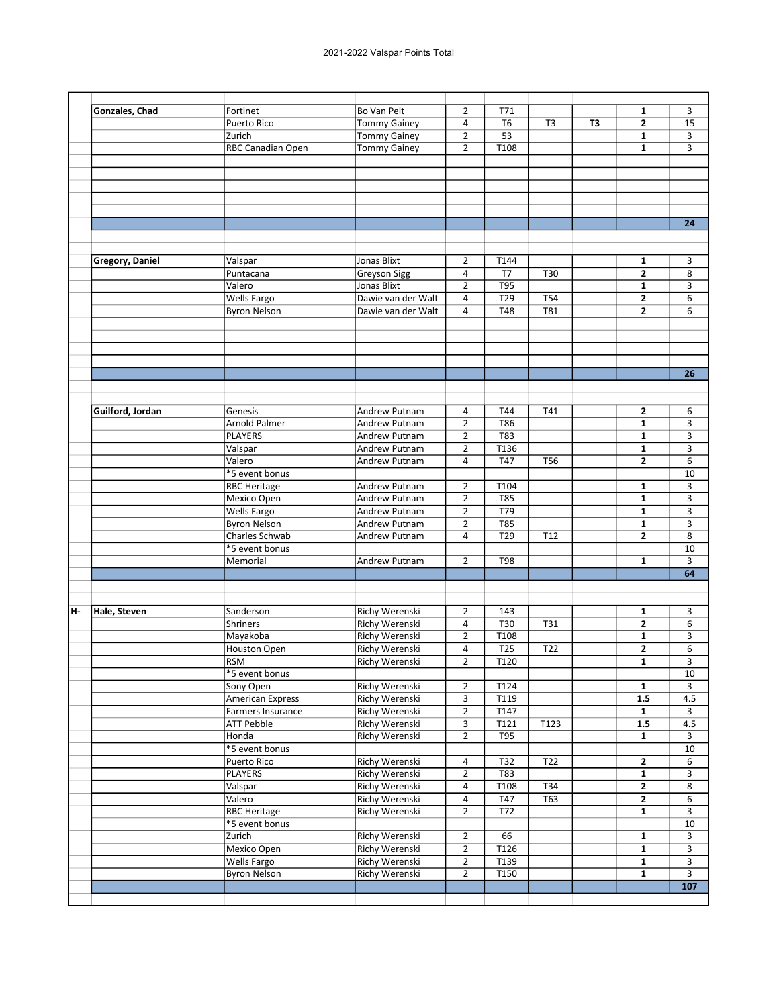| <b>Bo Van Pelt</b><br>$\overline{2}$<br>T71<br>Gonzales, Chad<br>Fortinet<br>$\mathbf{1}$<br>Puerto Rico<br><b>Tommy Gainey</b><br>4<br>T <sub>6</sub><br>T <sub>3</sub><br>2<br>T3<br>$\overline{2}$<br>53<br>$\mathbf{1}$<br>Zurich<br><b>Tommy Gainey</b><br>$\overline{2}$<br>T <sub>108</sub><br>$\mathbf{1}$<br>RBC Canadian Open<br><b>Tommy Gainey</b><br><b>Gregory, Daniel</b><br>Valspar<br>Jonas Blixt<br>T144<br>2<br>1<br>$\overline{2}$<br><b>Greyson Sigg</b><br>4<br>T7<br>T30<br>Puntacana<br>Valero<br><b>Jonas Blixt</b><br>$\overline{2}$<br><b>T95</b><br>1<br><b>Wells Fargo</b><br>Dawie van der Walt<br>4<br>T29<br><b>T54</b><br>2<br>$\overline{2}$<br><b>T48</b><br>T81<br><b>Byron Nelson</b><br>4<br>Dawie van der Walt<br>T41<br>$\mathbf{2}$<br>Guilford, Jordan<br>Genesis<br>Andrew Putnam<br>4<br>T44<br>$\overline{2}$<br><b>T86</b><br><b>Arnold Palmer</b><br>$\mathbf{1}$<br>Andrew Putnam<br><b>PLAYERS</b><br>Andrew Putnam<br>$\overline{2}$<br>T83<br>1<br>$\overline{2}$<br>T136<br>$\mathbf{1}$<br>Valspar<br>Andrew Putnam<br>Valero<br><b>T47</b><br>$\overline{2}$<br>4<br>T56<br>Andrew Putnam<br>*5 event bonus<br><b>RBC Heritage</b><br>Andrew Putnam<br>$\overline{2}$<br>T104<br>1<br>$\overline{2}$<br>$\mathbf{1}$<br>Mexico Open<br><b>T85</b><br>Andrew Putnam<br><b>Wells Fargo</b><br>T79<br>$\overline{2}$<br>$\mathbf{1}$<br>Andrew Putnam<br>$\overline{2}$<br>$\overline{785}$<br>$\mathbf{1}$<br><b>Byron Nelson</b><br>Andrew Putnam<br>Charles Schwab<br>T29<br>T12<br>2<br>Andrew Putnam<br>4<br>*5 event bonus<br>$\overline{2}$<br>Memorial<br><b>Andrew Putnam</b><br><b>T98</b><br>1<br>Richy Werenski<br>н.<br>Hale, Steven<br>Sanderson<br>$\overline{2}$<br>143<br>1<br>$\overline{2}$<br><b>Richy Werenski</b><br>$\overline{T30}$<br>$\overline{T31}$<br>4<br>Shriners<br>Richy Werenski<br>$\overline{2}$<br>T108<br>$\mathbf{1}$<br>Mayakoba<br>Richy Werenski<br><b>T25</b><br>$\mathbf{2}$<br>Houston Open<br>4<br>T <sub>22</sub><br>T120<br>RSM<br><b>Richy Werenski</b><br>$\overline{2}$<br>$\overline{\mathbf{1}}$<br>*5 event bonus<br>Richy Werenski<br>$\overline{2}$<br>T124<br>Sony Open<br>$\mathbf{1}$<br>3<br><b>American Express</b><br>Richy Werenski<br>T119<br>1.5<br>Richy Werenski<br>Farmers Insurance<br>$\overline{2}$<br>T147<br>$\mathbf{1}$<br>3<br>Richy Werenski<br>T121<br>1.5<br><b>ATT Pebble</b><br>T123<br>$\overline{2}$<br><b>Richy Werenski</b><br>T95<br>Honda<br>$\mathbf{1}$<br>*5 event bonus<br><b>Richy Werenski</b><br>T22<br>$\mathbf{2}$<br>Puerto Rico<br>4<br>T32<br>Richy Werenski<br>$\overline{2}$<br>T83<br><b>PLAYERS</b><br>$\mathbf{1}$<br>Valspar<br>Richy Werenski<br>T108<br>4<br>T34<br>$\mathbf{2}$<br>Valero<br><b>Richy Werenski</b><br>$\mathbf{2}$<br>4<br>T47<br>T63<br>$\overline{2}$<br><b>RBC Heritage</b><br>Richy Werenski<br>T72<br>1<br>*5 event bonus<br>$\overline{2}$<br>Zurich<br>Richy Werenski<br>66<br>$\mathbf{1}$<br>Mexico Open<br>$\overline{2}$<br>Richy Werenski<br>T126<br>1<br><b>Richy Werenski</b><br>$\overline{2}$<br>Wells Fargo<br>T139<br>$\mathbf{1}$<br>$\overline{2}$<br>T150<br><b>Byron Nelson</b><br>Richy Werenski<br>1 |  |  |  |  |                         |
|-------------------------------------------------------------------------------------------------------------------------------------------------------------------------------------------------------------------------------------------------------------------------------------------------------------------------------------------------------------------------------------------------------------------------------------------------------------------------------------------------------------------------------------------------------------------------------------------------------------------------------------------------------------------------------------------------------------------------------------------------------------------------------------------------------------------------------------------------------------------------------------------------------------------------------------------------------------------------------------------------------------------------------------------------------------------------------------------------------------------------------------------------------------------------------------------------------------------------------------------------------------------------------------------------------------------------------------------------------------------------------------------------------------------------------------------------------------------------------------------------------------------------------------------------------------------------------------------------------------------------------------------------------------------------------------------------------------------------------------------------------------------------------------------------------------------------------------------------------------------------------------------------------------------------------------------------------------------------------------------------------------------------------------------------------------------------------------------------------------------------------------------------------------------------------------------------------------------------------------------------------------------------------------------------------------------------------------------------------------------------------------------------------------------------------------------------------------------------------------------------------------------------------------------------------------------------------------------------------------------------------------------------------------------------------------------------------------------------------------------------------------------------------------------------------------------------------------------------------------------------------------------------------------------------------------------------------------------------------------------------------------------------------------------------------------------------------------------------------------------------------------------------------------------------------------------------------------|--|--|--|--|-------------------------|
|                                                                                                                                                                                                                                                                                                                                                                                                                                                                                                                                                                                                                                                                                                                                                                                                                                                                                                                                                                                                                                                                                                                                                                                                                                                                                                                                                                                                                                                                                                                                                                                                                                                                                                                                                                                                                                                                                                                                                                                                                                                                                                                                                                                                                                                                                                                                                                                                                                                                                                                                                                                                                                                                                                                                                                                                                                                                                                                                                                                                                                                                                                                                                                                                             |  |  |  |  | 3                       |
|                                                                                                                                                                                                                                                                                                                                                                                                                                                                                                                                                                                                                                                                                                                                                                                                                                                                                                                                                                                                                                                                                                                                                                                                                                                                                                                                                                                                                                                                                                                                                                                                                                                                                                                                                                                                                                                                                                                                                                                                                                                                                                                                                                                                                                                                                                                                                                                                                                                                                                                                                                                                                                                                                                                                                                                                                                                                                                                                                                                                                                                                                                                                                                                                             |  |  |  |  | 15                      |
|                                                                                                                                                                                                                                                                                                                                                                                                                                                                                                                                                                                                                                                                                                                                                                                                                                                                                                                                                                                                                                                                                                                                                                                                                                                                                                                                                                                                                                                                                                                                                                                                                                                                                                                                                                                                                                                                                                                                                                                                                                                                                                                                                                                                                                                                                                                                                                                                                                                                                                                                                                                                                                                                                                                                                                                                                                                                                                                                                                                                                                                                                                                                                                                                             |  |  |  |  |                         |
|                                                                                                                                                                                                                                                                                                                                                                                                                                                                                                                                                                                                                                                                                                                                                                                                                                                                                                                                                                                                                                                                                                                                                                                                                                                                                                                                                                                                                                                                                                                                                                                                                                                                                                                                                                                                                                                                                                                                                                                                                                                                                                                                                                                                                                                                                                                                                                                                                                                                                                                                                                                                                                                                                                                                                                                                                                                                                                                                                                                                                                                                                                                                                                                                             |  |  |  |  | 3                       |
|                                                                                                                                                                                                                                                                                                                                                                                                                                                                                                                                                                                                                                                                                                                                                                                                                                                                                                                                                                                                                                                                                                                                                                                                                                                                                                                                                                                                                                                                                                                                                                                                                                                                                                                                                                                                                                                                                                                                                                                                                                                                                                                                                                                                                                                                                                                                                                                                                                                                                                                                                                                                                                                                                                                                                                                                                                                                                                                                                                                                                                                                                                                                                                                                             |  |  |  |  | 3                       |
|                                                                                                                                                                                                                                                                                                                                                                                                                                                                                                                                                                                                                                                                                                                                                                                                                                                                                                                                                                                                                                                                                                                                                                                                                                                                                                                                                                                                                                                                                                                                                                                                                                                                                                                                                                                                                                                                                                                                                                                                                                                                                                                                                                                                                                                                                                                                                                                                                                                                                                                                                                                                                                                                                                                                                                                                                                                                                                                                                                                                                                                                                                                                                                                                             |  |  |  |  |                         |
|                                                                                                                                                                                                                                                                                                                                                                                                                                                                                                                                                                                                                                                                                                                                                                                                                                                                                                                                                                                                                                                                                                                                                                                                                                                                                                                                                                                                                                                                                                                                                                                                                                                                                                                                                                                                                                                                                                                                                                                                                                                                                                                                                                                                                                                                                                                                                                                                                                                                                                                                                                                                                                                                                                                                                                                                                                                                                                                                                                                                                                                                                                                                                                                                             |  |  |  |  |                         |
|                                                                                                                                                                                                                                                                                                                                                                                                                                                                                                                                                                                                                                                                                                                                                                                                                                                                                                                                                                                                                                                                                                                                                                                                                                                                                                                                                                                                                                                                                                                                                                                                                                                                                                                                                                                                                                                                                                                                                                                                                                                                                                                                                                                                                                                                                                                                                                                                                                                                                                                                                                                                                                                                                                                                                                                                                                                                                                                                                                                                                                                                                                                                                                                                             |  |  |  |  |                         |
|                                                                                                                                                                                                                                                                                                                                                                                                                                                                                                                                                                                                                                                                                                                                                                                                                                                                                                                                                                                                                                                                                                                                                                                                                                                                                                                                                                                                                                                                                                                                                                                                                                                                                                                                                                                                                                                                                                                                                                                                                                                                                                                                                                                                                                                                                                                                                                                                                                                                                                                                                                                                                                                                                                                                                                                                                                                                                                                                                                                                                                                                                                                                                                                                             |  |  |  |  |                         |
|                                                                                                                                                                                                                                                                                                                                                                                                                                                                                                                                                                                                                                                                                                                                                                                                                                                                                                                                                                                                                                                                                                                                                                                                                                                                                                                                                                                                                                                                                                                                                                                                                                                                                                                                                                                                                                                                                                                                                                                                                                                                                                                                                                                                                                                                                                                                                                                                                                                                                                                                                                                                                                                                                                                                                                                                                                                                                                                                                                                                                                                                                                                                                                                                             |  |  |  |  |                         |
|                                                                                                                                                                                                                                                                                                                                                                                                                                                                                                                                                                                                                                                                                                                                                                                                                                                                                                                                                                                                                                                                                                                                                                                                                                                                                                                                                                                                                                                                                                                                                                                                                                                                                                                                                                                                                                                                                                                                                                                                                                                                                                                                                                                                                                                                                                                                                                                                                                                                                                                                                                                                                                                                                                                                                                                                                                                                                                                                                                                                                                                                                                                                                                                                             |  |  |  |  |                         |
|                                                                                                                                                                                                                                                                                                                                                                                                                                                                                                                                                                                                                                                                                                                                                                                                                                                                                                                                                                                                                                                                                                                                                                                                                                                                                                                                                                                                                                                                                                                                                                                                                                                                                                                                                                                                                                                                                                                                                                                                                                                                                                                                                                                                                                                                                                                                                                                                                                                                                                                                                                                                                                                                                                                                                                                                                                                                                                                                                                                                                                                                                                                                                                                                             |  |  |  |  | 24                      |
|                                                                                                                                                                                                                                                                                                                                                                                                                                                                                                                                                                                                                                                                                                                                                                                                                                                                                                                                                                                                                                                                                                                                                                                                                                                                                                                                                                                                                                                                                                                                                                                                                                                                                                                                                                                                                                                                                                                                                                                                                                                                                                                                                                                                                                                                                                                                                                                                                                                                                                                                                                                                                                                                                                                                                                                                                                                                                                                                                                                                                                                                                                                                                                                                             |  |  |  |  |                         |
|                                                                                                                                                                                                                                                                                                                                                                                                                                                                                                                                                                                                                                                                                                                                                                                                                                                                                                                                                                                                                                                                                                                                                                                                                                                                                                                                                                                                                                                                                                                                                                                                                                                                                                                                                                                                                                                                                                                                                                                                                                                                                                                                                                                                                                                                                                                                                                                                                                                                                                                                                                                                                                                                                                                                                                                                                                                                                                                                                                                                                                                                                                                                                                                                             |  |  |  |  |                         |
|                                                                                                                                                                                                                                                                                                                                                                                                                                                                                                                                                                                                                                                                                                                                                                                                                                                                                                                                                                                                                                                                                                                                                                                                                                                                                                                                                                                                                                                                                                                                                                                                                                                                                                                                                                                                                                                                                                                                                                                                                                                                                                                                                                                                                                                                                                                                                                                                                                                                                                                                                                                                                                                                                                                                                                                                                                                                                                                                                                                                                                                                                                                                                                                                             |  |  |  |  |                         |
|                                                                                                                                                                                                                                                                                                                                                                                                                                                                                                                                                                                                                                                                                                                                                                                                                                                                                                                                                                                                                                                                                                                                                                                                                                                                                                                                                                                                                                                                                                                                                                                                                                                                                                                                                                                                                                                                                                                                                                                                                                                                                                                                                                                                                                                                                                                                                                                                                                                                                                                                                                                                                                                                                                                                                                                                                                                                                                                                                                                                                                                                                                                                                                                                             |  |  |  |  | 3                       |
|                                                                                                                                                                                                                                                                                                                                                                                                                                                                                                                                                                                                                                                                                                                                                                                                                                                                                                                                                                                                                                                                                                                                                                                                                                                                                                                                                                                                                                                                                                                                                                                                                                                                                                                                                                                                                                                                                                                                                                                                                                                                                                                                                                                                                                                                                                                                                                                                                                                                                                                                                                                                                                                                                                                                                                                                                                                                                                                                                                                                                                                                                                                                                                                                             |  |  |  |  | 8                       |
|                                                                                                                                                                                                                                                                                                                                                                                                                                                                                                                                                                                                                                                                                                                                                                                                                                                                                                                                                                                                                                                                                                                                                                                                                                                                                                                                                                                                                                                                                                                                                                                                                                                                                                                                                                                                                                                                                                                                                                                                                                                                                                                                                                                                                                                                                                                                                                                                                                                                                                                                                                                                                                                                                                                                                                                                                                                                                                                                                                                                                                                                                                                                                                                                             |  |  |  |  | 3                       |
|                                                                                                                                                                                                                                                                                                                                                                                                                                                                                                                                                                                                                                                                                                                                                                                                                                                                                                                                                                                                                                                                                                                                                                                                                                                                                                                                                                                                                                                                                                                                                                                                                                                                                                                                                                                                                                                                                                                                                                                                                                                                                                                                                                                                                                                                                                                                                                                                                                                                                                                                                                                                                                                                                                                                                                                                                                                                                                                                                                                                                                                                                                                                                                                                             |  |  |  |  | 6                       |
|                                                                                                                                                                                                                                                                                                                                                                                                                                                                                                                                                                                                                                                                                                                                                                                                                                                                                                                                                                                                                                                                                                                                                                                                                                                                                                                                                                                                                                                                                                                                                                                                                                                                                                                                                                                                                                                                                                                                                                                                                                                                                                                                                                                                                                                                                                                                                                                                                                                                                                                                                                                                                                                                                                                                                                                                                                                                                                                                                                                                                                                                                                                                                                                                             |  |  |  |  | 6                       |
|                                                                                                                                                                                                                                                                                                                                                                                                                                                                                                                                                                                                                                                                                                                                                                                                                                                                                                                                                                                                                                                                                                                                                                                                                                                                                                                                                                                                                                                                                                                                                                                                                                                                                                                                                                                                                                                                                                                                                                                                                                                                                                                                                                                                                                                                                                                                                                                                                                                                                                                                                                                                                                                                                                                                                                                                                                                                                                                                                                                                                                                                                                                                                                                                             |  |  |  |  |                         |
|                                                                                                                                                                                                                                                                                                                                                                                                                                                                                                                                                                                                                                                                                                                                                                                                                                                                                                                                                                                                                                                                                                                                                                                                                                                                                                                                                                                                                                                                                                                                                                                                                                                                                                                                                                                                                                                                                                                                                                                                                                                                                                                                                                                                                                                                                                                                                                                                                                                                                                                                                                                                                                                                                                                                                                                                                                                                                                                                                                                                                                                                                                                                                                                                             |  |  |  |  |                         |
|                                                                                                                                                                                                                                                                                                                                                                                                                                                                                                                                                                                                                                                                                                                                                                                                                                                                                                                                                                                                                                                                                                                                                                                                                                                                                                                                                                                                                                                                                                                                                                                                                                                                                                                                                                                                                                                                                                                                                                                                                                                                                                                                                                                                                                                                                                                                                                                                                                                                                                                                                                                                                                                                                                                                                                                                                                                                                                                                                                                                                                                                                                                                                                                                             |  |  |  |  |                         |
|                                                                                                                                                                                                                                                                                                                                                                                                                                                                                                                                                                                                                                                                                                                                                                                                                                                                                                                                                                                                                                                                                                                                                                                                                                                                                                                                                                                                                                                                                                                                                                                                                                                                                                                                                                                                                                                                                                                                                                                                                                                                                                                                                                                                                                                                                                                                                                                                                                                                                                                                                                                                                                                                                                                                                                                                                                                                                                                                                                                                                                                                                                                                                                                                             |  |  |  |  |                         |
|                                                                                                                                                                                                                                                                                                                                                                                                                                                                                                                                                                                                                                                                                                                                                                                                                                                                                                                                                                                                                                                                                                                                                                                                                                                                                                                                                                                                                                                                                                                                                                                                                                                                                                                                                                                                                                                                                                                                                                                                                                                                                                                                                                                                                                                                                                                                                                                                                                                                                                                                                                                                                                                                                                                                                                                                                                                                                                                                                                                                                                                                                                                                                                                                             |  |  |  |  |                         |
|                                                                                                                                                                                                                                                                                                                                                                                                                                                                                                                                                                                                                                                                                                                                                                                                                                                                                                                                                                                                                                                                                                                                                                                                                                                                                                                                                                                                                                                                                                                                                                                                                                                                                                                                                                                                                                                                                                                                                                                                                                                                                                                                                                                                                                                                                                                                                                                                                                                                                                                                                                                                                                                                                                                                                                                                                                                                                                                                                                                                                                                                                                                                                                                                             |  |  |  |  | 26                      |
|                                                                                                                                                                                                                                                                                                                                                                                                                                                                                                                                                                                                                                                                                                                                                                                                                                                                                                                                                                                                                                                                                                                                                                                                                                                                                                                                                                                                                                                                                                                                                                                                                                                                                                                                                                                                                                                                                                                                                                                                                                                                                                                                                                                                                                                                                                                                                                                                                                                                                                                                                                                                                                                                                                                                                                                                                                                                                                                                                                                                                                                                                                                                                                                                             |  |  |  |  |                         |
|                                                                                                                                                                                                                                                                                                                                                                                                                                                                                                                                                                                                                                                                                                                                                                                                                                                                                                                                                                                                                                                                                                                                                                                                                                                                                                                                                                                                                                                                                                                                                                                                                                                                                                                                                                                                                                                                                                                                                                                                                                                                                                                                                                                                                                                                                                                                                                                                                                                                                                                                                                                                                                                                                                                                                                                                                                                                                                                                                                                                                                                                                                                                                                                                             |  |  |  |  |                         |
|                                                                                                                                                                                                                                                                                                                                                                                                                                                                                                                                                                                                                                                                                                                                                                                                                                                                                                                                                                                                                                                                                                                                                                                                                                                                                                                                                                                                                                                                                                                                                                                                                                                                                                                                                                                                                                                                                                                                                                                                                                                                                                                                                                                                                                                                                                                                                                                                                                                                                                                                                                                                                                                                                                                                                                                                                                                                                                                                                                                                                                                                                                                                                                                                             |  |  |  |  |                         |
|                                                                                                                                                                                                                                                                                                                                                                                                                                                                                                                                                                                                                                                                                                                                                                                                                                                                                                                                                                                                                                                                                                                                                                                                                                                                                                                                                                                                                                                                                                                                                                                                                                                                                                                                                                                                                                                                                                                                                                                                                                                                                                                                                                                                                                                                                                                                                                                                                                                                                                                                                                                                                                                                                                                                                                                                                                                                                                                                                                                                                                                                                                                                                                                                             |  |  |  |  | 6                       |
|                                                                                                                                                                                                                                                                                                                                                                                                                                                                                                                                                                                                                                                                                                                                                                                                                                                                                                                                                                                                                                                                                                                                                                                                                                                                                                                                                                                                                                                                                                                                                                                                                                                                                                                                                                                                                                                                                                                                                                                                                                                                                                                                                                                                                                                                                                                                                                                                                                                                                                                                                                                                                                                                                                                                                                                                                                                                                                                                                                                                                                                                                                                                                                                                             |  |  |  |  | 3                       |
|                                                                                                                                                                                                                                                                                                                                                                                                                                                                                                                                                                                                                                                                                                                                                                                                                                                                                                                                                                                                                                                                                                                                                                                                                                                                                                                                                                                                                                                                                                                                                                                                                                                                                                                                                                                                                                                                                                                                                                                                                                                                                                                                                                                                                                                                                                                                                                                                                                                                                                                                                                                                                                                                                                                                                                                                                                                                                                                                                                                                                                                                                                                                                                                                             |  |  |  |  | 3                       |
|                                                                                                                                                                                                                                                                                                                                                                                                                                                                                                                                                                                                                                                                                                                                                                                                                                                                                                                                                                                                                                                                                                                                                                                                                                                                                                                                                                                                                                                                                                                                                                                                                                                                                                                                                                                                                                                                                                                                                                                                                                                                                                                                                                                                                                                                                                                                                                                                                                                                                                                                                                                                                                                                                                                                                                                                                                                                                                                                                                                                                                                                                                                                                                                                             |  |  |  |  |                         |
|                                                                                                                                                                                                                                                                                                                                                                                                                                                                                                                                                                                                                                                                                                                                                                                                                                                                                                                                                                                                                                                                                                                                                                                                                                                                                                                                                                                                                                                                                                                                                                                                                                                                                                                                                                                                                                                                                                                                                                                                                                                                                                                                                                                                                                                                                                                                                                                                                                                                                                                                                                                                                                                                                                                                                                                                                                                                                                                                                                                                                                                                                                                                                                                                             |  |  |  |  | 3                       |
|                                                                                                                                                                                                                                                                                                                                                                                                                                                                                                                                                                                                                                                                                                                                                                                                                                                                                                                                                                                                                                                                                                                                                                                                                                                                                                                                                                                                                                                                                                                                                                                                                                                                                                                                                                                                                                                                                                                                                                                                                                                                                                                                                                                                                                                                                                                                                                                                                                                                                                                                                                                                                                                                                                                                                                                                                                                                                                                                                                                                                                                                                                                                                                                                             |  |  |  |  | 6                       |
|                                                                                                                                                                                                                                                                                                                                                                                                                                                                                                                                                                                                                                                                                                                                                                                                                                                                                                                                                                                                                                                                                                                                                                                                                                                                                                                                                                                                                                                                                                                                                                                                                                                                                                                                                                                                                                                                                                                                                                                                                                                                                                                                                                                                                                                                                                                                                                                                                                                                                                                                                                                                                                                                                                                                                                                                                                                                                                                                                                                                                                                                                                                                                                                                             |  |  |  |  | 10                      |
|                                                                                                                                                                                                                                                                                                                                                                                                                                                                                                                                                                                                                                                                                                                                                                                                                                                                                                                                                                                                                                                                                                                                                                                                                                                                                                                                                                                                                                                                                                                                                                                                                                                                                                                                                                                                                                                                                                                                                                                                                                                                                                                                                                                                                                                                                                                                                                                                                                                                                                                                                                                                                                                                                                                                                                                                                                                                                                                                                                                                                                                                                                                                                                                                             |  |  |  |  | 3                       |
|                                                                                                                                                                                                                                                                                                                                                                                                                                                                                                                                                                                                                                                                                                                                                                                                                                                                                                                                                                                                                                                                                                                                                                                                                                                                                                                                                                                                                                                                                                                                                                                                                                                                                                                                                                                                                                                                                                                                                                                                                                                                                                                                                                                                                                                                                                                                                                                                                                                                                                                                                                                                                                                                                                                                                                                                                                                                                                                                                                                                                                                                                                                                                                                                             |  |  |  |  | 3                       |
|                                                                                                                                                                                                                                                                                                                                                                                                                                                                                                                                                                                                                                                                                                                                                                                                                                                                                                                                                                                                                                                                                                                                                                                                                                                                                                                                                                                                                                                                                                                                                                                                                                                                                                                                                                                                                                                                                                                                                                                                                                                                                                                                                                                                                                                                                                                                                                                                                                                                                                                                                                                                                                                                                                                                                                                                                                                                                                                                                                                                                                                                                                                                                                                                             |  |  |  |  |                         |
|                                                                                                                                                                                                                                                                                                                                                                                                                                                                                                                                                                                                                                                                                                                                                                                                                                                                                                                                                                                                                                                                                                                                                                                                                                                                                                                                                                                                                                                                                                                                                                                                                                                                                                                                                                                                                                                                                                                                                                                                                                                                                                                                                                                                                                                                                                                                                                                                                                                                                                                                                                                                                                                                                                                                                                                                                                                                                                                                                                                                                                                                                                                                                                                                             |  |  |  |  | 3                       |
|                                                                                                                                                                                                                                                                                                                                                                                                                                                                                                                                                                                                                                                                                                                                                                                                                                                                                                                                                                                                                                                                                                                                                                                                                                                                                                                                                                                                                                                                                                                                                                                                                                                                                                                                                                                                                                                                                                                                                                                                                                                                                                                                                                                                                                                                                                                                                                                                                                                                                                                                                                                                                                                                                                                                                                                                                                                                                                                                                                                                                                                                                                                                                                                                             |  |  |  |  | 3                       |
|                                                                                                                                                                                                                                                                                                                                                                                                                                                                                                                                                                                                                                                                                                                                                                                                                                                                                                                                                                                                                                                                                                                                                                                                                                                                                                                                                                                                                                                                                                                                                                                                                                                                                                                                                                                                                                                                                                                                                                                                                                                                                                                                                                                                                                                                                                                                                                                                                                                                                                                                                                                                                                                                                                                                                                                                                                                                                                                                                                                                                                                                                                                                                                                                             |  |  |  |  | 8                       |
|                                                                                                                                                                                                                                                                                                                                                                                                                                                                                                                                                                                                                                                                                                                                                                                                                                                                                                                                                                                                                                                                                                                                                                                                                                                                                                                                                                                                                                                                                                                                                                                                                                                                                                                                                                                                                                                                                                                                                                                                                                                                                                                                                                                                                                                                                                                                                                                                                                                                                                                                                                                                                                                                                                                                                                                                                                                                                                                                                                                                                                                                                                                                                                                                             |  |  |  |  | 10                      |
|                                                                                                                                                                                                                                                                                                                                                                                                                                                                                                                                                                                                                                                                                                                                                                                                                                                                                                                                                                                                                                                                                                                                                                                                                                                                                                                                                                                                                                                                                                                                                                                                                                                                                                                                                                                                                                                                                                                                                                                                                                                                                                                                                                                                                                                                                                                                                                                                                                                                                                                                                                                                                                                                                                                                                                                                                                                                                                                                                                                                                                                                                                                                                                                                             |  |  |  |  | 3                       |
|                                                                                                                                                                                                                                                                                                                                                                                                                                                                                                                                                                                                                                                                                                                                                                                                                                                                                                                                                                                                                                                                                                                                                                                                                                                                                                                                                                                                                                                                                                                                                                                                                                                                                                                                                                                                                                                                                                                                                                                                                                                                                                                                                                                                                                                                                                                                                                                                                                                                                                                                                                                                                                                                                                                                                                                                                                                                                                                                                                                                                                                                                                                                                                                                             |  |  |  |  |                         |
|                                                                                                                                                                                                                                                                                                                                                                                                                                                                                                                                                                                                                                                                                                                                                                                                                                                                                                                                                                                                                                                                                                                                                                                                                                                                                                                                                                                                                                                                                                                                                                                                                                                                                                                                                                                                                                                                                                                                                                                                                                                                                                                                                                                                                                                                                                                                                                                                                                                                                                                                                                                                                                                                                                                                                                                                                                                                                                                                                                                                                                                                                                                                                                                                             |  |  |  |  | 64                      |
|                                                                                                                                                                                                                                                                                                                                                                                                                                                                                                                                                                                                                                                                                                                                                                                                                                                                                                                                                                                                                                                                                                                                                                                                                                                                                                                                                                                                                                                                                                                                                                                                                                                                                                                                                                                                                                                                                                                                                                                                                                                                                                                                                                                                                                                                                                                                                                                                                                                                                                                                                                                                                                                                                                                                                                                                                                                                                                                                                                                                                                                                                                                                                                                                             |  |  |  |  |                         |
|                                                                                                                                                                                                                                                                                                                                                                                                                                                                                                                                                                                                                                                                                                                                                                                                                                                                                                                                                                                                                                                                                                                                                                                                                                                                                                                                                                                                                                                                                                                                                                                                                                                                                                                                                                                                                                                                                                                                                                                                                                                                                                                                                                                                                                                                                                                                                                                                                                                                                                                                                                                                                                                                                                                                                                                                                                                                                                                                                                                                                                                                                                                                                                                                             |  |  |  |  |                         |
|                                                                                                                                                                                                                                                                                                                                                                                                                                                                                                                                                                                                                                                                                                                                                                                                                                                                                                                                                                                                                                                                                                                                                                                                                                                                                                                                                                                                                                                                                                                                                                                                                                                                                                                                                                                                                                                                                                                                                                                                                                                                                                                                                                                                                                                                                                                                                                                                                                                                                                                                                                                                                                                                                                                                                                                                                                                                                                                                                                                                                                                                                                                                                                                                             |  |  |  |  | 3                       |
|                                                                                                                                                                                                                                                                                                                                                                                                                                                                                                                                                                                                                                                                                                                                                                                                                                                                                                                                                                                                                                                                                                                                                                                                                                                                                                                                                                                                                                                                                                                                                                                                                                                                                                                                                                                                                                                                                                                                                                                                                                                                                                                                                                                                                                                                                                                                                                                                                                                                                                                                                                                                                                                                                                                                                                                                                                                                                                                                                                                                                                                                                                                                                                                                             |  |  |  |  | 6                       |
|                                                                                                                                                                                                                                                                                                                                                                                                                                                                                                                                                                                                                                                                                                                                                                                                                                                                                                                                                                                                                                                                                                                                                                                                                                                                                                                                                                                                                                                                                                                                                                                                                                                                                                                                                                                                                                                                                                                                                                                                                                                                                                                                                                                                                                                                                                                                                                                                                                                                                                                                                                                                                                                                                                                                                                                                                                                                                                                                                                                                                                                                                                                                                                                                             |  |  |  |  |                         |
|                                                                                                                                                                                                                                                                                                                                                                                                                                                                                                                                                                                                                                                                                                                                                                                                                                                                                                                                                                                                                                                                                                                                                                                                                                                                                                                                                                                                                                                                                                                                                                                                                                                                                                                                                                                                                                                                                                                                                                                                                                                                                                                                                                                                                                                                                                                                                                                                                                                                                                                                                                                                                                                                                                                                                                                                                                                                                                                                                                                                                                                                                                                                                                                                             |  |  |  |  | 3                       |
|                                                                                                                                                                                                                                                                                                                                                                                                                                                                                                                                                                                                                                                                                                                                                                                                                                                                                                                                                                                                                                                                                                                                                                                                                                                                                                                                                                                                                                                                                                                                                                                                                                                                                                                                                                                                                                                                                                                                                                                                                                                                                                                                                                                                                                                                                                                                                                                                                                                                                                                                                                                                                                                                                                                                                                                                                                                                                                                                                                                                                                                                                                                                                                                                             |  |  |  |  | 6                       |
|                                                                                                                                                                                                                                                                                                                                                                                                                                                                                                                                                                                                                                                                                                                                                                                                                                                                                                                                                                                                                                                                                                                                                                                                                                                                                                                                                                                                                                                                                                                                                                                                                                                                                                                                                                                                                                                                                                                                                                                                                                                                                                                                                                                                                                                                                                                                                                                                                                                                                                                                                                                                                                                                                                                                                                                                                                                                                                                                                                                                                                                                                                                                                                                                             |  |  |  |  | $\overline{\mathbf{3}}$ |
|                                                                                                                                                                                                                                                                                                                                                                                                                                                                                                                                                                                                                                                                                                                                                                                                                                                                                                                                                                                                                                                                                                                                                                                                                                                                                                                                                                                                                                                                                                                                                                                                                                                                                                                                                                                                                                                                                                                                                                                                                                                                                                                                                                                                                                                                                                                                                                                                                                                                                                                                                                                                                                                                                                                                                                                                                                                                                                                                                                                                                                                                                                                                                                                                             |  |  |  |  | 10                      |
|                                                                                                                                                                                                                                                                                                                                                                                                                                                                                                                                                                                                                                                                                                                                                                                                                                                                                                                                                                                                                                                                                                                                                                                                                                                                                                                                                                                                                                                                                                                                                                                                                                                                                                                                                                                                                                                                                                                                                                                                                                                                                                                                                                                                                                                                                                                                                                                                                                                                                                                                                                                                                                                                                                                                                                                                                                                                                                                                                                                                                                                                                                                                                                                                             |  |  |  |  | 3                       |
|                                                                                                                                                                                                                                                                                                                                                                                                                                                                                                                                                                                                                                                                                                                                                                                                                                                                                                                                                                                                                                                                                                                                                                                                                                                                                                                                                                                                                                                                                                                                                                                                                                                                                                                                                                                                                                                                                                                                                                                                                                                                                                                                                                                                                                                                                                                                                                                                                                                                                                                                                                                                                                                                                                                                                                                                                                                                                                                                                                                                                                                                                                                                                                                                             |  |  |  |  |                         |
|                                                                                                                                                                                                                                                                                                                                                                                                                                                                                                                                                                                                                                                                                                                                                                                                                                                                                                                                                                                                                                                                                                                                                                                                                                                                                                                                                                                                                                                                                                                                                                                                                                                                                                                                                                                                                                                                                                                                                                                                                                                                                                                                                                                                                                                                                                                                                                                                                                                                                                                                                                                                                                                                                                                                                                                                                                                                                                                                                                                                                                                                                                                                                                                                             |  |  |  |  | 4.5                     |
|                                                                                                                                                                                                                                                                                                                                                                                                                                                                                                                                                                                                                                                                                                                                                                                                                                                                                                                                                                                                                                                                                                                                                                                                                                                                                                                                                                                                                                                                                                                                                                                                                                                                                                                                                                                                                                                                                                                                                                                                                                                                                                                                                                                                                                                                                                                                                                                                                                                                                                                                                                                                                                                                                                                                                                                                                                                                                                                                                                                                                                                                                                                                                                                                             |  |  |  |  | 3                       |
|                                                                                                                                                                                                                                                                                                                                                                                                                                                                                                                                                                                                                                                                                                                                                                                                                                                                                                                                                                                                                                                                                                                                                                                                                                                                                                                                                                                                                                                                                                                                                                                                                                                                                                                                                                                                                                                                                                                                                                                                                                                                                                                                                                                                                                                                                                                                                                                                                                                                                                                                                                                                                                                                                                                                                                                                                                                                                                                                                                                                                                                                                                                                                                                                             |  |  |  |  | 4.5                     |
|                                                                                                                                                                                                                                                                                                                                                                                                                                                                                                                                                                                                                                                                                                                                                                                                                                                                                                                                                                                                                                                                                                                                                                                                                                                                                                                                                                                                                                                                                                                                                                                                                                                                                                                                                                                                                                                                                                                                                                                                                                                                                                                                                                                                                                                                                                                                                                                                                                                                                                                                                                                                                                                                                                                                                                                                                                                                                                                                                                                                                                                                                                                                                                                                             |  |  |  |  | 3                       |
|                                                                                                                                                                                                                                                                                                                                                                                                                                                                                                                                                                                                                                                                                                                                                                                                                                                                                                                                                                                                                                                                                                                                                                                                                                                                                                                                                                                                                                                                                                                                                                                                                                                                                                                                                                                                                                                                                                                                                                                                                                                                                                                                                                                                                                                                                                                                                                                                                                                                                                                                                                                                                                                                                                                                                                                                                                                                                                                                                                                                                                                                                                                                                                                                             |  |  |  |  | 10                      |
|                                                                                                                                                                                                                                                                                                                                                                                                                                                                                                                                                                                                                                                                                                                                                                                                                                                                                                                                                                                                                                                                                                                                                                                                                                                                                                                                                                                                                                                                                                                                                                                                                                                                                                                                                                                                                                                                                                                                                                                                                                                                                                                                                                                                                                                                                                                                                                                                                                                                                                                                                                                                                                                                                                                                                                                                                                                                                                                                                                                                                                                                                                                                                                                                             |  |  |  |  |                         |
|                                                                                                                                                                                                                                                                                                                                                                                                                                                                                                                                                                                                                                                                                                                                                                                                                                                                                                                                                                                                                                                                                                                                                                                                                                                                                                                                                                                                                                                                                                                                                                                                                                                                                                                                                                                                                                                                                                                                                                                                                                                                                                                                                                                                                                                                                                                                                                                                                                                                                                                                                                                                                                                                                                                                                                                                                                                                                                                                                                                                                                                                                                                                                                                                             |  |  |  |  | 6                       |
|                                                                                                                                                                                                                                                                                                                                                                                                                                                                                                                                                                                                                                                                                                                                                                                                                                                                                                                                                                                                                                                                                                                                                                                                                                                                                                                                                                                                                                                                                                                                                                                                                                                                                                                                                                                                                                                                                                                                                                                                                                                                                                                                                                                                                                                                                                                                                                                                                                                                                                                                                                                                                                                                                                                                                                                                                                                                                                                                                                                                                                                                                                                                                                                                             |  |  |  |  | 3                       |
|                                                                                                                                                                                                                                                                                                                                                                                                                                                                                                                                                                                                                                                                                                                                                                                                                                                                                                                                                                                                                                                                                                                                                                                                                                                                                                                                                                                                                                                                                                                                                                                                                                                                                                                                                                                                                                                                                                                                                                                                                                                                                                                                                                                                                                                                                                                                                                                                                                                                                                                                                                                                                                                                                                                                                                                                                                                                                                                                                                                                                                                                                                                                                                                                             |  |  |  |  | 8                       |
|                                                                                                                                                                                                                                                                                                                                                                                                                                                                                                                                                                                                                                                                                                                                                                                                                                                                                                                                                                                                                                                                                                                                                                                                                                                                                                                                                                                                                                                                                                                                                                                                                                                                                                                                                                                                                                                                                                                                                                                                                                                                                                                                                                                                                                                                                                                                                                                                                                                                                                                                                                                                                                                                                                                                                                                                                                                                                                                                                                                                                                                                                                                                                                                                             |  |  |  |  | 6                       |
|                                                                                                                                                                                                                                                                                                                                                                                                                                                                                                                                                                                                                                                                                                                                                                                                                                                                                                                                                                                                                                                                                                                                                                                                                                                                                                                                                                                                                                                                                                                                                                                                                                                                                                                                                                                                                                                                                                                                                                                                                                                                                                                                                                                                                                                                                                                                                                                                                                                                                                                                                                                                                                                                                                                                                                                                                                                                                                                                                                                                                                                                                                                                                                                                             |  |  |  |  | 3                       |
|                                                                                                                                                                                                                                                                                                                                                                                                                                                                                                                                                                                                                                                                                                                                                                                                                                                                                                                                                                                                                                                                                                                                                                                                                                                                                                                                                                                                                                                                                                                                                                                                                                                                                                                                                                                                                                                                                                                                                                                                                                                                                                                                                                                                                                                                                                                                                                                                                                                                                                                                                                                                                                                                                                                                                                                                                                                                                                                                                                                                                                                                                                                                                                                                             |  |  |  |  |                         |
|                                                                                                                                                                                                                                                                                                                                                                                                                                                                                                                                                                                                                                                                                                                                                                                                                                                                                                                                                                                                                                                                                                                                                                                                                                                                                                                                                                                                                                                                                                                                                                                                                                                                                                                                                                                                                                                                                                                                                                                                                                                                                                                                                                                                                                                                                                                                                                                                                                                                                                                                                                                                                                                                                                                                                                                                                                                                                                                                                                                                                                                                                                                                                                                                             |  |  |  |  | 10                      |
|                                                                                                                                                                                                                                                                                                                                                                                                                                                                                                                                                                                                                                                                                                                                                                                                                                                                                                                                                                                                                                                                                                                                                                                                                                                                                                                                                                                                                                                                                                                                                                                                                                                                                                                                                                                                                                                                                                                                                                                                                                                                                                                                                                                                                                                                                                                                                                                                                                                                                                                                                                                                                                                                                                                                                                                                                                                                                                                                                                                                                                                                                                                                                                                                             |  |  |  |  | 3                       |
|                                                                                                                                                                                                                                                                                                                                                                                                                                                                                                                                                                                                                                                                                                                                                                                                                                                                                                                                                                                                                                                                                                                                                                                                                                                                                                                                                                                                                                                                                                                                                                                                                                                                                                                                                                                                                                                                                                                                                                                                                                                                                                                                                                                                                                                                                                                                                                                                                                                                                                                                                                                                                                                                                                                                                                                                                                                                                                                                                                                                                                                                                                                                                                                                             |  |  |  |  | 3                       |
|                                                                                                                                                                                                                                                                                                                                                                                                                                                                                                                                                                                                                                                                                                                                                                                                                                                                                                                                                                                                                                                                                                                                                                                                                                                                                                                                                                                                                                                                                                                                                                                                                                                                                                                                                                                                                                                                                                                                                                                                                                                                                                                                                                                                                                                                                                                                                                                                                                                                                                                                                                                                                                                                                                                                                                                                                                                                                                                                                                                                                                                                                                                                                                                                             |  |  |  |  | 3                       |
|                                                                                                                                                                                                                                                                                                                                                                                                                                                                                                                                                                                                                                                                                                                                                                                                                                                                                                                                                                                                                                                                                                                                                                                                                                                                                                                                                                                                                                                                                                                                                                                                                                                                                                                                                                                                                                                                                                                                                                                                                                                                                                                                                                                                                                                                                                                                                                                                                                                                                                                                                                                                                                                                                                                                                                                                                                                                                                                                                                                                                                                                                                                                                                                                             |  |  |  |  | 3                       |
|                                                                                                                                                                                                                                                                                                                                                                                                                                                                                                                                                                                                                                                                                                                                                                                                                                                                                                                                                                                                                                                                                                                                                                                                                                                                                                                                                                                                                                                                                                                                                                                                                                                                                                                                                                                                                                                                                                                                                                                                                                                                                                                                                                                                                                                                                                                                                                                                                                                                                                                                                                                                                                                                                                                                                                                                                                                                                                                                                                                                                                                                                                                                                                                                             |  |  |  |  |                         |
|                                                                                                                                                                                                                                                                                                                                                                                                                                                                                                                                                                                                                                                                                                                                                                                                                                                                                                                                                                                                                                                                                                                                                                                                                                                                                                                                                                                                                                                                                                                                                                                                                                                                                                                                                                                                                                                                                                                                                                                                                                                                                                                                                                                                                                                                                                                                                                                                                                                                                                                                                                                                                                                                                                                                                                                                                                                                                                                                                                                                                                                                                                                                                                                                             |  |  |  |  | 107                     |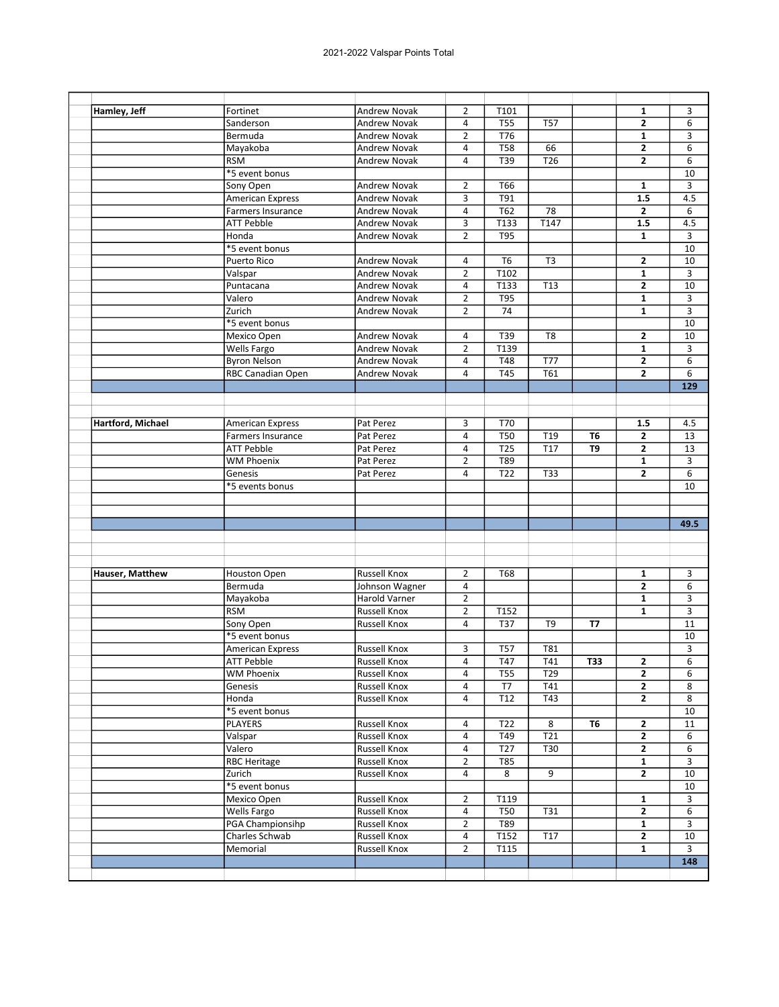| Hamley, Jeff      | Fortinet                 | Andrew Novak        | $\overline{2}$ | T101             |                  |           | 1                       | 3                         |
|-------------------|--------------------------|---------------------|----------------|------------------|------------------|-----------|-------------------------|---------------------------|
|                   | Sanderson                | <b>Andrew Novak</b> | 4              | <b>T55</b>       | <b>T57</b>       |           | $\mathbf{2}$            | 6                         |
|                   | Bermuda                  | <b>Andrew Novak</b> | $\overline{2}$ | T76              |                  |           | $\mathbf{1}$            | 3                         |
|                   | Mayakoba                 | <b>Andrew Novak</b> | 4              | T58              | 66               |           | $\mathbf{2}$            | 6                         |
|                   | <b>RSM</b>               | <b>Andrew Novak</b> | 4              | T39              | T <sub>26</sub>  |           | 2                       | 6                         |
|                   | *5 event bonus           |                     |                |                  |                  |           |                         | 10                        |
|                   | Sony Open                | <b>Andrew Novak</b> | $\overline{2}$ | T66              |                  |           | $\mathbf{1}$            | 3                         |
|                   | <b>American Express</b>  | <b>Andrew Novak</b> | 3              | T91              |                  |           | 1.5                     | 4.5                       |
|                   | <b>Farmers Insurance</b> | <b>Andrew Novak</b> | $\overline{4}$ | T62              | 78               |           | $\overline{2}$          | 6                         |
|                   |                          |                     |                |                  |                  |           |                         |                           |
|                   | <b>ATT Pebble</b>        | Andrew Novak        | 3              | T133             | T147             |           | 1.5                     | 4.5                       |
|                   | Honda                    | <b>Andrew Novak</b> | $\overline{2}$ | <b>T95</b>       |                  |           | $\mathbf{1}$            | 3                         |
|                   | *5 event bonus           |                     |                |                  |                  |           |                         | 10                        |
|                   | <b>Puerto Rico</b>       | <b>Andrew Novak</b> | 4              | T <sub>6</sub>   | T <sub>3</sub>   |           | $\mathbf{2}$            | 10                        |
|                   | Valspar                  | <b>Andrew Novak</b> | $\overline{2}$ | T <sub>102</sub> |                  |           | $\mathbf{1}$            | 3                         |
|                   | Puntacana                | <b>Andrew Novak</b> | $\overline{a}$ | T133             | T <sub>13</sub>  |           | $\overline{2}$          | 10                        |
|                   | Valero                   | <b>Andrew Novak</b> | $\overline{2}$ | <b>T95</b>       |                  |           | 1                       | 3                         |
|                   | Zurich                   | <b>Andrew Novak</b> | $\overline{2}$ | 74               |                  |           | $\mathbf{1}$            | 3                         |
|                   | *5 event bonus           |                     |                |                  |                  |           |                         | 10                        |
|                   | Mexico Open              | <b>Andrew Novak</b> | 4              | T39              | T8               |           | 2                       | 10                        |
|                   | Wells Fargo              | <b>Andrew Novak</b> | $\overline{2}$ | T139             |                  |           | $\mathbf{1}$            | 3                         |
|                   | <b>Byron Nelson</b>      | <b>Andrew Novak</b> | $\overline{a}$ | T48              | <b>T77</b>       |           | $\mathbf{2}$            | 6                         |
|                   | RBC Canadian Open        | <b>Andrew Novak</b> | 4              | T45              | $\overline{161}$ |           | $\overline{2}$          | 6                         |
|                   |                          |                     |                |                  |                  |           |                         | 129                       |
|                   |                          |                     |                |                  |                  |           |                         |                           |
|                   |                          |                     |                |                  |                  |           |                         |                           |
| Hartford, Michael | <b>American Express</b>  | Pat Perez           | 3              | T70              |                  |           | 1.5                     | 4.5                       |
|                   | <b>Farmers Insurance</b> | Pat Perez           | 4              | <b>T50</b>       | T19              | T6        | $\mathbf{2}$            | 13                        |
|                   | <b>ATT Pebble</b>        | Pat Perez           | $\overline{a}$ | T <sub>25</sub>  | T17              | T9        | $\mathbf{2}$            | 13                        |
|                   | <b>WM Phoenix</b>        | Pat Perez           | $\overline{2}$ | T89              |                  |           | $\mathbf{1}$            | 3                         |
|                   |                          |                     |                |                  |                  |           |                         |                           |
|                   |                          |                     |                |                  |                  |           |                         |                           |
|                   | Genesis                  | Pat Perez           | $\overline{a}$ | T <sub>22</sub>  | <b>T33</b>       |           | $\mathbf{2}$            | 6                         |
|                   | *5 events bonus          |                     |                |                  |                  |           |                         | 10                        |
|                   |                          |                     |                |                  |                  |           |                         |                           |
|                   |                          |                     |                |                  |                  |           |                         |                           |
|                   |                          |                     |                |                  |                  |           |                         |                           |
|                   |                          |                     |                |                  |                  |           |                         |                           |
|                   |                          |                     |                |                  |                  |           |                         |                           |
|                   | <b>Houston Open</b>      | <b>Russell Knox</b> | $\overline{2}$ | <b>T68</b>       |                  |           | 1                       | 3                         |
|                   | Bermuda                  | Johnson Wagner      | 4              |                  |                  |           | $\overline{2}$          | 6                         |
|                   | Mayakoba                 | Harold Varner       | $\overline{2}$ |                  |                  |           | 1                       | 3                         |
|                   | <b>RSM</b>               | <b>Russell Knox</b> | $\overline{2}$ | T152             |                  |           | 1                       | 3                         |
|                   | Sony Open                | <b>Russell Knox</b> | 4              | <b>T37</b>       | T <sub>9</sub>   | <b>T7</b> |                         | 11                        |
|                   | *5 event bonus           |                     |                |                  |                  |           |                         | 10                        |
|                   | <b>American Express</b>  | Russell Knox        | 3              | T57              | T81              |           |                         | 3                         |
|                   | <b>ATT Pebble</b>        | <b>Russell Knox</b> | $\pmb{4}$      | $\overline{T47}$ | T41              | T33       |                         | $\overline{6}$            |
|                   |                          | Russell Knox        | 4              | <b>T55</b>       | T29              |           | 2<br>$\mathbf{2}$       | 6                         |
|                   | <b>WM Phoenix</b>        |                     | 4              | T7               | T41              |           | $\mathbf{2}$            | 8                         |
| Hauser, Matthew   | Genesis                  | <b>Russell Knox</b> |                |                  |                  |           |                         |                           |
|                   | Honda                    | <b>Russell Knox</b> | 4              | T <sub>12</sub>  | T43              |           | $\overline{\mathbf{2}}$ | 8                         |
|                   | *5 event bonus           |                     |                |                  |                  |           |                         |                           |
|                   | PLAYERS                  | <b>Russell Knox</b> | 4              | T22              | 8                | T6        | $\mathbf{2}$            |                           |
|                   | Valspar                  | <b>Russell Knox</b> | 4              | T49              | T21              |           | $\mathbf{2}$            | 6                         |
|                   | Valero                   | Russell Knox        | 4              | T27              | <b>T30</b>       |           | $\mathbf{2}$            | 6                         |
|                   | <b>RBC Heritage</b>      | Russell Knox        | $\overline{2}$ | <b>T85</b>       |                  |           | $\mathbf{1}$            | 3                         |
|                   | Zurich                   | <b>Russell Knox</b> | 4              | 8                | $\overline{9}$   |           | $\mathbf{2}$            |                           |
|                   | *5 event bonus           |                     |                |                  |                  |           |                         |                           |
|                   | Mexico Open              | Russell Knox        | $\overline{2}$ | T119             |                  |           | $\mathbf{1}$            | 3                         |
|                   | Wells Fargo              | Russell Knox        | $\overline{4}$ | <b>T50</b>       | <b>T31</b>       |           | $\overline{2}$          | 10<br>11<br>10<br>10<br>6 |
|                   | PGA Championsihp         | Russell Knox        | $\overline{2}$ | T89              |                  |           | $\mathbf{1}$            | 3                         |
|                   | Charles Schwab           | Russell Knox        | $\overline{a}$ | T152             | T17              |           | $\mathbf{2}$            | 10                        |
|                   | Memorial                 | Russell Knox        | $\overline{2}$ | T115             |                  |           | 1                       | 49.5<br>3                 |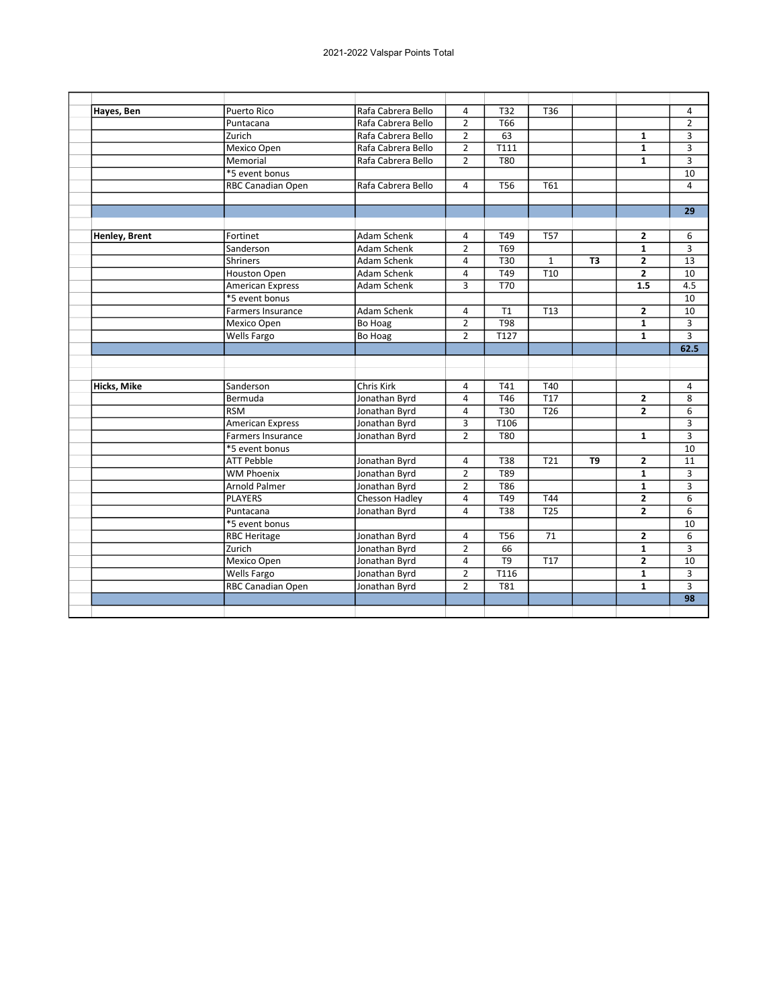| Hayes, Ben    | Puerto Rico              | Rafa Cabrera Bello | $\overline{4}$ | T32              | T <sub>36</sub>  |                |                | 4              |
|---------------|--------------------------|--------------------|----------------|------------------|------------------|----------------|----------------|----------------|
|               | Puntacana                | Rafa Cabrera Bello | $\overline{2}$ | T <sub>66</sub>  |                  |                |                | $\overline{2}$ |
|               | Zurich                   | Rafa Cabrera Bello | $\overline{2}$ | 63               |                  |                | 1              | 3              |
|               | Mexico Open              | Rafa Cabrera Bello | $\overline{2}$ | T111             |                  |                | $\mathbf{1}$   | 3              |
|               | Memorial                 | Rafa Cabrera Bello | $\overline{2}$ | T80              |                  |                | $\mathbf{1}$   | 3              |
|               | *5 event bonus           |                    |                |                  |                  |                |                | 10             |
|               | RBC Canadian Open        | Rafa Cabrera Bello | 4              | T <sub>56</sub>  | T61              |                |                | $\overline{4}$ |
|               |                          |                    |                |                  |                  |                |                |                |
|               |                          |                    |                |                  |                  |                |                | 29             |
|               |                          |                    |                |                  |                  |                |                |                |
| Henley, Brent | Fortinet                 | Adam Schenk        | 4              | T49              | <b>T57</b>       |                | $\overline{2}$ | 6              |
|               | Sanderson                | Adam Schenk        | $\overline{2}$ | T69              |                  |                | $\mathbf{1}$   | 3              |
|               | <b>Shriners</b>          | Adam Schenk        | $\overline{4}$ | <b>T30</b>       | $\mathbf{1}$     | T3             | $\overline{2}$ | 13             |
|               | <b>Houston Open</b>      | Adam Schenk        | $\overline{a}$ | T49              | $\overline{110}$ |                | $\overline{2}$ | 10             |
|               | <b>American Express</b>  | Adam Schenk        | 3              | T70              |                  |                | 1.5            | 4.5            |
|               | *5 event bonus           |                    |                |                  |                  |                |                | 10             |
|               | <b>Farmers Insurance</b> | Adam Schenk        | $\overline{4}$ | T1               | T <sub>13</sub>  |                | $\overline{2}$ | 10             |
|               | Mexico Open              | Bo Hoag            | $\overline{2}$ | <b>T98</b>       |                  |                | $\mathbf{1}$   | 3              |
|               | Wells Fargo              | Bo Hoag            | $\overline{2}$ | T127             |                  |                | $\mathbf{1}$   | $\overline{3}$ |
|               |                          |                    |                |                  |                  |                |                | 62.5           |
|               |                          |                    |                |                  |                  |                |                |                |
|               |                          |                    |                |                  |                  |                |                |                |
| Hicks, Mike   | Sanderson                | Chris Kirk         | 4              | T41              | T40              |                |                | 4              |
|               | Bermuda                  | Jonathan Byrd      | $\overline{4}$ | T46              | T17              |                | $\overline{2}$ | 8              |
|               | <b>RSM</b>               | Jonathan Byrd      | 4              | T30              | T <sub>26</sub>  |                | $\overline{2}$ | 6              |
|               | <b>American Express</b>  | Jonathan Byrd      | 3              | T106             |                  |                |                | 3              |
|               | Farmers Insurance        | Jonathan Byrd      | $\overline{2}$ | <b>T80</b>       |                  |                | $\mathbf{1}$   | 3              |
|               | *5 event bonus           |                    |                |                  |                  |                |                | 10             |
|               | <b>ATT Pebble</b>        | Jonathan Byrd      | 4              | <b>T38</b>       | $\overline{721}$ | T <sub>9</sub> | $\mathbf{2}$   | 11             |
|               | <b>WM Phoenix</b>        | Jonathan Byrd      | $\overline{2}$ | T <sub>89</sub>  |                  |                | $\mathbf{1}$   | 3              |
|               | <b>Arnold Palmer</b>     | Jonathan Byrd      | $\overline{2}$ | T86              |                  |                | $\mathbf{1}$   | 3              |
|               | <b>PLAYERS</b>           | Chesson Hadley     | $\overline{4}$ | T49              | T44              |                | $\overline{2}$ | $\overline{6}$ |
|               | Puntacana                | Jonathan Byrd      | 4              | <b>T38</b>       | T <sub>25</sub>  |                | $\overline{2}$ | 6              |
|               | *5 event bonus           |                    |                |                  |                  |                |                | 10             |
|               | <b>RBC Heritage</b>      | Jonathan Byrd      | 4              | T56              | 71               |                | $\overline{2}$ | 6              |
|               | Zurich                   | Jonathan Byrd      | $\overline{2}$ | 66               |                  |                | $\mathbf{1}$   | 3              |
|               | Mexico Open              | Jonathan Byrd      | $\overline{4}$ | T9               | <b>T17</b>       |                | $\overline{2}$ | 10             |
|               | Wells Fargo              | Jonathan Byrd      | $\overline{2}$ | T116             |                  |                | $\mathbf{1}$   | 3              |
|               | <b>RBC Canadian Open</b> | Jonathan Byrd      | $\overline{2}$ | $\overline{781}$ |                  |                | $\mathbf{1}$   | 3              |
|               |                          |                    |                |                  |                  |                |                | 98             |
|               |                          |                    |                |                  |                  |                |                |                |
|               |                          |                    |                |                  |                  |                |                |                |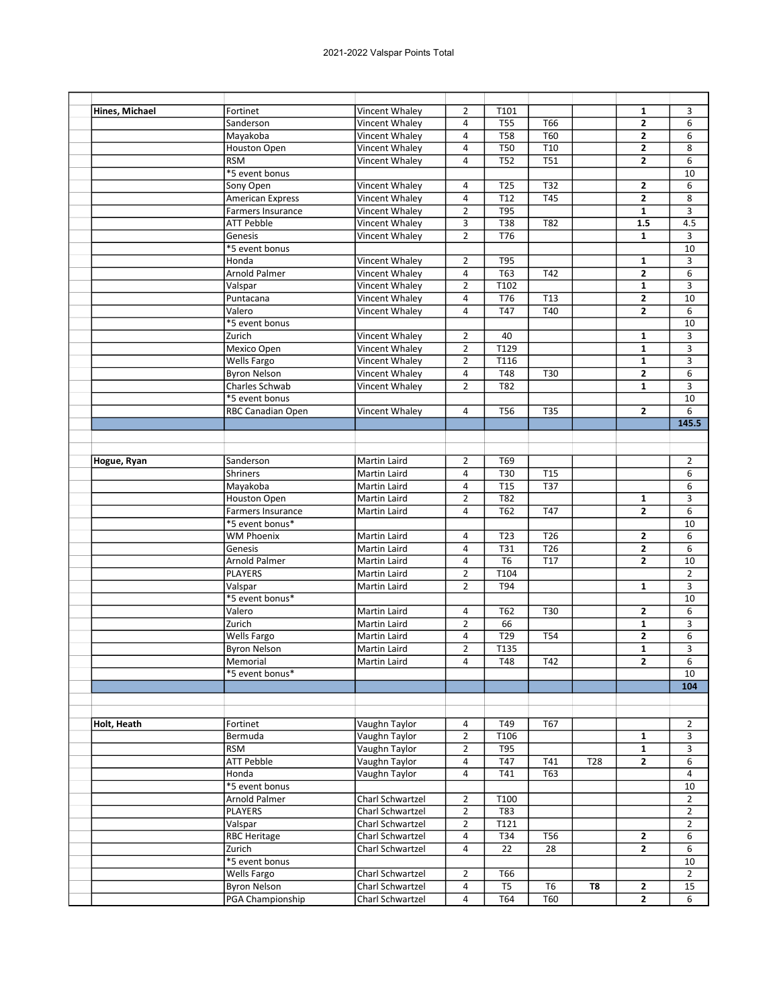| Hines, Michael | Fortinet                 | Vincent Whaley      | $\overline{2}$          | T101             |                  |                 | 1              | 3              |
|----------------|--------------------------|---------------------|-------------------------|------------------|------------------|-----------------|----------------|----------------|
|                | Sanderson                | Vincent Whaley      | 4                       | <b>T55</b>       | T66              |                 | 2              | 6              |
|                | Mayakoba                 | Vincent Whaley      | $\overline{a}$          | <b>T58</b>       | <b>T60</b>       |                 | 2              | 6              |
|                | <b>Houston Open</b>      | Vincent Whaley      | $\overline{4}$          | T50              | T <sub>10</sub>  |                 | $\mathbf{2}$   | 8              |
|                | <b>RSM</b>               | Vincent Whaley      | 4                       | T52              | $\overline{751}$ |                 | $\overline{2}$ | 6              |
|                | *5 event bonus           |                     |                         |                  |                  |                 |                | 10             |
|                | Sony Open                | Vincent Whaley      | $\overline{4}$          | T <sub>25</sub>  | T32              |                 | $\overline{2}$ | 6              |
|                | <b>American Express</b>  | Vincent Whaley      | $\overline{a}$          | T <sub>12</sub>  | <b>T45</b>       |                 | $\overline{2}$ | 8              |
|                | <b>Farmers Insurance</b> | Vincent Whaley      | $\overline{2}$          | T95              |                  |                 | $\mathbf{1}$   | 3              |
|                | <b>ATT Pebble</b>        | Vincent Whaley      | 3                       | <b>T38</b>       | T82              |                 | 1.5            | 4.5            |
|                | Genesis                  | Vincent Whaley      | $\overline{2}$          | T76              |                  |                 | $\mathbf{1}$   | 3              |
|                | *5 event bonus           |                     |                         |                  |                  |                 |                | 10             |
|                |                          |                     |                         |                  |                  |                 |                |                |
|                | Honda                    | Vincent Whaley      | $\overline{2}$          | <b>T95</b>       |                  |                 | 1              | 3              |
|                | Arnold Palmer            | Vincent Whaley      | $\overline{\mathbf{4}}$ | T63              | T42              |                 | $\overline{2}$ | 6              |
|                | Valspar                  | Vincent Whaley      | $\overline{2}$          | T102             |                  |                 | $\mathbf{1}$   | 3              |
|                | Puntacana                | Vincent Whaley      | $\overline{a}$          | T76              | T <sub>13</sub>  |                 | $\mathbf{2}$   | 10             |
|                | Valero                   | Vincent Whaley      | $\overline{4}$          | <b>T47</b>       | T40              |                 | $\overline{2}$ | 6              |
|                | *5 event bonus           |                     |                         |                  |                  |                 |                | 10             |
|                | Zurich                   | Vincent Whaley      | 2                       | 40               |                  |                 | 1              | 3              |
|                | Mexico Open              | Vincent Whaley      | $\overline{2}$          | T129             |                  |                 | $\mathbf{1}$   | 3              |
|                | <b>Wells Fargo</b>       | Vincent Whaley      | $\overline{2}$          | T116             |                  |                 | 1              | 3              |
|                | <b>Byron Nelson</b>      | Vincent Whaley      | 4                       | T48              | T30              |                 | $\overline{2}$ | 6              |
|                | Charles Schwab           | Vincent Whaley      | $\overline{2}$          | T82              |                  |                 | $\mathbf{1}$   | 3              |
|                | *5 event bonus           |                     |                         |                  |                  |                 |                | 10             |
|                | RBC Canadian Open        | Vincent Whaley      | 4                       | <b>T56</b>       | T35              |                 | $\overline{2}$ | 6              |
|                |                          |                     |                         |                  |                  |                 |                | 145.5          |
|                |                          |                     |                         |                  |                  |                 |                |                |
|                |                          |                     |                         |                  |                  |                 |                |                |
| Hogue, Ryan    | Sanderson                | Martin Laird        | $\overline{2}$          | T69              |                  |                 |                | $\overline{2}$ |
|                | <b>Shriners</b>          | Martin Laird        | $\overline{a}$          | T30              | <b>T15</b>       |                 |                | 6              |
|                | Mayakoba                 | Martin Laird        | $\overline{4}$          | T <sub>15</sub>  | <b>T37</b>       |                 |                | 6              |
|                |                          | Martin Laird        | $\overline{2}$          | <b>T82</b>       |                  |                 | $\mathbf{1}$   | 3              |
|                | Houston Open             |                     | 4                       | T62              | <b>T47</b>       |                 | $\overline{2}$ |                |
|                | <b>Farmers Insurance</b> | Martin Laird        |                         |                  |                  |                 |                | 6              |
|                | *5 event bonus*          |                     |                         |                  |                  |                 |                | 10             |
|                | <b>WM Phoenix</b>        | Martin Laird        | 4                       | T <sub>23</sub>  | T <sub>26</sub>  |                 | 2              | 6              |
|                | Genesis                  | Martin Laird        | 4                       | T31              | T <sub>26</sub>  |                 | $\overline{2}$ | 6              |
|                | Arnold Palmer            | Martin Laird        | $\overline{a}$          | T <sub>6</sub>   | T17              |                 | $\overline{2}$ | 10             |
|                | <b>PLAYERS</b>           | Martin Laird        | $\overline{2}$          | T104             |                  |                 |                | $\overline{2}$ |
|                | Valspar                  | Martin Laird        | $\overline{2}$          | T94              |                  |                 | $\mathbf{1}$   | 3              |
|                | *5 event bonus*          |                     |                         |                  |                  |                 |                | 10             |
|                | Valero                   | Martin Laird        | 4                       | T62              | T30              |                 | 2              | 6              |
|                | Zurich                   | <b>Martin Laird</b> | $\overline{2}$          | 66               |                  |                 | $\mathbf{1}$   | 3              |
|                | Wells Fargo              | <b>Martin Laird</b> | 4                       | T29              | T54              |                 | $\overline{2}$ | 6              |
|                | <b>Byron Nelson</b>      | Martin Laird        | $\overline{2}$          | T135             |                  |                 | 1              | 3              |
|                | Memorial                 | <b>Martin Laird</b> | 4                       | $\overline{748}$ | T42              |                 | $\overline{2}$ | $\overline{6}$ |
|                | *5 event bonus*          |                     |                         |                  |                  |                 |                | 10             |
|                |                          |                     |                         |                  |                  |                 |                | 104            |
|                |                          |                     |                         |                  |                  |                 |                |                |
|                |                          |                     |                         |                  |                  |                 |                |                |
| Holt, Heath    | Fortinet                 | Vaughn Taylor       | 4                       | T49              | T67              |                 |                | 2              |
|                | Bermuda                  | Vaughn Taylor       | $\overline{2}$          | T106             |                  |                 | 1              | 3              |
|                |                          |                     |                         |                  |                  |                 |                |                |
|                | <b>RSM</b>               | Vaughn Taylor       | $\overline{2}$          | T95              |                  |                 | $\mathbf{1}$   | 3              |
|                | <b>ATT Pebble</b>        | Vaughn Taylor       | $\overline{\mathbf{4}}$ | T47              | T41              | T <sub>28</sub> | $\mathbf{2}$   | 6              |
|                | Honda                    | Vaughn Taylor       | 4                       | T41              | T63              |                 |                | 4              |
|                | *5 event bonus           |                     |                         |                  |                  |                 |                | 10             |
|                | Arnold Palmer            | Charl Schwartzel    | $\overline{2}$          | T100             |                  |                 |                | $\overline{2}$ |
|                | <b>PLAYERS</b>           | Charl Schwartzel    | $\mathbf{2}$            | T83              |                  |                 |                | $\overline{2}$ |
|                | Valspar                  | Charl Schwartzel    | $\overline{2}$          | T121             |                  |                 |                | 2              |
|                | <b>RBC Heritage</b>      | Charl Schwartzel    | 4                       | T34              | T56              |                 | $\mathbf{2}$   | 6              |
|                | Zurich                   | Charl Schwartzel    | 4                       | 22               | 28               |                 | 2              | 6              |
|                | *5 event bonus           |                     |                         |                  |                  |                 |                | 10             |
|                | <b>Wells Fargo</b>       | Charl Schwartzel    | $\overline{2}$          | T66              |                  |                 |                | 2              |
|                | <b>Byron Nelson</b>      | Charl Schwartzel    | 4                       | T <sub>5</sub>   | T <sub>6</sub>   | T8              | $\mathbf{2}$   | 15             |
|                | PGA Championship         | Charl Schwartzel    | 4                       | T64              | T60              |                 | $\overline{2}$ | 6              |
|                |                          |                     |                         |                  |                  |                 |                |                |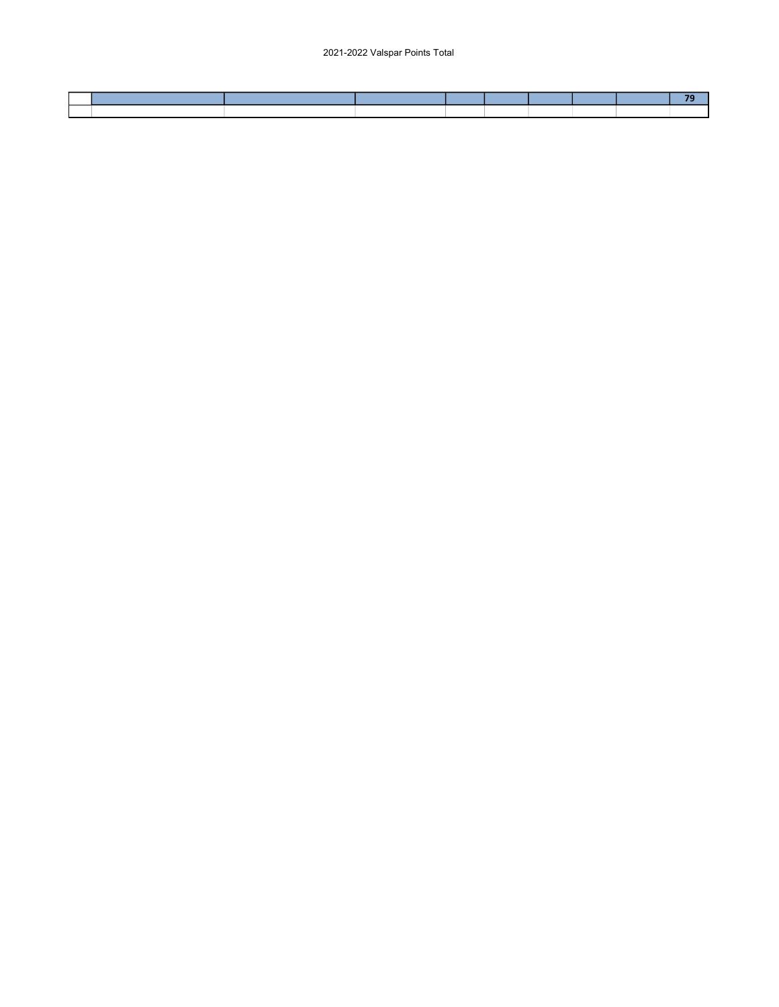2021-2022 Valspar Points Total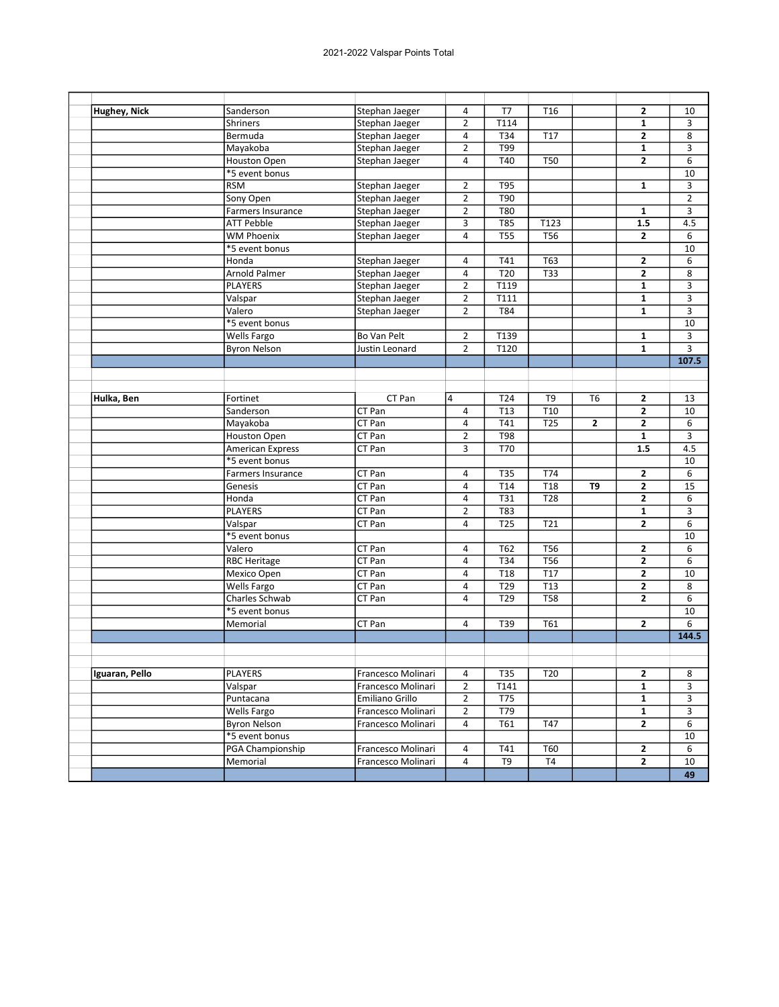| Hughey, Nick   | Sanderson            | Stephan Jaeger     | 4                       | T7              | T <sub>16</sub>  |              | 2                       | 10             |
|----------------|----------------------|--------------------|-------------------------|-----------------|------------------|--------------|-------------------------|----------------|
|                | <b>Shriners</b>      | Stephan Jaeger     | $\overline{2}$          | T114            |                  |              | $\mathbf{1}$            | 3              |
|                | Bermuda              | Stephan Jaeger     | $\overline{\mathbf{4}}$ | T34             | T17              |              | $\overline{2}$          | 8              |
|                | Mayakoba             | Stephan Jaeger     | $\overline{2}$          | T99             |                  |              | 1                       | 3              |
|                | Houston Open         | Stephan Jaeger     | 4                       | T40             | T50              |              | $\overline{2}$          | 6              |
|                | *5 event bonus       |                    |                         |                 |                  |              |                         | 10             |
|                | <b>RSM</b>           | Stephan Jaeger     | $\overline{2}$          | <b>T95</b>      |                  |              | $\mathbf{1}$            | 3              |
|                | Sony Open            | Stephan Jaeger     | $\overline{2}$          | T90             |                  |              |                         | $\overline{2}$ |
|                | Farmers Insurance    | Stephan Jaeger     | $\overline{2}$          | <b>T80</b>      |                  |              | $\mathbf{1}$            | 3              |
|                | <b>ATT Pebble</b>    | Stephan Jaeger     | 3                       | <b>T85</b>      | T123             |              | 1.5                     | 4.5            |
|                | <b>WM Phoenix</b>    | Stephan Jaeger     | $\overline{4}$          | <b>T55</b>      | <b>T56</b>       |              | $\overline{2}$          | 6              |
|                | *5 event bonus       |                    |                         |                 |                  |              |                         | 10             |
|                | Honda                | Stephan Jaeger     | 4                       | T41             | T63              |              | 2                       | 6              |
|                | <b>Arnold Palmer</b> | Stephan Jaeger     | $\overline{4}$          | T <sub>20</sub> | T33              |              | $\overline{2}$          | 8              |
|                | <b>PLAYERS</b>       | Stephan Jaeger     | $\overline{2}$          | T119            |                  |              | $\mathbf{1}$            | 3              |
|                | Valspar              | Stephan Jaeger     | $\overline{2}$          | T111            |                  |              | $\mathbf{1}$            | 3              |
|                | Valero               | Stephan Jaeger     | $\overline{2}$          | <b>T84</b>      |                  |              | $\mathbf{1}$            | 3              |
|                | *5 event bonus       |                    |                         |                 |                  |              |                         | 10             |
|                | Wells Fargo          | Bo Van Pelt        | $\overline{2}$          | T139            |                  |              | $\mathbf{1}$            | 3              |
|                | <b>Byron Nelson</b>  | Justin Leonard     | $\overline{2}$          | T120            |                  |              | 1                       | 3              |
|                |                      |                    |                         |                 |                  |              |                         | 107.5          |
|                |                      |                    |                         |                 |                  |              |                         |                |
| Hulka, Ben     | Fortinet             | CT Pan             | 4                       | T24             | T <sub>9</sub>   | T6           | $\mathbf{2}$            | 13             |
|                | Sanderson            | CT Pan             | $\overline{4}$          | T <sub>13</sub> | T <sub>10</sub>  |              | $\overline{2}$          | 10             |
|                | Mayakoba             | CT Pan             | 4                       | T41             | $\overline{T25}$ | $\mathbf{2}$ | $\overline{\mathbf{c}}$ | 6              |
|                | <b>Houston Open</b>  | CT Pan             | $\overline{2}$          | <b>T98</b>      |                  |              | $\mathbf{1}$            | 3              |
|                | American Express     | CT Pan             | 3                       | <b>T70</b>      |                  |              | 1.5                     | 4.5            |
|                | *5 event bonus       |                    |                         |                 |                  |              |                         | 10             |
|                | Farmers Insurance    | CT Pan             | $\overline{4}$          | <b>T35</b>      | T74              |              | $\overline{2}$          | 6              |
|                | Genesis              | CT Pan             | 4                       | T14             | T <sub>18</sub>  | T9           | $\overline{2}$          | 15             |
|                | Honda                | CT Pan             | 4                       | <b>T31</b>      | T <sub>28</sub>  |              | $\overline{2}$          | 6              |
|                | <b>PLAYERS</b>       | CT Pan             | $\overline{2}$          | T83             |                  |              | $\mathbf{1}$            | 3              |
|                | Valspar              | CT Pan             | $\overline{4}$          | <b>T25</b>      | T21              |              | $\overline{2}$          | 6              |
|                | *5 event bonus       |                    |                         |                 |                  |              |                         | 10             |
|                | Valero               | CT Pan             | $\overline{4}$          | T62             | T56              |              | $\mathbf{2}$            | 6              |
|                | <b>RBC Heritage</b>  | CT Pan             | $\overline{4}$          | T34             | <b>T56</b>       |              | $\mathbf{2}$            | 6              |
|                | Mexico Open          | CT Pan             | 4                       | T <sub>18</sub> | T17              |              | 2                       | 10             |
|                | Wells Fargo          | CT Pan             | 4                       | T29             | $\overline{113}$ |              | $\overline{2}$          | 8              |
|                | Charles Schwab       | CT Pan             | 4                       | T29             | <b>T58</b>       |              | $\overline{2}$          | 6              |
|                | *5 event bonus       |                    |                         |                 |                  |              |                         | 10             |
|                | Memorial             | CT Pan             | 4                       | T39             | T61              |              | $\mathbf{2}$            | 6              |
|                |                      |                    |                         |                 |                  |              |                         | 144.5          |
|                |                      |                    |                         |                 |                  |              |                         |                |
| Iguaran, Pello | <b>PLAYERS</b>       | Francesco Molinari | 4                       | T35             | T20              |              | 2                       | 8              |
|                | Valspar              | Francesco Molinari | $\overline{2}$          | T141            |                  |              | 1                       | 3              |
|                | Puntacana            | Emiliano Grillo    | $\overline{2}$          | T75             |                  |              | $\mathbf{1}$            | 3              |
|                | Wells Fargo          | Francesco Molinari | $\overline{2}$          | T79             |                  |              | $\mathbf{1}$            | 3              |
|                | <b>Byron Nelson</b>  | Francesco Molinari | $\overline{4}$          | T61             | T47              |              | $\overline{2}$          | 6              |
|                | *5 event bonus       |                    |                         |                 |                  |              |                         | 10             |
|                | PGA Championship     | Francesco Molinari | $\overline{a}$          | T41             | T60              |              | $\mathbf 2$             | 6              |
|                | Memorial             | Francesco Molinari | 4                       | T <sub>9</sub>  | <b>T4</b>        |              | $\mathbf{2}$            | 10             |
|                |                      |                    |                         |                 |                  |              |                         | 49             |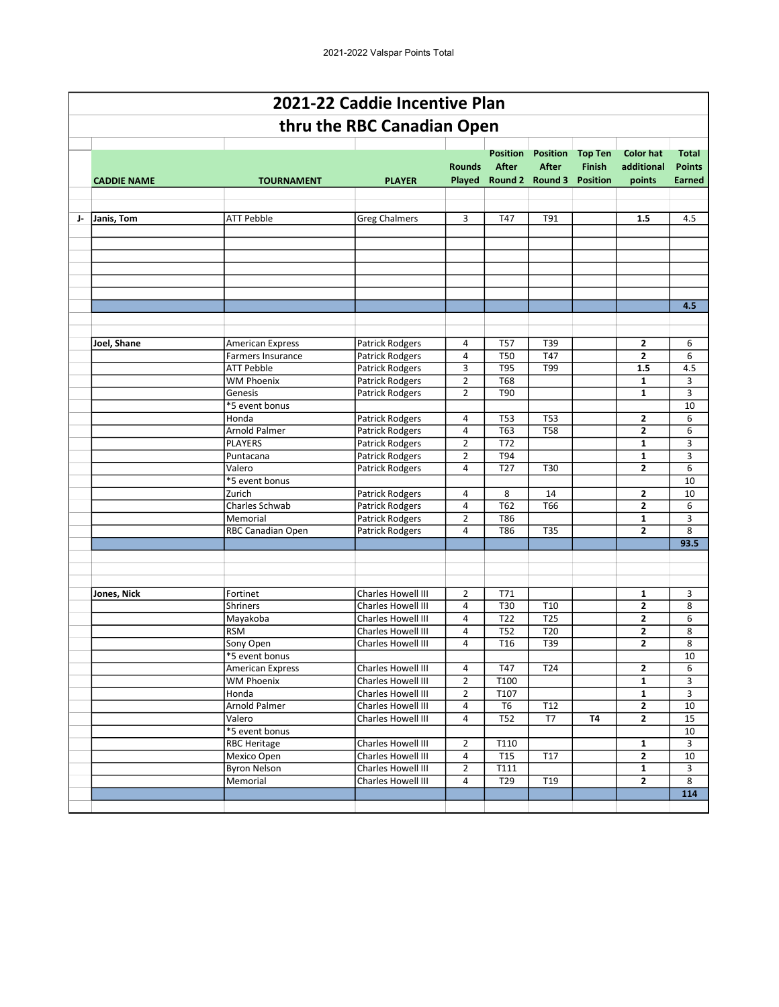|    | 2021-22 Caddie Incentive Plan |                               |                                           |                                  |                                 |                                                                    |                                 |                                          |                                                |  |  |  |  |
|----|-------------------------------|-------------------------------|-------------------------------------------|----------------------------------|---------------------------------|--------------------------------------------------------------------|---------------------------------|------------------------------------------|------------------------------------------------|--|--|--|--|
|    |                               |                               | thru the RBC Canadian Open                |                                  |                                 |                                                                    |                                 |                                          |                                                |  |  |  |  |
|    | <b>CADDIE NAME</b>            | <b>TOURNAMENT</b>             | <b>PLAYER</b>                             | <b>Rounds</b>                    | <b>Position</b><br><b>After</b> | <b>Position</b><br><b>After</b><br>Played Round 2 Round 3 Position | <b>Top Ten</b><br><b>Finish</b> | <b>Color hat</b><br>additional<br>points | <b>Total</b><br><b>Points</b><br><b>Earned</b> |  |  |  |  |
|    |                               |                               |                                           |                                  |                                 |                                                                    |                                 |                                          |                                                |  |  |  |  |
| J- | Janis, Tom                    | <b>ATT Pebble</b>             | <b>Greg Chalmers</b>                      | 3                                | T47                             | T91                                                                |                                 | 1.5                                      | 4.5                                            |  |  |  |  |
|    |                               |                               |                                           |                                  |                                 |                                                                    |                                 |                                          |                                                |  |  |  |  |
|    |                               |                               |                                           |                                  |                                 |                                                                    |                                 |                                          | 4.5                                            |  |  |  |  |
|    |                               |                               |                                           |                                  |                                 |                                                                    |                                 |                                          |                                                |  |  |  |  |
|    | Joel, Shane                   | <b>American Express</b>       | Patrick Rodgers                           | 4                                | T <sub>57</sub>                 | T39                                                                |                                 | 2                                        | 6                                              |  |  |  |  |
|    |                               | Farmers Insurance             | <b>Patrick Rodgers</b>                    | 4                                | <b>T50</b>                      | T47                                                                |                                 | $\overline{2}$                           | 6                                              |  |  |  |  |
|    |                               | <b>ATT Pebble</b>             | <b>Patrick Rodgers</b>                    | 3                                | <b>T95</b>                      | T99                                                                |                                 | 1.5                                      | 4.5                                            |  |  |  |  |
|    |                               | <b>WM Phoenix</b>             | <b>Patrick Rodgers</b>                    | $\overline{2}$                   | <b>T68</b>                      |                                                                    |                                 | 1                                        | 3                                              |  |  |  |  |
|    |                               | Genesis                       | <b>Patrick Rodgers</b>                    | $\overline{2}$                   | T90                             |                                                                    |                                 | $\mathbf{1}$                             | 3                                              |  |  |  |  |
|    |                               | *5 event bonus                |                                           |                                  |                                 |                                                                    |                                 |                                          | 10                                             |  |  |  |  |
|    |                               | Honda                         | <b>Patrick Rodgers</b>                    | 4                                | <b>T53</b>                      | <b>T53</b>                                                         |                                 | 2                                        | 6                                              |  |  |  |  |
|    |                               | Arnold Palmer                 | <b>Patrick Rodgers</b>                    | 4                                | T63                             | <b>T58</b>                                                         |                                 | 2                                        | 6                                              |  |  |  |  |
|    |                               | <b>PLAYERS</b>                | <b>Patrick Rodgers</b>                    | $\overline{2}$                   | T72                             |                                                                    |                                 | 1                                        | 3                                              |  |  |  |  |
|    |                               | Puntacana                     | <b>Patrick Rodgers</b>                    | $\overline{2}$                   | T94                             |                                                                    |                                 | $\mathbf{1}$                             | 3                                              |  |  |  |  |
|    |                               | Valero                        | <b>Patrick Rodgers</b>                    | 4                                | T <sub>27</sub>                 | T30                                                                |                                 | $\overline{2}$                           | 6                                              |  |  |  |  |
|    |                               | *5 event bonus                |                                           |                                  |                                 |                                                                    |                                 |                                          | 10                                             |  |  |  |  |
|    |                               | Zurich                        | <b>Patrick Rodgers</b>                    | 4                                | 8                               | 14                                                                 |                                 | 2                                        | 10                                             |  |  |  |  |
|    |                               | Charles Schwab                | <b>Patrick Rodgers</b>                    | 4                                | T62<br>T86                      | T66                                                                |                                 | $\mathbf{2}$                             | 6                                              |  |  |  |  |
|    |                               | Memorial<br>RBC Canadian Open | <b>Patrick Rodgers</b><br>Patrick Rodgers | $\overline{2}$<br>4              | <b>T86</b>                      | <b>T35</b>                                                         |                                 | 1<br>$\overline{2}$                      | 3<br>8                                         |  |  |  |  |
|    |                               |                               |                                           |                                  |                                 |                                                                    |                                 |                                          | 93.5                                           |  |  |  |  |
|    |                               |                               |                                           |                                  |                                 |                                                                    |                                 |                                          |                                                |  |  |  |  |
|    | Jones, Nick                   | Fortinet                      | Charles Howell III                        | $\overline{2}$                   | T71                             |                                                                    |                                 | $\mathbf{1}$                             | 3                                              |  |  |  |  |
|    |                               | <b>Shriners</b>               | Charles Howell III                        | 4                                | T30                             | T10                                                                |                                 | 2                                        | 8                                              |  |  |  |  |
|    |                               | Mayakoba                      | Charles Howell III                        | 4                                | T22                             | T25                                                                |                                 | 2                                        | 6                                              |  |  |  |  |
|    |                               | <b>RSM</b>                    | Charles Howell III                        | 4                                | <b>T52</b>                      | T20                                                                |                                 | 2                                        | 8                                              |  |  |  |  |
|    |                               | Sony Open                     | Charles Howell III                        | 4                                | T <sub>16</sub>                 | T39                                                                |                                 | $\overline{2}$                           | 8                                              |  |  |  |  |
|    |                               | *5 event bonus                | Charles Howell III                        |                                  | T47                             |                                                                    |                                 | $\overline{2}$                           | 10                                             |  |  |  |  |
|    |                               | <b>American Express</b>       |                                           | 4                                |                                 | T <sub>24</sub>                                                    |                                 |                                          | 6                                              |  |  |  |  |
|    |                               | <b>WM Phoenix</b><br>Honda    | Charles Howell III<br>Charles Howell III  | $\overline{2}$<br>$\overline{2}$ | T100<br>T107                    |                                                                    |                                 | $\mathbf{1}$<br>$\mathbf{1}$             | 3<br>3                                         |  |  |  |  |
|    |                               | <b>Arnold Palmer</b>          | Charles Howell III                        | 4                                | T <sub>6</sub>                  | T12                                                                |                                 | $\mathbf{2}$                             | 10                                             |  |  |  |  |
|    |                               | Valero                        | Charles Howell III                        | 4                                | <b>T52</b>                      | T7                                                                 | <b>T4</b>                       | $\mathbf{z}$                             | 15                                             |  |  |  |  |
|    |                               | *5 event bonus                |                                           |                                  |                                 |                                                                    |                                 |                                          | 10                                             |  |  |  |  |
|    |                               | <b>RBC Heritage</b>           | Charles Howell III                        | $\overline{2}$                   | T110                            |                                                                    |                                 | 1                                        | 3                                              |  |  |  |  |
|    |                               | Mexico Open                   | Charles Howell III                        | 4                                | T <sub>15</sub>                 | T17                                                                |                                 | $\mathbf{2}$                             | 10                                             |  |  |  |  |
|    |                               | <b>Byron Nelson</b>           | Charles Howell III                        | $\overline{2}$                   | T111                            |                                                                    |                                 | $\mathbf{1}$                             | 3                                              |  |  |  |  |
|    |                               | Memorial                      | Charles Howell III                        | 4                                | T29                             | T19                                                                |                                 | $\overline{2}$                           | 8                                              |  |  |  |  |
|    |                               |                               |                                           |                                  |                                 |                                                                    |                                 |                                          | 114                                            |  |  |  |  |
|    |                               |                               |                                           |                                  |                                 |                                                                    |                                 |                                          |                                                |  |  |  |  |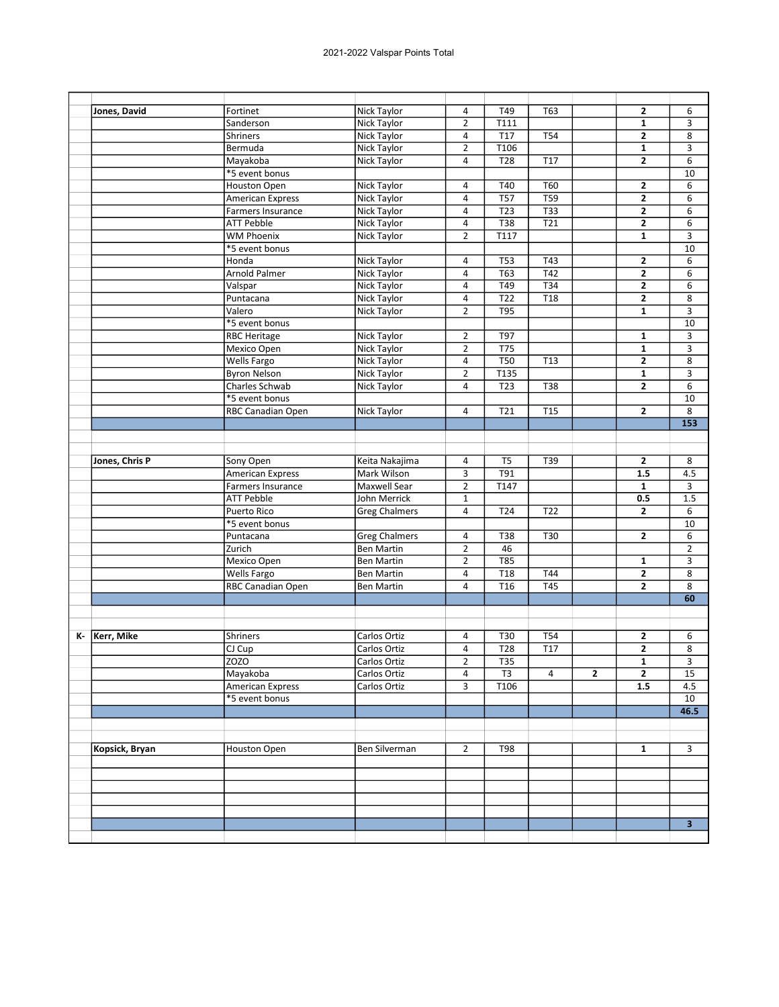|      | Jones, David   | Fortinet                 | Nick Taylor          | 4              | T49              | T63              |              | $\mathbf{z}$            | 6                |
|------|----------------|--------------------------|----------------------|----------------|------------------|------------------|--------------|-------------------------|------------------|
|      |                | Sanderson                | Nick Taylor          | $\overline{2}$ | T111             |                  |              | 1                       | 3                |
|      |                | <b>Shriners</b>          | Nick Taylor          | 4              | T17              | <b>T54</b>       |              | $\overline{2}$          | 8                |
|      |                | Bermuda                  | Nick Taylor          | $\overline{2}$ | T106             |                  |              | $\mathbf{1}$            | 3                |
|      |                | Mayakoba                 | Nick Taylor          | 4              | $\overline{728}$ | T <sub>17</sub>  |              | $\mathbf{2}$            | 6                |
|      |                | *5 event bonus           |                      |                |                  |                  |              |                         | 10               |
|      |                | <b>Houston Open</b>      | <b>Nick Taylor</b>   | 4              | T40              | <b>T60</b>       |              | 2                       | 6                |
|      |                | American Express         | <b>Nick Taylor</b>   | 4              | T57              | T59              |              | $\overline{\mathbf{c}}$ | 6                |
|      |                | Farmers Insurance        | <b>Nick Taylor</b>   | 4              | $\overline{T23}$ | $\overline{T33}$ |              | $\mathbf{z}$            | 6                |
|      |                | <b>ATT Pebble</b>        | <b>Nick Taylor</b>   | $\overline{a}$ | T38              | T21              |              | 2                       | 6                |
|      |                | <b>WM Phoenix</b>        | Nick Taylor          | $\overline{2}$ | T117             |                  |              | $\mathbf{1}$            | 3                |
|      |                | *5 event bonus           |                      |                |                  |                  |              |                         | 10               |
|      |                | Honda                    | Nick Taylor          | 4              | <b>T53</b>       | T43              |              | 2                       | 6                |
|      |                | <b>Arnold Palmer</b>     | Nick Taylor          | $\overline{a}$ | T63              | T42              |              | $\overline{2}$          | 6                |
|      |                | Valspar                  | <b>Nick Taylor</b>   | 4              | T49              | <b>T34</b>       |              | $\overline{\mathbf{c}}$ | 6                |
|      |                | Puntacana                | <b>Nick Taylor</b>   | 4              | T22              | T18              |              | 2                       | 8                |
|      |                | Valero                   | Nick Taylor          | $\overline{2}$ | T95              |                  |              | $\mathbf{1}$            | 3                |
|      |                | *5 event bonus           |                      |                |                  |                  |              |                         | 10               |
|      |                | <b>RBC Heritage</b>      | <b>Nick Taylor</b>   | $\overline{2}$ | T97              |                  |              | 1                       | 3                |
|      |                | Mexico Open              | Nick Taylor          | $\overline{2}$ | T75              |                  |              | 1                       | 3                |
|      |                | Wells Fargo              | <b>Nick Taylor</b>   | 4              | $\overline{T50}$ | T13              |              | 2                       | 8                |
|      |                | <b>Byron Nelson</b>      | Nick Taylor          | $\overline{2}$ | T135             |                  |              | $\mathbf{1}$            | 3                |
|      |                | Charles Schwab           | Nick Taylor          | 4              | T <sub>23</sub>  | <b>T38</b>       |              | $\overline{\mathbf{c}}$ | 6                |
|      |                | *5 event bonus           |                      |                |                  |                  |              |                         | 10               |
|      |                | RBC Canadian Open        | Nick Taylor          | 4              | T21              | <b>T15</b>       |              | $\mathbf{z}$            | 8                |
|      |                |                          |                      |                |                  |                  |              |                         | $\overline{153}$ |
|      |                |                          |                      |                |                  |                  |              |                         |                  |
|      |                |                          |                      |                |                  |                  |              |                         |                  |
|      | Jones, Chris P | Sony Open                | Keita Nakajima       | 4              | $\overline{TS}$  | T39              |              | $\overline{\mathbf{c}}$ | 8                |
|      |                | <b>American Express</b>  | Mark Wilson          | 3              | T91              |                  |              | 1.5                     | 4.5              |
|      |                | Farmers Insurance        | Maxwell Sear         | $\overline{2}$ | T147             |                  |              | $\mathbf{1}$            | 3                |
|      |                | <b>ATT Pebble</b>        | John Merrick         | $\mathbf 1$    |                  |                  |              | 0.5                     | 1.5              |
|      |                | Puerto Rico              | <b>Greg Chalmers</b> | $\overline{4}$ | T <sub>24</sub>  | T22              |              | $\mathbf{2}$            | 6                |
|      |                | *5 event bonus           |                      |                |                  |                  |              |                         | 10               |
|      |                | Puntacana                | <b>Greg Chalmers</b> | 4              | T38              | T30              |              | 2                       | 6                |
|      |                | Zurich                   | <b>Ben Martin</b>    | $\overline{2}$ | 46               |                  |              |                         | $\overline{2}$   |
|      |                | Mexico Open              | <b>Ben Martin</b>    | $\overline{2}$ | T85              |                  |              | 1                       | 3                |
|      |                | Wells Fargo              | <b>Ben Martin</b>    | 4              | T <sub>18</sub>  | T44              |              | 2                       | 8                |
|      |                | <b>RBC Canadian Open</b> | <b>Ben Martin</b>    | 4              | T16              | T45              |              | $\overline{2}$          | 8                |
|      |                |                          |                      |                |                  |                  |              |                         | 60               |
|      |                |                          |                      |                |                  |                  |              |                         |                  |
|      |                |                          |                      |                |                  |                  |              |                         |                  |
| K- I | Kerr, Mike     | Shriners                 | Carlos Ortiz         | 4              | T30              | <b>T54</b>       |              | 2                       | 6                |
|      |                | CJ Cup                   | Carlos Ortiz         | 4              | T28              | T17              |              | $\mathbf{z}$            | 8                |
|      |                | ZOZO                     | Carlos Ortiz         | $\overline{2}$ | $\overline{T35}$ |                  |              | $\mathbf{1}$            | $\overline{3}$   |
|      |                | Mayakoba                 | Carlos Ortiz         | 4              | T <sub>3</sub>   | $\overline{4}$   | $\mathbf{2}$ | $\mathbf{2}$            | 15               |
|      |                | <b>American Express</b>  | Carlos Ortiz         | 3              | T106             |                  |              | 1.5                     | 4.5              |
|      |                | *5 event bonus           |                      |                |                  |                  |              |                         | 10               |
|      |                |                          |                      |                |                  |                  |              |                         | 46.5             |
|      |                |                          |                      |                |                  |                  |              |                         |                  |
|      | Kopsick, Bryan | Houston Open             | Ben Silverman        | $\overline{2}$ | <b>T98</b>       |                  |              | 1                       | 3                |
|      |                |                          |                      |                |                  |                  |              |                         |                  |
|      |                |                          |                      |                |                  |                  |              |                         |                  |
|      |                |                          |                      |                |                  |                  |              |                         |                  |
|      |                |                          |                      |                |                  |                  |              |                         |                  |
|      |                |                          |                      |                |                  |                  |              |                         |                  |
|      |                |                          |                      |                |                  |                  |              |                         | 3 <sup>2</sup>   |
|      |                |                          |                      |                |                  |                  |              |                         |                  |
|      |                |                          |                      |                |                  |                  |              |                         |                  |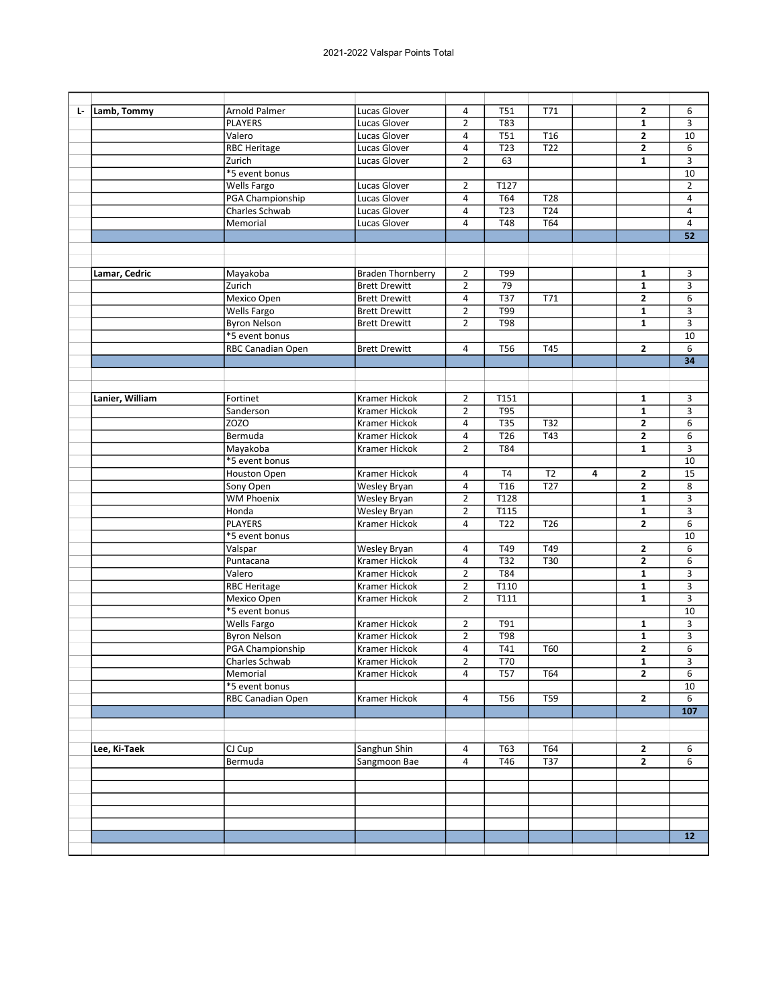| Lamb, Tommy<br>Ŀ. | Arnold Palmer                      | Lucas Glover                          | 4              | <b>T51</b>       | T71              |   | $\mathbf{2}$            | 6              |
|-------------------|------------------------------------|---------------------------------------|----------------|------------------|------------------|---|-------------------------|----------------|
|                   | <b>PLAYERS</b>                     | Lucas Glover                          | $\overline{2}$ | T83              |                  |   | 1                       | 3              |
|                   | Valero                             | Lucas Glover                          | 4              | <b>T51</b>       | T <sub>16</sub>  |   | $\overline{2}$          | 10             |
|                   | <b>RBC Heritage</b>                | Lucas Glover                          | 4              | T23              | $\overline{722}$ |   | $\overline{\mathbf{c}}$ | 6              |
|                   | Zurich                             | Lucas Glover                          | $\overline{2}$ | 63               |                  |   | $\mathbf{1}$            | 3              |
|                   | *5 event bonus                     |                                       |                |                  |                  |   |                         | 10             |
|                   | <b>Wells Fargo</b>                 | Lucas Glover                          | $\overline{2}$ | T127             |                  |   |                         | $\overline{2}$ |
|                   | PGA Championship                   | Lucas Glover                          | $\overline{4}$ | T64              | T <sub>28</sub>  |   |                         | 4              |
|                   | <b>Charles Schwab</b>              | Lucas Glover                          | 4              | $\overline{123}$ | T <sub>24</sub>  |   |                         | $\overline{4}$ |
|                   | Memorial                           | Lucas Glover                          | 4              | T48              | T64              |   |                         | 4              |
|                   |                                    |                                       |                |                  |                  |   |                         | 52             |
|                   |                                    |                                       |                |                  |                  |   |                         |                |
|                   |                                    |                                       |                |                  |                  |   |                         |                |
| Lamar, Cedric     | Mayakoba                           | <b>Braden Thornberry</b>              | $\overline{2}$ | T99              |                  |   | $\mathbf{1}$            | 3              |
|                   | Zurich                             | <b>Brett Drewitt</b>                  | $\overline{2}$ | 79               |                  |   | $\mathbf{1}$            | 3              |
|                   | Mexico Open                        | <b>Brett Drewitt</b>                  | $\overline{a}$ | T37              | T71              |   | $\mathbf{2}$            | 6              |
|                   | <b>Wells Fargo</b>                 | <b>Brett Drewitt</b>                  | $\overline{2}$ | T99              |                  |   | $\mathbf{1}$            | 3              |
|                   | <b>Byron Nelson</b>                | <b>Brett Drewitt</b>                  | $\overline{2}$ | <b>T98</b>       |                  |   | 1                       | 3              |
|                   | *5 event bonus                     |                                       |                |                  |                  |   |                         | 10             |
|                   | RBC Canadian Open                  | <b>Brett Drewitt</b>                  | 4              | <b>T56</b>       | T45              |   | $\mathbf{2}$            | 6              |
|                   |                                    |                                       |                |                  |                  |   |                         | 34             |
|                   |                                    |                                       |                |                  |                  |   |                         |                |
|                   |                                    |                                       |                |                  |                  |   |                         |                |
| Lanier, William   | Fortinet                           | Kramer Hickok                         | 2              | T151             |                  |   | 1                       | 3              |
|                   | Sanderson                          | Kramer Hickok                         | $\overline{2}$ | <b>T95</b>       |                  |   | $\mathbf{1}$            | 3              |
|                   | ZOZO                               | Kramer Hickok                         | 4              | T35              | T32              |   | $\mathbf{2}$            | 6              |
|                   | Bermuda                            | <b>Kramer Hickok</b>                  | 4              | T26              | T43              |   | 2                       | 6              |
|                   | Mayakoba                           | Kramer Hickok                         | $\overline{2}$ | T84              |                  |   | $\mathbf{1}$            | 3              |
|                   | *5 event bonus                     |                                       |                |                  |                  |   |                         | 10             |
|                   | Houston Open                       | Kramer Hickok                         | 4              | T <sub>4</sub>   | T <sub>2</sub>   | 4 | $\overline{2}$          | 15             |
|                   | Sony Open                          | Wesley Bryan                          | $\overline{4}$ | T <sub>16</sub>  | T <sub>27</sub>  |   | $\mathbf{2}$            | 8              |
|                   | <b>WM Phoenix</b>                  | Wesley Bryan                          | $\overline{2}$ | T128             |                  |   | $\mathbf{1}$            | 3              |
|                   | Honda                              | Wesley Bryan                          | $\overline{2}$ | T115             |                  |   | $\mathbf{1}$            | 3              |
|                   | <b>PLAYERS</b>                     | Kramer Hickok                         | 4              | T <sub>22</sub>  | T <sub>26</sub>  |   | $\overline{2}$          | 6              |
|                   | *5 event bonus                     |                                       |                |                  |                  |   |                         | 10             |
|                   | Valspar                            | Wesley Bryan                          | 4              | T49              | T49              |   | $\mathbf{2}$            | 6              |
|                   | Puntacana                          | <b>Kramer Hickok</b>                  | 4              | T32              | T30              |   | $\overline{2}$          | 6              |
|                   | Valero                             | Kramer Hickok                         | $\overline{2}$ | T84              |                  |   | 1                       | 3              |
|                   | <b>RBC Heritage</b>                | <b>Kramer Hickok</b>                  | $\overline{2}$ | T110             |                  |   | $\mathbf{1}$            | 3              |
|                   | Mexico Open                        | Kramer Hickok                         | $\overline{2}$ | T111             |                  |   | $\mathbf{1}$            | 3              |
|                   | *5 event bonus                     |                                       |                |                  |                  |   |                         | 10             |
|                   | <b>Wells Fargo</b>                 | <b>Kramer Hickok</b>                  | $\overline{2}$ | T91              |                  |   | $\mathbf{1}$            | 3              |
|                   | <b>Byron Nelson</b>                | Kramer Hickok                         | $\overline{2}$ | T98              |                  |   | 1                       | 3              |
|                   |                                    |                                       |                |                  | T60              |   |                         |                |
|                   | PGA Championship<br>Charles Schwab | Kramer Hickok                         | 4              | T41              |                  |   | $\mathbf{2}$            | 6              |
|                   |                                    | Kramer Hickok<br><b>Kramer Hickok</b> | $\overline{2}$ | <b>T70</b>       |                  |   | $\overline{\mathbf{1}}$ | $\overline{3}$ |
|                   | Memorial                           |                                       | $\overline{a}$ | <b>T57</b>       | T64              |   | $\mathbf{2}$            | 6              |
|                   | *5 event bonus                     |                                       |                |                  |                  |   |                         | 10             |
|                   | RBC Canadian Open                  | Kramer Hickok                         | $\overline{4}$ | <b>T56</b>       | T59              |   | $\overline{\mathbf{2}}$ | 6              |
|                   |                                    |                                       |                |                  |                  |   |                         | 107            |
|                   |                                    |                                       |                |                  |                  |   |                         |                |
| Lee, Ki-Taek      | CJ Cup                             | Sanghun Shin                          | 4              | T63              | T64              |   | 2                       | 6              |
|                   | Bermuda                            | Sangmoon Bae                          | $\overline{a}$ | T46              | <b>T37</b>       |   | $\overline{2}$          | 6              |
|                   |                                    |                                       |                |                  |                  |   |                         |                |
|                   |                                    |                                       |                |                  |                  |   |                         |                |
|                   |                                    |                                       |                |                  |                  |   |                         |                |
|                   |                                    |                                       |                |                  |                  |   |                         |                |
|                   |                                    |                                       |                |                  |                  |   |                         |                |
|                   |                                    |                                       |                |                  |                  |   |                         | 12             |
|                   |                                    |                                       |                |                  |                  |   |                         |                |
|                   |                                    |                                       |                |                  |                  |   |                         |                |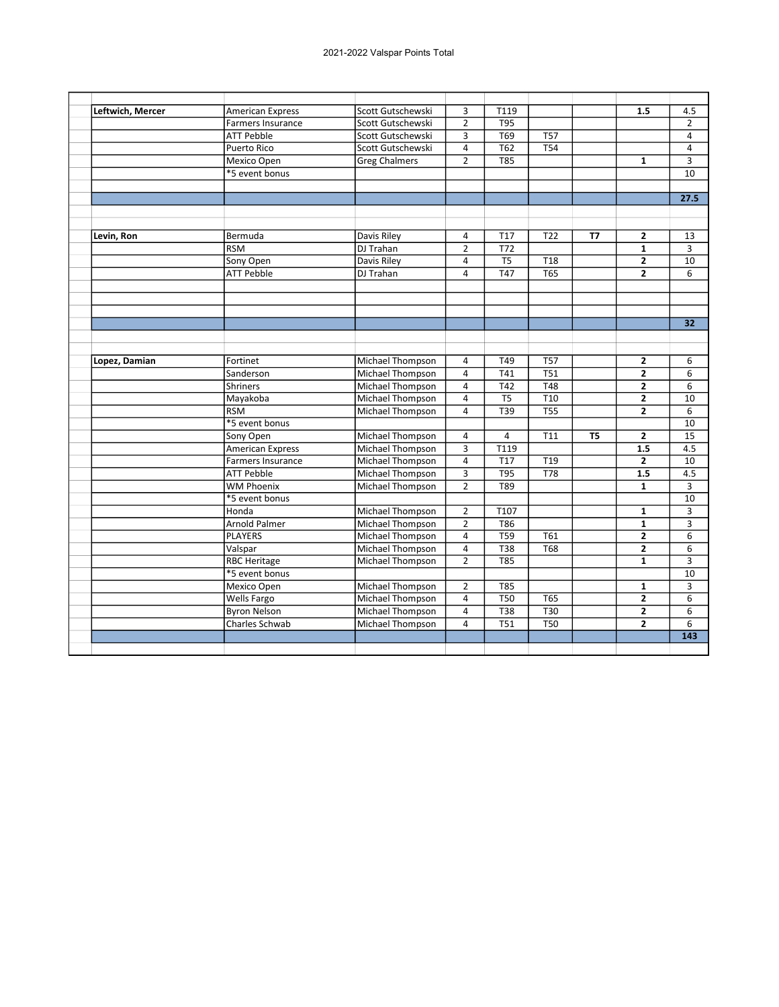| Leftwich, Mercer | <b>American Express</b>  | Scott Gutschewski       | 3                       | T119             |                  |           | 1.5            | 4.5            |
|------------------|--------------------------|-------------------------|-------------------------|------------------|------------------|-----------|----------------|----------------|
|                  | <b>Farmers Insurance</b> | Scott Gutschewski       | $\overline{2}$          | <b>T95</b>       |                  |           |                | $\overline{2}$ |
|                  | <b>ATT Pebble</b>        | Scott Gutschewski       | $\overline{3}$          | T <sub>69</sub>  | <b>T57</b>       |           |                | 4              |
|                  | Puerto Rico              | Scott Gutschewski       | 4                       | T62              | T54              |           |                | 4              |
|                  | Mexico Open              | <b>Greg Chalmers</b>    | $\overline{2}$          | $\overline{785}$ |                  |           | $\mathbf{1}$   | 3              |
|                  | *5 event bonus           |                         |                         |                  |                  |           |                | 10             |
|                  |                          |                         |                         |                  |                  |           |                |                |
|                  |                          |                         |                         |                  |                  |           |                | 27.5           |
|                  |                          |                         |                         |                  |                  |           |                |                |
|                  |                          |                         |                         |                  |                  |           |                |                |
| Levin, Ron       | Bermuda                  | Davis Riley             | $\overline{4}$          | <b>T17</b>       | T <sub>22</sub>  | <b>T7</b> | $\overline{2}$ | 13             |
|                  | <b>RSM</b>               | DJ Trahan               | $\overline{2}$          | T72              |                  |           | $\mathbf{1}$   | 3              |
|                  | Sony Open                | Davis Riley             | $\overline{4}$          | T <sub>5</sub>   | T <sub>18</sub>  |           | $\overline{2}$ | 10             |
|                  | <b>ATT Pebble</b>        | DJ Trahan               | $\overline{4}$          | T47              | T65              |           | $\overline{2}$ | 6              |
|                  |                          |                         |                         |                  |                  |           |                |                |
|                  |                          |                         |                         |                  |                  |           |                |                |
|                  |                          |                         |                         |                  |                  |           |                |                |
|                  |                          |                         |                         |                  |                  |           |                | 32             |
|                  |                          |                         |                         |                  |                  |           |                |                |
|                  |                          |                         |                         |                  |                  |           |                |                |
| Lopez, Damian    | Fortinet                 | Michael Thompson        | $\overline{a}$          | T49              | <b>T57</b>       |           | $\mathbf{2}$   | 6              |
|                  | Sanderson                | Michael Thompson        | $\overline{4}$          | T41              | <b>T51</b>       |           | $\overline{2}$ | 6              |
|                  | <b>Shriners</b>          | Michael Thompson        | $\overline{4}$          | T42              | <b>T48</b>       |           | $\overline{2}$ | 6              |
|                  | Mayakoba                 | Michael Thompson        | $\overline{\mathbf{4}}$ | T <sub>5</sub>   | T <sub>10</sub>  |           | 2              | 10             |
|                  | <b>RSM</b>               | Michael Thompson        | $\overline{4}$          | T39              | $\overline{T55}$ |           | $\overline{2}$ | 6              |
|                  | *5 event bonus           |                         |                         |                  |                  |           |                | 10             |
|                  | Sony Open                | Michael Thompson        | 4                       | 4                | T11              | T5        | $\overline{2}$ | 15             |
|                  | <b>American Express</b>  | Michael Thompson        | 3                       | T119             |                  |           | 1.5            | 4.5            |
|                  | <b>Farmers Insurance</b> | Michael Thompson        | $\overline{4}$          | <b>T17</b>       | T19              |           | $\overline{2}$ | 10             |
|                  | <b>ATT Pebble</b>        | <b>Michael Thompson</b> | $\overline{3}$          | T95              | $\overline{778}$ |           | 1.5            | 4.5            |
|                  | WM Phoenix               | Michael Thompson        | $\overline{2}$          | T89              |                  |           | $\mathbf{1}$   | 3              |
|                  | *5 event bonus           |                         |                         |                  |                  |           |                | 10             |
|                  | Honda                    | <b>Michael Thompson</b> | $\overline{2}$          | T107             |                  |           | $\mathbf{1}$   | 3              |
|                  | <b>Arnold Palmer</b>     | Michael Thompson        | $\overline{2}$          | <b>T86</b>       |                  |           | $\mathbf{1}$   | 3              |
|                  | <b>PLAYERS</b>           | Michael Thompson        | $\overline{4}$          | T59              | T61              |           | $\overline{2}$ | 6              |
|                  | Valspar                  | Michael Thompson        | $\overline{\mathbf{4}}$ | <b>T38</b>       | <b>T68</b>       |           | $\overline{2}$ | 6              |
|                  | <b>RBC Heritage</b>      | Michael Thompson        | $\overline{2}$          | <b>T85</b>       |                  |           | $\mathbf{1}$   | 3              |
|                  | *5 event bonus           |                         |                         |                  |                  |           |                | 10             |
|                  | Mexico Open              | <b>Michael Thompson</b> | $\overline{2}$          | <b>T85</b>       |                  |           | $\mathbf{1}$   | 3              |
|                  | <b>Wells Fargo</b>       | Michael Thompson        | $\overline{4}$          | <b>T50</b>       | <b>T65</b>       |           | $\overline{2}$ | 6              |
|                  | <b>Byron Nelson</b>      | <b>Michael Thompson</b> | 4                       | T38              | T30              |           | $\overline{2}$ | 6              |
|                  | Charles Schwab           | <b>Michael Thompson</b> | $\overline{4}$          | <b>T51</b>       | <b>T50</b>       |           | $\overline{2}$ | 6              |
|                  |                          |                         |                         |                  |                  |           |                | 143            |
|                  |                          |                         |                         |                  |                  |           |                |                |
|                  |                          |                         |                         |                  |                  |           |                |                |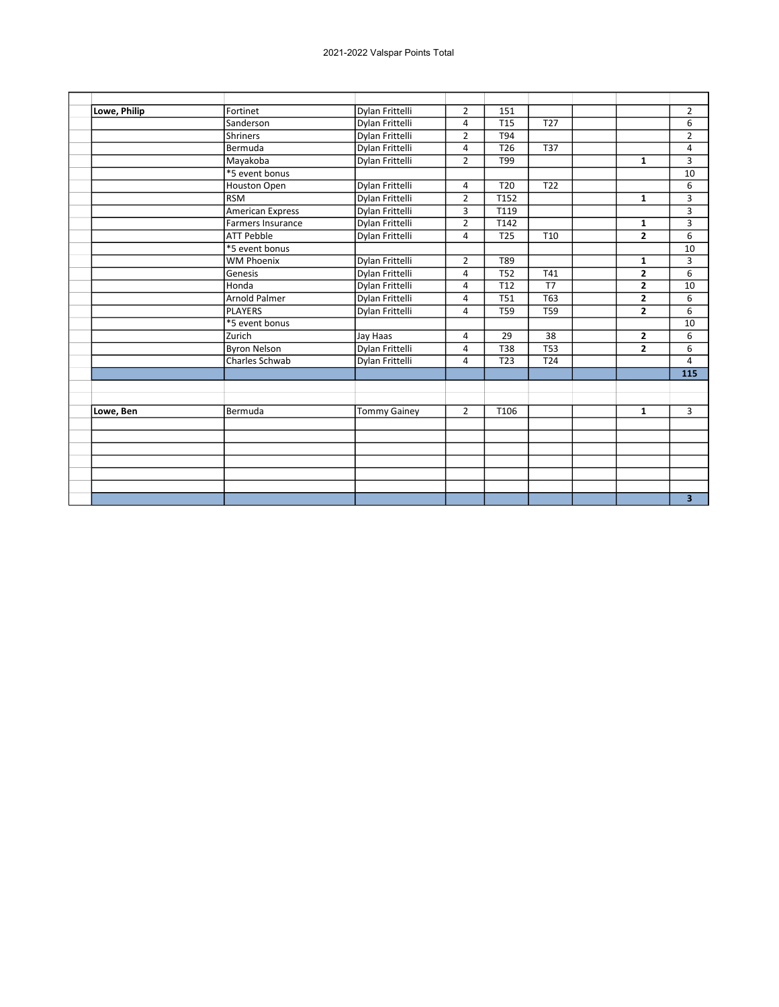| Lowe, Philip | Fortinet                 | Dylan Frittelli     | $\overline{2}$ | 151              |                  |                | $\overline{2}$ |
|--------------|--------------------------|---------------------|----------------|------------------|------------------|----------------|----------------|
|              | Sanderson                | Dylan Frittelli     | 4              | <b>T15</b>       | <b>T27</b>       |                | 6              |
|              | <b>Shriners</b>          | Dylan Frittelli     | $\overline{2}$ | T94              |                  |                | $\overline{2}$ |
|              | Bermuda                  | Dylan Frittelli     | 4              | T <sub>26</sub>  | <b>T37</b>       |                | 4              |
|              | Mayakoba                 | Dylan Frittelli     | $\overline{2}$ | T99              |                  | $\mathbf{1}$   | 3              |
|              | *5 event bonus           |                     |                |                  |                  |                | 10             |
|              | Houston Open             | Dylan Frittelli     | 4              | T <sub>20</sub>  | T <sub>22</sub>  |                | 6              |
|              | <b>RSM</b>               | Dylan Frittelli     | $\overline{2}$ | T152             |                  | $\mathbf{1}$   | 3              |
|              | <b>American Express</b>  | Dylan Frittelli     | 3              | T119             |                  |                | 3              |
|              | <b>Farmers Insurance</b> | Dylan Frittelli     | $\overline{2}$ | T142             |                  | $\mathbf{1}$   | 3              |
|              | <b>ATT Pebble</b>        | Dylan Frittelli     | 4              | <b>T25</b>       | T10              | $\overline{2}$ | 6              |
|              | *5 event bonus           |                     |                |                  |                  |                | 10             |
|              | <b>WM Phoenix</b>        | Dylan Frittelli     | $\overline{2}$ | T89              |                  | $\mathbf{1}$   | 3              |
|              | Genesis                  | Dylan Frittelli     | 4              | $\overline{152}$ | T41              | $\overline{2}$ | 6              |
|              | Honda                    | Dylan Frittelli     | 4              | T <sub>12</sub>  | T7               | $\overline{2}$ | 10             |
|              | <b>Arnold Palmer</b>     | Dylan Frittelli     | 4              | <b>T51</b>       | <b>T63</b>       | $\overline{2}$ | 6              |
|              | <b>PLAYERS</b>           | Dylan Frittelli     | 4              | <b>T59</b>       | $\overline{759}$ | $\overline{2}$ | 6              |
|              | *5 event bonus           |                     |                |                  |                  |                | 10             |
|              | Zurich                   | Jay Haas            | 4              | 29               | 38               | 2              | 6              |
|              | <b>Byron Nelson</b>      | Dylan Frittelli     | 4              | T38              | <b>T53</b>       | $\overline{2}$ | 6              |
|              | <b>Charles Schwab</b>    | Dylan Frittelli     | 4              | T <sub>23</sub>  | T <sub>24</sub>  |                | 4              |
|              |                          |                     |                |                  |                  |                | 115            |
|              |                          |                     |                |                  |                  |                |                |
|              |                          |                     |                |                  |                  |                |                |
| Lowe, Ben    | Bermuda                  | <b>Tommy Gainey</b> | $\overline{2}$ | T106             |                  | $\mathbf{1}$   | $\overline{3}$ |
|              |                          |                     |                |                  |                  |                |                |
|              |                          |                     |                |                  |                  |                |                |
|              |                          |                     |                |                  |                  |                |                |
|              |                          |                     |                |                  |                  |                |                |
|              |                          |                     |                |                  |                  |                |                |
|              |                          |                     |                |                  |                  |                |                |
|              |                          |                     |                |                  |                  |                | 3              |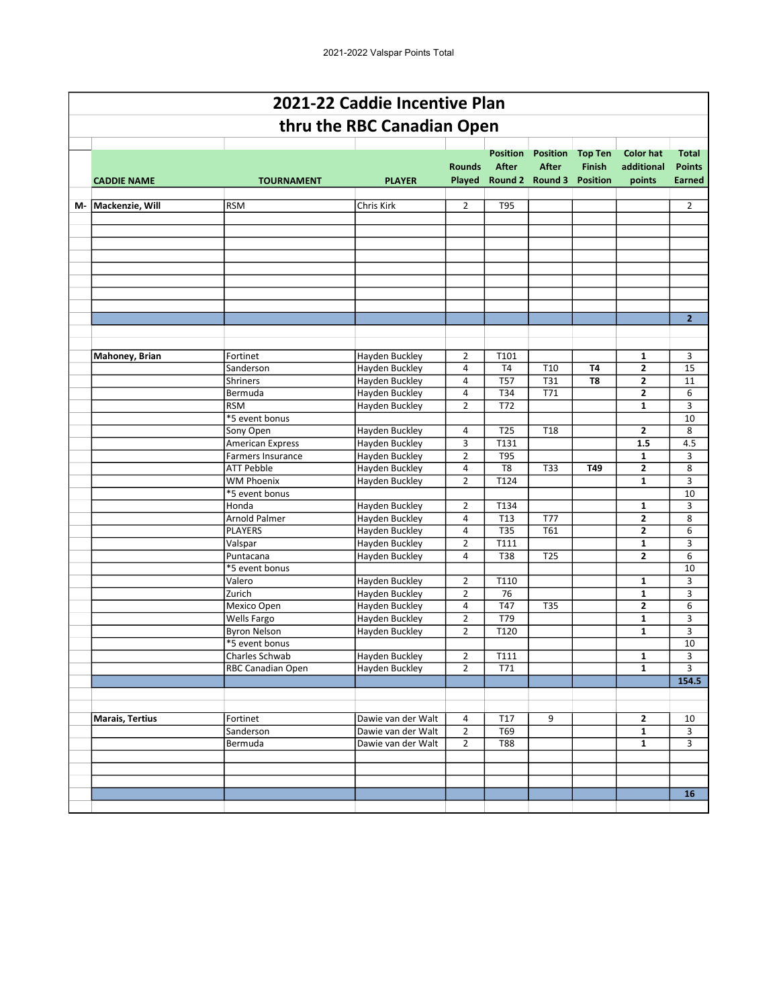|    |                       |                                      | 2021-22 Caddie Incentive Plan    |                |                                 |                                                           |                                                    |                                          |                                                |
|----|-----------------------|--------------------------------------|----------------------------------|----------------|---------------------------------|-----------------------------------------------------------|----------------------------------------------------|------------------------------------------|------------------------------------------------|
|    |                       |                                      | thru the RBC Canadian Open       |                |                                 |                                                           |                                                    |                                          |                                                |
|    | <b>CADDIE NAME</b>    | <b>TOURNAMENT</b>                    | <b>PLAYER</b>                    | <b>Rounds</b>  | <b>Position</b><br><b>After</b> | <b>Position</b><br><b>After</b><br>Played Round 2 Round 3 | <b>Top Ten</b><br><b>Finish</b><br><b>Position</b> | <b>Color hat</b><br>additional<br>points | <b>Total</b><br><b>Points</b><br><b>Earned</b> |
| М- | Mackenzie, Will       | <b>RSM</b>                           | Chris Kirk                       | $\overline{2}$ | T95                             |                                                           |                                                    |                                          | $\overline{2}$                                 |
|    |                       |                                      |                                  |                |                                 |                                                           |                                                    |                                          |                                                |
|    |                       |                                      |                                  |                |                                 |                                                           |                                                    |                                          |                                                |
|    |                       |                                      |                                  |                |                                 |                                                           |                                                    |                                          |                                                |
|    |                       |                                      |                                  |                |                                 |                                                           |                                                    |                                          |                                                |
|    |                       |                                      |                                  |                |                                 |                                                           |                                                    |                                          |                                                |
|    |                       |                                      |                                  |                |                                 |                                                           |                                                    |                                          |                                                |
|    |                       |                                      |                                  |                |                                 |                                                           |                                                    |                                          |                                                |
|    |                       |                                      |                                  |                |                                 |                                                           |                                                    |                                          |                                                |
|    |                       |                                      |                                  |                |                                 |                                                           |                                                    |                                          | $\overline{2}$                                 |
|    |                       |                                      |                                  |                |                                 |                                                           |                                                    |                                          |                                                |
|    |                       |                                      |                                  |                |                                 |                                                           |                                                    |                                          |                                                |
|    | <b>Mahoney, Brian</b> | Fortinet                             | <b>Hayden Buckley</b>            | $\overline{2}$ | T101                            |                                                           |                                                    | $\mathbf{1}$                             | 3                                              |
|    |                       | Sanderson                            | Hayden Buckley                   | 4              | T <sub>4</sub>                  | T10                                                       | T4                                                 | $\mathbf{2}$                             | 15                                             |
|    |                       | <b>Shriners</b>                      | Hayden Buckley                   | 4              | <b>T57</b>                      | <b>T31</b>                                                | T8                                                 | $\mathbf{2}$                             | 11                                             |
|    |                       | Bermuda                              | Hayden Buckley                   | 4              | T34                             | T71                                                       |                                                    | $\mathbf{2}$                             | 6                                              |
|    |                       | <b>RSM</b>                           | Hayden Buckley                   | $\overline{2}$ | T72                             |                                                           |                                                    | $\mathbf{1}$                             | 3                                              |
|    |                       | *5 event bonus                       |                                  |                |                                 |                                                           |                                                    |                                          | 10                                             |
|    |                       | Sony Open<br><b>American Express</b> | Hayden Buckley                   | 4<br>3         | T <sub>25</sub><br>T131         | T <sub>18</sub>                                           |                                                    | $\mathbf{2}$<br>1.5                      | 8<br>4.5                                       |
|    |                       | <b>Farmers Insurance</b>             | Hayden Buckley<br>Hayden Buckley | $\overline{2}$ | T95                             |                                                           |                                                    | 1                                        | 3                                              |
|    |                       | <b>ATT Pebble</b>                    | Hayden Buckley                   | 4              | T <sub>8</sub>                  | T33                                                       | T49                                                | $\mathbf{2}$                             | 8                                              |
|    |                       | <b>WM Phoenix</b>                    | <b>Hayden Buckley</b>            | $\overline{2}$ | T124                            |                                                           |                                                    | $\mathbf{1}$                             | 3                                              |
|    |                       | *5 event bonus                       |                                  |                |                                 |                                                           |                                                    |                                          | 10                                             |
|    |                       | Honda                                | Hayden Buckley                   | $\overline{2}$ | T134                            |                                                           |                                                    | 1                                        | 3                                              |
|    |                       | <b>Arnold Palmer</b>                 | Hayden Buckley                   | 4              | T13                             | <b>T77</b>                                                |                                                    | $\mathbf{2}$                             | 8                                              |
|    |                       | PLAYERS                              | Hayden Buckley                   | 4              | <b>T35</b>                      | T61                                                       |                                                    | $\overline{2}$                           | 6                                              |
|    |                       | Valspar                              | Hayden Buckley                   | $\overline{2}$ | T111                            |                                                           |                                                    | $\mathbf{1}$                             | 3                                              |
|    |                       | Puntacana                            | Hayden Buckley                   | 4              | <b>T38</b>                      | <b>T25</b>                                                |                                                    | $\mathbf{2}$                             | 6                                              |
|    |                       | *5 event bonus                       |                                  |                |                                 |                                                           |                                                    |                                          | 10                                             |
|    |                       | Valero                               | Hayden Buckley                   | $\overline{2}$ | T110                            |                                                           |                                                    | $\mathbf{1}$                             | 3                                              |
|    |                       | Zurich                               | Hayden Buckley                   | $\overline{2}$ | 76                              |                                                           |                                                    | $\mathbf{1}$                             | 3                                              |
|    |                       | Mexico Open                          | Hayden Buckley                   | 4              | T47                             | T35                                                       |                                                    | $\mathbf{2}$                             | 6                                              |
|    |                       | <b>Wells Fargo</b>                   | Hayden Buckley                   | $\overline{2}$ | T79                             |                                                           |                                                    | $\mathbf{1}$                             | 3                                              |
|    |                       | <b>Byron Nelson</b>                  | Hayden Buckley                   | $\overline{2}$ | T120                            |                                                           |                                                    | $\mathbf{1}$                             | 3                                              |
|    |                       | *5 event bonus                       |                                  |                |                                 |                                                           |                                                    |                                          | 10                                             |
|    |                       | Charles Schwab                       | Hayden Buckley                   | 2              | T111                            |                                                           |                                                    | $\mathbf{1}$                             | 3                                              |
|    |                       | <b>RBC Canadian Open</b>             | <b>Hayden Buckley</b>            | $\overline{2}$ | T71                             |                                                           |                                                    | $\mathbf{1}$                             | 3                                              |
|    |                       |                                      |                                  |                |                                 |                                                           |                                                    |                                          | 154.5                                          |
|    |                       |                                      |                                  |                |                                 |                                                           |                                                    |                                          |                                                |
|    | Marais, Tertius       | Fortinet                             | Dawie van der Walt               | 4              | T17                             | 9                                                         |                                                    | $\mathbf{2}$                             | 10                                             |
|    |                       | Sanderson                            | Dawie van der Walt               | $\overline{2}$ | T69                             |                                                           |                                                    | $\mathbf{1}$                             | 3                                              |
|    |                       | Bermuda                              | Dawie van der Walt               | $\overline{2}$ | <b>T88</b>                      |                                                           |                                                    | $\mathbf{1}$                             | 3                                              |
|    |                       |                                      |                                  |                |                                 |                                                           |                                                    |                                          |                                                |
|    |                       |                                      |                                  |                |                                 |                                                           |                                                    |                                          |                                                |
|    |                       |                                      |                                  |                |                                 |                                                           |                                                    |                                          |                                                |
|    |                       |                                      |                                  |                |                                 |                                                           |                                                    |                                          | 16                                             |
|    |                       |                                      |                                  |                |                                 |                                                           |                                                    |                                          |                                                |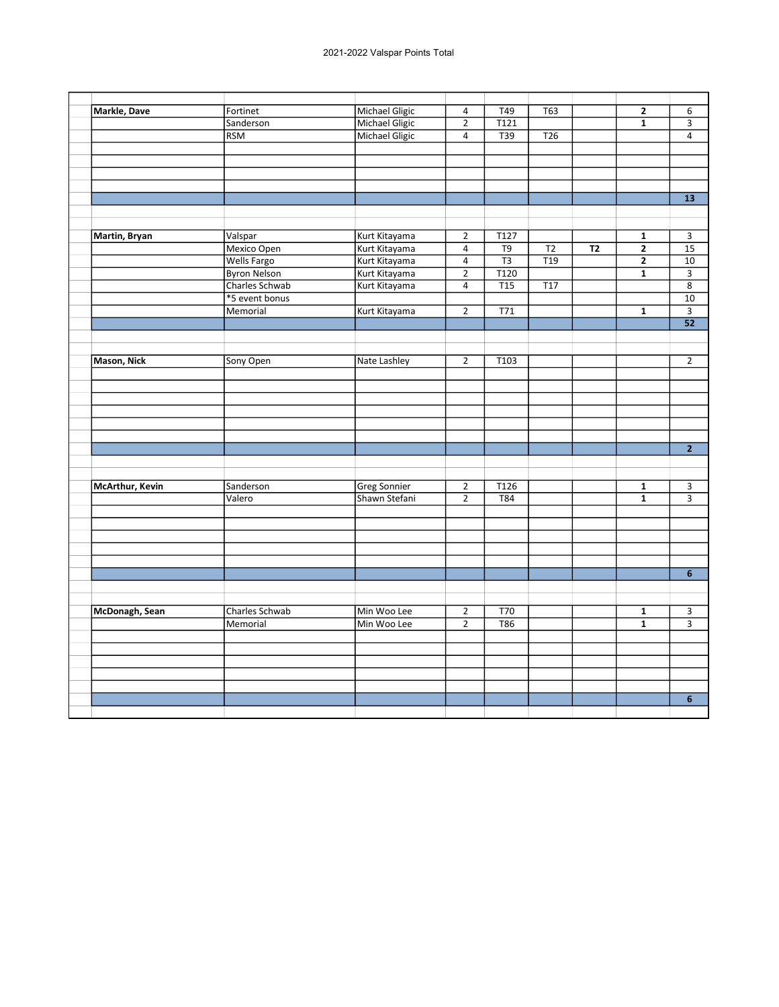| Markle, Dave       | Fortinet            | <b>Michael Gligic</b> | $\overline{a}$ | T49              | $\overline{T63}$ |           | $\overline{\mathbf{2}}$ | 6                       |
|--------------------|---------------------|-----------------------|----------------|------------------|------------------|-----------|-------------------------|-------------------------|
|                    | Sanderson           | Michael Gligic        | $\overline{2}$ | T121             |                  |           | $\overline{\mathbf{1}}$ | $\overline{\mathbf{3}}$ |
|                    | <b>RSM</b>          | Michael Gligic        | $\overline{4}$ | $\overline{T39}$ | T <sub>26</sub>  |           |                         | $\overline{4}$          |
|                    |                     |                       |                |                  |                  |           |                         |                         |
|                    |                     |                       |                |                  |                  |           |                         |                         |
|                    |                     |                       |                |                  |                  |           |                         |                         |
|                    |                     |                       |                |                  |                  |           |                         |                         |
|                    |                     |                       |                |                  |                  |           |                         | $\overline{13}$         |
|                    |                     |                       |                |                  |                  |           |                         |                         |
|                    |                     |                       |                |                  |                  |           |                         |                         |
| Martin, Bryan      | Valspar             | Kurt Kitayama         | $\overline{2}$ | T127             |                  |           | $\mathbf{1}$            | 3                       |
|                    | Mexico Open         | Kurt Kitayama         | $\overline{4}$ | $\overline{T9}$  | $\overline{12}$  | <b>T2</b> | $\overline{2}$          | $\overline{15}$         |
|                    | <b>Wells Fargo</b>  | Kurt Kitayama         | $\overline{4}$ | $\overline{T3}$  | $\overline{119}$ |           | $\overline{2}$          | $\overline{10}$         |
|                    | <b>Byron Nelson</b> | Kurt Kitayama         | $\overline{2}$ | T120             |                  |           | $\overline{\mathbf{1}}$ | $\overline{3}$          |
|                    | Charles Schwab      | Kurt Kitayama         | $\overline{4}$ | $\overline{T15}$ | $\overline{117}$ |           |                         | $\overline{8}$          |
|                    | *5 event bonus      |                       |                |                  |                  |           |                         | $\overline{10}$         |
|                    | Memorial            | Kurt Kitayama         | $\overline{2}$ | $\overline{771}$ |                  |           | $\mathbf 1$             | $\overline{\mathbf{3}}$ |
|                    |                     |                       |                |                  |                  |           |                         | 52                      |
|                    |                     |                       |                |                  |                  |           |                         |                         |
|                    |                     |                       |                |                  |                  |           |                         |                         |
| <b>Mason, Nick</b> | Sony Open           | Nate Lashley          | $\overline{2}$ | T103             |                  |           |                         | $\overline{2}$          |
|                    |                     |                       |                |                  |                  |           |                         |                         |
|                    |                     |                       |                |                  |                  |           |                         |                         |
|                    |                     |                       |                |                  |                  |           |                         |                         |
|                    |                     |                       |                |                  |                  |           |                         |                         |
|                    |                     |                       |                |                  |                  |           |                         |                         |
|                    |                     |                       |                |                  |                  |           |                         |                         |
|                    |                     |                       |                |                  |                  |           |                         | $\overline{2}$          |
|                    |                     |                       |                |                  |                  |           |                         |                         |
|                    |                     |                       |                |                  |                  |           |                         |                         |
| McArthur, Kevin    | Sanderson           | <b>Greg Sonnier</b>   | $\overline{2}$ | T126             |                  |           | $\mathbf{1}$            | 3                       |
|                    | Valero              | Shawn Stefani         | $\overline{2}$ | $\overline{184}$ |                  |           | $\overline{1}$          | $\overline{\mathbf{3}}$ |
|                    |                     |                       |                |                  |                  |           |                         |                         |
|                    |                     |                       |                |                  |                  |           |                         |                         |
|                    |                     |                       |                |                  |                  |           |                         |                         |
|                    |                     |                       |                |                  |                  |           |                         |                         |
|                    |                     |                       |                |                  |                  |           |                         |                         |
|                    |                     |                       |                |                  |                  |           |                         | $\overline{\mathbf{6}}$ |
|                    |                     |                       |                |                  |                  |           |                         |                         |
|                    |                     |                       |                |                  |                  |           |                         |                         |
| McDonagh, Sean     | Charles Schwab      | Min Woo Lee           | $\overline{2}$ | $\overline{170}$ |                  |           | $\mathbf{1}$            | 3                       |
|                    | Memorial            | Min Woo Lee           | $\overline{2}$ | <b>T86</b>       |                  |           | $\overline{1}$          |                         |
|                    |                     |                       |                |                  |                  |           |                         |                         |
|                    |                     |                       |                |                  |                  |           |                         |                         |
|                    |                     |                       |                |                  |                  |           |                         |                         |
|                    |                     |                       |                |                  |                  |           |                         |                         |
|                    |                     |                       |                |                  |                  |           |                         |                         |
|                    |                     |                       |                |                  |                  |           |                         | $6\phantom{a}$          |
|                    |                     |                       |                |                  |                  |           |                         |                         |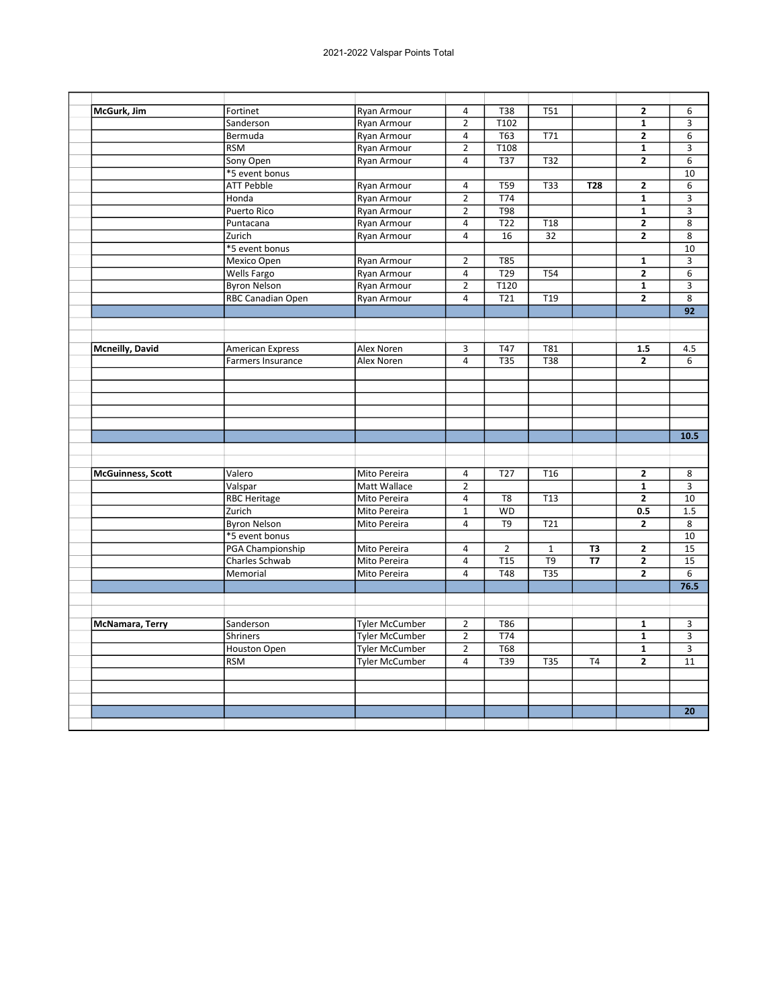| McGurk, Jim              | Fortinet                | Ryan Armour           | $\overline{4}$ | <b>T38</b>        | <b>T51</b>      |                | $\mathbf{2}$            | 6                       |
|--------------------------|-------------------------|-----------------------|----------------|-------------------|-----------------|----------------|-------------------------|-------------------------|
|                          | Sanderson               | Ryan Armour           | $\overline{2}$ | T102              |                 |                | $\mathbf{1}$            | $\overline{3}$          |
|                          | Bermuda                 | Ryan Armour           | $\overline{4}$ | T63               | T71             |                | $\mathbf{2}$            | 6                       |
|                          | <b>RSM</b>              | Ryan Armour           | $\overline{2}$ | T <sub>108</sub>  |                 |                | $\mathbf{1}$            | 3                       |
|                          | Sony Open               | Ryan Armour           | 4              | <b>T37</b>        | T32             |                | $\mathbf{2}$            | 6                       |
|                          | *5 event bonus          |                       |                |                   |                 |                |                         | 10                      |
|                          | <b>ATT Pebble</b>       | <b>Ryan Armour</b>    | 4              | <b>T59</b>        | <b>T33</b>      | T28            | $\mathbf{2}$            | 6                       |
|                          | Honda                   | <b>Ryan Armour</b>    | $\overline{2}$ | T74               |                 |                | $\overline{\mathbf{1}}$ | $\overline{3}$          |
|                          | Puerto Rico             | Ryan Armour           | $\overline{2}$ | T98               |                 |                | $\mathbf{1}$            | 3                       |
|                          | Puntacana               | Ryan Armour           | 4              | T22               | T <sub>18</sub> |                | 2                       | 8                       |
|                          | Zurich                  | Ryan Armour           | 4              | 16                | 32              |                | $\mathbf{2}$            | 8                       |
|                          | *5 event bonus          |                       |                |                   |                 |                |                         | 10                      |
|                          | Mexico Open             | Ryan Armour           | $\overline{2}$ | <b>T85</b>        |                 |                | $\mathbf{1}$            | 3                       |
|                          | Wells Fargo             | Ryan Armour           | 4              | T29               | T54             |                | $\mathbf{2}$            | 6                       |
|                          | <b>Byron Nelson</b>     | Ryan Armour           | $\overline{2}$ | $\overline{T120}$ |                 |                | $\mathbf{1}$            | $\overline{3}$          |
|                          | RBC Canadian Open       | Ryan Armour           | $\overline{4}$ | T21               | T <sub>19</sub> |                | $\overline{2}$          | $\overline{8}$          |
|                          |                         |                       |                |                   |                 |                |                         | 92                      |
|                          |                         |                       |                |                   |                 |                |                         |                         |
|                          |                         |                       |                |                   |                 |                |                         |                         |
| <b>Mcneilly, David</b>   | <b>American Express</b> | Alex Noren            | 3              | T47               | T81             |                | 1.5                     | 4.5                     |
|                          | Farmers Insurance       | Alex Noren            | $\overline{4}$ | <b>T35</b>        | T38             |                | $\mathbf{2}$            | 6                       |
|                          |                         |                       |                |                   |                 |                |                         |                         |
|                          |                         |                       |                |                   |                 |                |                         |                         |
|                          |                         |                       |                |                   |                 |                |                         |                         |
|                          |                         |                       |                |                   |                 |                |                         |                         |
|                          |                         |                       |                |                   |                 |                |                         |                         |
|                          |                         |                       |                |                   |                 |                |                         | 10.5                    |
|                          |                         |                       |                |                   |                 |                |                         |                         |
|                          |                         |                       |                |                   |                 |                |                         |                         |
| <b>McGuinness, Scott</b> | Valero                  | Mito Pereira          | 4              | T <sub>27</sub>   | T <sub>16</sub> |                | $\mathbf{2}$            | 8                       |
|                          | Valspar                 | Matt Wallace          | $\overline{2}$ |                   |                 |                | $\mathbf 1$             | 3                       |
|                          | <b>RBC Heritage</b>     | Mito Pereira          | $\overline{4}$ | T <sub>8</sub>    | T <sub>13</sub> |                | $\overline{2}$          | 10                      |
|                          | Zurich                  | Mito Pereira          | $\mathbf 1$    | <b>WD</b>         |                 |                | 0.5                     | 1.5                     |
|                          | <b>Byron Nelson</b>     | Mito Pereira          | 4              | T9                | T21             |                | $\mathbf{2}$            | 8                       |
|                          | *5 event bonus          |                       |                |                   |                 |                |                         | 10                      |
|                          | PGA Championship        | Mito Pereira          | $\overline{4}$ | $\overline{2}$    | $\mathbf{1}$    | T3             | $\mathbf{2}$            | 15                      |
|                          | Charles Schwab          | Mito Pereira          | 4              | <b>T15</b>        | T <sub>9</sub>  | <b>T7</b>      | $\mathbf{2}$            | 15                      |
|                          | Memorial                | Mito Pereira          | 4              | <b>T48</b>        | T35             |                | $\overline{2}$          | $\overline{6}$          |
|                          |                         |                       |                |                   |                 |                |                         | 76.5                    |
|                          |                         |                       |                |                   |                 |                |                         |                         |
|                          |                         |                       |                |                   |                 |                |                         |                         |
| <b>McNamara, Terry</b>   | Sanderson               | <b>Tyler McCumber</b> | $\overline{2}$ | T86               |                 |                | $\mathbf{1}$            | 3                       |
|                          | Shriners                | <b>Tyler McCumber</b> | $\overline{2}$ | T74               |                 |                | $\mathbf{1}$            | $\overline{\mathbf{3}}$ |
|                          | Houston Open            | <b>Tyler McCumber</b> | $\overline{2}$ | <b>T68</b>        |                 |                | $\mathbf{1}$            | 3                       |
|                          | <b>RSM</b>              | <b>Tyler McCumber</b> | 4              | T39               | <b>T35</b>      | T <sub>4</sub> | $\overline{2}$          | 11                      |
|                          |                         |                       |                |                   |                 |                |                         |                         |
|                          |                         |                       |                |                   |                 |                |                         |                         |
|                          |                         |                       |                |                   |                 |                |                         |                         |
|                          |                         |                       |                |                   |                 |                |                         | 20                      |
|                          |                         |                       |                |                   |                 |                |                         |                         |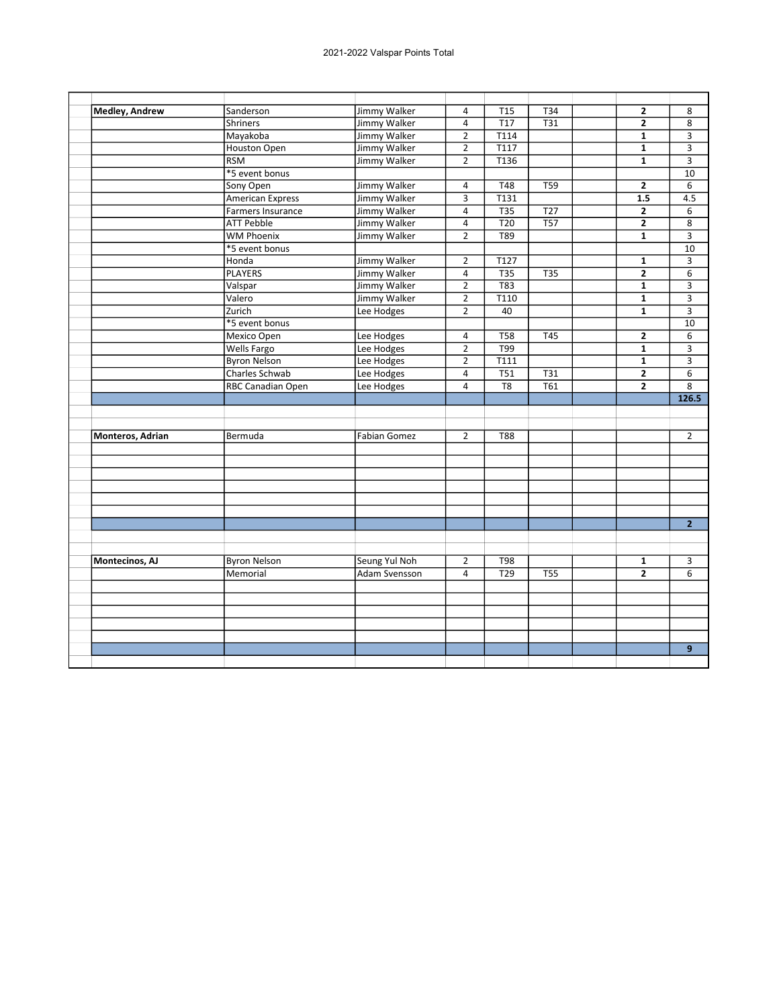| Medley, Andrew   | Sanderson                |                     |                |                   |                  |                |                         |
|------------------|--------------------------|---------------------|----------------|-------------------|------------------|----------------|-------------------------|
|                  |                          | Jimmy Walker        | 4              | <b>T15</b>        | T34              | $\mathbf{2}$   | 8                       |
|                  | <b>Shriners</b>          | Jimmy Walker        | $\overline{4}$ | T17               | <b>T31</b>       | $\overline{2}$ | 8                       |
|                  | Mayakoba                 | Jimmy Walker        | $\overline{2}$ | T114              |                  | $\mathbf{1}$   | 3                       |
|                  | Houston Open             | Jimmy Walker        | $\overline{2}$ | $\overline{T117}$ |                  | $\mathbf{1}$   | 3                       |
|                  | <b>RSM</b>               | Jimmy Walker        | $\overline{2}$ | T <sub>136</sub>  |                  | $\mathbf{1}$   | 3                       |
|                  | *5 event bonus           |                     |                |                   |                  |                | 10                      |
|                  | Sony Open                | Jimmy Walker        | 4              | <b>T48</b>        | <b>T59</b>       | $\overline{2}$ | 6                       |
|                  | <b>American Express</b>  | Jimmy Walker        | $\overline{3}$ | T131              |                  | 1.5            | 4.5                     |
|                  | Farmers Insurance        | Jimmy Walker        | 4              | T35               | T <sub>27</sub>  | $\mathbf{2}$   | 6                       |
|                  | <b>ATT Pebble</b>        | Jimmy Walker        | $\overline{4}$ | T20               | <b>T57</b>       | $\overline{2}$ | 8                       |
|                  | <b>WM Phoenix</b>        | Jimmy Walker        | $\overline{2}$ | $\overline{789}$  |                  | $\mathbf{1}$   | 3                       |
|                  | *5 event bonus           |                     |                |                   |                  |                | 10                      |
|                  | Honda                    | Jimmy Walker        | $\overline{2}$ | T127              |                  | $\mathbf{1}$   | 3                       |
|                  | <b>PLAYERS</b>           | Jimmy Walker        | 4              | T35               | $\overline{T35}$ | $\mathbf{2}$   | 6                       |
|                  | Valspar                  | Jimmy Walker        | $\overline{2}$ | T83               |                  | $\mathbf{1}$   | 3                       |
|                  | Valero                   | Jimmy Walker        | $\overline{2}$ | T110              |                  | $\mathbf{1}$   | $\overline{\mathbf{3}}$ |
|                  | Zurich                   | Lee Hodges          | $\overline{2}$ | 40                |                  | $\mathbf{1}$   | 3                       |
|                  | *5 event bonus           |                     |                |                   |                  |                | 10                      |
|                  | Mexico Open              | Lee Hodges          | $\overline{4}$ | <b>T58</b>        | <b>T45</b>       | $\overline{2}$ | 6                       |
|                  | <b>Wells Fargo</b>       | Lee Hodges          | $\overline{2}$ | T99               |                  | $\mathbf{1}$   | 3                       |
|                  | <b>Byron Nelson</b>      | Lee Hodges          | $\overline{2}$ | T111              |                  | $\mathbf{1}$   | 3                       |
|                  | Charles Schwab           | Lee Hodges          | 4              | T51               | $\overline{731}$ | $\mathbf{2}$   | 6                       |
|                  | <b>RBC Canadian Open</b> | Lee Hodges          | $\overline{4}$ | T <sub>8</sub>    | <b>T61</b>       | $\overline{2}$ | 8                       |
|                  |                          |                     |                |                   |                  |                | 126.5                   |
|                  |                          |                     |                |                   |                  |                |                         |
|                  |                          |                     |                |                   |                  |                |                         |
|                  |                          |                     |                |                   |                  |                |                         |
|                  | Bermuda                  | <b>Fabian Gomez</b> | $\overline{2}$ | <b>T88</b>        |                  |                | $\overline{2}$          |
|                  |                          |                     |                |                   |                  |                |                         |
|                  |                          |                     |                |                   |                  |                |                         |
|                  |                          |                     |                |                   |                  |                |                         |
|                  |                          |                     |                |                   |                  |                |                         |
|                  |                          |                     |                |                   |                  |                |                         |
|                  |                          |                     |                |                   |                  |                |                         |
| Monteros, Adrian |                          |                     |                |                   |                  |                | $\overline{2}$          |
|                  |                          |                     |                |                   |                  |                |                         |
|                  | <b>Byron Nelson</b>      | Seung Yul Noh       | $\overline{2}$ | <b>T98</b>        |                  | $\mathbf{1}$   | 3                       |
|                  | Memorial                 | Adam Svensson       | $\overline{4}$ | T29               | <b>T55</b>       | $\overline{2}$ | 6                       |
|                  |                          |                     |                |                   |                  |                |                         |
|                  |                          |                     |                |                   |                  |                |                         |
| Montecinos, AJ   |                          |                     |                |                   |                  |                |                         |
|                  |                          |                     |                |                   |                  |                |                         |
|                  |                          |                     |                |                   |                  |                | 9                       |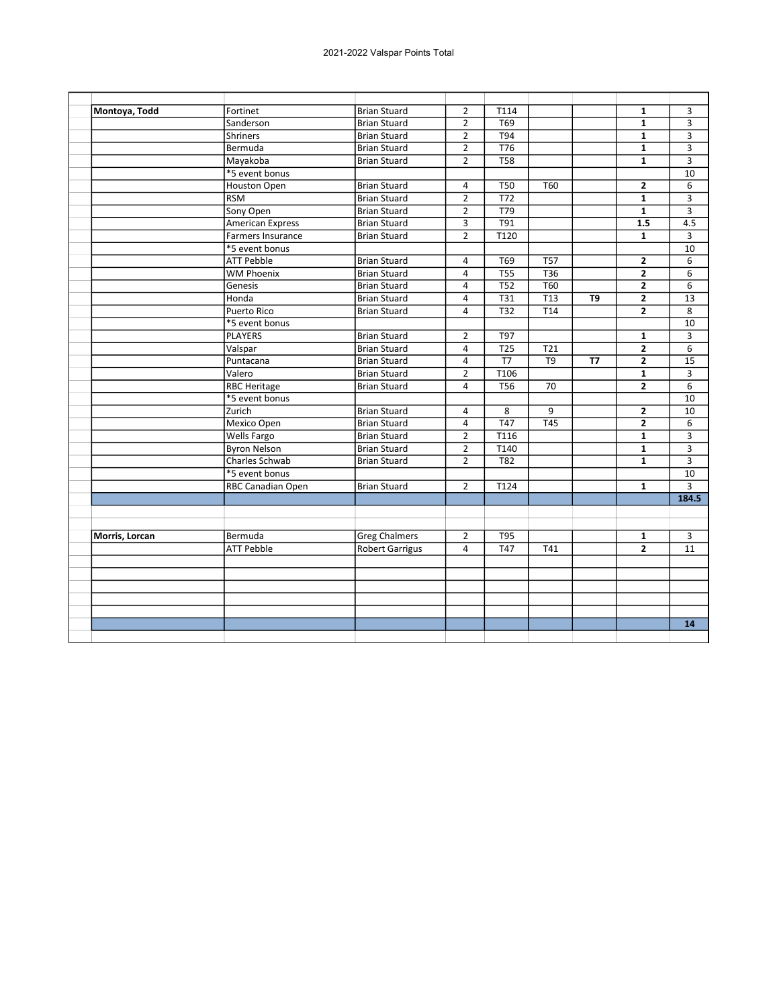| Montoya, Todd  | Fortinet                 | <b>Brian Stuard</b>    | $\overline{2}$          | T114             |                  |                | $\mathbf{1}$   | 3               |
|----------------|--------------------------|------------------------|-------------------------|------------------|------------------|----------------|----------------|-----------------|
|                | Sanderson                | <b>Brian Stuard</b>    | $\overline{2}$          | T69              |                  |                | $\mathbf{1}$   | 3               |
|                | <b>Shriners</b>          | <b>Brian Stuard</b>    | $\overline{2}$          | <b>T94</b>       |                  |                | $\mathbf{1}$   | 3               |
|                | Bermuda                  | <b>Brian Stuard</b>    | $\overline{2}$          | T76              |                  |                | $\mathbf{1}$   | 3               |
|                | Mayakoba                 | <b>Brian Stuard</b>    | $\overline{2}$          | $\overline{T58}$ |                  |                | $\mathbf{1}$   | 3               |
|                | *5 event bonus           |                        |                         |                  |                  |                |                | 10              |
|                | Houston Open             | <b>Brian Stuard</b>    | $\overline{4}$          | <b>T50</b>       | T60              |                | $\overline{2}$ | 6               |
|                | <b>RSM</b>               | <b>Brian Stuard</b>    | $\overline{2}$          | T72              |                  |                | $\mathbf{1}$   | 3               |
|                | Sony Open                | <b>Brian Stuard</b>    | $\overline{2}$          | T79              |                  |                | $\overline{1}$ | $\overline{3}$  |
|                | <b>American Express</b>  | <b>Brian Stuard</b>    | 3                       | T91              |                  |                | 1.5            | 4.5             |
|                | Farmers Insurance        | <b>Brian Stuard</b>    | $\overline{2}$          | T <sub>120</sub> |                  |                | $\mathbf{1}$   | 3               |
|                | *5 event bonus           |                        |                         |                  |                  |                |                | 10              |
|                | <b>ATT Pebble</b>        | <b>Brian Stuard</b>    | 4                       | T69              | $\overline{757}$ |                | $\overline{2}$ | $\overline{6}$  |
|                | <b>WM Phoenix</b>        | <b>Brian Stuard</b>    | $\overline{4}$          | T55              | $\overline{736}$ |                | $\overline{2}$ | 6               |
|                | Genesis                  | <b>Brian Stuard</b>    | $\overline{4}$          | <b>T52</b>       | <b>T60</b>       |                | $\overline{2}$ | 6               |
|                | Honda                    | <b>Brian Stuard</b>    | $\overline{4}$          | $\overline{131}$ | $\overline{113}$ | T <sub>9</sub> | $\overline{2}$ | $\overline{13}$ |
|                | <b>Puerto Rico</b>       | <b>Brian Stuard</b>    | $\overline{4}$          | <b>T32</b>       | T14              |                | $\overline{2}$ | 8               |
|                | *5 event bonus           |                        |                         |                  |                  |                |                | 10              |
|                | <b>PLAYERS</b>           | <b>Brian Stuard</b>    | $\overline{2}$          | <b>T97</b>       |                  |                | $\mathbf{1}$   | 3               |
|                | Valspar                  | <b>Brian Stuard</b>    | $\overline{4}$          | $\overline{725}$ | T21              |                | $\overline{2}$ | 6               |
|                | Puntacana                | <b>Brian Stuard</b>    | $\pmb{4}$               | T7               | $\overline{T9}$  | T <sub>7</sub> | $\mathbf{2}$   | $\overline{15}$ |
|                | Valero                   | <b>Brian Stuard</b>    | $\overline{2}$          | T106             |                  |                | $\mathbf{1}$   | 3               |
|                | <b>RBC Heritage</b>      | <b>Brian Stuard</b>    | $\overline{\mathbf{4}}$ | <b>T56</b>       | 70               |                | $\overline{2}$ | $6\overline{6}$ |
|                | *5 event bonus           |                        |                         |                  |                  |                |                | 10              |
|                | Zurich                   | <b>Brian Stuard</b>    | 4                       | 8                | 9                |                | $\mathbf{2}$   | 10              |
|                | Mexico Open              | <b>Brian Stuard</b>    | $\overline{4}$          | T47              | T45              |                | $\overline{2}$ | 6               |
|                | Wells Fargo              | <b>Brian Stuard</b>    | $\overline{2}$          | T116             |                  |                | $\mathbf{1}$   | 3               |
|                | <b>Byron Nelson</b>      | <b>Brian Stuard</b>    | $\overline{2}$          | T140             |                  |                | $\mathbf{1}$   | 3               |
|                | Charles Schwab           | <b>Brian Stuard</b>    | $\overline{2}$          | T82              |                  |                | $\mathbf{1}$   | $\overline{3}$  |
|                | *5 event bonus           |                        |                         |                  |                  |                |                | 10              |
|                | <b>RBC Canadian Open</b> | <b>Brian Stuard</b>    | $\overline{2}$          | T124             |                  |                | 1              | 3               |
|                |                          |                        |                         |                  |                  |                |                | 184.5           |
|                |                          |                        |                         |                  |                  |                |                |                 |
|                |                          |                        |                         |                  |                  |                |                |                 |
| Morris, Lorcan | Bermuda                  | <b>Greg Chalmers</b>   | $\overline{2}$          | T95              |                  |                | $\mathbf{1}$   | 3               |
|                | <b>ATT Pebble</b>        | <b>Robert Garrigus</b> | $\overline{\mathbf{A}}$ | T47              | T41              |                | $\overline{2}$ | 11              |
|                |                          |                        |                         |                  |                  |                |                |                 |
|                |                          |                        |                         |                  |                  |                |                |                 |
|                |                          |                        |                         |                  |                  |                |                |                 |
|                |                          |                        |                         |                  |                  |                |                |                 |
|                |                          |                        |                         |                  |                  |                |                |                 |
|                |                          |                        |                         |                  |                  |                |                | 14              |
|                |                          |                        |                         |                  |                  |                |                |                 |
|                |                          |                        |                         |                  |                  |                |                |                 |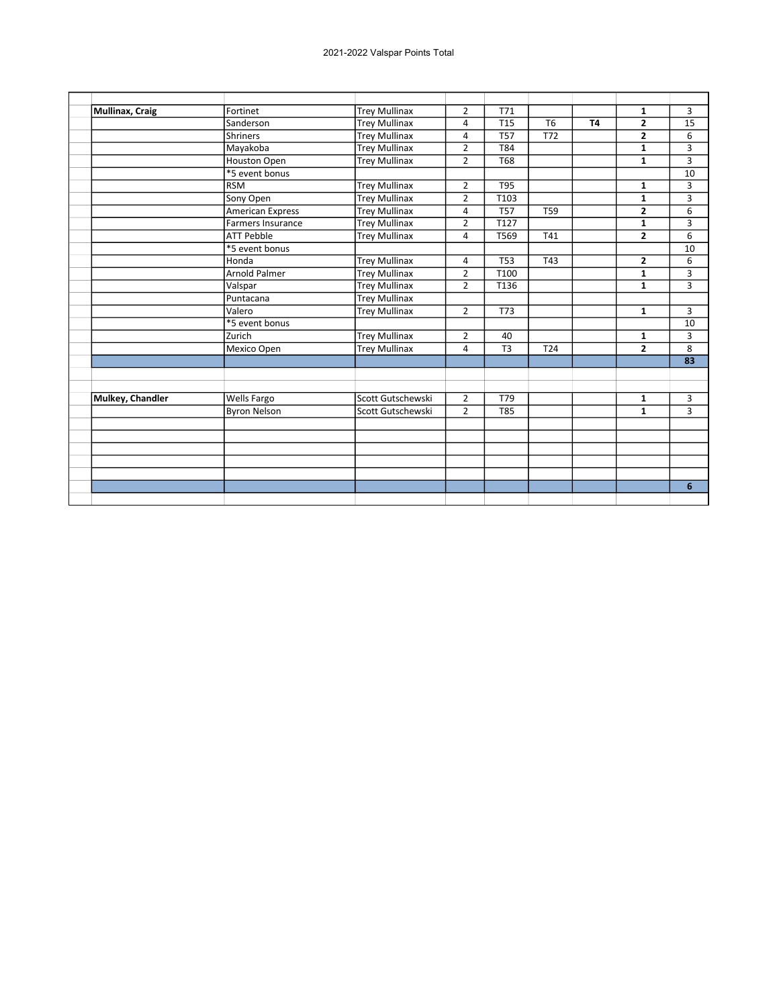| <b>Mullinax, Craig</b>  | Fortinet                 | <b>Trey Mullinax</b> | $\overline{2}$ | T71            |                 |           | 1              | 3               |
|-------------------------|--------------------------|----------------------|----------------|----------------|-----------------|-----------|----------------|-----------------|
|                         | Sanderson                | <b>Trey Mullinax</b> | 4              | <b>T15</b>     | T <sub>6</sub>  | <b>T4</b> | $\overline{2}$ | 15              |
|                         | <b>Shriners</b>          | <b>Trey Mullinax</b> | 4              | <b>T57</b>     | T72             |           | $\overline{2}$ | 6               |
|                         | Mayakoba                 | <b>Trey Mullinax</b> | $\overline{2}$ | <b>T84</b>     |                 |           | 1              | 3               |
|                         | <b>Houston Open</b>      | <b>Trey Mullinax</b> | $\overline{2}$ | <b>T68</b>     |                 |           | 1              | 3               |
|                         | *5 event bonus           |                      |                |                |                 |           |                | 10              |
|                         | <b>RSM</b>               | <b>Trey Mullinax</b> | $\overline{2}$ | <b>T95</b>     |                 |           | 1              | 3               |
|                         | Sony Open                | <b>Trey Mullinax</b> | $\overline{2}$ | T103           |                 |           | 1              | 3               |
|                         | <b>American Express</b>  | <b>Trey Mullinax</b> | 4              | <b>T57</b>     | <b>T59</b>      |           | $\overline{2}$ | 6               |
|                         | <b>Farmers Insurance</b> | <b>Trey Mullinax</b> | $\overline{2}$ | T127           |                 |           | $\mathbf{1}$   | 3               |
|                         | <b>ATT Pebble</b>        | <b>Trey Mullinax</b> | 4              | T569           | T41             |           | $\overline{2}$ | 6               |
|                         | *5 event bonus           |                      |                |                |                 |           |                | 10              |
|                         | Honda                    | <b>Trey Mullinax</b> | 4              | <b>T53</b>     | T43             |           | $\mathbf{z}$   | 6               |
|                         | Arnold Palmer            | <b>Trey Mullinax</b> | $\overline{2}$ | T100           |                 |           | $\mathbf{1}$   | 3               |
|                         | Valspar                  | <b>Trey Mullinax</b> | $\overline{2}$ | T136           |                 |           | $\mathbf{1}$   | 3               |
|                         | Puntacana                | <b>Trey Mullinax</b> |                |                |                 |           |                |                 |
|                         | Valero                   | <b>Trey Mullinax</b> | $\overline{2}$ | T73            |                 |           | $\mathbf{1}$   | 3               |
|                         | *5 event bonus           |                      |                |                |                 |           |                | 10              |
|                         | Zurich                   | <b>Trey Mullinax</b> | $\overline{2}$ | 40             |                 |           | 1              | 3               |
|                         | Mexico Open              | <b>Trey Mullinax</b> | 4              | T <sub>3</sub> | T <sub>24</sub> |           | $\overline{2}$ | 8               |
|                         |                          |                      |                |                |                 |           |                | $\overline{83}$ |
|                         |                          |                      |                |                |                 |           |                |                 |
|                         |                          |                      |                |                |                 |           |                |                 |
| <b>Mulkey, Chandler</b> | Wells Fargo              | Scott Gutschewski    | $\overline{2}$ | T79            |                 |           | 1              | 3               |
|                         | <b>Byron Nelson</b>      | Scott Gutschewski    | $\overline{2}$ | <b>T85</b>     |                 |           | $\mathbf{1}$   | 3               |
|                         |                          |                      |                |                |                 |           |                |                 |
|                         |                          |                      |                |                |                 |           |                |                 |
|                         |                          |                      |                |                |                 |           |                |                 |
|                         |                          |                      |                |                |                 |           |                |                 |
|                         |                          |                      |                |                |                 |           |                |                 |
|                         |                          |                      |                |                |                 |           |                | 6               |
|                         |                          |                      |                |                |                 |           |                |                 |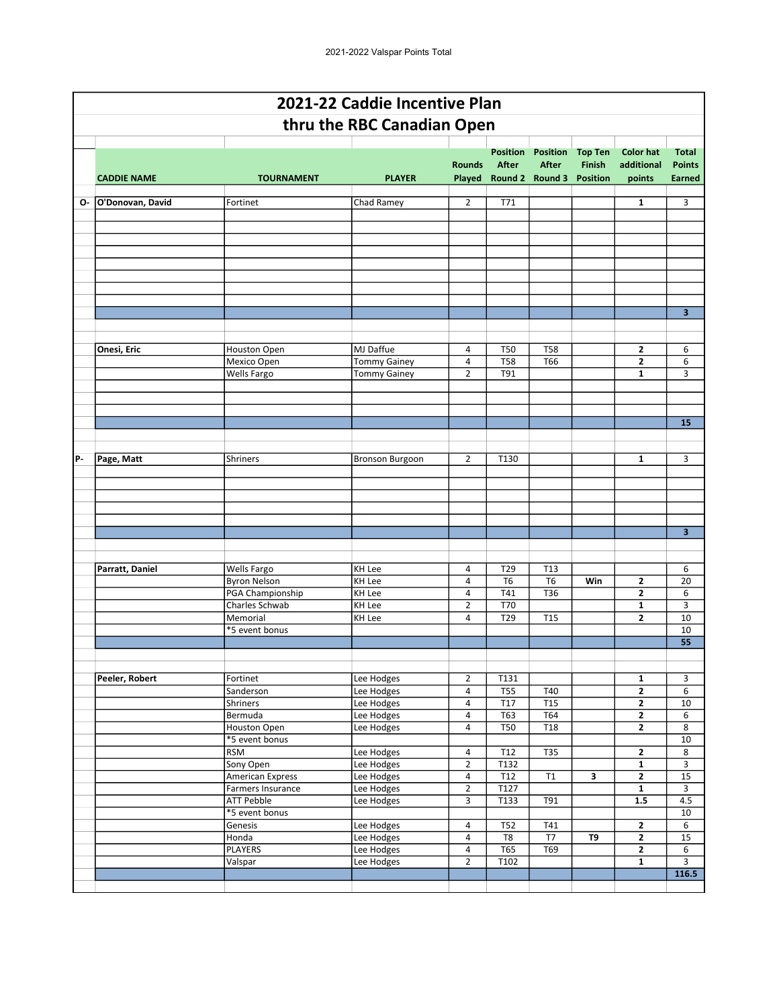|    |                    |                                      | 2021-22 Caddie Incentive Plan              |                     |                          |                          |                |                                         |                         |
|----|--------------------|--------------------------------------|--------------------------------------------|---------------------|--------------------------|--------------------------|----------------|-----------------------------------------|-------------------------|
|    |                    |                                      | thru the RBC Canadian Open                 |                     |                          |                          |                |                                         |                         |
|    |                    |                                      |                                            |                     | <b>Position</b>          | <b>Position</b>          | <b>Top Ten</b> | <b>Color hat</b>                        | <b>Total</b>            |
|    |                    |                                      |                                            | <b>Rounds</b>       | After                    | <b>After</b>             | <b>Finish</b>  | additional                              | <b>Points</b>           |
|    | <b>CADDIE NAME</b> | <b>TOURNAMENT</b>                    | <b>PLAYER</b>                              | Played              |                          | Round 2 Round 3 Position |                | points                                  | <b>Earned</b>           |
| 0- | O'Donovan, David   | Fortinet                             | Chad Ramey                                 | $\overline{2}$      | T71                      |                          |                | $\mathbf{1}$                            | 3                       |
|    |                    |                                      |                                            |                     |                          |                          |                |                                         |                         |
|    |                    |                                      |                                            |                     |                          |                          |                |                                         |                         |
|    |                    |                                      |                                            |                     |                          |                          |                |                                         |                         |
|    |                    |                                      |                                            |                     |                          |                          |                |                                         |                         |
|    |                    |                                      |                                            |                     |                          |                          |                |                                         |                         |
|    |                    |                                      |                                            |                     |                          |                          |                |                                         |                         |
|    |                    |                                      |                                            |                     |                          |                          |                |                                         | $\overline{\mathbf{3}}$ |
|    |                    |                                      |                                            |                     |                          |                          |                |                                         |                         |
|    |                    |                                      |                                            |                     |                          |                          |                |                                         |                         |
|    | Onesi, Eric        | <b>Houston Open</b>                  | MJ Daffue                                  | 4<br>$\overline{4}$ | <b>T50</b><br><b>T58</b> | <b>T58</b><br>T66        |                | $\mathbf{2}$<br>$\mathbf{2}$            | 6                       |
|    |                    | Mexico Open<br>Wells Fargo           | <b>Tommy Gainey</b><br><b>Tommy Gainey</b> | $\overline{2}$      | T91                      |                          |                | 1                                       | 6<br>3                  |
|    |                    |                                      |                                            |                     |                          |                          |                |                                         |                         |
|    |                    |                                      |                                            |                     |                          |                          |                |                                         |                         |
|    |                    |                                      |                                            |                     |                          |                          |                |                                         |                         |
|    |                    |                                      |                                            |                     |                          |                          |                |                                         | 15                      |
|    |                    |                                      |                                            |                     |                          |                          |                |                                         |                         |
| P- | Page, Matt         | Shriners                             | <b>Bronson Burgoon</b>                     | $\overline{2}$      | T130                     |                          |                | $\mathbf{1}$                            | 3                       |
|    |                    |                                      |                                            |                     |                          |                          |                |                                         |                         |
|    |                    |                                      |                                            |                     |                          |                          |                |                                         |                         |
|    |                    |                                      |                                            |                     |                          |                          |                |                                         |                         |
|    |                    |                                      |                                            |                     |                          |                          |                |                                         |                         |
|    |                    |                                      |                                            |                     |                          |                          |                |                                         | $\overline{\mathbf{3}}$ |
|    |                    |                                      |                                            |                     |                          |                          |                |                                         |                         |
|    | Parratt, Daniel    | Wells Fargo                          | KH Lee                                     | 4                   | T29                      | T13                      |                |                                         | 6                       |
|    |                    | <b>Byron Nelson</b>                  | <b>KH Lee</b>                              | $\overline{4}$      | T6                       | T <sub>6</sub>           | Win            | $\mathbf{2}$                            | 20                      |
|    |                    | PGA Championship                     | <b>KH Lee</b>                              | 4                   | T41                      | T36                      |                | $\mathbf{2}$                            | 6                       |
|    |                    | Charles Schwab                       | <b>KH Lee</b>                              | $\overline{2}$      | T70                      |                          |                | $\mathbf{1}$                            | 3                       |
|    |                    | Memorial                             | KH Lee                                     | 4                   | T29                      | T <sub>15</sub>          |                | $\mathbf{2}$                            | 10                      |
|    |                    | *5 event bonus                       |                                            |                     |                          |                          |                |                                         | 10<br>55                |
|    |                    |                                      |                                            |                     |                          |                          |                |                                         |                         |
|    |                    |                                      |                                            |                     |                          |                          |                |                                         |                         |
|    | Peeler, Robert     | Fortinet                             | Lee Hodges                                 | $\overline{2}$      | T131                     |                          |                | $\mathbf{1}$                            | 3                       |
|    |                    | Sanderson<br><b>Shriners</b>         | Lee Hodges<br>Lee Hodges                   | 4<br>4              | $\overline{T55}$<br>T17  | T40<br>T15               |                | $\mathbf{2}$<br>$\overline{2}$          | 6<br>10                 |
|    |                    | Bermuda                              | Lee Hodges                                 | 4                   | T63                      | T64                      |                | $\mathbf{2}$                            | 6                       |
|    |                    | Houston Open                         | Lee Hodges                                 | 4                   | <b>T50</b>               | T18                      |                | $\mathbf{2}$                            | 8                       |
|    |                    | *5 event bonus                       |                                            |                     |                          |                          |                |                                         | 10                      |
|    |                    | <b>RSM</b>                           | Lee Hodges                                 | 4                   | T <sub>12</sub>          | <b>T35</b>               |                | $\mathbf{z}$                            | 8                       |
|    |                    | Sony Open<br><b>American Express</b> | Lee Hodges<br>Lee Hodges                   | $\overline{2}$<br>4 | T132<br>T12              | T1                       | 3              | $\mathbf{1}$<br>$\overline{\mathbf{2}}$ | 3<br>15                 |
|    |                    | Farmers Insurance                    | Lee Hodges                                 | $\overline{2}$      | T127                     |                          |                | $\mathbf{1}$                            | 3                       |
|    |                    | <b>ATT Pebble</b>                    | Lee Hodges                                 | 3                   | T133                     | <b>T91</b>               |                | 1.5                                     | 4.5                     |
|    |                    | *5 event bonus                       |                                            |                     |                          |                          |                |                                         | 10                      |
|    |                    | Genesis                              | Lee Hodges                                 | 4                   | T52                      | T41                      |                | $\mathbf{2}$                            | 6                       |
|    |                    | Honda<br><b>PLAYERS</b>              | Lee Hodges<br>Lee Hodges                   | 4<br>4              | T8<br><b>T65</b>         | T7<br>T69                | T9             | $\mathbf{2}$<br>$\mathbf{2}$            | 15<br>6                 |
|    |                    | Valspar                              | Lee Hodges                                 | $\overline{2}$      | T102                     |                          |                | $\mathbf{1}$                            | 3                       |
|    |                    |                                      |                                            |                     |                          |                          |                |                                         | 116.5                   |
|    |                    |                                      |                                            |                     |                          |                          |                |                                         |                         |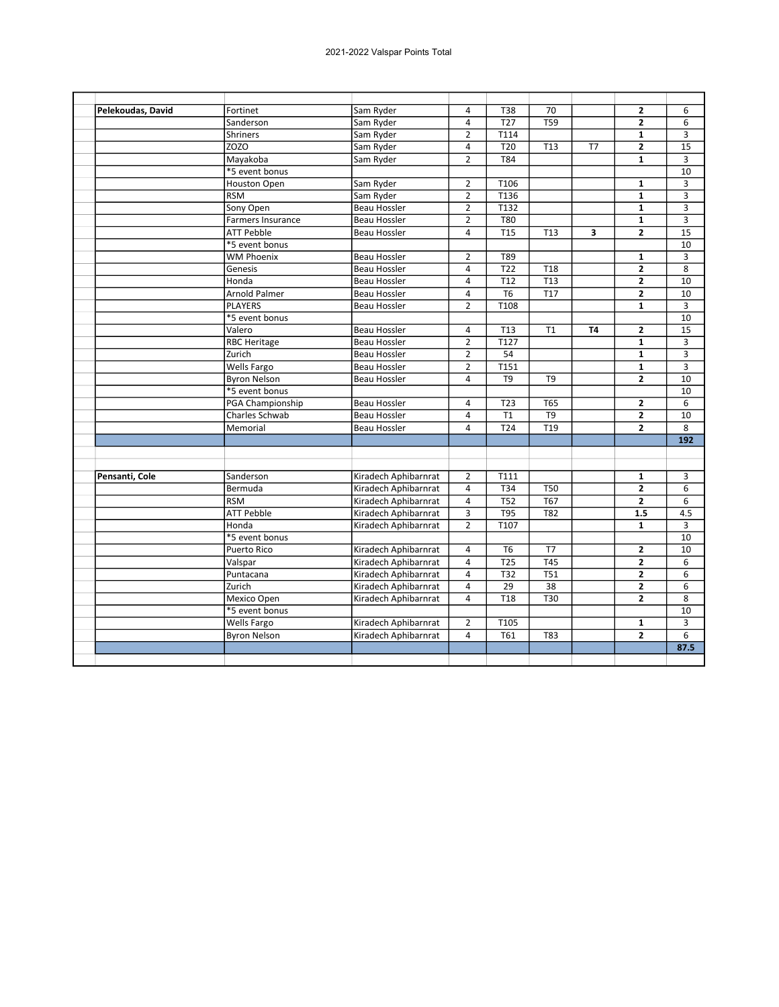| Pelekoudas, David | Fortinet             | Sam Ryder            | 4              | T38             | 70              |           | $\mathbf{2}$   | 6              |
|-------------------|----------------------|----------------------|----------------|-----------------|-----------------|-----------|----------------|----------------|
|                   | Sanderson            | Sam Ryder            | $\overline{4}$ | T <sub>27</sub> | T59             |           | $\mathbf{2}$   | 6              |
|                   | Shriners             | Sam Ryder            | $\overline{2}$ | T114            |                 |           | $\mathbf{1}$   | 3              |
|                   | ZOZO                 | Sam Ryder            | $\overline{4}$ | T <sub>20</sub> | T <sub>13</sub> | T7        | $\mathbf{2}$   | 15             |
|                   | Mayakoba             | Sam Ryder            | $\overline{2}$ | T84             |                 |           | $\mathbf{1}$   | 3              |
|                   | *5 event bonus       |                      |                |                 |                 |           |                | 10             |
|                   | <b>Houston Open</b>  | Sam Ryder            | $\overline{2}$ | T106            |                 |           | $\mathbf{1}$   | $\overline{3}$ |
|                   | <b>RSM</b>           | Sam Ryder            | $\overline{2}$ | T136            |                 |           | $\mathbf{1}$   | 3              |
|                   | Sony Open            | <b>Beau Hossler</b>  | $\overline{2}$ | T132            |                 |           | $\mathbf{1}$   | 3              |
|                   | Farmers Insurance    | Beau Hossler         | $\overline{2}$ | T80             |                 |           | $\mathbf{1}$   | 3              |
|                   | <b>ATT Pebble</b>    | Beau Hossler         | 4              | <b>T15</b>      | T <sub>13</sub> | 3         | $\overline{2}$ | 15             |
|                   | *5 event bonus       |                      |                |                 |                 |           |                | 10             |
|                   | <b>WM Phoenix</b>    | Beau Hossler         | $\overline{2}$ | T89             |                 |           | $\mathbf{1}$   | 3              |
|                   | Genesis              | <b>Beau Hossler</b>  | $\overline{4}$ | T <sub>22</sub> | T <sub>18</sub> |           | $\overline{2}$ | 8              |
|                   | Honda                | Beau Hossler         | $\overline{4}$ | T12             | T13             |           | $\mathbf{2}$   | 10             |
|                   | <b>Arnold Palmer</b> | <b>Beau Hossler</b>  | $\overline{4}$ | T <sub>6</sub>  | T <sub>17</sub> |           | $\overline{2}$ | 10             |
|                   | <b>PLAYERS</b>       | <b>Beau Hossler</b>  | $\overline{2}$ | T108            |                 |           | $\mathbf{1}$   | $\overline{3}$ |
|                   | *5 event bonus       |                      |                |                 |                 |           |                | 10             |
|                   | Valero               | Beau Hossler         | 4              | T <sub>13</sub> | T1              | <b>T4</b> | $\mathbf{2}$   | 15             |
|                   | <b>RBC Heritage</b>  | Beau Hossler         | $\overline{2}$ | T127            |                 |           | $\mathbf{1}$   | 3              |
|                   | Zurich               | Beau Hossler         | $\overline{2}$ | 54              |                 |           | $\mathbf{1}$   | 3              |
|                   | Wells Fargo          | Beau Hossler         | $\overline{2}$ | T151            |                 |           | $\mathbf{1}$   | 3              |
|                   | <b>Byron Nelson</b>  | <b>Beau Hossler</b>  | $\overline{4}$ | T <sub>9</sub>  | T <sub>9</sub>  |           | $\overline{2}$ | 10             |
|                   | *5 event bonus       |                      |                |                 |                 |           |                | 10             |
|                   | PGA Championship     | Beau Hossler         | $\overline{4}$ | T <sub>23</sub> | T65             |           | $\mathbf{2}$   | 6              |
|                   | Charles Schwab       | Beau Hossler         | $\overline{4}$ | T1              | $\overline{T9}$ |           | $\overline{2}$ | 10             |
|                   | Memorial             | <b>Beau Hossler</b>  | $\overline{4}$ | T24             | T19             |           | $\overline{2}$ | 8              |
|                   |                      |                      |                |                 |                 |           |                | 192            |
|                   |                      |                      |                |                 |                 |           |                |                |
| Pensanti, Cole    | Sanderson            | Kiradech Aphibarnrat | $\overline{2}$ | T111            |                 |           | $\mathbf{1}$   | 3              |
|                   | Bermuda              | Kiradech Aphibarnrat | $\overline{4}$ | T34             | <b>T50</b>      |           | $\overline{2}$ | 6              |
|                   | <b>RSM</b>           | Kiradech Aphibarnrat | $\overline{4}$ | T52             | T67             |           | $\mathbf{2}$   | 6              |
|                   | <b>ATT Pebble</b>    | Kiradech Aphibarnrat | $\overline{3}$ | <b>T95</b>      | T82             |           | 1.5            | 4.5            |
|                   | Honda                | Kiradech Aphibarnrat | $\overline{2}$ | T107            |                 |           | $\mathbf{1}$   | 3              |
|                   | *5 event bonus       |                      |                |                 |                 |           |                | 10             |
|                   | Puerto Rico          | Kiradech Aphibarnrat | 4              | T <sub>6</sub>  | T7              |           | $\mathbf{2}$   | 10             |
|                   | Valspar              | Kiradech Aphibarnrat | $\overline{4}$ | T25             | T45             |           | $\mathbf{2}$   | 6              |
|                   | Puntacana            | Kiradech Aphibarnrat | $\overline{4}$ | T32             | T51             |           | $\overline{2}$ | 6              |
|                   | Zurich               | Kiradech Aphibarnrat | $\overline{4}$ | 29              | 38              |           | $\mathbf{2}$   | 6              |
|                   | Mexico Open          | Kiradech Aphibarnrat | $\overline{4}$ | T <sub>18</sub> | T30             |           | $\overline{2}$ | 8              |
|                   | *5 event bonus       |                      |                |                 |                 |           |                | 10             |
|                   | Wells Fargo          | Kiradech Aphibarnrat | $\overline{2}$ | T105            |                 |           | $\mathbf{1}$   | 3              |
|                   | <b>Byron Nelson</b>  | Kiradech Aphibarnrat | $\overline{4}$ | T61             | T83             |           | $\overline{2}$ | 6              |
|                   |                      |                      |                |                 |                 |           |                | 87.5           |
|                   |                      |                      |                |                 |                 |           |                |                |
|                   |                      |                      |                |                 |                 |           |                |                |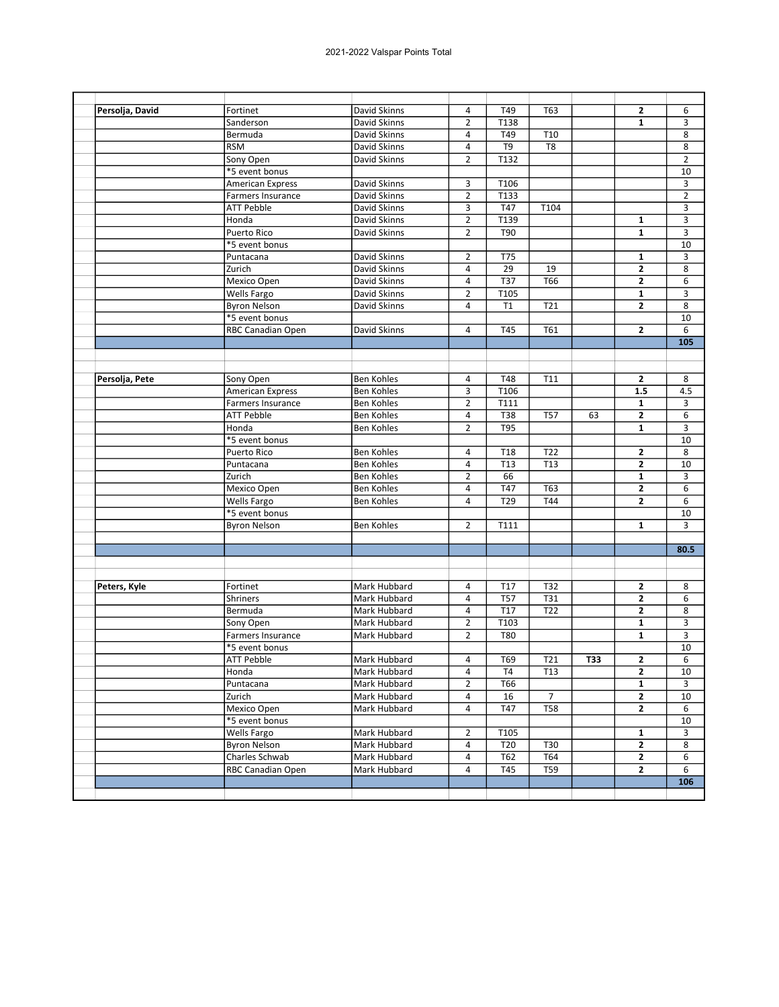| Persolja, David | Fortinet                               | David Skinns                           | 4              | T49             | T63            |            | 2              | 6              |
|-----------------|----------------------------------------|----------------------------------------|----------------|-----------------|----------------|------------|----------------|----------------|
|                 | Sanderson                              | David Skinns                           | $\overline{2}$ | T138            |                |            | $\mathbf{1}$   | 3              |
|                 | Bermuda                                | David Skinns                           | 4              | T49             | T10            |            |                | 8              |
|                 | <b>RSM</b>                             | David Skinns                           | 4              | T9              | T8             |            |                | 8              |
|                 | Sony Open                              | David Skinns                           | $\overline{2}$ | T132            |                |            |                | $\overline{2}$ |
|                 | *5 event bonus                         |                                        |                |                 |                |            |                | 10             |
|                 | <b>American Express</b>                | David Skinns                           | 3              | T106            |                |            |                | 3              |
|                 | Farmers Insurance                      | David Skinns                           | $\overline{2}$ | T133            |                |            |                | $\overline{2}$ |
|                 | <b>ATT Pebble</b>                      | David Skinns                           | 3              | T47             | T104           |            |                | 3              |
|                 | Honda                                  | David Skinns                           | $\overline{2}$ | T139            |                |            | 1              | 3              |
|                 | <b>Puerto Rico</b>                     | David Skinns                           | $\overline{2}$ | T90             |                |            | $\mathbf{1}$   | 3              |
|                 | *5 event bonus                         |                                        |                |                 |                |            |                | 10             |
|                 | Puntacana                              | David Skinns                           | $\overline{2}$ | T75             |                |            | 1              | 3              |
|                 | Zurich                                 | David Skinns                           | 4              | 29              | 19             |            | $\mathbf{2}$   | 8              |
|                 | Mexico Open                            | David Skinns                           | 4              | T37             | T66            |            | $\mathbf{2}$   | 6              |
|                 | <b>Wells Fargo</b>                     | David Skinns                           | 2              | T105            |                |            | 1              | 3              |
|                 | <b>Byron Nelson</b>                    | David Skinns                           | 4              | T1              | T21            |            | 2              | 8              |
|                 | *5 event bonus                         |                                        |                |                 |                |            |                | 10             |
|                 | RBC Canadian Open                      | David Skinns                           | 4              | <b>T45</b>      | T61            |            | $\overline{2}$ | 6              |
|                 |                                        |                                        |                |                 |                |            |                | 105            |
|                 |                                        |                                        |                |                 |                |            |                |                |
|                 | Sony Open                              | Ben Kohles                             | 4              | T48             | T11            |            | 2              | 8              |
| Persolja, Pete  | American Express                       | <b>Ben Kohles</b>                      | 3              | T106            |                |            | 1.5            | 4.5            |
|                 |                                        |                                        | $\overline{2}$ |                 |                |            | 1              | 3              |
|                 | Farmers Insurance<br><b>ATT Pebble</b> | <b>Ben Kohles</b><br><b>Ben Kohles</b> |                | T111            |                |            |                |                |
|                 |                                        |                                        | 4              | T38             | <b>T57</b>     | 63         | $\mathbf{2}$   | 6              |
|                 | Honda                                  | Ben Kohles                             | $\overline{2}$ | <b>T95</b>      |                |            | $\mathbf{1}$   | 3              |
|                 | *5 event bonus                         |                                        |                |                 |                |            |                | 10             |
|                 | Puerto Rico                            | <b>Ben Kohles</b>                      | 4              | T <sub>18</sub> | T22            |            | $\mathbf{2}$   | 8              |
|                 | Puntacana                              | <b>Ben Kohles</b>                      | 4              | T13             | T13            |            | $\overline{2}$ | 10             |
|                 | Zurich                                 | <b>Ben Kohles</b>                      | 2              | 66              |                |            | 1              | 3              |
|                 | Mexico Open                            | Ben Kohles                             | 4              | T47             | T63            |            | $\mathbf 2$    | 6              |
|                 | Wells Fargo                            | Ben Kohles                             | 4              | T29             | T44            |            | $\mathbf{2}$   | 6              |
|                 | *5 event bonus                         |                                        |                |                 |                |            |                | 10             |
|                 | <b>Byron Nelson</b>                    | Ben Kohles                             | $\overline{2}$ | T111            |                |            | 1              | 3              |
|                 |                                        |                                        |                |                 |                |            |                | 80.5           |
|                 |                                        |                                        |                |                 |                |            |                |                |
| Peters, Kyle    | Fortinet                               | Mark Hubbard                           | 4              | T <sub>17</sub> | T32            |            | 2              | 8              |
|                 | Shriners                               | Mark Hubbard                           | 4              | <b>T57</b>      | T31            |            | $\mathbf{2}$   | 6              |
|                 | Bermuda                                | Mark Hubbard                           | 4              | T17             | T22            |            | $\mathbf{2}$   | 8              |
|                 | Sony Open                              | Mark Hubbard                           | $\overline{2}$ | T103            |                |            | $\mathbf{1}$   | 3              |
|                 | <b>Farmers Insurance</b>               | Mark Hubbard                           | $\overline{2}$ | T80             |                |            | $\mathbf{1}$   | 3              |
|                 | *5 event bonus                         |                                        |                |                 |                |            |                | 10             |
|                 | <b>ATT Pebble</b>                      | Mark Hubbard                           | 4              | T69             | T21            | <b>T33</b> | $\mathbf{2}$   | 6              |
|                 | Honda                                  | Mark Hubbard                           | 4              | T <sub>4</sub>  | T13            |            | 2              | 10             |
|                 | Puntacana                              | Mark Hubbard                           | $\overline{2}$ | T66             |                |            | $\mathbf{1}$   | 3              |
|                 | Zurich                                 | Mark Hubbard                           | 4              | 16              | $\overline{7}$ |            | $\mathbf{2}$   | 10             |
|                 | Mexico Open                            | Mark Hubbard                           | 4              | T47             | <b>T58</b>     |            | $\mathbf{2}$   | 6              |
|                 | *5 event bonus                         |                                        |                |                 |                |            |                | 10             |
|                 | Wells Fargo                            | Mark Hubbard                           | $\overline{2}$ | T105            |                |            | 1              | 3              |
|                 | <b>Byron Nelson</b>                    | Mark Hubbard                           | 4              | T <sub>20</sub> | T30            |            | 2              | 8              |
|                 | Charles Schwab                         | Mark Hubbard                           | 4              | T62             | T64            |            | $\mathbf{2}$   | 6              |
|                 | RBC Canadian Open                      | Mark Hubbard                           | 4              | T45             | T59            |            | $\mathbf{z}$   | 6              |
|                 |                                        |                                        |                |                 |                |            |                | 106            |
|                 |                                        |                                        |                |                 |                |            |                |                |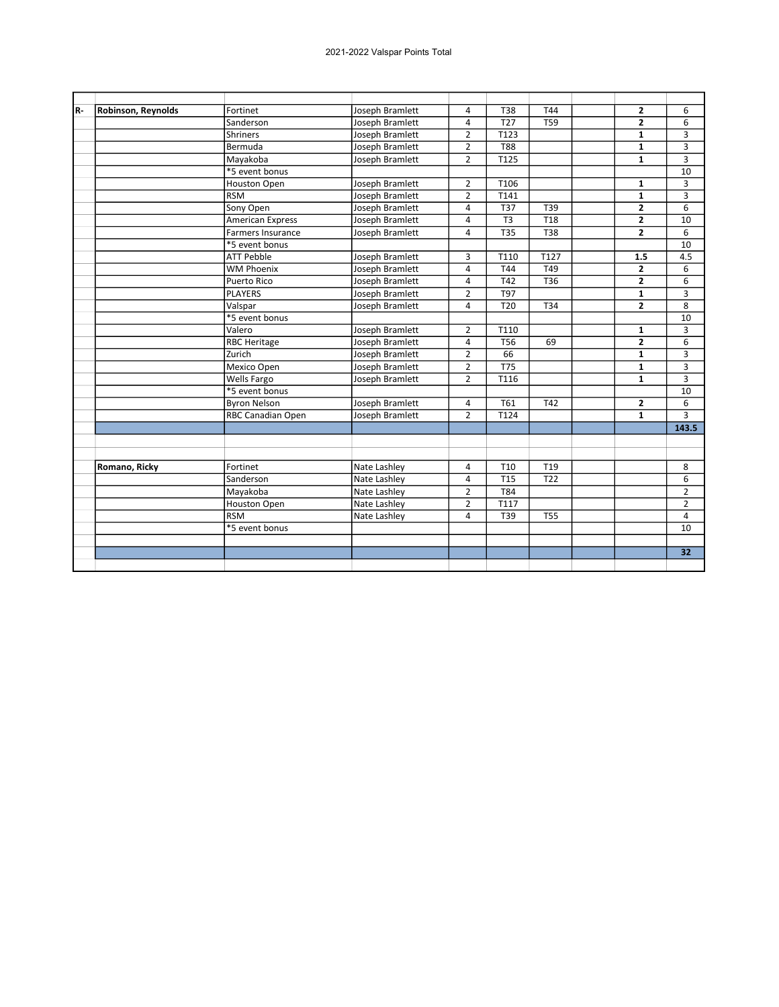| R- | Robinson, Reynolds | Fortinet                 | Joseph Bramlett | 4              | <b>T38</b>       | T44             | $\mathbf{2}$   | 6              |
|----|--------------------|--------------------------|-----------------|----------------|------------------|-----------------|----------------|----------------|
|    |                    | Sanderson                | Joseph Bramlett | 4              | T <sub>27</sub>  | <b>T59</b>      | $\overline{2}$ | 6              |
|    |                    | Shriners                 | Joseph Bramlett | $\overline{2}$ | T123             |                 | $\mathbf{1}$   | 3              |
|    |                    | Bermuda                  | Joseph Bramlett | $\overline{2}$ | <b>T88</b>       |                 | $\mathbf{1}$   | 3              |
|    |                    | Mayakoba                 | Joseph Bramlett | $\overline{2}$ | T125             |                 | $\mathbf{1}$   | 3              |
|    |                    | *5 event bonus           |                 |                |                  |                 |                | 10             |
|    |                    | Houston Open             | Joseph Bramlett | $\overline{2}$ | T106             |                 | 1              | 3              |
|    |                    | <b>RSM</b>               | Joseph Bramlett | $\overline{2}$ | T141             |                 | $\mathbf{1}$   | 3              |
|    |                    | Sony Open                | Joseph Bramlett | 4              | T37              | T39             | $\overline{2}$ | 6              |
|    |                    | American Express         | Joseph Bramlett | 4              | T <sub>3</sub>   | <b>T18</b>      | $\overline{2}$ | 10             |
|    |                    | <b>Farmers Insurance</b> | Joseph Bramlett | 4              | <b>T35</b>       | <b>T38</b>      | $\overline{2}$ | 6              |
|    |                    | *5 event bonus           |                 |                |                  |                 |                | 10             |
|    |                    | <b>ATT Pebble</b>        | Joseph Bramlett | 3              | T110             | T127            | 1.5            | 4.5            |
|    |                    | <b>WM Phoenix</b>        | Joseph Bramlett | 4              | T44              | T49             | $\overline{2}$ | 6              |
|    |                    | <b>Puerto Rico</b>       | Joseph Bramlett | 4              | T42              | T36             | $\overline{2}$ | 6              |
|    |                    | <b>PLAYERS</b>           | Joseph Bramlett | $\overline{2}$ | T97              |                 | $\mathbf{1}$   | 3              |
|    |                    | Valspar                  | Joseph Bramlett | 4              | T <sub>20</sub>  | T34             | $\overline{2}$ | 8              |
|    |                    | *5 event bonus           |                 |                |                  |                 |                | 10             |
|    |                    | Valero                   | Joseph Bramlett | 2              | T110             |                 | 1              | 3              |
|    |                    | <b>RBC Heritage</b>      | Joseph Bramlett | 4              | T <sub>56</sub>  | 69              | $\mathbf{z}$   | 6              |
|    |                    | Zurich                   | Joseph Bramlett | $\overline{2}$ | 66               |                 | $\mathbf{1}$   | 3              |
|    |                    | Mexico Open              | Joseph Bramlett | $\overline{2}$ | $\overline{775}$ |                 | $\mathbf{1}$   | 3              |
|    |                    | Wells Fargo              | Joseph Bramlett | $\overline{2}$ | T116             |                 | $\mathbf{1}$   | 3              |
|    |                    | *5 event bonus           |                 |                |                  |                 |                | 10             |
|    |                    | <b>Byron Nelson</b>      | Joseph Bramlett | 4              | T61              | T42             | $\mathbf{z}$   | 6              |
|    |                    | <b>RBC Canadian Open</b> | Joseph Bramlett | $\overline{2}$ | T124             |                 | $\mathbf{1}$   | 3              |
|    |                    |                          |                 |                |                  |                 |                | 143.5          |
|    |                    |                          |                 |                |                  |                 |                |                |
|    |                    |                          |                 |                |                  |                 |                |                |
|    | Romano, Ricky      | Fortinet                 | Nate Lashley    | 4              | T <sub>10</sub>  | T <sub>19</sub> |                | 8              |
|    |                    | Sanderson                | Nate Lashley    | 4              | T <sub>15</sub>  | T <sub>22</sub> |                | 6              |
|    |                    | Mayakoba                 | Nate Lashley    | $\overline{2}$ | T84              |                 |                | $\overline{2}$ |
|    |                    | <b>Houston Open</b>      | Nate Lashley    | $\overline{2}$ | T117             |                 |                | $\overline{2}$ |
|    |                    | <b>RSM</b>               | Nate Lashley    | 4              | T39              | <b>T55</b>      |                | 4              |
|    |                    | *5 event bonus           |                 |                |                  |                 |                | 10             |
|    |                    |                          |                 |                |                  |                 |                |                |
|    |                    |                          |                 |                |                  |                 |                | 32             |
|    |                    |                          |                 |                |                  |                 |                |                |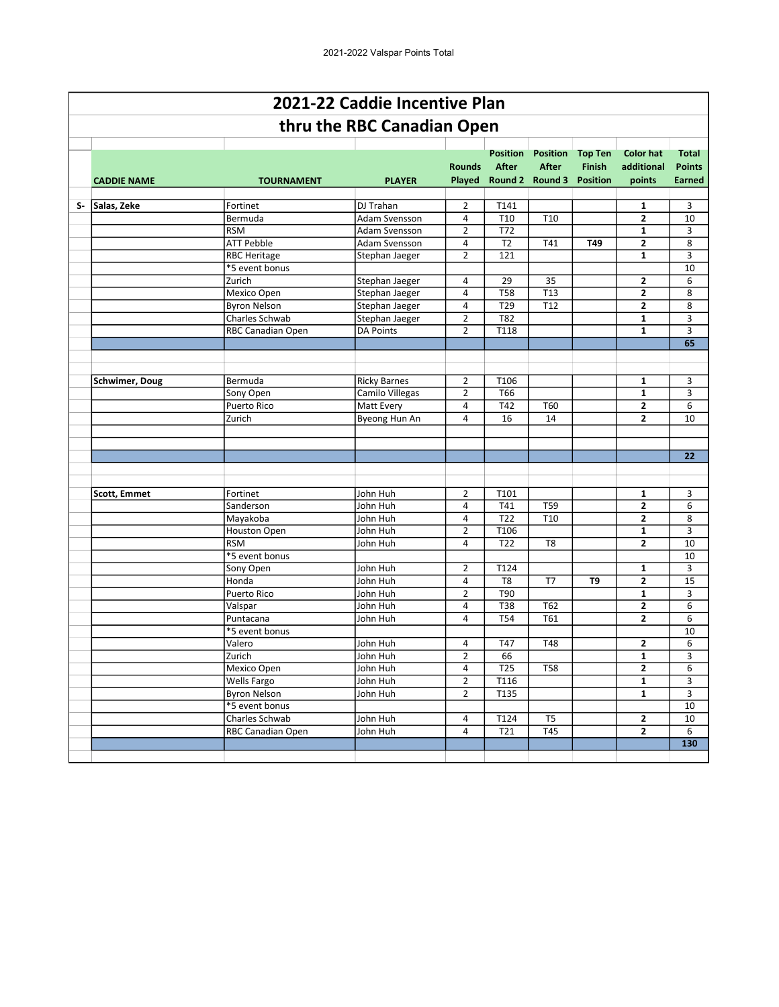|    |                       |                     | 2021-22 Caddie Incentive Plan |                         |                                 |                                                                    |                                 |                                          |                                         |
|----|-----------------------|---------------------|-------------------------------|-------------------------|---------------------------------|--------------------------------------------------------------------|---------------------------------|------------------------------------------|-----------------------------------------|
|    |                       |                     | thru the RBC Canadian Open    |                         |                                 |                                                                    |                                 |                                          |                                         |
|    | <b>CADDIE NAME</b>    | <b>TOURNAMENT</b>   | <b>PLAYER</b>                 | <b>Rounds</b>           | <b>Position</b><br><b>After</b> | <b>Position</b><br><b>After</b><br>Played Round 2 Round 3 Position | <b>Top Ten</b><br><b>Finish</b> | <b>Color hat</b><br>additional<br>points | <b>Total</b><br><b>Points</b><br>Earned |
|    |                       |                     |                               |                         |                                 |                                                                    |                                 |                                          |                                         |
| S- | Salas, Zeke           | Fortinet            | <b>DJ</b> Trahan              | $\overline{2}$          | T141                            |                                                                    |                                 | 1                                        | 3                                       |
|    |                       | Bermuda             | Adam Svensson                 | 4                       | T <sub>10</sub>                 | T10                                                                |                                 | $\mathbf{2}$                             | 10                                      |
|    |                       | <b>RSM</b>          | Adam Svensson                 | 2                       | T72                             |                                                                    |                                 | 1                                        | 3                                       |
|    |                       | <b>ATT Pebble</b>   | Adam Svensson                 | 4                       | T <sub>2</sub>                  | T41                                                                | T49                             | $\mathbf{2}$                             | 8                                       |
|    |                       | <b>RBC Heritage</b> | Stephan Jaeger                | $\overline{2}$          | 121                             |                                                                    |                                 | $\mathbf{1}$                             | 3                                       |
|    |                       | *5 event bonus      |                               |                         |                                 |                                                                    |                                 |                                          | 10                                      |
|    |                       | Zurich              | Stephan Jaeger                | 4                       | 29                              | 35                                                                 |                                 | 2                                        | 6                                       |
|    |                       | Mexico Open         | Stephan Jaeger                | 4                       | <b>T58</b>                      | $\overline{113}$                                                   |                                 | $\mathbf{2}$                             | 8                                       |
|    |                       | <b>Byron Nelson</b> | Stephan Jaeger                | 4                       | T29                             | T <sub>12</sub>                                                    |                                 | 2                                        | 8                                       |
|    |                       | Charles Schwab      | Stephan Jaeger                | $\overline{2}$          | <b>T82</b>                      |                                                                    |                                 | $\mathbf{1}$                             | 3                                       |
|    |                       | RBC Canadian Open   | <b>DA Points</b>              | $\overline{2}$          | T118                            |                                                                    |                                 | $\mathbf{1}$                             | 3                                       |
|    |                       |                     |                               |                         |                                 |                                                                    |                                 |                                          | 65                                      |
|    |                       |                     |                               |                         |                                 |                                                                    |                                 |                                          |                                         |
|    |                       |                     |                               |                         |                                 |                                                                    |                                 |                                          |                                         |
|    | <b>Schwimer, Doug</b> | Bermuda             | <b>Ricky Barnes</b>           | $\overline{2}$          | T106                            |                                                                    |                                 | 1                                        | 3                                       |
|    |                       | Sony Open           | Camilo Villegas               | $\overline{2}$          | T66                             |                                                                    |                                 | $\mathbf{1}$                             | 3                                       |
|    |                       | <b>Puerto Rico</b>  | <b>Matt Every</b>             | $\overline{a}$          | T42                             | T60                                                                |                                 | 2                                        | 6                                       |
|    |                       | Zurich              | Byeong Hun An                 | 4                       | 16                              | 14                                                                 |                                 | $\overline{2}$                           | 10                                      |
|    |                       |                     |                               |                         |                                 |                                                                    |                                 |                                          |                                         |
|    |                       |                     |                               |                         |                                 |                                                                    |                                 |                                          |                                         |
|    |                       |                     |                               |                         |                                 |                                                                    |                                 |                                          | 22                                      |
|    |                       |                     |                               |                         |                                 |                                                                    |                                 |                                          |                                         |
|    |                       |                     |                               |                         |                                 |                                                                    |                                 |                                          |                                         |
|    | <b>Scott, Emmet</b>   | Fortinet            | John Huh                      | $\overline{2}$          | T101                            |                                                                    |                                 | 1                                        | 3                                       |
|    |                       | Sanderson           | John Huh                      | $\overline{a}$          | T41                             | T59                                                                |                                 | 2                                        | 6                                       |
|    |                       | Mayakoba            | John Huh                      | 4                       | T22                             | T <sub>10</sub>                                                    |                                 | $\mathbf{2}$                             | 8                                       |
|    |                       | Houston Open        | John Huh                      | $\overline{2}$          | T106                            |                                                                    |                                 | 1                                        | 3                                       |
|    |                       | <b>RSM</b>          | John Huh                      | 4                       | T <sub>22</sub>                 | T <sub>8</sub>                                                     |                                 | 2                                        | 10                                      |
|    |                       | *5 event bonus      |                               |                         |                                 |                                                                    |                                 |                                          | 10                                      |
|    |                       | Sony Open           | John Huh                      | $\overline{2}$          | T124                            |                                                                    |                                 | 1                                        | 3                                       |
|    |                       | Honda               | John Huh                      | 4                       | T <sub>8</sub>                  | T7                                                                 | T9                              | 2                                        | 15                                      |
|    |                       | Puerto Rico         | John Huh                      | $\overline{2}$          | T90                             |                                                                    |                                 | $\mathbf{1}$                             | 3                                       |
|    |                       | Valspar             | John Huh                      | 4                       | <b>T38</b>                      | T62                                                                |                                 | $\mathbf{2}$                             | 6                                       |
|    |                       | Puntacana           | John Huh                      | 4                       | <b>T54</b>                      | T61                                                                |                                 | $\overline{2}$                           | 6                                       |
|    |                       | *5 event bonus      |                               |                         |                                 |                                                                    |                                 |                                          | 10                                      |
|    |                       | Valero              | John Huh                      | 4                       | T47                             | T48                                                                |                                 | $\mathbf{z}$                             | 6                                       |
|    |                       | Zurich              | John Huh                      | $\overline{2}$          | 66                              |                                                                    |                                 | $\mathbf{1}$                             | 3                                       |
|    |                       | Mexico Open         | John Huh                      | 4                       | T <sub>25</sub>                 | T58                                                                |                                 | $\mathbf{2}$                             | 6                                       |
|    |                       | Wells Fargo         | John Huh                      | $\overline{\mathbf{c}}$ | T116                            |                                                                    |                                 | $\mathbf{1}$                             | 3                                       |
|    |                       | <b>Byron Nelson</b> | John Huh                      | $\overline{2}$          | T135                            |                                                                    |                                 | $\mathbf{1}$                             | 3                                       |
|    |                       | *5 event bonus      |                               |                         |                                 |                                                                    |                                 |                                          | 10                                      |
|    |                       | Charles Schwab      | John Huh                      | 4                       | T124                            | T <sub>5</sub>                                                     |                                 | $\mathbf{2}$                             | 10                                      |
|    |                       | RBC Canadian Open   | John Huh                      | 4                       | T21                             | $\overline{745}$                                                   |                                 | $\overline{2}$                           | 6                                       |
|    |                       |                     |                               |                         |                                 |                                                                    |                                 |                                          | 130                                     |
|    |                       |                     |                               |                         |                                 |                                                                    |                                 |                                          |                                         |
|    |                       |                     |                               |                         |                                 |                                                                    |                                 |                                          |                                         |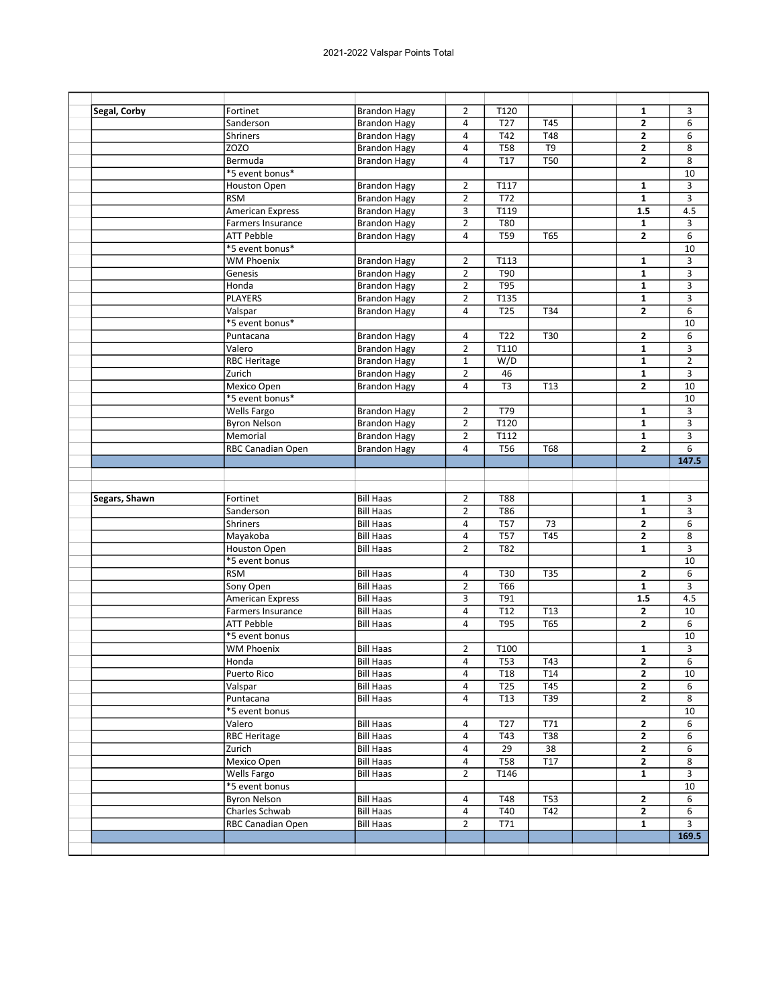| Segal, Corby  | Fortinet                                     | <b>Brandon Hagy</b>                  | $\overline{2}$          | T120             |                  | $\mathbf{1}$   | 3              |
|---------------|----------------------------------------------|--------------------------------------|-------------------------|------------------|------------------|----------------|----------------|
|               | Sanderson                                    | <b>Brandon Hagy</b>                  | $\overline{a}$          | T <sub>27</sub>  | T45              | $\mathbf{2}$   | 6              |
|               | Shriners                                     | <b>Brandon Hagy</b>                  | $\overline{4}$          | T42              | <b>T48</b>       | $\mathbf{2}$   | 6              |
|               | ZOZO                                         | <b>Brandon Hagy</b>                  | $\overline{4}$          | T58              | T9               | $\mathbf{2}$   | 8              |
|               | Bermuda                                      | <b>Brandon Hagy</b>                  | 4                       | <b>T17</b>       | <b>T50</b>       | $\overline{2}$ | 8              |
|               | *5 event bonus*                              |                                      |                         |                  |                  |                | 10             |
|               | <b>Houston Open</b>                          | <b>Brandon Hagy</b>                  | $\overline{2}$          | T117             |                  | 1              | 3              |
|               | <b>RSM</b>                                   | <b>Brandon Hagy</b>                  | $\overline{2}$          | T72              |                  | $\mathbf{1}$   | 3              |
|               | <b>American Express</b>                      | <b>Brandon Hagy</b>                  | 3                       | T119             |                  | 1.5            | 4.5            |
|               | Farmers Insurance                            | <b>Brandon Hagy</b>                  | $\overline{2}$          | <b>T80</b>       |                  | $\mathbf{1}$   | 3              |
|               | <b>ATT Pebble</b>                            | <b>Brandon Hagy</b>                  | $\overline{4}$          | <b>T59</b>       | <b>T65</b>       | $\overline{2}$ | 6              |
|               | *5 event bonus*                              |                                      |                         |                  |                  |                | 10             |
|               | <b>WM Phoenix</b>                            | <b>Brandon Hagy</b>                  | $\overline{2}$          | T113             |                  | 1              | 3              |
|               | Genesis                                      | <b>Brandon Hagy</b>                  | $\overline{2}$          | T90              |                  | 1              | 3              |
|               | Honda                                        | <b>Brandon Hagy</b>                  | $\overline{2}$          | <b>T95</b>       |                  | $\mathbf{1}$   | 3              |
|               | <b>PLAYERS</b>                               | <b>Brandon Hagy</b>                  | $\overline{2}$          | T135             |                  | 1              | 3              |
|               | Valspar                                      | <b>Brandon Hagy</b>                  | $\overline{4}$          | <b>T25</b>       | T34              | $\overline{2}$ | 6              |
|               | *5 event bonus*                              |                                      |                         |                  |                  |                | 10             |
|               | Puntacana                                    | <b>Brandon Hagy</b>                  | 4                       | T <sub>22</sub>  | T30              | 2              | 6              |
|               | Valero                                       | <b>Brandon Hagy</b>                  | $\overline{2}$          | T110             |                  | $\mathbf{1}$   | 3              |
|               | <b>RBC Heritage</b>                          | <b>Brandon Hagy</b>                  | $\mathbf 1$             | W/D              |                  | 1              | $\overline{2}$ |
|               | Zurich                                       | <b>Brandon Hagy</b>                  | $\overline{2}$          | 46               |                  | $\mathbf{1}$   | 3              |
|               | Mexico Open                                  |                                      | 4                       | T <sub>3</sub>   |                  | 2              | 10             |
|               | *5 event bonus*                              | <b>Brandon Hagy</b>                  |                         |                  | T <sub>13</sub>  |                |                |
|               |                                              |                                      |                         |                  |                  |                | 10             |
|               | Wells Fargo                                  | <b>Brandon Hagy</b>                  | $\overline{2}$          | T79<br>T120      |                  | $\mathbf{1}$   | 3              |
|               | <b>Byron Nelson</b>                          | <b>Brandon Hagy</b>                  | $\overline{2}$          |                  |                  | $\mathbf{1}$   | 3              |
|               | Memorial                                     | <b>Brandon Hagy</b>                  | $\overline{2}$          | T112             |                  | 1              | 3              |
|               | RBC Canadian Open                            | <b>Brandon Hagy</b>                  | $\overline{\mathbf{4}}$ | <b>T56</b>       | <b>T68</b>       | $\overline{2}$ | 6              |
|               |                                              |                                      |                         |                  |                  |                | 147.5          |
|               |                                              |                                      |                         |                  |                  |                |                |
| Segars, Shawn | Fortinet                                     | <b>Bill Haas</b>                     | $\overline{2}$          | <b>T88</b>       |                  | 1              | 3              |
|               | Sanderson                                    | <b>Bill Haas</b>                     | $\overline{2}$          | T86              |                  | $\mathbf{1}$   | 3              |
|               | Shriners                                     | <b>Bill Haas</b>                     | $\pmb{4}$               | T57              | $\overline{73}$  | $\mathbf{2}$   | 6              |
|               | Mayakoba                                     | <b>Bill Haas</b>                     | 4                       | <b>T57</b>       | <b>T45</b>       | 2              | 8              |
|               | Houston Open                                 | <b>Bill Haas</b>                     |                         |                  |                  |                |                |
|               |                                              |                                      | $\overline{2}$          | <b>T82</b>       |                  | $\mathbf{1}$   | 3              |
|               | *5 event bonus                               |                                      |                         |                  |                  |                | 10             |
|               | <b>RSM</b>                                   | <b>Bill Haas</b>                     | 4                       | T30              | <b>T35</b>       | 2              | 6              |
|               |                                              |                                      | $\overline{2}$          | T66              |                  | $\mathbf{1}$   |                |
|               | Sony Open                                    | <b>Bill Haas</b><br><b>Bill Haas</b> |                         |                  |                  |                | 3              |
|               | American Express<br><b>Farmers Insurance</b> |                                      | 3                       | T91              |                  | 1.5            | 4.5            |
|               |                                              | <b>Bill Haas</b>                     | 4                       | T12              | T13              | 2              | 10             |
|               | <b>ATT Pebble</b>                            | <b>Bill Haas</b>                     | 4                       | <b>T95</b>       | <b>T65</b>       | $\overline{2}$ | 6              |
|               | *5 event bonus                               |                                      |                         |                  |                  |                | 10             |
|               | <b>WM Phoenix</b>                            | <b>Bill Haas</b>                     | $\overline{2}$          | T100             |                  | 1              | 3              |
|               | Honda                                        | <b>Bill Haas</b>                     | $\overline{4}$          | $\overline{T53}$ | T43              | $\overline{2}$ | $\overline{6}$ |
|               | <b>Puerto Rico</b>                           | <b>Bill Haas</b>                     | 4                       | T18              | T14              | $\mathbf{2}$   | 10             |
|               | Valspar                                      | <b>Bill Haas</b>                     | 4                       | T <sub>25</sub>  | T45              | $\mathbf{2}$   | 6              |
|               | Puntacana                                    | <b>Bill Haas</b>                     | 4                       | T <sub>13</sub>  | T39              | $\mathbf{2}$   | 8              |
|               | *5 event bonus                               |                                      |                         |                  |                  |                | 10             |
|               | Valero                                       | <b>Bill Haas</b>                     | 4                       | T <sub>27</sub>  | T71              | $\mathbf{2}$   | 6              |
|               | <b>RBC Heritage</b>                          | <b>Bill Haas</b>                     | 4                       | T43              | $\overline{138}$ | $\mathbf{2}$   | 6              |
|               | Zurich                                       | <b>Bill Haas</b>                     | 4                       | 29               | 38               | $\mathbf{2}$   | 6              |
|               | Mexico Open                                  | <b>Bill Haas</b>                     | 4                       | <b>T58</b>       | T17              | $\overline{2}$ | 8              |
|               | Wells Fargo                                  | <b>Bill Haas</b>                     | $\overline{2}$          | T146             |                  | $\mathbf{1}$   | 3              |
|               | *5 event bonus                               |                                      |                         |                  |                  |                | 10             |
|               | <b>Byron Nelson</b>                          | <b>Bill Haas</b>                     | 4                       | T48              | T53              | 2              | 6              |
|               | Charles Schwab                               | <b>Bill Haas</b>                     | 4                       | T40              | T42              | $\mathbf{2}$   | 6              |
|               | RBC Canadian Open                            | <b>Bill Haas</b>                     | $\overline{2}$          | T71              |                  | $\mathbf{1}$   | 3              |
|               |                                              |                                      |                         |                  |                  |                | 169.5          |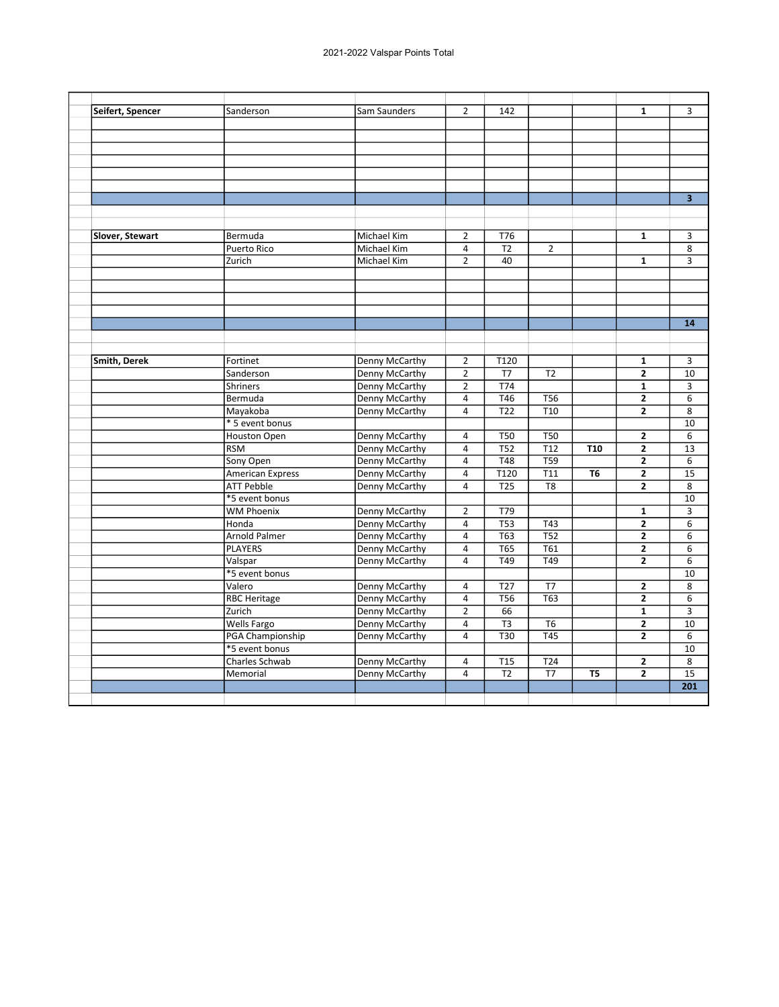| Seifert, Spencer<br>$\overline{2}$<br>142<br>Sanderson<br>Sam Saunders<br>1<br>Michael Kim<br>$\overline{2}$<br>T76<br>$\mathbf{1}$<br>Slover, Stewart<br>Bermuda<br>$\overline{12}$<br>$\overline{2}$<br>Puerto Rico<br>Michael Kim<br>$\overline{4}$<br>$\overline{2}$<br>40<br>Zurich<br>$\mathbf{1}$<br>Michael Kim<br><b>Denny McCarthy</b><br>$\overline{2}$<br>T120<br>Smith, Derek<br>Fortinet<br>$\mathbf{1}$<br><b>Denny McCarthy</b><br>$\overline{2}$<br>T <sub>2</sub><br>$\overline{2}$<br>Sanderson<br>T7<br>$\overline{2}$<br><b>T74</b><br><b>Shriners</b><br>Denny McCarthy<br>$\mathbf{1}$<br>Denny McCarthy<br>$\pmb{4}$<br>T46<br>$\mathbf{2}$<br>Bermuda<br><b>T56</b><br>$\overline{122}$<br>$\overline{110}$<br>$\overline{2}$<br>Mayakoba<br>Denny McCarthy<br>$\overline{4}$<br>* 5 event bonus<br>Houston Open<br>Denny McCarthy<br>$\overline{4}$<br><b>T50</b><br><b>T50</b><br>$\overline{2}$<br>T52<br><b>RSM</b><br>Denny McCarthy<br>$\overline{4}$<br>T <sub>12</sub><br><b>T10</b><br>$\overline{2}$<br>Sony Open<br><b>Denny McCarthy</b><br>$\overline{4}$<br><b>T48</b><br><b>T59</b><br>$\overline{2}$<br><b>Denny McCarthy</b><br>$\overline{4}$<br>T120<br>T <sub>11</sub><br>2<br><b>American Express</b><br>Т6<br><b>T25</b><br>$\overline{2}$<br><b>ATT Pebble</b><br>Denny McCarthy<br>4<br>T <sub>8</sub><br>*5 event bonus<br><b>WM Phoenix</b><br>$\overline{2}$<br>Denny McCarthy<br>T79<br>$\mathbf{1}$<br>$\overline{4}$<br>$\overline{TS3}$<br>$\overline{143}$<br>$\overline{2}$<br>Honda<br>Denny McCarthy<br><b>T63</b><br>Arnold Palmer<br>Denny McCarthy<br>$\overline{4}$<br><b>T52</b><br>$\overline{2}$<br><b>PLAYERS</b><br>Denny McCarthy<br>T65<br>T61<br>$\mathbf{2}$<br>4<br>T49<br>T49<br>Valspar<br>Denny McCarthy<br>$\overline{4}$<br>$\overline{2}$<br>*5 event bonus<br>Valero<br>Denny McCarthy<br>$\overline{4}$<br>T <sub>27</sub><br>T7<br>$\overline{2}$<br>$\overline{T63}$<br><b>RBC Heritage</b><br>$\overline{4}$<br><b>T56</b><br>$\overline{2}$<br>Denny McCarthy<br>Zurich<br>Denny McCarthy<br>$\overline{2}$<br>66<br>$\mathbf{1}$<br>$\overline{2}$<br><b>Wells Fargo</b><br>Denny McCarthy<br>$\overline{4}$<br>T <sub>3</sub><br>T <sub>6</sub><br>PGA Championship<br>$\overline{4}$<br>T30<br><b>T45</b><br>$\overline{2}$<br>Denny McCarthy<br>*5 event bonus<br>Charles Schwab<br>Denny McCarthy<br>T <sub>15</sub><br>T24<br>$\mathbf{2}$<br>4<br><b>Denny McCarthy</b><br>T <sub>2</sub><br>T7<br>$\overline{2}$<br>Memorial<br>4<br>T <sub>5</sub> |  |  |  |  |                         |
|---------------------------------------------------------------------------------------------------------------------------------------------------------------------------------------------------------------------------------------------------------------------------------------------------------------------------------------------------------------------------------------------------------------------------------------------------------------------------------------------------------------------------------------------------------------------------------------------------------------------------------------------------------------------------------------------------------------------------------------------------------------------------------------------------------------------------------------------------------------------------------------------------------------------------------------------------------------------------------------------------------------------------------------------------------------------------------------------------------------------------------------------------------------------------------------------------------------------------------------------------------------------------------------------------------------------------------------------------------------------------------------------------------------------------------------------------------------------------------------------------------------------------------------------------------------------------------------------------------------------------------------------------------------------------------------------------------------------------------------------------------------------------------------------------------------------------------------------------------------------------------------------------------------------------------------------------------------------------------------------------------------------------------------------------------------------------------------------------------------------------------------------------------------------------------------------------------------------------------------------------------------------------------------------------------------------------------------------------------------------------------------------------------------------------------------------------------------------------------------------------------------------------------------------------|--|--|--|--|-------------------------|
|                                                                                                                                                                                                                                                                                                                                                                                                                                                                                                                                                                                                                                                                                                                                                                                                                                                                                                                                                                                                                                                                                                                                                                                                                                                                                                                                                                                                                                                                                                                                                                                                                                                                                                                                                                                                                                                                                                                                                                                                                                                                                                                                                                                                                                                                                                                                                                                                                                                                                                                                                   |  |  |  |  | 3                       |
|                                                                                                                                                                                                                                                                                                                                                                                                                                                                                                                                                                                                                                                                                                                                                                                                                                                                                                                                                                                                                                                                                                                                                                                                                                                                                                                                                                                                                                                                                                                                                                                                                                                                                                                                                                                                                                                                                                                                                                                                                                                                                                                                                                                                                                                                                                                                                                                                                                                                                                                                                   |  |  |  |  |                         |
|                                                                                                                                                                                                                                                                                                                                                                                                                                                                                                                                                                                                                                                                                                                                                                                                                                                                                                                                                                                                                                                                                                                                                                                                                                                                                                                                                                                                                                                                                                                                                                                                                                                                                                                                                                                                                                                                                                                                                                                                                                                                                                                                                                                                                                                                                                                                                                                                                                                                                                                                                   |  |  |  |  |                         |
|                                                                                                                                                                                                                                                                                                                                                                                                                                                                                                                                                                                                                                                                                                                                                                                                                                                                                                                                                                                                                                                                                                                                                                                                                                                                                                                                                                                                                                                                                                                                                                                                                                                                                                                                                                                                                                                                                                                                                                                                                                                                                                                                                                                                                                                                                                                                                                                                                                                                                                                                                   |  |  |  |  |                         |
|                                                                                                                                                                                                                                                                                                                                                                                                                                                                                                                                                                                                                                                                                                                                                                                                                                                                                                                                                                                                                                                                                                                                                                                                                                                                                                                                                                                                                                                                                                                                                                                                                                                                                                                                                                                                                                                                                                                                                                                                                                                                                                                                                                                                                                                                                                                                                                                                                                                                                                                                                   |  |  |  |  |                         |
|                                                                                                                                                                                                                                                                                                                                                                                                                                                                                                                                                                                                                                                                                                                                                                                                                                                                                                                                                                                                                                                                                                                                                                                                                                                                                                                                                                                                                                                                                                                                                                                                                                                                                                                                                                                                                                                                                                                                                                                                                                                                                                                                                                                                                                                                                                                                                                                                                                                                                                                                                   |  |  |  |  |                         |
|                                                                                                                                                                                                                                                                                                                                                                                                                                                                                                                                                                                                                                                                                                                                                                                                                                                                                                                                                                                                                                                                                                                                                                                                                                                                                                                                                                                                                                                                                                                                                                                                                                                                                                                                                                                                                                                                                                                                                                                                                                                                                                                                                                                                                                                                                                                                                                                                                                                                                                                                                   |  |  |  |  |                         |
|                                                                                                                                                                                                                                                                                                                                                                                                                                                                                                                                                                                                                                                                                                                                                                                                                                                                                                                                                                                                                                                                                                                                                                                                                                                                                                                                                                                                                                                                                                                                                                                                                                                                                                                                                                                                                                                                                                                                                                                                                                                                                                                                                                                                                                                                                                                                                                                                                                                                                                                                                   |  |  |  |  | $\overline{\mathbf{3}}$ |
|                                                                                                                                                                                                                                                                                                                                                                                                                                                                                                                                                                                                                                                                                                                                                                                                                                                                                                                                                                                                                                                                                                                                                                                                                                                                                                                                                                                                                                                                                                                                                                                                                                                                                                                                                                                                                                                                                                                                                                                                                                                                                                                                                                                                                                                                                                                                                                                                                                                                                                                                                   |  |  |  |  |                         |
|                                                                                                                                                                                                                                                                                                                                                                                                                                                                                                                                                                                                                                                                                                                                                                                                                                                                                                                                                                                                                                                                                                                                                                                                                                                                                                                                                                                                                                                                                                                                                                                                                                                                                                                                                                                                                                                                                                                                                                                                                                                                                                                                                                                                                                                                                                                                                                                                                                                                                                                                                   |  |  |  |  |                         |
|                                                                                                                                                                                                                                                                                                                                                                                                                                                                                                                                                                                                                                                                                                                                                                                                                                                                                                                                                                                                                                                                                                                                                                                                                                                                                                                                                                                                                                                                                                                                                                                                                                                                                                                                                                                                                                                                                                                                                                                                                                                                                                                                                                                                                                                                                                                                                                                                                                                                                                                                                   |  |  |  |  | 3                       |
|                                                                                                                                                                                                                                                                                                                                                                                                                                                                                                                                                                                                                                                                                                                                                                                                                                                                                                                                                                                                                                                                                                                                                                                                                                                                                                                                                                                                                                                                                                                                                                                                                                                                                                                                                                                                                                                                                                                                                                                                                                                                                                                                                                                                                                                                                                                                                                                                                                                                                                                                                   |  |  |  |  | 8                       |
|                                                                                                                                                                                                                                                                                                                                                                                                                                                                                                                                                                                                                                                                                                                                                                                                                                                                                                                                                                                                                                                                                                                                                                                                                                                                                                                                                                                                                                                                                                                                                                                                                                                                                                                                                                                                                                                                                                                                                                                                                                                                                                                                                                                                                                                                                                                                                                                                                                                                                                                                                   |  |  |  |  | 3                       |
|                                                                                                                                                                                                                                                                                                                                                                                                                                                                                                                                                                                                                                                                                                                                                                                                                                                                                                                                                                                                                                                                                                                                                                                                                                                                                                                                                                                                                                                                                                                                                                                                                                                                                                                                                                                                                                                                                                                                                                                                                                                                                                                                                                                                                                                                                                                                                                                                                                                                                                                                                   |  |  |  |  |                         |
|                                                                                                                                                                                                                                                                                                                                                                                                                                                                                                                                                                                                                                                                                                                                                                                                                                                                                                                                                                                                                                                                                                                                                                                                                                                                                                                                                                                                                                                                                                                                                                                                                                                                                                                                                                                                                                                                                                                                                                                                                                                                                                                                                                                                                                                                                                                                                                                                                                                                                                                                                   |  |  |  |  |                         |
|                                                                                                                                                                                                                                                                                                                                                                                                                                                                                                                                                                                                                                                                                                                                                                                                                                                                                                                                                                                                                                                                                                                                                                                                                                                                                                                                                                                                                                                                                                                                                                                                                                                                                                                                                                                                                                                                                                                                                                                                                                                                                                                                                                                                                                                                                                                                                                                                                                                                                                                                                   |  |  |  |  |                         |
|                                                                                                                                                                                                                                                                                                                                                                                                                                                                                                                                                                                                                                                                                                                                                                                                                                                                                                                                                                                                                                                                                                                                                                                                                                                                                                                                                                                                                                                                                                                                                                                                                                                                                                                                                                                                                                                                                                                                                                                                                                                                                                                                                                                                                                                                                                                                                                                                                                                                                                                                                   |  |  |  |  |                         |
|                                                                                                                                                                                                                                                                                                                                                                                                                                                                                                                                                                                                                                                                                                                                                                                                                                                                                                                                                                                                                                                                                                                                                                                                                                                                                                                                                                                                                                                                                                                                                                                                                                                                                                                                                                                                                                                                                                                                                                                                                                                                                                                                                                                                                                                                                                                                                                                                                                                                                                                                                   |  |  |  |  | 14                      |
|                                                                                                                                                                                                                                                                                                                                                                                                                                                                                                                                                                                                                                                                                                                                                                                                                                                                                                                                                                                                                                                                                                                                                                                                                                                                                                                                                                                                                                                                                                                                                                                                                                                                                                                                                                                                                                                                                                                                                                                                                                                                                                                                                                                                                                                                                                                                                                                                                                                                                                                                                   |  |  |  |  |                         |
|                                                                                                                                                                                                                                                                                                                                                                                                                                                                                                                                                                                                                                                                                                                                                                                                                                                                                                                                                                                                                                                                                                                                                                                                                                                                                                                                                                                                                                                                                                                                                                                                                                                                                                                                                                                                                                                                                                                                                                                                                                                                                                                                                                                                                                                                                                                                                                                                                                                                                                                                                   |  |  |  |  |                         |
|                                                                                                                                                                                                                                                                                                                                                                                                                                                                                                                                                                                                                                                                                                                                                                                                                                                                                                                                                                                                                                                                                                                                                                                                                                                                                                                                                                                                                                                                                                                                                                                                                                                                                                                                                                                                                                                                                                                                                                                                                                                                                                                                                                                                                                                                                                                                                                                                                                                                                                                                                   |  |  |  |  | 3                       |
|                                                                                                                                                                                                                                                                                                                                                                                                                                                                                                                                                                                                                                                                                                                                                                                                                                                                                                                                                                                                                                                                                                                                                                                                                                                                                                                                                                                                                                                                                                                                                                                                                                                                                                                                                                                                                                                                                                                                                                                                                                                                                                                                                                                                                                                                                                                                                                                                                                                                                                                                                   |  |  |  |  | 10                      |
|                                                                                                                                                                                                                                                                                                                                                                                                                                                                                                                                                                                                                                                                                                                                                                                                                                                                                                                                                                                                                                                                                                                                                                                                                                                                                                                                                                                                                                                                                                                                                                                                                                                                                                                                                                                                                                                                                                                                                                                                                                                                                                                                                                                                                                                                                                                                                                                                                                                                                                                                                   |  |  |  |  | 3                       |
|                                                                                                                                                                                                                                                                                                                                                                                                                                                                                                                                                                                                                                                                                                                                                                                                                                                                                                                                                                                                                                                                                                                                                                                                                                                                                                                                                                                                                                                                                                                                                                                                                                                                                                                                                                                                                                                                                                                                                                                                                                                                                                                                                                                                                                                                                                                                                                                                                                                                                                                                                   |  |  |  |  | 6                       |
|                                                                                                                                                                                                                                                                                                                                                                                                                                                                                                                                                                                                                                                                                                                                                                                                                                                                                                                                                                                                                                                                                                                                                                                                                                                                                                                                                                                                                                                                                                                                                                                                                                                                                                                                                                                                                                                                                                                                                                                                                                                                                                                                                                                                                                                                                                                                                                                                                                                                                                                                                   |  |  |  |  | 8                       |
|                                                                                                                                                                                                                                                                                                                                                                                                                                                                                                                                                                                                                                                                                                                                                                                                                                                                                                                                                                                                                                                                                                                                                                                                                                                                                                                                                                                                                                                                                                                                                                                                                                                                                                                                                                                                                                                                                                                                                                                                                                                                                                                                                                                                                                                                                                                                                                                                                                                                                                                                                   |  |  |  |  | 10                      |
|                                                                                                                                                                                                                                                                                                                                                                                                                                                                                                                                                                                                                                                                                                                                                                                                                                                                                                                                                                                                                                                                                                                                                                                                                                                                                                                                                                                                                                                                                                                                                                                                                                                                                                                                                                                                                                                                                                                                                                                                                                                                                                                                                                                                                                                                                                                                                                                                                                                                                                                                                   |  |  |  |  | 6                       |
|                                                                                                                                                                                                                                                                                                                                                                                                                                                                                                                                                                                                                                                                                                                                                                                                                                                                                                                                                                                                                                                                                                                                                                                                                                                                                                                                                                                                                                                                                                                                                                                                                                                                                                                                                                                                                                                                                                                                                                                                                                                                                                                                                                                                                                                                                                                                                                                                                                                                                                                                                   |  |  |  |  | 13                      |
|                                                                                                                                                                                                                                                                                                                                                                                                                                                                                                                                                                                                                                                                                                                                                                                                                                                                                                                                                                                                                                                                                                                                                                                                                                                                                                                                                                                                                                                                                                                                                                                                                                                                                                                                                                                                                                                                                                                                                                                                                                                                                                                                                                                                                                                                                                                                                                                                                                                                                                                                                   |  |  |  |  | 6                       |
|                                                                                                                                                                                                                                                                                                                                                                                                                                                                                                                                                                                                                                                                                                                                                                                                                                                                                                                                                                                                                                                                                                                                                                                                                                                                                                                                                                                                                                                                                                                                                                                                                                                                                                                                                                                                                                                                                                                                                                                                                                                                                                                                                                                                                                                                                                                                                                                                                                                                                                                                                   |  |  |  |  | 15                      |
|                                                                                                                                                                                                                                                                                                                                                                                                                                                                                                                                                                                                                                                                                                                                                                                                                                                                                                                                                                                                                                                                                                                                                                                                                                                                                                                                                                                                                                                                                                                                                                                                                                                                                                                                                                                                                                                                                                                                                                                                                                                                                                                                                                                                                                                                                                                                                                                                                                                                                                                                                   |  |  |  |  | 8                       |
|                                                                                                                                                                                                                                                                                                                                                                                                                                                                                                                                                                                                                                                                                                                                                                                                                                                                                                                                                                                                                                                                                                                                                                                                                                                                                                                                                                                                                                                                                                                                                                                                                                                                                                                                                                                                                                                                                                                                                                                                                                                                                                                                                                                                                                                                                                                                                                                                                                                                                                                                                   |  |  |  |  | 10                      |
|                                                                                                                                                                                                                                                                                                                                                                                                                                                                                                                                                                                                                                                                                                                                                                                                                                                                                                                                                                                                                                                                                                                                                                                                                                                                                                                                                                                                                                                                                                                                                                                                                                                                                                                                                                                                                                                                                                                                                                                                                                                                                                                                                                                                                                                                                                                                                                                                                                                                                                                                                   |  |  |  |  | 3                       |
|                                                                                                                                                                                                                                                                                                                                                                                                                                                                                                                                                                                                                                                                                                                                                                                                                                                                                                                                                                                                                                                                                                                                                                                                                                                                                                                                                                                                                                                                                                                                                                                                                                                                                                                                                                                                                                                                                                                                                                                                                                                                                                                                                                                                                                                                                                                                                                                                                                                                                                                                                   |  |  |  |  | $\overline{6}$          |
|                                                                                                                                                                                                                                                                                                                                                                                                                                                                                                                                                                                                                                                                                                                                                                                                                                                                                                                                                                                                                                                                                                                                                                                                                                                                                                                                                                                                                                                                                                                                                                                                                                                                                                                                                                                                                                                                                                                                                                                                                                                                                                                                                                                                                                                                                                                                                                                                                                                                                                                                                   |  |  |  |  | 6                       |
|                                                                                                                                                                                                                                                                                                                                                                                                                                                                                                                                                                                                                                                                                                                                                                                                                                                                                                                                                                                                                                                                                                                                                                                                                                                                                                                                                                                                                                                                                                                                                                                                                                                                                                                                                                                                                                                                                                                                                                                                                                                                                                                                                                                                                                                                                                                                                                                                                                                                                                                                                   |  |  |  |  | 6                       |
|                                                                                                                                                                                                                                                                                                                                                                                                                                                                                                                                                                                                                                                                                                                                                                                                                                                                                                                                                                                                                                                                                                                                                                                                                                                                                                                                                                                                                                                                                                                                                                                                                                                                                                                                                                                                                                                                                                                                                                                                                                                                                                                                                                                                                                                                                                                                                                                                                                                                                                                                                   |  |  |  |  | 6                       |
|                                                                                                                                                                                                                                                                                                                                                                                                                                                                                                                                                                                                                                                                                                                                                                                                                                                                                                                                                                                                                                                                                                                                                                                                                                                                                                                                                                                                                                                                                                                                                                                                                                                                                                                                                                                                                                                                                                                                                                                                                                                                                                                                                                                                                                                                                                                                                                                                                                                                                                                                                   |  |  |  |  | 10                      |
|                                                                                                                                                                                                                                                                                                                                                                                                                                                                                                                                                                                                                                                                                                                                                                                                                                                                                                                                                                                                                                                                                                                                                                                                                                                                                                                                                                                                                                                                                                                                                                                                                                                                                                                                                                                                                                                                                                                                                                                                                                                                                                                                                                                                                                                                                                                                                                                                                                                                                                                                                   |  |  |  |  | 8                       |
|                                                                                                                                                                                                                                                                                                                                                                                                                                                                                                                                                                                                                                                                                                                                                                                                                                                                                                                                                                                                                                                                                                                                                                                                                                                                                                                                                                                                                                                                                                                                                                                                                                                                                                                                                                                                                                                                                                                                                                                                                                                                                                                                                                                                                                                                                                                                                                                                                                                                                                                                                   |  |  |  |  | $6\overline{6}$         |
|                                                                                                                                                                                                                                                                                                                                                                                                                                                                                                                                                                                                                                                                                                                                                                                                                                                                                                                                                                                                                                                                                                                                                                                                                                                                                                                                                                                                                                                                                                                                                                                                                                                                                                                                                                                                                                                                                                                                                                                                                                                                                                                                                                                                                                                                                                                                                                                                                                                                                                                                                   |  |  |  |  | 3                       |
|                                                                                                                                                                                                                                                                                                                                                                                                                                                                                                                                                                                                                                                                                                                                                                                                                                                                                                                                                                                                                                                                                                                                                                                                                                                                                                                                                                                                                                                                                                                                                                                                                                                                                                                                                                                                                                                                                                                                                                                                                                                                                                                                                                                                                                                                                                                                                                                                                                                                                                                                                   |  |  |  |  | 10                      |
|                                                                                                                                                                                                                                                                                                                                                                                                                                                                                                                                                                                                                                                                                                                                                                                                                                                                                                                                                                                                                                                                                                                                                                                                                                                                                                                                                                                                                                                                                                                                                                                                                                                                                                                                                                                                                                                                                                                                                                                                                                                                                                                                                                                                                                                                                                                                                                                                                                                                                                                                                   |  |  |  |  | 6                       |
|                                                                                                                                                                                                                                                                                                                                                                                                                                                                                                                                                                                                                                                                                                                                                                                                                                                                                                                                                                                                                                                                                                                                                                                                                                                                                                                                                                                                                                                                                                                                                                                                                                                                                                                                                                                                                                                                                                                                                                                                                                                                                                                                                                                                                                                                                                                                                                                                                                                                                                                                                   |  |  |  |  | 10                      |
|                                                                                                                                                                                                                                                                                                                                                                                                                                                                                                                                                                                                                                                                                                                                                                                                                                                                                                                                                                                                                                                                                                                                                                                                                                                                                                                                                                                                                                                                                                                                                                                                                                                                                                                                                                                                                                                                                                                                                                                                                                                                                                                                                                                                                                                                                                                                                                                                                                                                                                                                                   |  |  |  |  | 8                       |
|                                                                                                                                                                                                                                                                                                                                                                                                                                                                                                                                                                                                                                                                                                                                                                                                                                                                                                                                                                                                                                                                                                                                                                                                                                                                                                                                                                                                                                                                                                                                                                                                                                                                                                                                                                                                                                                                                                                                                                                                                                                                                                                                                                                                                                                                                                                                                                                                                                                                                                                                                   |  |  |  |  | 15                      |
|                                                                                                                                                                                                                                                                                                                                                                                                                                                                                                                                                                                                                                                                                                                                                                                                                                                                                                                                                                                                                                                                                                                                                                                                                                                                                                                                                                                                                                                                                                                                                                                                                                                                                                                                                                                                                                                                                                                                                                                                                                                                                                                                                                                                                                                                                                                                                                                                                                                                                                                                                   |  |  |  |  | 201                     |
|                                                                                                                                                                                                                                                                                                                                                                                                                                                                                                                                                                                                                                                                                                                                                                                                                                                                                                                                                                                                                                                                                                                                                                                                                                                                                                                                                                                                                                                                                                                                                                                                                                                                                                                                                                                                                                                                                                                                                                                                                                                                                                                                                                                                                                                                                                                                                                                                                                                                                                                                                   |  |  |  |  |                         |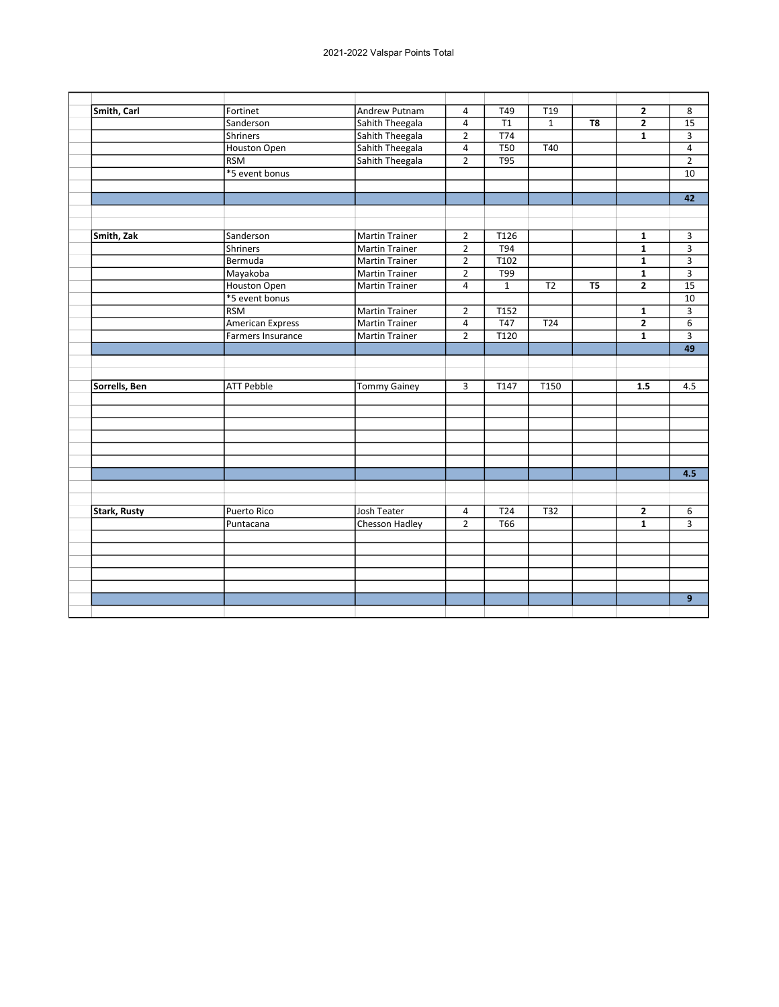| Smith, Carl         | Fortinet                | Andrew Putnam         | $\overline{4}$          | T49              | $\overline{119}$ |                | $\overline{2}$ | 8              |
|---------------------|-------------------------|-----------------------|-------------------------|------------------|------------------|----------------|----------------|----------------|
|                     | Sanderson               | Sahith Theegala       | $\overline{\mathbf{4}}$ | T1               | $\mathbf{1}$     | T8             | $\mathbf{2}$   | 15             |
|                     | <b>Shriners</b>         | Sahith Theegala       | $\overline{2}$          | <b>T74</b>       |                  |                | $\mathbf{1}$   | 3              |
|                     | Houston Open            | Sahith Theegala       | $\overline{4}$          | T50              | T40              |                |                | $\overline{4}$ |
|                     | <b>RSM</b>              | Sahith Theegala       | $\overline{2}$          | T95              |                  |                |                | $\overline{2}$ |
|                     | *5 event bonus          |                       |                         |                  |                  |                |                | 10             |
|                     |                         |                       |                         |                  |                  |                |                |                |
|                     |                         |                       |                         |                  |                  |                |                | 42             |
|                     |                         |                       |                         |                  |                  |                |                |                |
|                     |                         |                       |                         |                  |                  |                |                |                |
| Smith, Zak          | Sanderson               | <b>Martin Trainer</b> | $\overline{2}$          | T126             |                  |                | $\mathbf{1}$   | 3              |
|                     | <b>Shriners</b>         | <b>Martin Trainer</b> | $\overline{2}$          | T94              |                  |                | $\mathbf{1}$   | 3              |
|                     | Bermuda                 | <b>Martin Trainer</b> | $\overline{2}$          | T <sub>102</sub> |                  |                | $\mathbf{1}$   | 3              |
|                     | Mayakoba                | <b>Martin Trainer</b> | $\overline{2}$          | T99              |                  |                | $\overline{1}$ | $\overline{3}$ |
|                     | Houston Open            | <b>Martin Trainer</b> | $\overline{4}$          | $\mathbf{1}$     | T <sub>2</sub>   | T <sub>5</sub> | $\overline{2}$ | 15             |
|                     | *5 event bonus          |                       |                         |                  |                  |                |                | 10             |
|                     | <b>RSM</b>              | <b>Martin Trainer</b> | $\overline{2}$          | T152             |                  |                | $\mathbf{1}$   | 3              |
|                     | <b>American Express</b> | <b>Martin Trainer</b> | $\overline{4}$          | T47              | T24              |                | $\overline{2}$ | 6              |
|                     | Farmers Insurance       | <b>Martin Trainer</b> | $\overline{2}$          | T120             |                  |                | $\mathbf{1}$   | $\overline{3}$ |
|                     |                         |                       |                         |                  |                  |                |                | 49             |
|                     |                         |                       |                         |                  |                  |                |                |                |
|                     |                         |                       |                         |                  |                  |                |                |                |
| Sorrells, Ben       | <b>ATT Pebble</b>       | <b>Tommy Gainey</b>   | 3                       | T147             | T150             |                | 1.5            | 4.5            |
|                     |                         |                       |                         |                  |                  |                |                |                |
|                     |                         |                       |                         |                  |                  |                |                |                |
|                     |                         |                       |                         |                  |                  |                |                |                |
|                     |                         |                       |                         |                  |                  |                |                |                |
|                     |                         |                       |                         |                  |                  |                |                |                |
|                     |                         |                       |                         |                  |                  |                |                |                |
|                     |                         |                       |                         |                  |                  |                |                | 4.5            |
|                     |                         |                       |                         |                  |                  |                |                |                |
|                     |                         |                       |                         |                  |                  |                |                |                |
| <b>Stark, Rusty</b> | <b>Puerto Rico</b>      | Josh Teater           | 4                       | T24              | T32              |                | $\mathbf{2}$   | 6              |
|                     | Puntacana               | Chesson Hadley        | $\overline{2}$          | <b>T66</b>       |                  |                | $\overline{1}$ | 3              |
|                     |                         |                       |                         |                  |                  |                |                |                |
|                     |                         |                       |                         |                  |                  |                |                |                |
|                     |                         |                       |                         |                  |                  |                |                |                |
|                     |                         |                       |                         |                  |                  |                |                |                |
|                     |                         |                       |                         |                  |                  |                |                |                |
|                     |                         |                       |                         |                  |                  |                |                | 9              |
|                     |                         |                       |                         |                  |                  |                |                |                |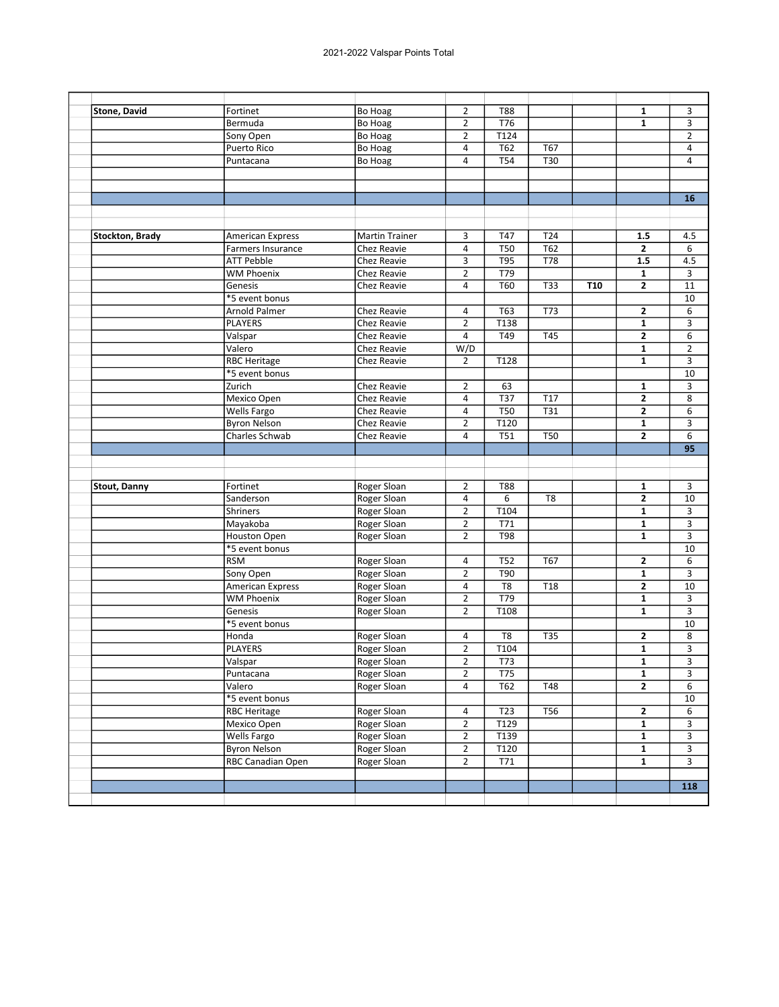| <b>Stone, David</b>    | Fortinet                 | <b>Bo Hoag</b>        | $\overline{2}$ | <b>T88</b>       |                  |                 | $\mathbf{1}$            | 3                       |
|------------------------|--------------------------|-----------------------|----------------|------------------|------------------|-----------------|-------------------------|-------------------------|
|                        | Bermuda                  | <b>Bo Hoag</b>        | 2              | T76              |                  |                 | 1                       | 3                       |
|                        | Sony Open                | Bo Hoag               | $\overline{2}$ | T124             |                  |                 |                         | $\overline{2}$          |
|                        | Puerto Rico              | Bo Hoag               | 4              | T62              | T67              |                 |                         | 4                       |
|                        | Puntacana                | Bo Hoag               | $\overline{4}$ | <b>T54</b>       | T30              |                 |                         | 4                       |
|                        |                          |                       |                |                  |                  |                 |                         |                         |
|                        |                          |                       |                |                  |                  |                 |                         |                         |
|                        |                          |                       |                |                  |                  |                 |                         | 16                      |
|                        |                          |                       |                |                  |                  |                 |                         |                         |
| <b>Stockton, Brady</b> | <b>American Express</b>  | <b>Martin Trainer</b> | 3              | T47              | T24              |                 | 1.5                     | 4.5                     |
|                        | <b>Farmers Insurance</b> | Chez Reavie           | 4              | <b>T50</b>       | $\overline{162}$ |                 | $\mathbf{2}$            | 6                       |
|                        | <b>ATT Pebble</b>        | Chez Reavie           | 3              | T95              | T78              |                 | 1.5                     | 4.5                     |
|                        | <b>WM Phoenix</b>        | Chez Reavie           | $\overline{2}$ | T79              |                  |                 | $\mathbf{1}$            | 3                       |
|                        | Genesis                  | Chez Reavie           | $\overline{4}$ | <b>T60</b>       | T33              | T <sub>10</sub> | $\mathbf{2}$            | 11                      |
|                        | *5 event bonus           |                       |                |                  |                  |                 |                         | 10                      |
|                        | Arnold Palmer            | Chez Reavie           | 4              | T63              | T73              |                 | 2                       | 6                       |
|                        | <b>PLAYERS</b>           | Chez Reavie           | $\overline{2}$ | T138             |                  |                 | 1                       | 3                       |
|                        | Valspar                  | Chez Reavie           | 4              | T49              | <b>T45</b>       |                 | $\overline{2}$          | 6                       |
|                        | Valero                   | Chez Reavie           | W/D            |                  |                  |                 | $\mathbf{1}$            | $\overline{2}$          |
|                        | <b>RBC Heritage</b>      | Chez Reavie           | $\overline{2}$ | T128             |                  |                 | 1                       | 3                       |
|                        | *5 event bonus           |                       |                |                  |                  |                 |                         | 10                      |
|                        | Zurich                   |                       | $\overline{2}$ |                  |                  |                 |                         | 3                       |
|                        |                          | <b>Chez Reavie</b>    |                | 63               |                  |                 | 1                       | 8                       |
|                        | Mexico Open              | Chez Reavie           | 4              | T37              | T17              |                 | $\mathbf{2}$            |                         |
|                        | <b>Wells Fargo</b>       | Chez Reavie           | 4              | <b>T50</b>       | T31              |                 | 2                       | 6                       |
|                        | <b>Byron Nelson</b>      | Chez Reavie           | $\overline{2}$ | T120             |                  |                 | $\mathbf{1}$            | 3                       |
|                        | Charles Schwab           | Chez Reavie           | 4              | T51              | <b>T50</b>       |                 | 2                       | 6<br>95                 |
| <b>Stout, Danny</b>    | Fortinet                 | Roger Sloan           | $\overline{2}$ | <b>T88</b>       |                  |                 | 1                       | 3                       |
|                        | Sanderson                | Roger Sloan           | 4              | 6                | T <sub>8</sub>   |                 | $\mathbf{2}$            | 10                      |
|                        | Shriners                 | Roger Sloan           | $\overline{2}$ | T104             |                  |                 | $\mathbf{1}$            | 3                       |
|                        | Mayakoba                 | Roger Sloan           | $\overline{2}$ | T71              |                  |                 | 1                       | 3                       |
|                        | Houston Open             | Roger Sloan           | $\overline{2}$ | <b>T98</b>       |                  |                 | 1                       | 3                       |
|                        | *5 event bonus           |                       |                |                  |                  |                 |                         | 10                      |
|                        | <b>RSM</b>               | Roger Sloan           | 4              | <b>T52</b>       | T67              |                 | $\mathbf{2}$            | 6                       |
|                        | Sony Open                | Roger Sloan           | $\overline{2}$ | T90              |                  |                 | 1                       | 3                       |
|                        | <b>American Express</b>  | Roger Sloan           | 4              | T <sub>8</sub>   | T18              |                 | $\overline{2}$          | 10                      |
|                        | <b>WM Phoenix</b>        | Roger Sloan           | $\overline{2}$ | T79              |                  |                 | $\mathbf{1}$            | 3                       |
|                        | Genesis                  | Roger Sloan           | $\overline{2}$ | T108             |                  |                 | $\mathbf{1}$            | 3                       |
|                        | *5 event bonus           |                       |                |                  |                  |                 |                         | 10                      |
|                        | Honda                    | Roger Sloan           | 4              | T <sub>8</sub>   | <b>T35</b>       |                 | 2                       | 8                       |
|                        | <b>PLAYERS</b>           | Roger Sloan           | $\overline{2}$ | T104             |                  |                 | $\mathbf{1}$            | 3                       |
|                        | Valspar                  | Roger Sloan           | $\overline{2}$ | $\overline{173}$ |                  |                 | $\overline{\mathbf{1}}$ | $\overline{\mathbf{3}}$ |
|                        | Puntacana                | Roger Sloan           | $\overline{2}$ | T75              |                  |                 | $\mathbf 1$             | 3                       |
|                        | Valero                   | Roger Sloan           | 4              | T62              | $\overline{748}$ |                 | $\overline{2}$          | 6                       |
|                        | *5 event bonus           |                       |                |                  |                  |                 |                         | 10                      |
|                        | <b>RBC Heritage</b>      | Roger Sloan           | 4              | T <sub>23</sub>  | <b>T56</b>       |                 | $\mathbf{2}$            | 6                       |
|                        | Mexico Open              | Roger Sloan           | $\overline{2}$ | T129             |                  |                 | $\mathbf{1}$            | 3                       |
|                        | <b>Wells Fargo</b>       | Roger Sloan           | $\mathbf{2}$   | T139             |                  |                 | $\mathbf{1}$            | 3                       |
|                        | <b>Byron Nelson</b>      | Roger Sloan           | $\overline{2}$ | T120             |                  |                 | 1                       | 3                       |
|                        |                          |                       |                |                  |                  |                 | $\mathbf{1}$            | 3                       |
|                        |                          |                       |                |                  |                  |                 |                         |                         |
|                        | RBC Canadian Open        | Roger Sloan           | $\overline{2}$ | T71              |                  |                 |                         |                         |
|                        |                          |                       |                |                  |                  |                 |                         | 118                     |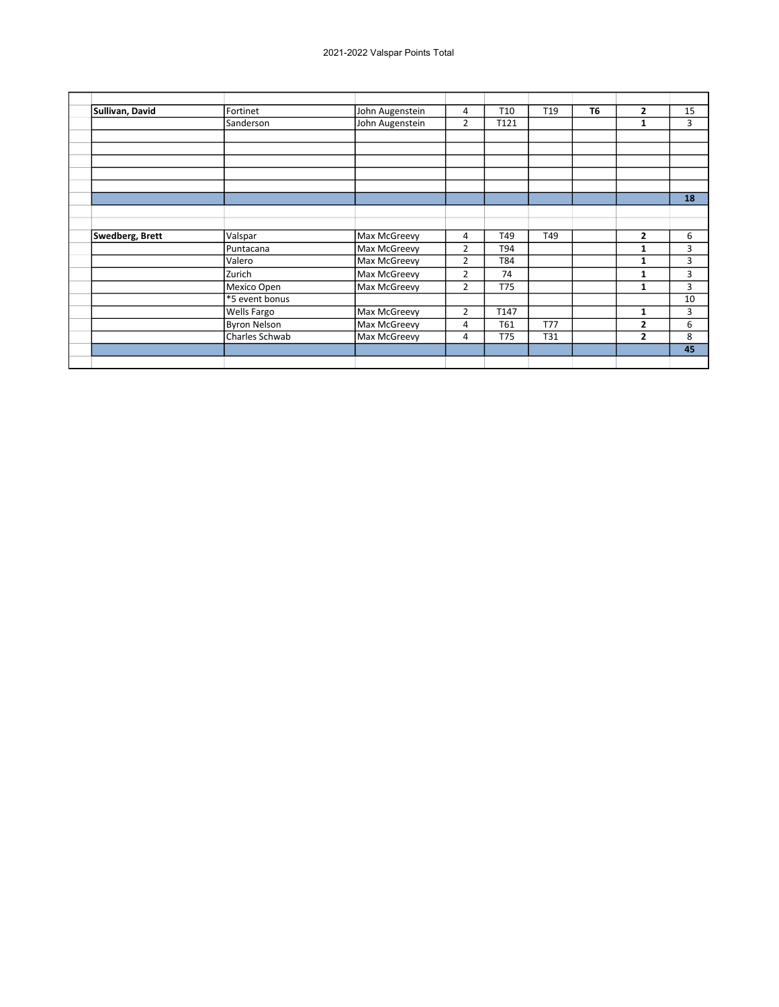| Sullivan, David | Fortinet            | John Augenstein | 4              | T <sub>10</sub> | T <sub>19</sub> | T <sub>6</sub> | $\overline{2}$ | 15 |
|-----------------|---------------------|-----------------|----------------|-----------------|-----------------|----------------|----------------|----|
|                 | Sanderson           | John Augenstein | 2              | T121            |                 |                | 1              | 3  |
|                 |                     |                 |                |                 |                 |                |                |    |
|                 |                     |                 |                |                 |                 |                |                |    |
|                 |                     |                 |                |                 |                 |                |                |    |
|                 |                     |                 |                |                 |                 |                |                |    |
|                 |                     |                 |                |                 |                 |                |                |    |
|                 |                     |                 |                |                 |                 |                |                | 18 |
|                 |                     |                 |                |                 |                 |                |                |    |
|                 |                     |                 |                |                 |                 |                |                |    |
| Swedberg, Brett | Valspar             | Max McGreevy    | 4              | T49             | T49             |                | $\mathbf{2}$   | 6  |
|                 | Puntacana           | Max McGreevy    | 2              | T94             |                 |                | 1              | 3  |
|                 | Valero              | Max McGreevy    | 2              | T84             |                 |                | 1              | 3  |
|                 | Zurich              | Max McGreevy    | 2              | 74              |                 |                | 1              | 3  |
|                 | Mexico Open         | Max McGreevy    | 2              | T75             |                 |                | 1              | 3  |
|                 | *5 event bonus      |                 |                |                 |                 |                |                | 10 |
|                 | <b>Wells Fargo</b>  | Max McGreevy    | $\overline{2}$ | T147            |                 |                | 1              | 3  |
|                 | <b>Byron Nelson</b> | Max McGreevy    | 4              | T61             | <b>T77</b>      |                | $\overline{2}$ | 6  |
|                 | Charles Schwab      | Max McGreevy    | 4              | T75             | T31             |                | $\mathbf{2}$   | 8  |
|                 |                     |                 |                |                 |                 |                |                | 45 |
|                 |                     |                 |                |                 |                 |                |                |    |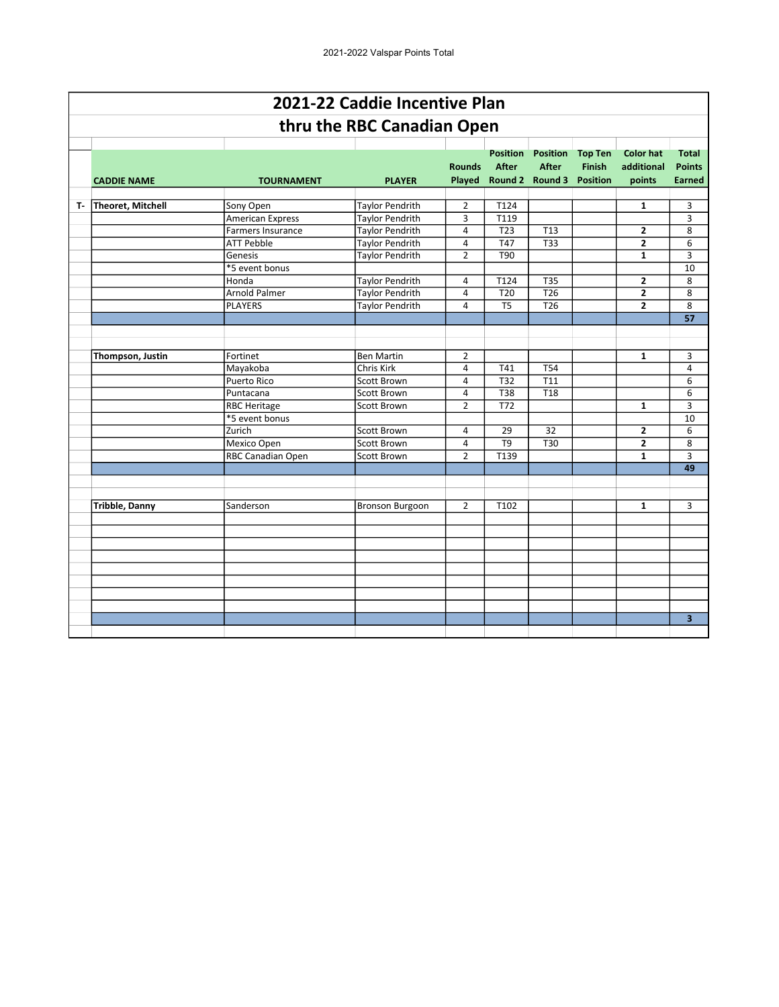|    |                          |                                                                   | 2021-22 Caddie Incentive Plan                                              |                                  |                                                           |                                     |                                                    |                                          |                                                |
|----|--------------------------|-------------------------------------------------------------------|----------------------------------------------------------------------------|----------------------------------|-----------------------------------------------------------|-------------------------------------|----------------------------------------------------|------------------------------------------|------------------------------------------------|
|    |                          |                                                                   | thru the RBC Canadian Open                                                 |                                  |                                                           |                                     |                                                    |                                          |                                                |
|    | <b>CADDIE NAME</b>       | <b>TOURNAMENT</b>                                                 | <b>PLAYER</b>                                                              | <b>Rounds</b>                    | <b>Position</b><br><b>After</b><br>Played Round 2 Round 3 | <b>Position</b><br><b>After</b>     | <b>Top Ten</b><br><b>Finish</b><br><b>Position</b> | <b>Color hat</b><br>additional<br>points | <b>Total</b><br><b>Points</b><br><b>Earned</b> |
| т. | <b>Theoret, Mitchell</b> | Sony Open                                                         | <b>Taylor Pendrith</b>                                                     | $\overline{2}$                   | T124                                                      |                                     |                                                    | $\mathbf{1}$                             | 3                                              |
|    |                          | <b>American Express</b><br>Farmers Insurance<br><b>ATT Pebble</b> | <b>Taylor Pendrith</b><br><b>Taylor Pendrith</b><br><b>Taylor Pendrith</b> | 3<br>4<br>4                      | T119<br>T <sub>23</sub><br>T47                            | T <sub>13</sub><br>$\overline{133}$ |                                                    | $\overline{2}$<br>$\overline{2}$         | 3<br>8<br>6                                    |
|    |                          | Genesis<br>*5 event bonus                                         | <b>Taylor Pendrith</b>                                                     | $\overline{2}$                   | T90                                                       |                                     |                                                    | $\mathbf{1}$                             | 3<br>10                                        |
|    |                          | Honda<br><b>Arnold Palmer</b>                                     | <b>Taylor Pendrith</b><br><b>Taylor Pendrith</b>                           | 4<br>$\overline{4}$              | T124<br>$\overline{120}$                                  | T35<br>$\overline{726}$             |                                                    | $\overline{2}$<br>$\overline{2}$         | 8<br>8                                         |
|    |                          | <b>PLAYERS</b>                                                    | <b>Taylor Pendrith</b>                                                     | 4                                | T <sub>5</sub>                                            | $\overline{726}$                    |                                                    | $\overline{2}$                           | 8<br>57                                        |
|    |                          |                                                                   |                                                                            |                                  |                                                           |                                     |                                                    |                                          |                                                |
|    | Thompson, Justin         | Fortinet<br>Mayakoba                                              | <b>Ben Martin</b><br>Chris Kirk                                            | $\overline{2}$<br>$\overline{4}$ | T41                                                       | T54                                 |                                                    | $\mathbf{1}$                             | 3<br>$\overline{4}$                            |
|    |                          | <b>Puerto Rico</b><br>Puntacana                                   | Scott Brown<br>Scott Brown                                                 | 4<br>$\overline{a}$              | T32<br>T38                                                | T11<br>T <sub>18</sub>              |                                                    |                                          | 6<br>6                                         |
|    |                          | <b>RBC Heritage</b><br>*5 event bonus                             | Scott Brown                                                                | $\overline{2}$                   | $\overline{172}$                                          |                                     |                                                    | $\mathbf{1}$                             | 3<br>10                                        |
|    |                          | Zurich<br>Mexico Open                                             | Scott Brown<br><b>Scott Brown</b>                                          | $\overline{4}$<br>4              | 29<br>T9                                                  | 32<br>T30                           |                                                    | $\overline{2}$<br>$\overline{2}$         | 6<br>8                                         |
|    |                          | RBC Canadian Open                                                 | Scott Brown                                                                | $\overline{2}$                   | T139                                                      |                                     |                                                    | $\mathbf{1}$                             | 3<br>49                                        |
|    | <b>Tribble, Danny</b>    | Sanderson                                                         | <b>Bronson Burgoon</b>                                                     | $\overline{2}$                   | T102                                                      |                                     |                                                    | $\mathbf{1}$                             | 3                                              |
|    |                          |                                                                   |                                                                            |                                  |                                                           |                                     |                                                    |                                          |                                                |
|    |                          |                                                                   |                                                                            |                                  |                                                           |                                     |                                                    |                                          |                                                |
|    |                          |                                                                   |                                                                            |                                  |                                                           |                                     |                                                    |                                          |                                                |
|    |                          |                                                                   |                                                                            |                                  |                                                           |                                     |                                                    |                                          |                                                |
|    |                          |                                                                   |                                                                            |                                  |                                                           |                                     |                                                    |                                          | 3                                              |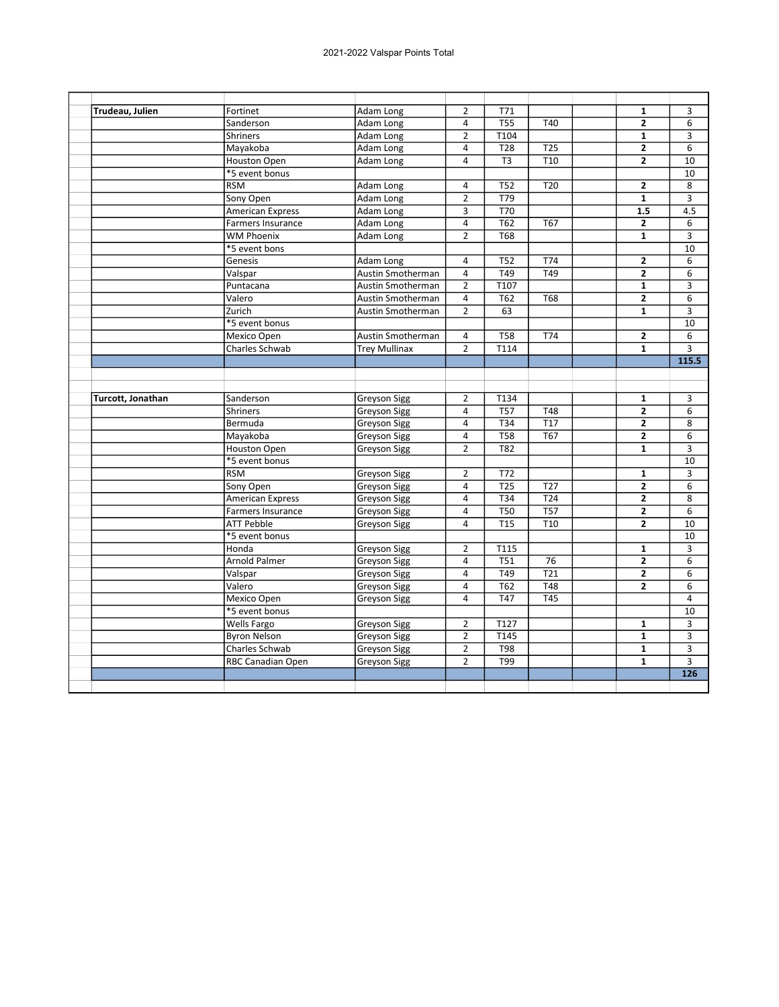| Trudeau, Julien   | Fortinet                 | <b>Adam Long</b>     | $\overline{2}$ | T71              |                  | 1                       | 3                                  |
|-------------------|--------------------------|----------------------|----------------|------------------|------------------|-------------------------|------------------------------------|
|                   | Sanderson                | Adam Long            | $\overline{a}$ | <b>T55</b>       | T40              | $\overline{2}$          | 6                                  |
|                   | <b>Shriners</b>          | Adam Long            | $\overline{2}$ | T104             |                  | $\mathbf{1}$            | 3                                  |
|                   | Mayakoba                 | Adam Long            | $\overline{4}$ | <b>T28</b>       | <b>T25</b>       | $\overline{2}$          | 6                                  |
|                   | Houston Open             | Adam Long            | 4              | T <sub>3</sub>   | T <sub>10</sub>  | 2                       | 10                                 |
|                   | *5 event bonus           |                      |                |                  |                  |                         | 10                                 |
|                   | <b>RSM</b>               | Adam Long            | $\overline{4}$ | <b>T52</b>       | T20              | $\overline{2}$          | 8                                  |
|                   | Sony Open                | Adam Long            | $\overline{2}$ | T79              |                  | $\mathbf{1}$            | 3                                  |
|                   | American Express         | Adam Long            | $\overline{3}$ | <b>T70</b>       |                  | 1.5                     | 4.5                                |
|                   | <b>Farmers Insurance</b> | Adam Long            | $\sqrt{4}$     | T62              | <b>T67</b>       | $\mathbf{2}$            | 6                                  |
|                   | <b>WM Phoenix</b>        | Adam Long            | $\overline{2}$ | <b>T68</b>       |                  | $\mathbf{1}$            | 3                                  |
|                   | *5 event bons            |                      |                |                  |                  |                         | 10                                 |
|                   | Genesis                  | Adam Long            | $\overline{4}$ | <b>T52</b>       | T74              | $\overline{2}$          | 6                                  |
|                   | Valspar                  | Austin Smotherman    | $\overline{4}$ | T49              | $\overline{749}$ | $\overline{2}$          | 6                                  |
|                   | Puntacana                | Austin Smotherman    | $\overline{2}$ | T107             |                  | $\overline{\mathbf{1}}$ | 3                                  |
|                   | Valero                   | Austin Smotherman    | $\overline{4}$ | T62              | <b>T68</b>       | $\overline{2}$          | 6                                  |
|                   | Zurich                   | Austin Smotherman    | $\overline{2}$ | 63               |                  | $\mathbf{1}$            | 3                                  |
|                   | *5 event bonus           |                      |                |                  |                  |                         | 10                                 |
|                   | Mexico Open              | Austin Smotherman    | 4              | <b>T58</b>       | T74              | $\mathbf{2}$            | 6                                  |
|                   | Charles Schwab           | <b>Trey Mullinax</b> | $\overline{2}$ | T114             |                  | $\overline{\mathbf{1}}$ | $\overline{3}$                     |
|                   |                          |                      |                |                  |                  |                         | 115.5                              |
|                   |                          |                      |                |                  |                  |                         |                                    |
|                   |                          |                      |                |                  |                  |                         |                                    |
| Turcott, Jonathan | Sanderson                | <b>Greyson Sigg</b>  | $\overline{2}$ | T134             |                  | $\mathbf{1}$            | 3                                  |
|                   | <b>Shriners</b>          | <b>Greyson Sigg</b>  | $\overline{4}$ | $\overline{757}$ | <b>T48</b>       | $\overline{2}$          | 6                                  |
|                   | Bermuda                  | <b>Greyson Sigg</b>  | $\overline{4}$ | T34              | T17              | $\mathbf{2}$            | 8                                  |
|                   | Mayakoba                 | <b>Greyson Sigg</b>  | $\overline{4}$ | <b>T58</b>       | <b>T67</b>       | $\overline{2}$          | 6                                  |
|                   | Houston Open             | <b>Greyson Sigg</b>  | $\overline{2}$ | <b>T82</b>       |                  | $\mathbf{1}$            | 3                                  |
|                   | *5 event bonus           |                      |                |                  |                  |                         | 10                                 |
|                   | <b>RSM</b>               | <b>Greyson Sigg</b>  | $\overline{2}$ | <b>T72</b>       |                  | $\mathbf{1}$            | 3                                  |
|                   | Sony Open                | <b>Greyson Sigg</b>  | $\overline{4}$ | <b>T25</b>       | T <sub>27</sub>  | $\overline{2}$          | 6                                  |
|                   | American Express         | <b>Greyson Sigg</b>  | $\overline{4}$ | T34              | T <sub>24</sub>  | 2                       | 8                                  |
|                   | Farmers Insurance        | Greyson Sigg         | $\overline{4}$ | <b>T50</b>       | <b>T57</b>       | $\overline{2}$          | $\overline{6}$                     |
|                   | <b>ATT Pebble</b>        | <b>Greyson Sigg</b>  | $\overline{4}$ | <b>T15</b>       | T <sub>10</sub>  | $\overline{2}$          | 10                                 |
|                   | *5 event bonus           |                      |                |                  |                  |                         | 10                                 |
|                   | Honda                    | <b>Greyson Sigg</b>  | $\overline{2}$ | T115             |                  | $\mathbf{1}$            | 3                                  |
|                   | <b>Arnold Palmer</b>     | <b>Greyson Sigg</b>  | $\overline{4}$ | <b>T51</b>       | 76               | $\mathbf{2}$            | 6                                  |
|                   | Valspar                  | <b>Greyson Sigg</b>  | $\overline{4}$ | T49              | $\overline{721}$ | $\overline{2}$          | $\overline{6}$                     |
|                   | Valero                   | <b>Greyson Sigg</b>  | 4              | T62              | <b>T48</b>       | 2                       | 6                                  |
|                   | Mexico Open              | <b>Greyson Sigg</b>  | $\overline{4}$ | <b>T47</b>       | <b>T45</b>       |                         | 4                                  |
|                   |                          |                      |                |                  |                  |                         | 10                                 |
|                   | *5 event bonus           |                      |                |                  |                  |                         |                                    |
|                   | Wells Fargo              | Greyson Sigg         | $\overline{2}$ | T127             |                  | $\mathbf{1}$            | 3                                  |
|                   | <b>Byron Nelson</b>      | <b>Greyson Sigg</b>  | $\overline{2}$ | T145             |                  | $\overline{1}$          | $\overline{3}$                     |
|                   | Charles Schwab           | <b>Greyson Sigg</b>  | $\overline{2}$ | <b>T98</b>       |                  | $\mathbf{1}$            | 3                                  |
|                   | <b>RBC Canadian Open</b> | <b>Greyson Sigg</b>  | $\overline{2}$ | T99              |                  | $\mathbf{1}$            | $\overline{3}$<br>$\overline{126}$ |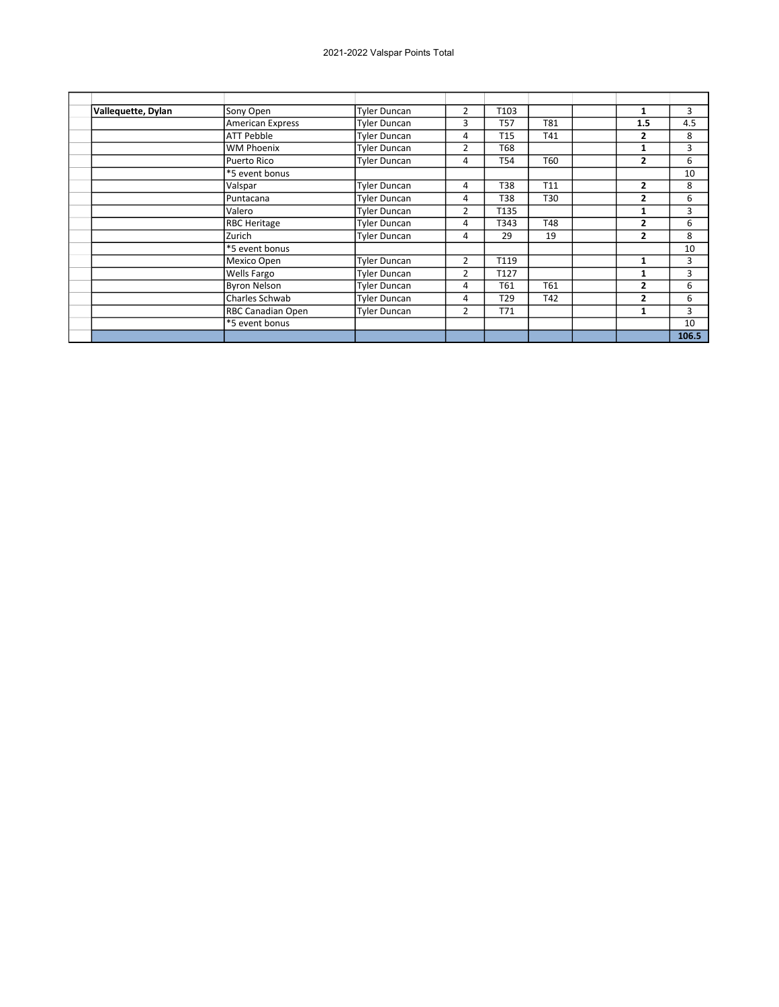| Vallequette, Dylan | Sony Open                | <b>Tyler Duncan</b> | $\overline{2}$ | T <sub>103</sub> |     | 1              | 3     |
|--------------------|--------------------------|---------------------|----------------|------------------|-----|----------------|-------|
|                    | <b>American Express</b>  | <b>Tyler Duncan</b> | 3              | T57              | T81 | 1.5            | 4.5   |
|                    | <b>ATT Pebble</b>        | Tyler Duncan        | 4              | T <sub>15</sub>  | T41 | 2              | 8     |
|                    | <b>WM Phoenix</b>        | Tyler Duncan        | $\overline{2}$ | T68              |     | 1              | 3     |
|                    | Puerto Rico              | <b>Tyler Duncan</b> | 4              | T54              | T60 | 2              | 6     |
|                    | *5 event bonus           |                     |                |                  |     |                | 10    |
|                    | Valspar                  | <b>Tyler Duncan</b> | 4              | T38              | T11 | 2              | 8     |
|                    | Puntacana                | <b>Tyler Duncan</b> | 4              | T38              | T30 | 2              | 6     |
|                    | Valero                   | Tyler Duncan        | 2              | T135             |     |                | 3     |
|                    | <b>RBC Heritage</b>      | Tyler Duncan        | 4              | T343             | T48 | $\overline{2}$ | 6     |
|                    | Zurich                   | <b>Tyler Duncan</b> | 4              | 29               | 19  | $\overline{2}$ | 8     |
|                    | *5 event bonus           |                     |                |                  |     |                | 10    |
|                    | Mexico Open              | <b>Tyler Duncan</b> | $\overline{2}$ | T119             |     | 1              | 3     |
|                    | Wells Fargo              | Tyler Duncan        | $\overline{2}$ | T127             |     | 1              | 3     |
|                    | <b>Byron Nelson</b>      | Tyler Duncan        | 4              | T61              | T61 | 2              | 6     |
|                    | Charles Schwab           | Tyler Duncan        | 4              | T29              | T42 | 2              | 6     |
|                    | <b>RBC Canadian Open</b> | <b>Tyler Duncan</b> | 2              | T71              |     | 1              | 3     |
|                    | *5 event bonus           |                     |                |                  |     |                | 10    |
|                    |                          |                     |                |                  |     |                | 106.5 |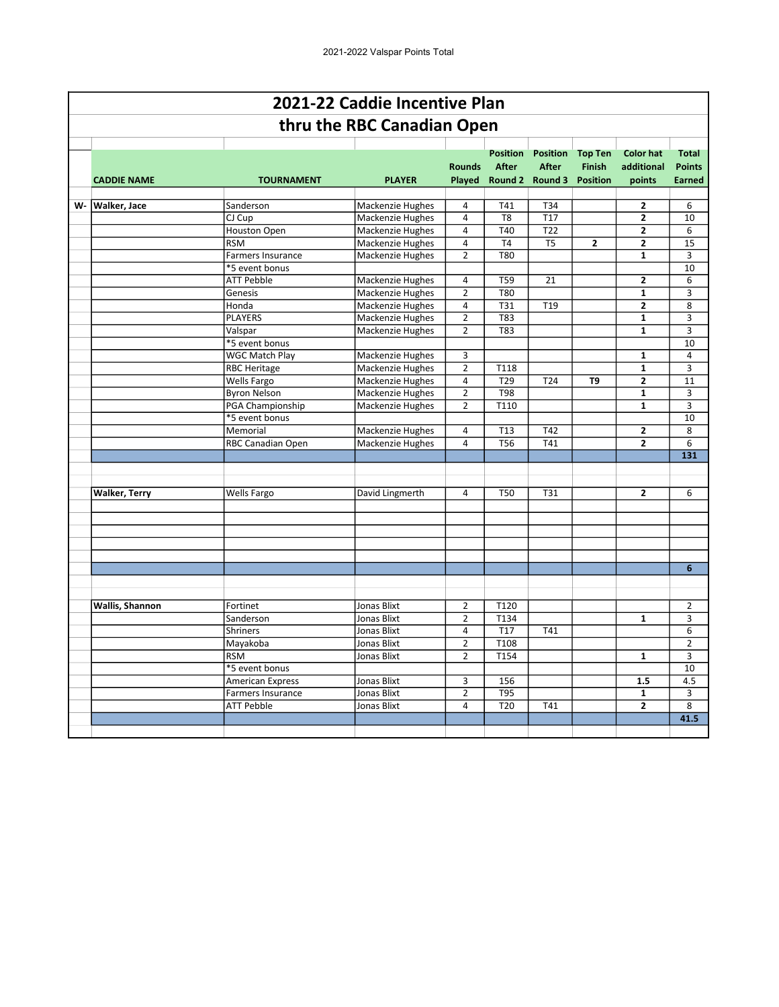|    |                      |                         | 2021-22 Caddie Incentive Plan |                         |                                 |                                                    |                                                    |                                          |                                                |
|----|----------------------|-------------------------|-------------------------------|-------------------------|---------------------------------|----------------------------------------------------|----------------------------------------------------|------------------------------------------|------------------------------------------------|
|    |                      |                         | thru the RBC Canadian Open    |                         |                                 |                                                    |                                                    |                                          |                                                |
|    | <b>CADDIE NAME</b>   | <b>TOURNAMENT</b>       | <b>PLAYER</b>                 | <b>Rounds</b><br>Played | <b>Position</b><br><b>After</b> | <b>Position</b><br><b>After</b><br>Round 2 Round 3 | <b>Top Ten</b><br><b>Finish</b><br><b>Position</b> | <b>Color hat</b><br>additional<br>points | <b>Total</b><br><b>Points</b><br><b>Earned</b> |
| W- | <b>Walker, Jace</b>  | Sanderson               | Mackenzie Hughes              | $\overline{4}$          | T41                             | T34                                                |                                                    | 2                                        | 6                                              |
|    |                      | CJ Cup                  | Mackenzie Hughes              | 4                       | T <sub>8</sub>                  | T17                                                |                                                    | $\overline{2}$                           | 10                                             |
|    |                      | <b>Houston Open</b>     | Mackenzie Hughes              | $\overline{4}$          | T40                             | T22                                                |                                                    | $\overline{\mathbf{c}}$                  | 6                                              |
|    |                      | <b>RSM</b>              | Mackenzie Hughes              | $\overline{4}$          | T <sub>4</sub>                  | T <sub>5</sub>                                     | $\overline{2}$                                     | $\overline{2}$                           | 15                                             |
|    |                      | Farmers Insurance       | Mackenzie Hughes              | $\overline{2}$          | <b>T80</b>                      |                                                    |                                                    | $\mathbf{1}$                             | 3                                              |
|    |                      | *5 event bonus          |                               |                         |                                 |                                                    |                                                    |                                          | 10                                             |
|    |                      | <b>ATT Pebble</b>       | Mackenzie Hughes              | 4                       | <b>T59</b>                      | 21                                                 |                                                    | $\overline{\mathbf{2}}$                  | 6                                              |
|    |                      | Genesis                 | Mackenzie Hughes              | $\overline{2}$          | <b>T80</b>                      |                                                    |                                                    | $\overline{\mathbf{1}}$                  | $\overline{3}$                                 |
|    |                      | Honda                   | Mackenzie Hughes              | 4                       | T31                             | T <sub>19</sub>                                    |                                                    | $\overline{2}$                           | 8                                              |
|    |                      | <b>PLAYERS</b>          | Mackenzie Hughes              | $\overline{2}$          | $\overline{183}$                |                                                    |                                                    | $\overline{\mathbf{1}}$                  | $\overline{3}$                                 |
|    |                      | Valspar                 | Mackenzie Hughes              | $\overline{2}$          | T83                             |                                                    |                                                    | $\mathbf{1}$                             | 3                                              |
|    |                      | *5 event bonus          |                               |                         |                                 |                                                    |                                                    |                                          | 10                                             |
|    |                      | <b>WGC Match Plav</b>   | Mackenzie Hughes              | 3                       |                                 |                                                    |                                                    | $\mathbf{1}$                             | $\overline{4}$                                 |
|    |                      | <b>RBC Heritage</b>     | Mackenzie Hughes              | $\overline{2}$          | T118                            |                                                    |                                                    | $\mathbf{1}$                             | 3                                              |
|    |                      | Wells Fargo             | Mackenzie Hughes              | $\overline{4}$          | T <sub>29</sub>                 | T24                                                | T9                                                 | $\overline{2}$                           | 11                                             |
|    |                      | <b>Byron Nelson</b>     | Mackenzie Hughes              | $\overline{2}$          | <b>T98</b>                      |                                                    |                                                    | $\mathbf{1}$                             | 3                                              |
|    |                      | PGA Championship        | Mackenzie Hughes              | $\overline{2}$          | T110                            |                                                    |                                                    | $\mathbf{1}$                             | 3                                              |
|    |                      | *5 event bonus          |                               |                         |                                 |                                                    |                                                    |                                          | 10                                             |
|    |                      | Memorial                | Mackenzie Hughes              | 4                       | T13                             | T42                                                |                                                    | 2                                        | 8                                              |
|    |                      | RBC Canadian Open       | Mackenzie Hughes              | 4                       | <b>T56</b>                      | T41                                                |                                                    | $\overline{2}$                           | 6                                              |
|    |                      |                         |                               |                         |                                 |                                                    |                                                    |                                          | 131                                            |
|    |                      |                         |                               |                         |                                 |                                                    |                                                    |                                          |                                                |
|    |                      |                         |                               |                         |                                 |                                                    |                                                    |                                          |                                                |
|    | <b>Walker, Terry</b> | Wells Fargo             | David Lingmerth               | $\overline{4}$          | <b>T50</b>                      | T31                                                |                                                    | $\mathbf{2}$                             | 6                                              |
|    |                      |                         |                               |                         |                                 |                                                    |                                                    |                                          |                                                |
|    |                      |                         |                               |                         |                                 |                                                    |                                                    |                                          |                                                |
|    |                      |                         |                               |                         |                                 |                                                    |                                                    |                                          |                                                |
|    |                      |                         |                               |                         |                                 |                                                    |                                                    |                                          |                                                |
|    |                      |                         |                               |                         |                                 |                                                    |                                                    |                                          |                                                |
|    |                      |                         |                               |                         |                                 |                                                    |                                                    |                                          | 6                                              |
|    |                      |                         |                               |                         |                                 |                                                    |                                                    |                                          |                                                |
|    |                      |                         |                               |                         |                                 |                                                    |                                                    |                                          |                                                |
|    | Wallis, Shannon      | Fortinet                | <b>Jonas Blixt</b>            | 2                       | T120                            |                                                    |                                                    |                                          | $\overline{2}$                                 |
|    |                      | Sanderson               | <b>Jonas Blixt</b>            | $\overline{2}$          | T134                            |                                                    |                                                    | $\mathbf{1}$                             | 3                                              |
|    |                      | <b>Shriners</b>         | Jonas Blixt                   | $\overline{4}$          | <b>T17</b>                      | T41                                                |                                                    |                                          | 6                                              |
|    |                      | Mayakoba                | Jonas Blixt                   | $\overline{2}$          | T108                            |                                                    |                                                    |                                          | $\overline{2}$                                 |
|    |                      | <b>RSM</b>              | Jonas Blixt                   | $\overline{2}$          | T154                            |                                                    |                                                    | $\mathbf{1}$                             | 3                                              |
|    |                      | *5 event bonus          |                               |                         |                                 |                                                    |                                                    |                                          | 10                                             |
|    |                      | <b>American Express</b> | Jonas Blixt                   | 3                       | 156                             |                                                    |                                                    | 1.5                                      | 4.5                                            |
|    |                      | Farmers Insurance       | Jonas Blixt                   | $\overline{2}$          | T95                             |                                                    |                                                    | $\mathbf{1}$                             | 3                                              |
|    |                      | <b>ATT Pebble</b>       | Jonas Blixt                   | 4                       | T <sub>20</sub>                 | T41                                                |                                                    | 2                                        | 8                                              |
|    |                      |                         |                               |                         |                                 |                                                    |                                                    |                                          | 41.5                                           |
|    |                      |                         |                               |                         |                                 |                                                    |                                                    |                                          |                                                |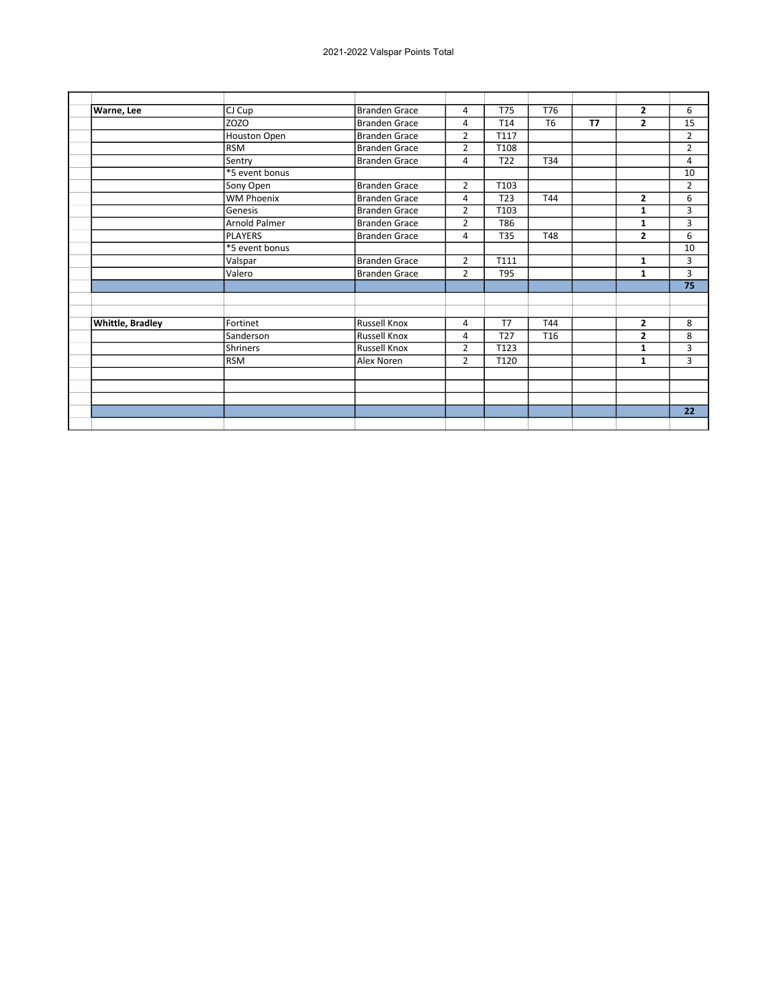| Warne, Lee       | CJ Cup               | <b>Branden Grace</b> | 4              | <b>T75</b>      | T76             |           | $\mathbf{2}$   | 6               |
|------------------|----------------------|----------------------|----------------|-----------------|-----------------|-----------|----------------|-----------------|
|                  | <b>ZOZO</b>          | <b>Branden Grace</b> | 4              | T14             | T <sub>6</sub>  | <b>T7</b> | $\mathbf{2}$   | 15              |
|                  | Houston Open         | <b>Branden Grace</b> | $\overline{2}$ | T117            |                 |           |                | $\overline{2}$  |
|                  | <b>RSM</b>           | <b>Branden Grace</b> | $\overline{2}$ | T108            |                 |           |                | $\overline{2}$  |
|                  | Sentry               | <b>Branden Grace</b> | 4              | T <sub>22</sub> | T34             |           |                | 4               |
|                  | *5 event bonus       |                      |                |                 |                 |           |                | 10              |
|                  | Sony Open            | <b>Branden Grace</b> | $\overline{2}$ | T103            |                 |           |                | $\overline{2}$  |
|                  | <b>WM Phoenix</b>    | <b>Branden Grace</b> | 4              | T <sub>23</sub> | T44             |           | $\mathbf{2}$   | 6               |
|                  | Genesis              | <b>Branden Grace</b> | $\overline{2}$ | T103            |                 |           | 1              | 3               |
|                  | <b>Arnold Palmer</b> | <b>Branden Grace</b> | $\overline{2}$ | T86             |                 |           | 1              | 3               |
|                  | <b>PLAYERS</b>       | <b>Branden Grace</b> | 4              | <b>T35</b>      | <b>T48</b>      |           | $\overline{2}$ | 6               |
|                  | *5 event bonus       |                      |                |                 |                 |           |                | 10              |
|                  | Valspar              | <b>Branden Grace</b> | $\overline{2}$ | T111            |                 |           | 1              | 3               |
|                  | Valero               | <b>Branden Grace</b> | $\overline{2}$ | T95             |                 |           | 1              | 3               |
|                  |                      |                      |                |                 |                 |           |                | $\overline{75}$ |
|                  |                      |                      |                |                 |                 |           |                |                 |
|                  |                      |                      |                |                 |                 |           |                |                 |
| Whittle, Bradley | Fortinet             | <b>Russell Knox</b>  | 4              | T <sub>7</sub>  | T44             |           | $\overline{2}$ | 8               |
|                  | Sanderson            | <b>Russell Knox</b>  | 4              | T <sub>27</sub> | T <sub>16</sub> |           | $\overline{2}$ | 8               |
|                  | <b>Shriners</b>      | <b>Russell Knox</b>  | $\overline{2}$ | T123            |                 |           | 1              | 3               |
|                  | <b>RSM</b>           | Alex Noren           | $\overline{2}$ | T120            |                 |           | $\mathbf{1}$   | 3               |
|                  |                      |                      |                |                 |                 |           |                |                 |
|                  |                      |                      |                |                 |                 |           |                |                 |
|                  |                      |                      |                |                 |                 |           |                |                 |
|                  |                      |                      |                |                 |                 |           |                | 22              |
|                  |                      |                      |                |                 |                 |           |                |                 |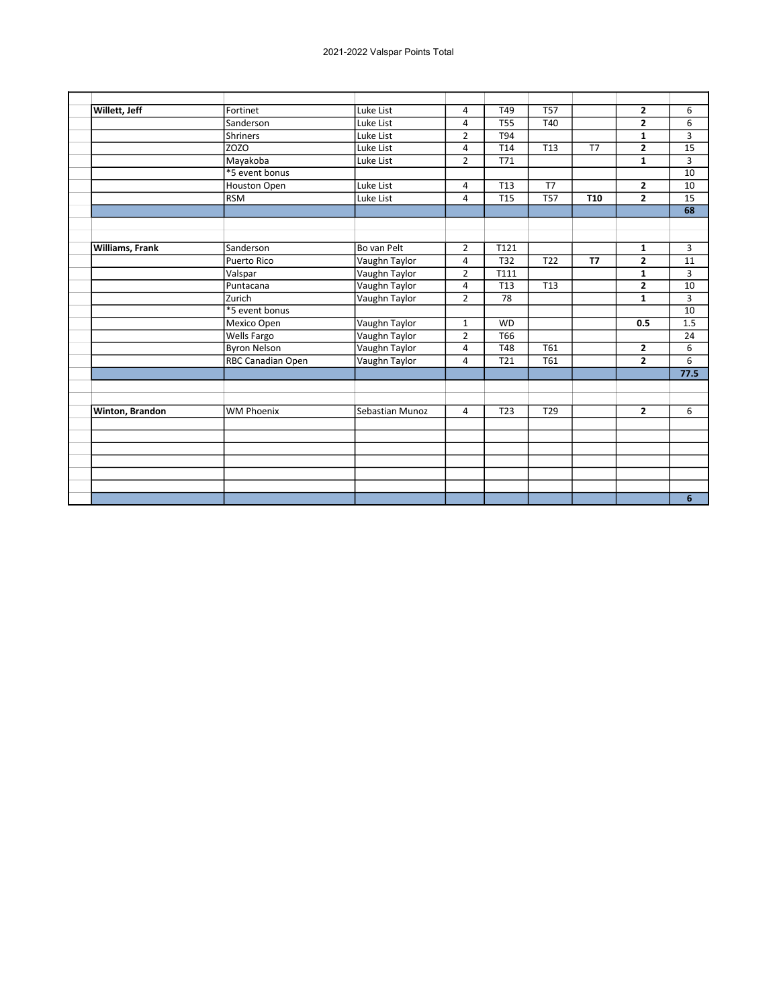| Willett, Jeff   | Fortinet                 | Luke List       | 4              | T49             | <b>T57</b>      |            | $\mathbf{2}$   | 6    |
|-----------------|--------------------------|-----------------|----------------|-----------------|-----------------|------------|----------------|------|
|                 | Sanderson                | Luke List       | 4              | <b>T55</b>      | T40             |            | $\overline{2}$ | 6    |
|                 | <b>Shriners</b>          | Luke List       | $\overline{2}$ | T94             |                 |            | $\mathbf{1}$   | 3    |
|                 | <b>ZOZO</b>              | Luke List       | $\overline{4}$ | T14             | T13             | T7         | $\mathbf{2}$   | 15   |
|                 | Mayakoba                 | Luke List       | $\overline{2}$ | T71             |                 |            | $\mathbf{1}$   | 3    |
|                 | *5 event bonus           |                 |                |                 |                 |            |                | 10   |
|                 | Houston Open             | Luke List       | $\overline{4}$ | <b>T13</b>      | T7              |            | $\overline{2}$ | 10   |
|                 | <b>RSM</b>               | Luke List       | 4              | <b>T15</b>      | <b>T57</b>      | <b>T10</b> | $\overline{2}$ | 15   |
|                 |                          |                 |                |                 |                 |            |                | 68   |
|                 |                          |                 |                |                 |                 |            |                |      |
|                 |                          |                 |                |                 |                 |            |                |      |
| Williams, Frank | Sanderson                | Bo van Pelt     | $\overline{2}$ | T121            |                 |            | 1              | 3    |
|                 | <b>Puerto Rico</b>       | Vaughn Taylor   | 4              | <b>T32</b>      | T <sub>22</sub> | <b>T7</b>  | $\overline{2}$ | 11   |
|                 | Valspar                  | Vaughn Taylor   | $\overline{2}$ | T111            |                 |            | $\mathbf{1}$   | 3    |
|                 | Puntacana                | Vaughn Taylor   | 4              | T <sub>13</sub> | T13             |            | $\overline{2}$ | 10   |
|                 | Zurich                   | Vaughn Taylor   | $\overline{2}$ | 78              |                 |            | $\mathbf{1}$   | 3    |
|                 | *5 event bonus           |                 |                |                 |                 |            |                | 10   |
|                 | Mexico Open              | Vaughn Taylor   | $\mathbf{1}$   | <b>WD</b>       |                 |            | 0.5            | 1.5  |
|                 | Wells Fargo              | Vaughn Taylor   | $\overline{2}$ | T66             |                 |            |                | 24   |
|                 | <b>Byron Nelson</b>      | Vaughn Taylor   | 4              | <b>T48</b>      | T61             |            | $\mathbf{2}$   | 6    |
|                 | <b>RBC Canadian Open</b> | Vaughn Taylor   | 4              | T21             | T61             |            | $\overline{2}$ | 6    |
|                 |                          |                 |                |                 |                 |            |                | 77.5 |
|                 |                          |                 |                |                 |                 |            |                |      |
| Winton, Brandon | <b>WM Phoenix</b>        | Sebastian Munoz | $\overline{4}$ | T <sub>23</sub> | T <sub>29</sub> |            | $\overline{2}$ | 6    |
|                 |                          |                 |                |                 |                 |            |                |      |
|                 |                          |                 |                |                 |                 |            |                |      |
|                 |                          |                 |                |                 |                 |            |                |      |
|                 |                          |                 |                |                 |                 |            |                |      |
|                 |                          |                 |                |                 |                 |            |                |      |
|                 |                          |                 |                |                 |                 |            |                | 6    |